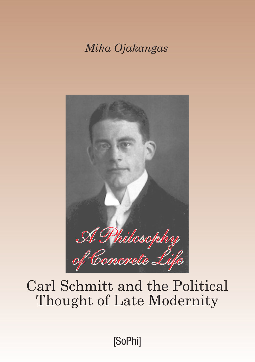*Mika Ojakangas*



# Carl Schmitt and the Political Thought of Late Modernity

[SoPhi]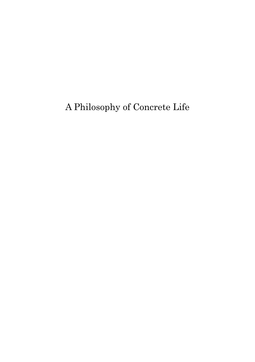A Philosophy of Concrete Life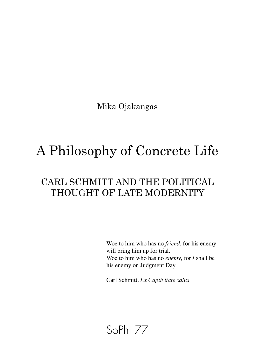Mika Ojakangas

# A Philosophy of Concrete Life

# CARL SCHMITT AND THE POLITICAL THOUGHT OF LATE MODERNITY

Woe to him who has no *friend*, for his enemy will bring him up for trial. Woe to him who has no *enemy*, for *I* shall be his enemy on Judgment Day.

Carl Schmitt, *Ex Captivitate salus*

# SoPhi 77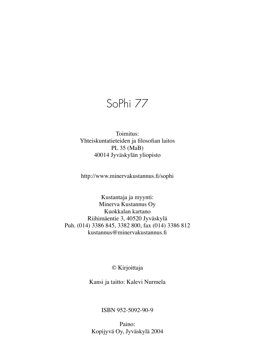SoPhi 77

#### Toimitus: Yhteiskuntatieteiden ja filosofian laitos PL 35 (MaB) 40014 Jyväskylän yliopisto

http://www.minervakustannus.fi/sophi

Kustantaja ja myynti: Minerva Kustannus Oy Kuokkalan kartano Riihimäentie 3, 40520 Jyväskylä Puh. (014) 3386 845, 3382 800, fax (014) 3386 812 kustannus@minervakustannus.fi

© Kirjoittaja

Kansi ja taitto: Kalevi Nurmela

ISBN 952-5092-90-9

Paino: Kopijyvä Oy, Jyväskylä 2004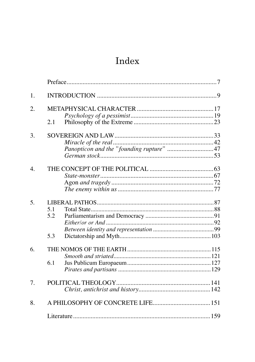# Index

| 1.               |                                   |                                          |  |
|------------------|-----------------------------------|------------------------------------------|--|
| 2.               |                                   |                                          |  |
|                  |                                   |                                          |  |
|                  | 2.1                               |                                          |  |
| 3.               |                                   |                                          |  |
|                  |                                   |                                          |  |
|                  |                                   | Panopticon and the "founding rupture" 47 |  |
|                  |                                   |                                          |  |
| $\overline{4}$ . |                                   |                                          |  |
|                  |                                   |                                          |  |
|                  |                                   |                                          |  |
|                  |                                   |                                          |  |
| 5.               |                                   |                                          |  |
|                  | 5.1                               |                                          |  |
|                  | 5.2                               |                                          |  |
|                  |                                   |                                          |  |
|                  |                                   |                                          |  |
|                  | 5.3                               |                                          |  |
| 6.               |                                   |                                          |  |
|                  |                                   |                                          |  |
|                  | 6.1                               |                                          |  |
|                  |                                   |                                          |  |
| 7.               |                                   |                                          |  |
|                  |                                   |                                          |  |
| 8.               | A PHILOSOPHY OF CONCRETE LIFE 151 |                                          |  |
|                  |                                   |                                          |  |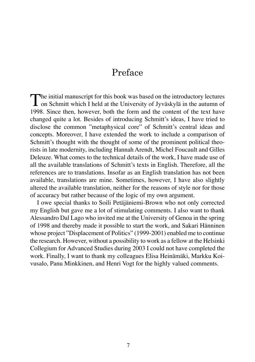# Preface

The initial manuscript for this book was based on the introductory lectures<br>on Schmitt which I held at the University of Jyväskylä in the autumn of<br>1008 Si 1998. Since then, however, both the form and the content of the text have changed quite a lot. Besides of introducing Schmitt's ideas, I have tried to disclose the common "metaphysical core" of Schmitt's central ideas and concepts. Moreover, I have extended the work to include a comparison of Schmitt's thought with the thought of some of the prominent political theorists in late modernity, including Hannah Arendt, Michel Foucault and Gilles Deleuze. What comes to the technical details of the work, I have made use of all the available translations of Schmitt's texts in English. Therefore, all the references are to translations. Insofar as an English translation has not been available, translations are mine. Sometimes, however, I have also slightly altered the available translation, neither for the reasons of style nor for those of accuracy but rather because of the logic of my own argument.

I owe special thanks to Soili Petäjäniemi-Brown who not only corrected my English but gave me a lot of stimulating comments. I also want to thank Alessandro Dal Lago who invited me at the University of Genoa in the spring of 1998 and thereby made it possible to start the work, and Sakari Hänninen whose project "Displacement of Politics" (1999-2001) enabled me to continue the research. However, without a possibility to work as a fellow at the Helsinki Collegium for Advanced Studies during 2003 I could not have completed the work. Finally, I want to thank my colleagues Elisa Heinämäki, Markku Koivusalo, Panu Minkkinen, and Henri Vogt for the highly valued comments.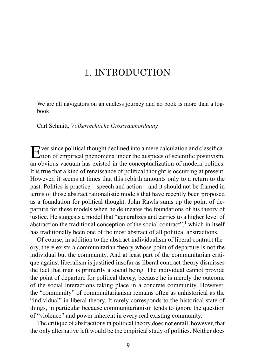# 1. INTRODUCTION

We are all navigators on an endless journey and no book is more than a logbook

#### Carl Schmitt, *Völkerrechtiche Grossraumordnung*

 $\Gamma$  ver since political thought declined into a mere calculation and classifica- $\Gamma$ tion of empirical phenomena under the auspices of scientific positivism, an obvious vacuum has existed in the conceptualization of modern politics. It is true that a kind of renaissance of political thought is occurring at present. However, it seems at times that this rebirth amounts only to a return to the past. Politics is practice – speech and action – and it should not be framed in terms of those abstract rationalistic models that have recently been proposed as a foundation for political thought. John Rawls sums up the point of departure for these models when he delineates the foundations of his theory of justice. He suggests a model that "generalizes and carries to a higher level of abstraction the traditional conception of the social contract",<sup>1</sup> which in itself has traditionally been one of the most abstract of all political abstractions.

Of course, in addition to the abstract individualism of liberal contract theory, there exists a communitarian theory whose point of departure is not the individual but the community. And at least part of the communitarian critique against liberalism is justified insofar as liberal contract theory dismisses the fact that man is primarily a social being. The individual cannot provide the point of departure for political theory, because he is merely the outcome of the social interactions taking place in a concrete community. However, the "community" of communitarianism remains often as unhistorical as the "individual" in liberal theory. It rarely corresponds to the historical state of things, in particular because communitarianism tends to ignore the question of "violence" and power inherent in every real existing community.

The critique of abstractions in political theory does not entail, however, that the only alternative left would be the empirical study of politics. Neither does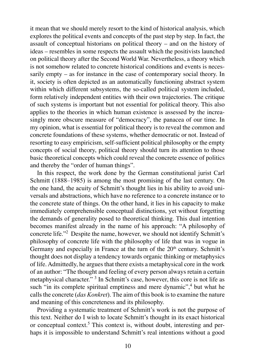it mean that we should merely resort to the kind of historical analysis, which explores the political events and concepts of the past step by step. In fact, the assault of conceptual historians on political theory – and on the history of ideas – resembles in some respects the assault which the positivists launched on political theory after the Second World War. Nevertheless, a theory which is not somehow related to concrete historical conditions and events is necessarily empty – as for instance in the case of contemporary social theory. In it, society is often depicted as an automatically functioning abstract system within which different subsystems, the so-called political system included, form relatively independent entities with their own trajectories. The critique of such systems is important but not essential for political theory. This also applies to the theories in which human existence is assessed by the increasingly more obscure measure of "democracy", the panacea of our time. In my opinion, what is essential for political theory is to reveal the common and concrete foundations of these systems, whether democratic or not. Instead of resorting to easy empiricism, self-sufficient political philosophy or the empty concepts of social theory, political theory should turn its attention to those basic theoretical concepts which could reveal the concrete essence of politics and thereby the "order of human things".

In this respect, the work done by the German constitutional jurist Carl Schmitt (1888–1985) is among the most promising of the last century. On the one hand, the acuity of Schmitt's thought lies in his ability to avoid universals and abstractions, which have no reference to a concrete instance or to the concrete state of things. On the other hand, it lies in his capacity to make immediately comprehensible conceptual distinctions, yet without forgetting the demands of generality posed to theoretical thinking. This dual intention becomes manifest already in the name of his approach: "A philosophy of concrete life."2 Despite the name, however, we should not identify Schmitt's philosophy of concrete life with the philosophy of life that was in vogue in Germany and especially in France at the turn of the  $20<sup>th</sup>$  century. Schmitt's thought does not display a tendency towards organic thinking or metaphysics of life. Admittedly, he argues that there exists a metaphysical core in the work of an author: "The thought and feeling of every person always retain a certain metaphysical character." <sup>3</sup> In Schmitt's case, however, this core is not life as such "in its complete spiritual emptiness and mere dynamic",<sup>4</sup> but what he calls the concrete (*das Konkret*). The aim of this book is to examine the nature and meaning of this concreteness and its philosophy.

Providing a systematic treatment of Schmitt's work is not the purpose of this text. Neither do I wish to locate Schmitt's thought in its exact historical or conceptual context.5 This context is, without doubt, interesting and perhaps it is impossible to understand Schmitt's real intentions without a good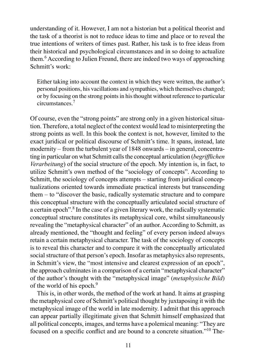understanding of it. However, I am not a historian but a political theorist and the task of a theorist is not to reduce ideas to time and place or to reveal the true intentions of writers of times past. Rather, his task is to free ideas from their historical and psychological circumstances and in so doing to actualize them.<sup>6</sup> According to Julien Freund, there are indeed two ways of approaching Schmitt's work:

Either taking into account the context in which they were written, the author's personal positions, his vacillations and sympathies, which themselves changed; or by focusing on the strong points in his thought without reference to particular circumstances.<sup>7</sup>

Of course, even the "strong points" are strong only in a given historical situation. Therefore, a total neglect of the context would lead to misinterpreting the strong points as well. In this book the context is not, however, limited to the exact juridical or political discourse of Schmitt's time. It spans, instead, late modernity – from the turbulent year of 1848 onwards – in general, concentrating in particular on what Schmitt calls the conceptual articulation (*begrifflichen Verarbeitung*) of the social structure of the epoch. My intention is, in fact, to utilize Schmitt's own method of the "sociology of concepts". According to Schmitt, the sociology of concepts attempts – starting from juridical conceptualizations oriented towards immediate practical interests but transcending them – to "discover the basic, radically systematic structure and to compare this conceptual structure with the conceptually articulated social structure of a certain epoch".8 In the case of a given literary work, the radically systematic conceptual structure constitutes its metaphysical core, whilst simultaneously revealing the "metaphysical character" of an author. According to Schmitt, as already mentioned, the "thought and feeling" of every person indeed always retain a certain metaphysical character. The task of the sociology of concepts is to reveal this character and to compare it with the conceptually articulated social structure of that person's epoch. Insofar as metaphysics also represents, in Schmitt's view, the "most intensive and clearest expression of an epoch", the approach culminates in a comparison of a certain "metaphysical character" of the author's thought with the "metaphysical image" (*metaphysische Bild*) of the world of his epoch.<sup>9</sup>

This is, in other words, the method of the work at hand. It aims at grasping the metaphysical core of Schmitt's political thought by juxtaposing it with the metaphysical image of the world in late modernity. I admit that this approach can appear partially illegitimate given that Schmitt himself emphasized that all political concepts, images, and terms have a polemical meaning: "They are focused on a specific conflict and are bound to a concrete situation."10 The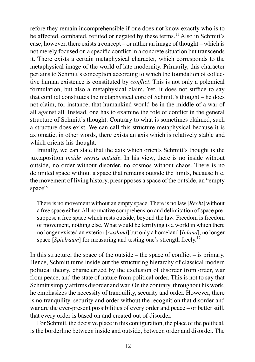refore they remain incomprehensible if one does not know exactly who is to be affected, combated, refuted or negated by these terms.<sup>11</sup> Also in Schmitt's case, however, there exists a concept – or rather an image of thought – which is not merely focused on a specific conflict in a concrete situation but transcends it. There exists a certain metaphysical character, which corresponds to the metaphysical image of the world of late modernity. Primarily, this character pertains to Schmitt's conception according to which the foundation of collective human existence is constituted by *conflict*. This is not only a polemical formulation, but also a metaphysical claim. Yet, it does not suffice to say that conflict constitutes the metaphysical core of Schmitt's thought – he does not claim, for instance, that humankind would be in the middle of a war of all against all. Instead, one has to examine the role of conflict in the general structure of Schmitt's thought. Contrary to what is sometimes claimed, such a structure does exist. We can call this structure metaphysical because it is axiomatic, in other words, there exists an axis which is relatively stable and which orients his thought.

Initially, we can state that the axis which orients Schmitt's thought is the juxtaposition *inside versus outside*. In his view, there is no inside without outside, no order without disorder, no cosmos without chaos. There is no delimited space without a space that remains outside the limits, because life, the movement of living history, presupposes a space of the outside, an "empty space":

There is no movement without an empty space. There is no law [*Recht*] without a free space either. All normative comprehension and delimitation of space presuppose a free space which rests outside, beyond the law. Freedom is freedom of movement, nothing else. What would be terrifying is a world in which there no longer existed an exterior [*Ausland*] but only a homeland [*Inland*], no longer space [*Spielraum*] for measuring and testing one's strength freely.<sup>12</sup>

In this structure, the space of the outside – the space of conflict – is primary. Hence, Schmitt turns inside out the structuring hierarchy of classical modern political theory, characterized by the exclusion of disorder from order, war from peace, and the state of nature from political order. This is not to say that Schmitt simply affirms disorder and war. On the contrary, throughout his work, he emphasizes the necessity of tranquility, security and order. However, there is no tranquility, security and order without the recognition that disorder and war are the ever-present possibilities of every order and peace – or better still, that every order is based on and created out of disorder.

For Schmitt, the decisive place in this configuration, the place of the political, is the borderline between inside and outside, between order and disorder. The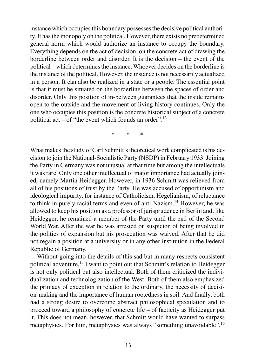instance which occupies this boundary possesses the decisive political authority. It has the monopoly on the political. However, there exists no predetermined general norm which would authorize an instance to occupy the boundary. Everything depends on the act of decision, on the concrete act of drawing the borderline between order and disorder. It is the decision – the event of the political – which determines the instance. Whoever decides on the borderline is the instance of the political. However, the instance is not necessarily actualized in a person. It can also be realized in a state or a people. The essential point is that it must be situated on the borderline between the spaces of order and disorder. Only this position of in-between guarantees that the inside remains open to the outside and the movement of living history continues. Only the one who occupies this position is the concrete historical subject of a concrete political act – of "the event which founds an order".<sup>13</sup>

\* \* \*

What makes the study of Carl Schmitt's theoretical work complicated is his decision to join the National-Socialistic Party (NSDP) in February 1933. Joining the Party in Germany was not unusual at that time but among the intellectuals it was rare. Only one other intellectual of major importance had actually joined, namely Martin Heidegger. However, in 1936 Schmitt was relieved from all of his positions of trust by the Party. He was accused of opportunism and ideological impurity, for instance of Catholicism, Hegelianism, of reluctance to think in purely racial terms and even of anti-Nazism.14 However, he was allowed to keep his position as a professor of jurisprudence in Berlin and, like Heidegger, he remained a member of the Party until the end of the Second World War. After the war he was arrested on suspicion of being involved in the politics of expansion but his prosecution was waived. After that he did not regain a position at a university or in any other institution in the Federal Republic of Germany.

Without going into the details of this sad but in many respects consistent political adventure,<sup>15</sup> I want to point out that Schmitt's relation to Heidegger is not only political but also intellectual. Both of them criticized the individualization and technologization of the West. Both of them also emphasized the primacy of exception in relation to the ordinary, the necessity of decision-making and the importance of human rootedness in soil. And finally, both had a strong desire to overcome abstract philosophical speculation and to proceed toward a philosophy of concrete life – of facticity as Heidegger put it. This does not mean, however, that Schmitt would have wanted to surpass metaphysics. For him, metaphysics was always "something unavoidable".<sup>16</sup>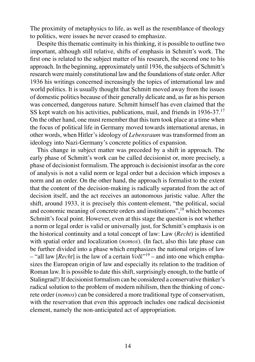The proximity of metaphysics to life, as well as the resemblance of theology to politics, were issues he never ceased to emphasize.

Despite this thematic continuity in his thinking, it is possible to outline two important, although still relative, shifts of emphasis in Schmitt's work. The first one is related to the subject matter of his research, the second one to his approach. In the beginning, approximately until 1936, the subjects of Schmitt's research were mainly constitutional law and the foundations of state order. After 1936 his writings concerned increasingly the topics of international law and world politics. It is usually thought that Schmitt moved away from the issues of domestic politics because of their generally delicate and, as far as his person was concerned, dangerous nature. Schmitt himself has even claimed that the SS kept watch on his activities, publications, mail, and friends in 1936-37.<sup>17</sup> On the other hand, one must remember that this turn took place at a time when the focus of political life in Germany moved towards international arenas, in other words, when Hitler's ideology of *Lebensraum* was transformed from an ideology into Nazi-Germany's concrete politics of expansion.

This change in subject matter was preceded by a shift in approach. The early phase of Schmitt's work can be called decisionist or, more precisely, a phase of decisionist formalism. The approach is decisionist insofar as the core of analysis is not a valid norm or legal order but a decision which imposes a norm and an order. On the other hand, the approach is formalist to the extent that the content of the decision-making is radically separated from the act of decision itself, and the act receives an autonomous juristic value. After the shift, around 1933, it is precisely this content-element, "the political, social and economic meaning of concrete orders and institutions",<sup>18</sup> which becomes Schmitt's focal point. However, even at this stage the question is not whether a norm or legal order is valid or universally just, for Schmitt's emphasis is on the historical continuity and a total concept of law: Law *(Recht)* is identified with spatial order and localization (*nomos*). (In fact, also this late phase can be further divided into a phase which emphasizes the national origins of law  $-$  "all law [*Recht*] is the law of a certain  $Volk^{19}$  – and into one which emphasizes the European origin of law and especially its relation to the tradition of Roman law. It is possible to date this shift, surprisingly enough, to the battle of Stalingrad!) If decisionist formalism can be considered a conservative thinker's radical solution to the problem of modern nihilism, then the thinking of concrete order (*nomos*) can be considered a more traditional type of conservatism, with the reservation that even this approach includes one radical decisionist element, namely the non-anticipated act of appropriation.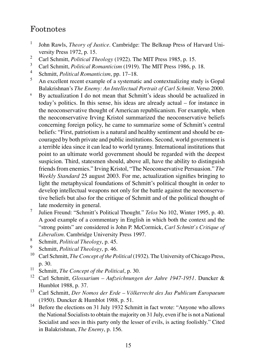## Footnotes

- 1 John Rawls, *Theory of Justice*. Cambridge: The Belknap Press of Harvard University Press 1972, p. 15.
- 2 Carl Schmitt, *Political Theology* (1922). The MIT Press 1985, p. 15.
- 3 Carl Schmitt, *Political Romanticism* (1919). The MIT Press 1986, p. 18.
- 4 Schmitt, *Political Romanticism*, pp. 17–18.
- 5 An excellent recent example of a systematic and contextualizing study is Gopal Balakrishnan's *The Enemy: An Intellectual Portrait of Carl Schmitt*. Verso 2000.
- 6 By actualization I do not mean that Schmitt's ideas should be actualized in today's politics. In this sense, his ideas are already actual – for instance in the neoconservative thought of American republicanism. For example, when the neoconservative Irving Kristol summarized the neoconservative beliefs concerning foreign policy, he came to summarize some of Schmitt's central beliefs: "First, patriotism is a natural and healthy sentiment and should be encouraged by both private and public institutions. Second, world government is a terrible idea since it can lead to world tyranny. International institutions that point to an ultimate world government should be regarded with the deepest suspicion. Third, statesmen should, above all, have the ability to distinguish friends from enemies." Irving Kristol, "The Neoconservative Persuasion." *The Weekly Standard* 25 august 2003. For me, actualization signifies bringing to light the metaphysical foundations of Schmitt's political thought in order to develop intellectual weapons not only for the battle against the neoconservative beliefs but also for the critique of Schmitt and of the political thought of late modernity in general.
- 7 Julien Freund: "Schmitt's Political Thought." *Telos* No 102, Winter 1995, p. 40. A good example of a commentary in English in which both the context and the "strong points" are considered is John P. McCormick, *Carl Schmitt's Critique of Liberalism*. Cambridge University Press 1997.
- 8 Schmitt, *Political Theology*, p. 45.
- 9 Schmitt, *Political Theology*, p. 46.
- <sup>10</sup> Carl Schmitt, *The Concept of the Political* (1932). The University of Chicago Press, p. 30.
- <sup>11</sup> Schmitt, *The Concept of the Political*, p. 30.
- <sup>12</sup> Carl Schmitt, *Glossarium Aufzeichnungen der Jahre 1947-1951*. Duncker & Humblot 1988, p. 37.
- <sup>13</sup> Carl Schmitt, *Der Nomos der Erde Völkerrecht des Jus Publicum Europaeum*  (1950). Duncker & Humblot 1988, p. 51.
- <sup>14</sup> Before the elections on 31 July 1932 Schmitt in fact wrote: "Anyone who allows the National Socialists to obtain the majority on 31 July, even if he is not a National Socialist and sees in this party only the lesser of evils, is acting foolishly." Cited in Balakrishnan, *The Enemy*, p. 156.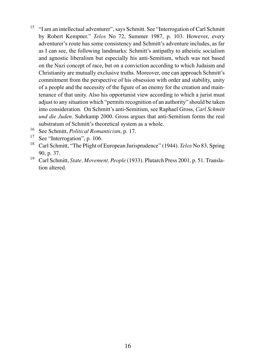- <sup>15</sup> "I am an intellectual adventurer", says Schmitt. See "Interrogation of Carl Schmitt by Robert Kempner." *Telos* No 72, Summer 1987, p. 103. However, every adventurer's route has some consistency and Schmitt's adventure includes, as far as I can see, the following landmarks: Schmitt's antipathy to atheistic socialism and agnostic liberalism but especially his anti-Semitism, which was not based on the Nazi concept of race, but on a conviction according to which Judaism and Christianity are mutually exclusive truths. Moreover, one can approach Schmitt's commitment from the perspective of his obsession with order and stability, unity of a people and the necessity of the figure of an enemy for the creation and maintenance of that unity. Also his opportunist view according to which a jurist must adjust to any situation which "permits recognition of an authority" should be taken into consideration. On Schmitt's anti-Semitism, see Raphael Gross, *Carl Schmitt und die Juden*. Suhrkamp 2000. Gross argues that anti-Semitism forms the real substratum of Schmitt's theoretical system as a whole.
- <sup>16</sup> See Schmitt, *Political Romanticism*, p. 17.
- See "Interrogation", p. 106.
- <sup>18</sup> Carl Schmitt, "The Plight of European Jurisprudence" (1944). *Telos* No 83, Spring 90, p. 37.
- <sup>19</sup> Carl Schmitt, *State, Movement, People* (1933). Plutarch Press 2001, p. 51. Translation altered.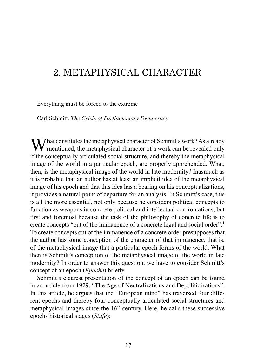# 2. METAPHYSICAL CHARACTER

Everything must be forced to the extreme

Carl Schmitt, *The Crisis of Parliamentary Democracy*

 $M/\sqrt{M}$  hat constitutes the metaphysical character of Schmitt's work? As already mentioned, the metaphysical character of a work can be revealed only if the conceptually articulated social structure, and thereby the metaphysical image of the world in a particular epoch, are properly apprehended. What, then, is the metaphysical image of the world in late modernity? Inasmuch as it is probable that an author has at least an implicit idea of the metaphysical image of his epoch and that this idea has a bearing on his conceptualizations, it provides a natural point of departure for an analysis. In Schmitt's case, this is all the more essential, not only because he considers political concepts to function as weapons in concrete political and intellectual confrontations, but first and foremost because the task of the philosophy of concrete life is to create concepts "out of the immanence of a concrete legal and social order".<sup>1</sup> To create concepts out of the immanence of a concrete order presupposes that the author has some conception of the character of that immanence, that is, of the metaphysical image that a particular epoch forms of the world. What then is Schmitt's conception of the metaphysical image of the world in late modernity? In order to answer this question, we have to consider Schmitt's concept of an epoch (*Epoche*) briefly.

Schmitt's clearest presentation of the concept of an epoch can be found in an article from 1929, "The Age of Neutralizations and Depoliticizations". In this article, he argues that the "European mind" has traversed four different epochs and thereby four conceptually articulated social structures and metaphysical images since the  $16<sup>th</sup>$  century. Here, he calls these successive epochs historical stages (*Stufe*):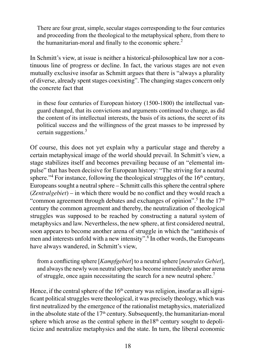There are four great, simple, secular stages corresponding to the four centuries and proceeding from the theological to the metaphysical sphere, from there to the humanitarian-moral and finally to the economic sphere.<sup>2</sup>

In Schmitt's view, at issue is neither a historical-philosophical law nor a continuous line of progress or decline. In fact, the various stages are not even mutually exclusive insofar as Schmitt argues that there is "always a plurality of diverse, already spent stages coexisting". The changing stages concern only the concrete fact that

in these four centuries of European history (1500-1800) the intellectual vanguard changed, that its convictions and arguments continued to change, as did the content of its intellectual interests, the basis of its actions, the secret of its political success and the willingness of the great masses to be impressed by certain suggestions.3

Of course, this does not yet explain why a particular stage and thereby a certain metaphysical image of the world should prevail. In Schmitt's view, a stage stabilizes itself and becomes prevailing because of an "elemental impulse" that has been decisive for European history: "The striving for a neutral sphere."<sup>4</sup> For instance, following the theological struggles of the  $16<sup>th</sup>$  century, Europeans sought a neutral sphere – Schmitt calls this sphere the central sphere (*Zentralgebiet*) – in which there would be no conflict and they would reach a "common agreement through debates and exchanges of opinion".<sup>5</sup> In the  $17<sup>th</sup>$ century the common agreement and thereby, the neutralization of theological struggles was supposed to be reached by constructing a natural system of metaphysics and law. Nevertheless, the new sphere, at first considered neutral, soon appears to become another arena of struggle in which the "antithesis of men and interests unfold with a new intensity".<sup>6</sup> In other words, the Europeans have always wandered, in Schmitt's view,

from a conflicting sphere [*Kampfgebiet*] to a neutral sphere [*neutrales Gebiet*], and always the newly won neutral sphere has become immediately another arena of struggle, once again necessitating the search for a new neutral sphere.<sup>7</sup>

Hence, if the central sphere of the  $16<sup>th</sup>$  century was religion, insofar as all significant political struggles were theological, it was precisely theology, which was first neutralized by the emergence of the rationalist metaphysics, materialized in the absolute state of the  $17<sup>th</sup>$  century. Subsequently, the humanitarian-moral sphere which arose as the central sphere in the  $18<sup>th</sup>$  century sought to depoliticize and neutralize metaphysics and the state. In turn, the liberal economic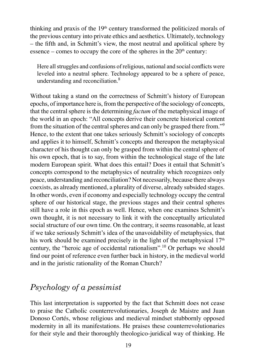thinking and praxis of the  $19<sup>th</sup>$  century transformed the politicized morals of the previous century into private ethics and aesthetics. Ultimately, technology – the fifth and, in Schmitt's view, the most neutral and apolitical sphere by essence – comes to occupy the core of the spheres in the  $20<sup>th</sup>$  century:

Here all struggles and confusions of religious, national and social conflicts were leveled into a neutral sphere. Technology appeared to be a sphere of peace, understanding and reconciliation.8

Without taking a stand on the correctness of Schmitt's history of European epochs, of importance here is, from the perspective of the sociology of concepts, that the central sphere is the determining *factum* of the metaphysical image of the world in an epoch: "All concepts derive their concrete historical content from the situation of the central spheres and can only be grasped there from."9 Hence, to the extent that one takes seriously Schmitt's sociology of concepts and applies it to himself, Schmitt's concepts and thereupon the metaphysical character of his thought can only be grasped from within the central sphere of his own epoch, that is to say, from within the technological stage of the late modern European spirit. What does this entail? Does it entail that Schmitt's concepts correspond to the metaphysics of neutrality which recognizes only peace, understanding and reconciliation? Not necessarily, because there always coexists, as already mentioned, a plurality of diverse, already subsided stages. In other words, even if economy and especially technology occupy the central sphere of our historical stage, the previous stages and their central spheres still have a role in this epoch as well. Hence, when one examines Schmitt's own thought, it is not necessary to link it with the conceptually articulated social structure of our own time. On the contrary, it seems reasonable, at least if we take seriously Schmitt's idea of the unavoidability of metaphysics, that his work should be examined precisely in the light of the metaphysical  $17<sup>th</sup>$ century, the "heroic age of occidental rationalism".10 Or perhaps we should find our point of reference even further back in history, in the medieval world and in the juristic rationality of the Roman Church?

## *Psychology of a pessimist*

This last interpretation is supported by the fact that Schmitt does not cease to praise the Catholic counterrevolutionaries, Joseph de Maistre and Juan Donoso Cortés, whose religious and medieval mindset stubbornly opposed modernity in all its manifestations. He praises these counterrevolutionaries for their style and their thoroughly theologico-juridical way of thinking. He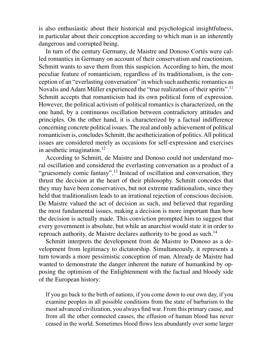is also enthusiastic about their historical and psychological insightfulness, in particular about their conception according to which man is an inherently dangerous and corrupted being.

In turn of the century Germany, de Maistre and Donoso Cortés were called romantics in Germany on account of their conservatism and reactionism. Schmitt wants to save them from this suspicion. According to him, the most peculiar feature of romanticism, regardless of its traditionalism, is the conception of an "everlasting conversation" in which such authentic romantics as Novalis and Adam Müller experienced the "true realization of their spirits".<sup>11</sup> Schmitt accepts that romanticism had its own political form of expression. However, the political activism of political romantics is characterized, on the one hand, by a continuous oscillation between contradictory attitudes and principles. On the other hand, it is characterized by a factual indifference concerning concrete political issues. The real and only achievement of political romanticism is, concludes Schmitt, the aestheticization of politics. All political issues are considered merely as occasions for self-expression and exercises in aesthetic imagination.<sup>12</sup>

According to Schmitt, de Maistre and Donoso could not understand moral oscillation and considered the everlasting conversation as a product of a "gruesomely comic fantasy".<sup>13</sup> Instead of oscillation and conversation, they thrust the decision at the heart of their philosophy. Schmitt concedes that they may have been conservatives, but not extreme traditionalists, since they held that traditionalism leads to an irrational rejection of conscious decision. De Maistre valued the act of decision as such, and believed that regarding the most fundamental issues, making a decision is more important than how the decision is actually made. This conviction prompted him to suggest that every government is absolute, but while an anarchist would state it in order to reproach authority, de Maistre declares authority to be good as such.<sup>14</sup>

Schmitt interprets the development from de Maistre to Donoso as a development from legitimacy to dictatorship. Simultaneously, it represents a turn towards a more pessimistic conception of man. Already de Maistre had wanted to demonstrate the danger inherent the nature of humankind by opposing the optimism of the Enlightenment with the factual and bloody side of the European history:

If you go back to the birth of nations, if you come down to our own day, if you examine peoples in all possible conditions from the state of barbarism to the most advanced civilization, you always find war. From this primary cause, and from all the other connected causes, the effusion of human blood has never ceased in the world. Sometimes blood flows less abundantly over some larger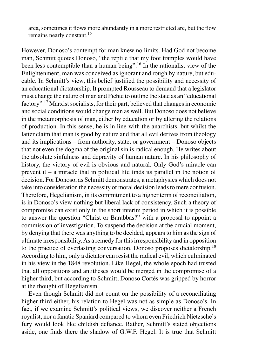area, sometimes it flows more abundantly in a more restricted are, but the flow remains nearly constant.<sup>15</sup>

However, Donoso's contempt for man knew no limits. Had God not become man, Schmitt quotes Donoso, "the reptile that my foot tramples would have been less contemptible than a human being".16 In the rationalist view of the Enlightenment, man was conceived as ignorant and rough by nature, but educable. In Schmitt's view, this belief justified the possibility and necessity of an educational dictatorship. It prompted Rousseau to demand that a legislator must change the nature of man and Fichte to outline the state as an "educational factory".<sup>17</sup> Marxist socialists, for their part, believed that changes in economic and social conditions would change man as well. But Donoso does not believe in the metamorphosis of man, either by education or by altering the relations of production. In this sense, he is in line with the anarchists, but whilst the latter claim that man is good by nature and that all evil derives from theology and its implications – from authority, state, or government – Donoso objects that not even the dogma of the original sin is radical enough. He writes about the absolute sinfulness and depravity of human nature. In his philosophy of history, the victory of evil is obvious and natural. Only God's miracle can prevent it – a miracle that in political life finds its parallel in the notion of decision. For Donoso, as Schmitt demonstrates, a metaphysics which does not take into consideration the necessity of moral decision leads to mere confusion. Therefore, Hegelianism, in its commitment to a higher term of reconciliation, is in Donoso's view nothing but liberal lack of consistency. Such a theory of compromise can exist only in the short interim period in which it is possible to answer the question "Christ or Barabbas?" with a proposal to appoint a commission of investigation. To suspend the decision at the crucial moment, by denying that there was anything to be decided, appears to him as the sign of ultimate irresponsibility. As a remedy for this irresponsibility and in opposition to the practice of everlasting conversation, Donoso proposes dictatorship.<sup>18</sup> According to him, only a dictator can resist the radical evil, which culminated in his view in the 1848 revolution. Like Hegel, the whole epoch had trusted that all oppositions and antitheses would be merged in the compromise of a higher third, but according to Schmitt, Donoso Cortés was gripped by horror at the thought of Hegelianism.

Even though Schmitt did not count on the possibility of a reconciliating higher third either, his relation to Hegel was not as simple as Donoso's. In fact, if we examine Schmitt's political views, we discover neither a French royalist, nor a fanatic Spaniard compared to whom even Friedrich Nietzsche's fury would look like childish defiance. Rather, Schmitt's stated objections aside, one finds there the shadow of G.W.F. Hegel. It is true that Schmitt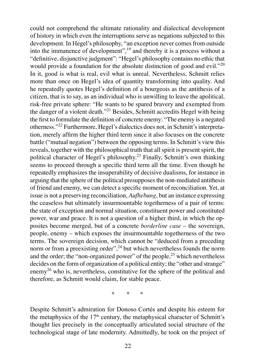could not comprehend the ultimate rationality and dialectical development of history in which even the interruptions serve as negations subjected to this development. In Hegel's philosophy, "an exception never comes from outside into the immanence of development",19 and thereby it is a process without a "definitive, disjunctive judgment": "Hegel's philosophy contains no ethic that would provide a foundation for the absolute distinction of good and evil."<sup>20</sup> In it, good is what is real, evil what is unreal. Nevertheless, Schmitt relies more than once on Hegel's idea of quantity transforming into quality. And he repeatedly quotes Hegel's definition of a bourgeois as the antithesis of a citizen, that is to say, as an individual who is unwilling to leave the apolitical, risk-free private sphere: "He wants to be spared bravery and exempted from the danger of a violent death."<sup>21</sup> Besides, Schmitt accredits Hegel with being the first to formulate the definition of concrete enemy: "The enemy is a negated otherness."<sup>22</sup> Furthermore, Hegel's dialectics does not, in Schmitt's interpretation, merely affirm the higher third term since it also focuses on the concrete battle ("mutual negation") between the opposing terms. In Schmitt's view this reveals, together with the philosophical truth that all spirit is present spirit, the political character of Hegel's philosophy.<sup>23</sup> Finally, Schmitt's own thinking seems to proceed through a specific third term all the time. Even though he repeatedly emphasizes the insuperability of decisive dualisms, for instance in arguing that the sphere of the political presupposes the non-mediated antithesis of friend and enemy, we can detect a specific moment of reconciliation. Yet, at issue is not a preserving reconciliation, *Aufhebung*, but an instance expressing the ceaseless but ultimately insurmountable togetherness of a pair of terms: the state of exception and normal situation, constituent power and constituted power, war and peace. It is not a question of a higher third, in which the opposites become merged, but of a concrete *borderline case* – the sovereign, people, enemy – which exposes the insurmountable togetherness of the two terms. The sovereign decision, which cannot be "deduced from a preceding norm or from a preexisting order",  $^{24}$  but which nevertheless founds the norm and the order; the "non-organized power" of the people,<sup>25</sup> which nevertheless decides on the form of organization of a political entity; the "other and strange" enemy<sup>26</sup> who is, nevertheless, constitutive for the sphere of the political and therefore, as Schmitt would claim, for stable peace.

\* \* \*

Despite Schmitt's admiration for Donoso Cortés and despite his esteem for the metaphysics of the  $17<sup>th</sup>$  century, the metaphysical character of Schmitt's thought lies precisely in the conceptually articulated social structure of the technological stage of late modernity. Admittedly, he took on the project of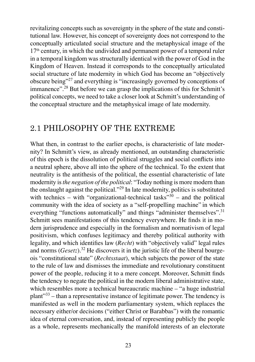revitalizing concepts such as sovereignty in the sphere of the state and constitutional law. However, his concept of sovereignty does not correspond to the conceptually articulated social structure and the metaphysical image of the  $17<sup>th</sup>$  century, in which the undivided and permanent power of a temporal ruler in a temporal kingdom was structurally identical with the power of God in the Kingdom of Heaven. Instead it corresponds to the conceptually articulated social structure of late modernity in which God has become an "objectively obscure being"27 and everything is "increasingly governed by conceptions of immanence".<sup>28</sup> But before we can grasp the implications of this for Schmitt's political concepts, we need to take a closer look at Schmitt's understanding of the conceptual structure and the metaphysical image of late modernity.

### 2.1 PHILOSOPHY OF THE EXTREME

What then, in contrast to the earlier epochs, is characteristic of late modernity? In Schmitt's view, as already mentioned, an outstanding characteristic of this epoch is the dissolution of political struggles and social conflicts into a neutral sphere, above all into the sphere of the technical. To the extent that neutrality is the antithesis of the political, the essential characteristic of late modernity is *the negation of the political*: "Today nothing is more modern than the onslaught against the political."29 In late modernity, politics is substituted with technics – with "organizational-technical tasks"<sup>30</sup> – and the political community with the idea of society as a "self-propelling machine" in which everything "functions automatically" and things "administer themselves".<sup>31</sup> Schmitt sees manifestations of this tendency everywhere. He finds it in modern jurisprudence and especially in the formalism and normativism of legal positivism, which confuses legitimacy and thereby political authority with legality, and which identifies law (*Recht*) with "objectively valid" legal rules and norms  $(Gesetz)$ .<sup>32</sup> He discovers it in the juristic life of the liberal bourgeois "constitutional state" (*Rechtsstaat*), which subjects the power of the state to the rule of law and dismisses the immediate and revolutionary constituent power of the people, reducing it to a mere concept. Moreover, Schmitt finds the tendency to negate the political in the modern liberal administrative state, which resembles more a technical bureaucratic machine – "a huge industrial plant"<sup>33</sup> – than a representative instance of legitimate power. The tendency is manifested as well in the modern parliamentary system, which replaces the necessary either/or decisions ("either Christ or Barabbas") with the romantic idea of eternal conversation, and, instead of representing publicly the people as a whole, represents mechanically the manifold interests of an electorate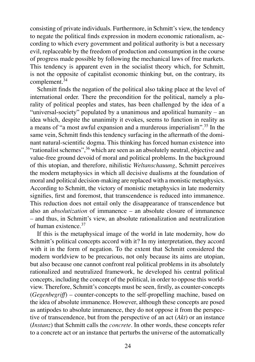consisting of private individuals. Furthermore, in Schmitt's view, the tendency to negate the political finds expression in modern economic rationalism, according to which every government and political authority is but a necessary evil, replaceable by the freedom of production and consumption in the course of progress made possible by following the mechanical laws of free markets. This tendency is apparent even in the socialist theory which, for Schmitt, is not the opposite of capitalist economic thinking but, on the contrary, its complement.<sup>34</sup>

Schmitt finds the negation of the political also taking place at the level of international order. There the precondition for the political, namely a plurality of political peoples and states, has been challenged by the idea of a "universal-society" populated by a unanimous and apolitical humanity – an idea which, despite the unanimity it evokes, seems to function in reality as a means of "a most awful expansion and a murderous imperialism".35 In the same vein, Schmitt finds this tendency surfacing in the aftermath of the dominant natural-scientific dogma. This thinking has forced human existence into "rationalist schemes",  $36$  which are seen as an absolutely neutral, objective and value-free ground devoid of moral and political problems. In the background of this utopian, and therefore, nihilistic *Weltanschauung*, Schmitt perceives the modern metaphysics in which all decisive dualisms at the foundation of moral and political decision-making are replaced with a monistic metaphysics. According to Schmitt, the victory of monistic metaphysics in late modernity signifies, first and foremost, that transcendence is reduced into immanence. This reduction does not entail only the disappearance of transcendence but also an *absolutization* of immanence – an absolute closure of immanence – and thus, in Schmitt's view, an absolute rationalization and neutralization of human existence.<sup>37</sup>

If this is the metaphysical image of the world in late modernity, how do Schmitt's political concepts accord with it? In my interpretation, they accord with it in the form of negation. To the extent that Schmitt considered the modern worldview to be precarious, not only because its aims are utopian, but also because one cannot confront real political problems in its absolutely rationalized and neutralized framework, he developed his central political concepts, including the concept of the political, in order to oppose this worldview. Therefore, Schmitt's concepts must be seen, firstly, as counter-concepts (*Gegenbegriff*) – counter-concepts to the self-propelling machine, based on the idea of absolute immanence. However, although these concepts are posed as antipodes to absolute immanence, they do not oppose it from the perspective of transcendence, but from the perspective of an act (*Akt*) or an instance (*Instanz*) that Schmitt calls the *concrete*. In other words, these concepts refer to a concrete act or an instance that perturbs the universe of the automatically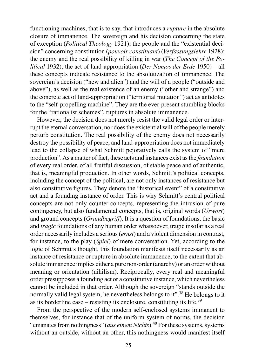functioning machines, that is to say, that introduces a *rupture* in the absolute closure of immanence. The sovereign and his decision concerning the state of exception (*Political Theology* 1921); the people and the "existential decision" concerning constitution (*pouvoir constituant*) (*Verfassungslehre* 1928); the enemy and the real possibility of killing in war (*The Concept of the Political* 1932); the act of land-appropriation (*Der Nomos der Erde* 1950) – all these concepts indicate resistance to the absolutization of immanence. The sovereign's decision ("new and alien") and the will of a people ("outside and above"), as well as the real existence of an enemy ("other and strange") and the concrete act of land-appropriation ("territorial mutation") act as antidotes to the "self-propelling machine". They are the ever-present stumbling blocks for the "rationalist schemes", ruptures in absolute immanence.

However, the decision does not merely resist the valid legal order or interrupt the eternal conversation, nor does the existential will of the people merely perturb constitution. The real possibility of the enemy does not necessarily destroy the possibility of peace, and land-appropriation does not immediately lead to the collapse of what Schmitt pejoratively calls the system of "mere production". As a matter of fact, these acts and instances exist as the *foundation* of every real order, of all fruitful discussion, of stable peace and of authentic, that is, meaningful production. In other words, Schmitt's political concepts, including the concept of the political, are not only instances of resistance but also constitutive figures. They denote the "historical event" of a constitutive act and a founding instance of order. This is why Schmitt's central political concepts are not only counter-concepts, representing the intrusion of pure contingency, but also fundamental concepts, that is, original words (*Urwort*) and ground concepts (*Grundbegriff*). It is a question of foundations, the basic and *tragic* foundations of any human order whatsoever, tragic insofar as a real order necessarily includes a serious (*ernst*) and a violent dimension in contrast, for instance, to the play (*Spiel*) of mere conversation. Yet, according to the logic of Schmitt's thought, this foundation manifests itself necessarily as an instance of resistance or rupture in absolute immanence, to the extent that absolute immanence implies either a pure non-order (anarchy) or an order without meaning or orientation (nihilism). Reciprocally, every real and meaningful order presupposes a founding act or a constitutive instance, which nevertheless cannot be included in that order. Although the sovereign "stands outside the normally valid legal system, he nevertheless belongs to it".<sup>38</sup> He belongs to it as its borderline case – resisting its enclosure, constituting its life.<sup>39</sup>

From the perspective of the modern self-enclosed systems immanent to themselves, for instance that of the uniform system of norms, the decision "emanates from nothingness" (*aus einem Nichts*).40 For these systems, systems without an outside, without an other, this nothingness would manifest itself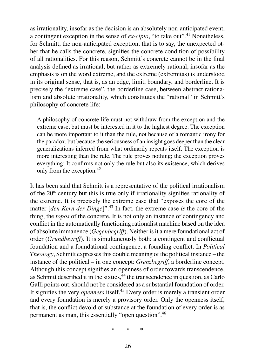as irrationality, insofar as the decision is an absolutely non-anticipated event, a contingent exception in the sense of *ex-cipio*, "to take out".<sup>41</sup> Nonetheless, for Schmitt, the non-anticipated exception, that is to say, the unexpected other that he calls the concrete, signifies the concrete condition of possibility of all rationalities. For this reason, Schmitt's concrete cannot be in the final analysis defined as irrational, but rather as extremely rational, insofar as the emphasis is on the word extreme, and the extreme (extremitas) is understood in its original sense, that is, as an edge, limit, boundary, and borderline. It is precisely the "extreme case", the borderline case, between abstract rationalism and absolute irrationality, which constitutes the "rational" in Schmitt's philosophy of concrete life:

A philosophy of concrete life must not withdraw from the exception and the extreme case, but must be interested in it to the highest degree. The exception can be more important to it than the rule, not because of a romantic irony for the paradox, but because the seriousness of an insight goes deeper than the clear generalizations inferred from what ordinarily repeats itself. The exception is more interesting than the rule. The rule proves nothing; the exception proves everything: It confirms not only the rule but also its existence, which derives only from the exception.<sup>42</sup>

It has been said that Schmitt is a representative of the political irrationalism of the  $20<sup>th</sup>$  century but this is true only if irrationality signifies rationality of the extreme. It is precisely the extreme case that "exposes the core of the matter [*den Kern der Dinge*]".<sup>43</sup> In fact, the extreme case *is* the core of the thing, the *topos* of the concrete. It is not only an instance of contingency and conflict in the automatically functioning rationalist machine based on the idea of absolute immanence (*Gegenbegriff*). Neither is it a mere foundational act of order (*Grundbegriff*). It is simultaneously both: a contingent and conflictual foundation and a foundational contingence, a founding conflict. In *Political Theology*, Schmitt expresses this double meaning of the political instance – the instance of the political – in one concept: *Grenzbegriff*, a borderline concept. Although this concept signifies an openness of order towards transcendence, as Schmitt described it in the sixties, $44$  the transcendence in question, as Carlo Galli points out, should not be considered as a substantial foundation of order. It signifies the very *openness* itself.<sup>45</sup> Every order is merely a transient order and every foundation is merely a provisory order. Only the openness itself, that is, the conflict devoid of substance at the foundation of every order is as permanent as man, this essentially "open question".<sup>46</sup>

\* \* \*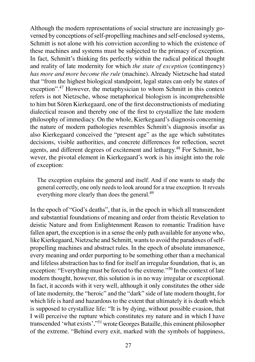Although the modern representations of social structure are increasingly governed by conceptions of self-propelling machines and self-enclosed systems, Schmitt is not alone with his conviction according to which the existence of these machines and systems must be subjected to the primacy of exception. In fact, Schmitt's thinking fits perfectly within the radical political thought and reality of late modernity for which *the state of exception* (contingency) *has more and more become the rule* (machine). Already Nietzsche had stated that "from the highest biological standpoint, legal states can only be states of exception".47 However, the metaphysician to whom Schmitt in this context refers is not Nietzsche, whose metaphorical biologism is incomprehensible to him but Sören Kierkegaard, one of the first deconstructionists of mediating dialectical reason and thereby one of the first to crystallize the late modern philosophy of immediacy. On the whole, Kierkegaard's diagnosis concerning the nature of modern pathologies resembles Schmitt's diagnosis insofar as also Kierkegaard conceived the "present age" as the age which substitutes decisions, visible authorities, and concrete differences for reflection, secret agents, and different degrees of excitement and lethargy.<sup>48</sup> For Schmitt, however, the pivotal element in Kierkegaard's work is his insight into the role of exception:

The exception explains the general and itself. And if one wants to study the general correctly, one only needs to look around for a true exception. It reveals everything more clearly than does the general.<sup>49</sup>

In the epoch of "God's deaths", that is, in the epoch in which all transcendent and substantial foundations of meaning and order from theistic Revelation to deistic Nature and from Enlightenment Reason to romantic Tradition have fallen apart, the exception is in a sense the only path available for anyone who, like Kierkegaard, Nietzsche and Schmitt, wants to avoid the paradoxes of selfpropelling machines and abstract rules. In the epoch of absolute immanence, every meaning and order purporting to be something other than a mechanical and lifeless abstraction has to find for itself an irregular foundation, that is, an exception: "Everything must be forced to the extreme."50 In the context of late modern thought, however, this solution is in no way irregular or exceptional. In fact, it accords with it very well, although it only constitutes the other side of late modernity, the "heroic" and the "dark" side of late modern thought, for which life is hard and hazardous to the extent that ultimately it is death which is supposed to crystallize life: "It is by dying, without possible evasion, that I will perceive the rupture which constitutes my nature and in which I have transcended 'what exists',"<sup>51</sup> wrote Georges Bataille, this eminent philosopher of the extreme. "Behind every exit, marked with the symbols of happiness,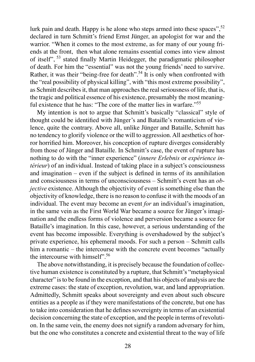lurk pain and death. Happy is he alone who steps armed into these spaces",  $52$ declared in turn Schmitt's friend Ernst Jünger, an apologist for war and the warrior. "When it comes to the most extreme, as for many of our young friends at the front, then what alone remains essential comes into view almost of itself", 53 stated finally Martin Heidegger, the paradigmatic philosopher of death. For him the "essential" was not the young friends' need to survive. Rather, it was their "being-free for death".<sup>54</sup> It is only when confronted with the "real possibility of physical killing", with "this most extreme possibility", as Schmitt describes it, that man approaches the real seriousness of life, that is, the tragic and political essence of his existence, presumably the most meaningful existence that he has: "The core of the matter lies in warfare."<sup>55</sup>

My intention is not to argue that Schmitt's basically "classical" style of thought could be identified with Jünger's and Bataille's romanticism of violence, quite the contrary. Above all, unlike Jünger and Bataille, Schmitt has no tendency to glorify violence or the will to aggression. All aesthetics of horror horrified him. Moreover, his conception of rupture diverges considerably from those of Jünger and Bataille. In Schmitt's case, the event of rupture has nothing to do with the "inner experience" (*innere Erlebnis* or *expérience intérieur*) of an individual. Instead of taking place in a subject's consciousness and imagination – even if the subject is defined in terms of its annihilation and consciousness in terms of unconsciousness – Schmitt's event has an *objective* existence. Although the objectivity of event is something else than the objectivity of knowledge, there is no reason to confuse it with the moods of an individual. The event may become an event *for* an individual's imagination, in the same vein as the First World War became a source for Jünger's imagination and the endless forms of violence and perversion became a source for Bataille's imagination. In this case, however, a serious understanding of the event has become impossible. Everything is overshadowed by the subject's private experience, his ephemeral moods. For such a person – Schmitt calls him a romantic – the intercourse with the concrete event becomes "actually the intercourse with himself". 56

The above notwithstanding, it is precisely because the foundation of collective human existence is constituted by a rupture, that Schmitt's "metaphysical character" is to be found in the exception, and that his objects of analysis are the extreme cases: the state of exception, revolution, war, and land appropriation. Admittedly, Schmitt speaks about sovereignty and even about such obscure entities as a people as if they were manifestations of the concrete, but one has to take into consideration that he defines sovereignty in terms of an existential decision concerning the state of exception, and the people in terms of revolution. In the same vein, the enemy does not signify a random adversary for him, but the one who constitutes a concrete and existential threat to the way of life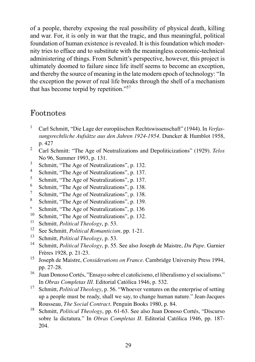of a people, thereby exposing the real possibility of physical death, killing and war. For, it is only in war that the tragic, and thus meaningful, political foundation of human existence is revealed. It is this foundation which modernity tries to efface and to substitute with the meaningless economic-technical administering of things. From Schmitt's perspective, however, this project is ultimately doomed to failure since life itself seems to become an exception, and thereby the source of meaning in the late modern epoch of technology: "In the exception the power of real life breaks through the shell of a mechanism that has become torpid by repetition."57

### Footnotes

- 1 Carl Schmitt, "Die Lage der europäischen Rechtswissenschaft" (1944). In *Verfassungsrechtliche Aufsätze aus den Jahren 1924-1954*. Duncker & Humblot 1958, p. 427
- 2 Carl Schmitt: "The Age of Neutralizations and Depoliticizations" (1929). *Telos*  No 96, Summer 1993, p. 131.
- 3 Schmitt, "The Age of Neutralizations", p. 132.
- 4 Schmitt, "The Age of Neutralizations", p. 137.
- 5 Schmitt, "The Age of Neutralizations", p. 137.
- 6 Schmitt, "The Age of Neutralizations", p. 138.
- 7 Schmitt, "The Age of Neutralizations", p. 138.
- 8 Schmitt, "The Age of Neutralizations", p. 139.
- 9 Schmitt, "The Age of Neutralizations", p. 136
- <sup>10</sup> Schmitt, "The Age of Neutralizations", p. 132.<br><sup>11</sup> Schmitt, *Political Theoleon p.* 53.
- <sup>11</sup> Schmitt, *Political Theology*, p. 53.<br><sup>12</sup> See Schmitt, *Political Pomartiain*
- <sup>12</sup> See Schmitt*, Political Romanticism,* pp. 1-21.
- <sup>13</sup> Schmitt, *Political Theology*, p. 53.<br><sup>14</sup> Schmitt, *Political Theology*, p. 55.
- <sup>14</sup> Schmitt, *Political Theology*, p. 55. See also Joseph de Maistre, *Du Pape*. Garnier Frères 1928, p. 21-23.
- <sup>15</sup> Joseph de Maistre, *Considerations on France*. Cambridge University Press 1994, pp. 27-28.
- <sup>16</sup> Juan Donoso Cortés, "Ensayo sobre el catolicismo, el liberalismo y el socialismo." In *Obras Completas III*. Editorial Católica 1946, p. 532.
- <sup>17</sup> Schmitt, *Political Theology*, p. 56. "Whoever ventures on the enterprise of setting up a people must be ready, shall we say, to change human nature." Jean-Jacques Rousseau, *The Social Contract*. Penguin Books 1980, p. 84.
- <sup>18</sup> Schmitt, *Political Theology*, pp. 61-63. See also Juan Donoso Cortés, "Discurso sobre la dictatura." In *Obras Completas II*. Editorial Católica 1946, pp. 187- 204.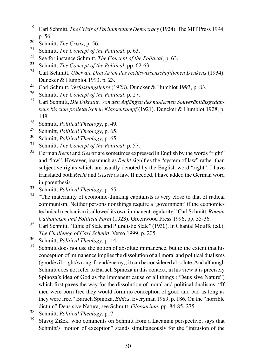- <sup>19</sup> Carl Schmitt, *The Crisis of Parliamentary Democracy* (1924). The MIT Press 1994, p. 56.
- <sup>20</sup> Schmitt, *The Crisis*, p. 56.
- <sup>21</sup> Schmitt, *The Concept of the Political*, p. 63.
- <sup>22</sup> See for instance Schmitt, *The Concept of the Political*, p. 63.
- <sup>23</sup> Schmitt, *The Concept of the Political*, pp. 62-63.<br><sup>24</sup> Carl Schmitt, *Üben die Dusi Auton des neghtanisse*
- <sup>24</sup> Carl Schmitt, *Über die Drei Arten des rechtswissenschaftlichen Denkens* (1934). Duncker & Humblot 1993, p. 23.
- <sup>25</sup> Carl Schmitt, *Verfassungslehre* (1928). Duncker & Humblot 1993, p. 83.<br><sup>26</sup> Schmitt, *The Concent of the Political*, p. 27
- <sup>26</sup> Schmitt, *The Concept of the Political*, p. 27.
- <sup>27</sup> Carl Schmitt, *Die Diktatur*. *Von den Anfängen des modernen Souveränitätsgedankens bis zum proletarischen Klassenkampf* (1921). Duncker & Humblot 1928, p. 148.
- <sup>28</sup> Schmitt, *Political Theology*, p. 49.
- <sup>29</sup> Schmitt*, Political Theology*, p. 65.
- <sup>30</sup> Schmitt, *Political Theology*, p. 65.
- <sup>31</sup> Schmitt, *The Concept of the Political*, p. 57.
- <sup>32</sup> German *Recht* and *Gesetz* are sometimes expressed in English by the words "right" and "law". However, inasmuch as *Recht* signifies the "system of law" rather than subjective rights which are usually denoted by the English word "right", I have translated both *Recht* and *Gesetz* as law. If needed, I have added the German word in parenthesis.
- <sup>33</sup> Schmitt, *Political Theology*, p. 65.
- <sup>34</sup> "The materiality of economic-thinking capitalists is very close to that of radical communism. Neither persons nor things require a 'government' if the economictechnical mechanism is allowed its own immanent regularity." Carl Schmitt, *Roman Catholicism and Political Form* (1923). Greenwood Press 1996, pp. 35-36.
- <sup>35</sup> Carl Schmitt, "Ethic of State and Pluralistic State" (1930). In Chantal Mouffe (ed.), *The Challenge of Carl Schmitt*. Verso 1999, p. 205.
- <sup>36</sup> Schmitt, *Political Theology*, p. 14.
- Schmitt does not use the notion of absolute immanence, but to the extent that his conception of immanence implies the dissolution of all moral and political dualisms (good/evil, right/wrong, friend/enemy), it can be considered absolute. And although Schmitt does not refer to Baruch Spinoza in this context, in his view it is precisely Spinoza's idea of God as the immanent cause of all things ("Deus sive Nature") which first paves the way for the dissolution of moral and political dualisms: "If men were born free they would form no conception of good and bad as long as they were free." Baruch Spinoza, *Ethics*. Everyman 1989, p. 186. On the "horrible dictum" Deus sive Natura, see Schmitt, *Glossarium*, pp. 84-85, 275.
- <sup>38</sup> Schmitt, *Political Theology*, p. 7.
- <sup>39</sup> Slavoj Žižek, who comments on Schmitt from a Lacanian perspective, says that Schmitt's "notion of exception" stands simultaneously for the "intrusion of the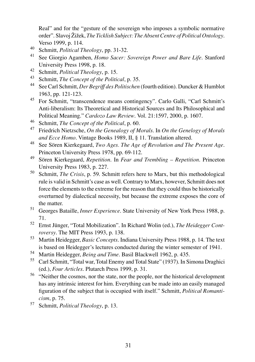Real" and for the "gesture of the sovereign who imposes a symbolic normative order". Slavoj Žižek, *The Ticklish Subject: The Absent Centre of Political Ontology*. Verso 1999, p. 114.

- <sup>40</sup> Schmitt, *Political Theology*, pp. 31-32.
- <sup>41</sup> See Giorgio Agamben, *Homo Sacer: Sovereign Power and Bare Life*. Stanford University Press 1998, p. 18.
- 42 Schmitt, *Political Theology*, p. 15.<br>43 Schmitt, *The Concent of the Politic*
- <sup>43</sup> Schmitt, *The Concept of the Political*, p. 35.
- <sup>44</sup> See Carl Schmitt, *Der Begriff des Politischen* (fourth edition). Duncker & Humblot 1963, pp. 121-123.
- <sup>45</sup> For Schmitt, "transcendence means contingency". Carlo Galli, "Carl Schmitt's Anti-liberalism: Its Theoretical and Historical Sources and Its Philosophical and Political Meaning." *Cardozo Law Review*. Vol. 21:1597, 2000, p. 1607.
- <sup>46</sup> Schmitt, *The Concept of the Political*, p. 60.
- <sup>47</sup> Friedrich Nietzsche, *On the Genealogy of Morals*. In *On the Genelogy of Morals and Ecce Homo*. Vintage Books 1989, II, § 11. Translation altered.
- <sup>48</sup> See Sören Kierkegaard, *Two Ages. The Age of Revolution and The Present Age*. Princeton University Press 1978, pp. 69-112.
- <sup>49</sup> Sören Kierkegaard, *Repetition*. In *Fear and Trembling Repetition*. Princeton University Press 1983, p. 227.
- <sup>50</sup> Schmitt, *The Crisis*, p. 59. Schmitt refers here to Marx, but this methodological rule is valid in Schmitt's case as well. Contrary to Marx, however, Schmitt does not force the elements to the extreme for the reason that they could thus be historically overturned by dialectical necessity, but because the extreme exposes the core of the matter.
- <sup>51</sup> Georges Bataille, *Inner Experience*. State University of New York Press 1988, p. 71.
- <sup>52</sup> Ernst Jünger, "Total Mobilization". In Richard Wolin (ed.), *The Heidegger Controversy*. The MIT Press 1993, p. 138.
- <sup>53</sup> Martin Heidegger, *Basic Concepts*. Indiana University Press 1988, p. 14. The text is based on Heidegger's lectures conducted during the winter semester of 1941.
- <sup>54</sup> Martin Heidegger, *Being and Time*. Basil Blackwell 1962, p. 435.
- <sup>55</sup> Carl Schmitt, "Total war, Total Enemy and Total State" (1937). In Simona Draghici (ed.), *Four Articles*. Plutarch Press 1999, p. 31.
- <sup>56</sup> "Neither the cosmos, nor the state, nor the people, nor the historical development has any intrinsic interest for him. Everything can be made into an easily managed figuration of the subject that is occupied with itself." Schmitt, *Political Romanticism*, p. 75.
- <sup>57</sup> Schmitt, *Political Theology*, p. 13.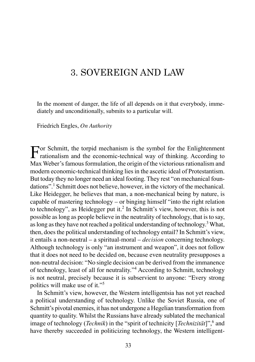# 3. SOVEREIGN AND LAW

In the moment of danger, the life of all depends on it that everybody, immediately and unconditionally, submits to a particular will.

Friedrich Engles, *On Authority*

For Schmitt, the torpid mechanism is the symbol for the Enlightenment  $\Gamma$  rationalism and the economic-technical way of thinking. According to Max Weber's famous formulation, the origin of the victorious rationalism and modern economic-technical thinking lies in the ascetic ideal of Protestantism. But today they no longer need an ideal footing. They rest "on mechanical foundations".1 Schmitt does not believe, however, in the victory of the mechanical. Like Heidegger, he believes that man, a non-mechanical being by nature, is capable of mastering technology – or binging himself "into the right relation to technology", as Heidegger put it.<sup>2</sup> In Schmitt's view, however, this is not possible as long as people believe in the neutrality of technology, that is to say, as long as they have not reached a political understanding of technology.<sup>3</sup>What, then, does the political understanding of technology entail? In Schmitt's view, it entails a non-neutral – a spiritual-moral – *decision* concerning technology. Although technology is only "an instrument and weapon", it does not follow that it does not need to be decided on, because even neutrality presupposes a non-neutral decision: "No single decision can be derived from the immanence of technology, least of all for neutrality."<sup>4</sup> According to Schmitt, technology is not neutral, precisely because it is subservient to anyone: "Every strong politics will make use of it."<sup>5</sup>

In Schmitt's view, however, the Western intelligentsia has not yet reached a political understanding of technology. Unlike the Soviet Russia, one of Schmitt's pivotal enemies, it has not undergone a Hegelian transformation from quantity to quality. Whilst the Russians have already sublated the mechanical image of technology (*Technik*) in the "spirit of technicity [*Technizität*]",<sup>6</sup> and have thereby succeeded in politicizing technology, the Western intelligent-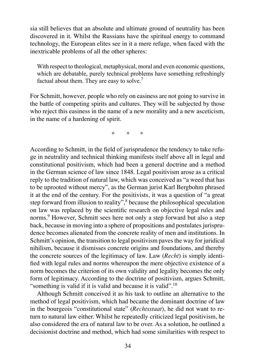sia still believes that an absolute and ultimate ground of neutrality has been discovered in it. Whilst the Russians have the spiritual energy to command technology, the European elites see in it a mere refuge, when faced with the inextricable problems of all the other spheres:

With respect to theological, metaphysical, moral and even economic questions, which are debatable, purely technical problems have something refreshingly factual about them. They are easy to solve.<sup>7</sup>

For Schmitt, however, people who rely on easiness are not going to survive in the battle of competing spirits and cultures. They will be subjected by those who reject this easiness in the name of a new morality and a new asceticism, in the name of a hardening of spirit.

\* \* \*

According to Schmitt, in the field of jurisprudence the tendency to take refuge in neutrality and technical thinking manifests itself above all in legal and constitutional positivism, which had been a general doctrine and a method in the German science of law since 1848. Legal positivism arose as a critical reply to the tradition of natural law, which was conceived as "a weed that has to be uprooted without mercy", as the German jurist Karl Bergbohm phrased it at the end of the century. For the positivists, it was a question of "a great step forward from illusion to reality",<sup>8</sup> because the philosophical speculation on law was replaced by the scientific research on objective legal rules and norms.<sup>9</sup> However, Schmitt sees here not only a step forward but also a step back, because in moving into a sphere of propositions and postulates jurisprudence becomes alienated from the concrete reality of men and institutions. In Schmitt's opinion, the transition to legal positivism paves the way for juridical nihilism, because it dismisses concrete origins and foundations, and thereby the concrete sources of the legitimacy of law. Law (*Recht*) is simply identified with legal rules and norms whereupon the mere objective existence of a norm becomes the criterion of its own validity and legality becomes the only form of legitimacy. According to the doctrine of positivism, argues Schmitt, "something is valid if it is valid and because it is valid".<sup>10</sup>

Although Schmitt conceived it as his task to outline an alternative to the method of legal positivism, which had became the dominant doctrine of law in the bourgeois "constitutional state" (*Rechtsstaat*), he did not want to return to natural law either. Whilst he repeatedly criticized legal positivism, he also considered the era of natural law to be over. As a solution, he outlined a decisionist doctrine and method, which had some similarities with respect to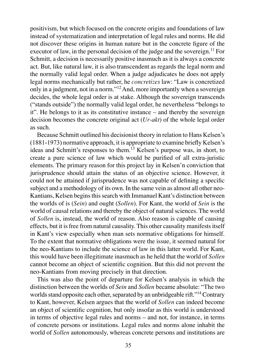positivism, but which focused on the concrete origins and foundations of law instead of systematization and interpretation of legal rules and norms. He did not discover these origins in human nature but in the concrete figure of the executor of law, in the personal decision of the judge and the sovereign.<sup>11</sup> For Schmitt, a decision is necessarily positive inasmuch as it is always a concrete act. But, like natural law, it is also transcendent as regards the legal norm and the normally valid legal order. When a judge adjudicates he does not apply legal norms mechanically but rather, he *concretizes* law: "Law is concretized only in a judgment, not in a norm."<sup>12</sup>And, more importantly when a sovereign decides, the whole legal order is at stake. Although the sovereign transcends ("stands outside") the normally valid legal order, he nevertheless "belongs to it". He belongs to it as its constitutive instance – and thereby the sovereign decision becomes the concrete original act (*Ur-akt*) of the whole legal order as such.

Because Schmitt outlined his decisionist theory in relation to Hans Kelsen's (1881-1973) normative approach, it is appropriate to examine briefly Kelsen's ideas and Schmitt's responses to them.13 Kelsen's purpose was, in short, to create a pure science of law which would be purified of all extra-juristic elements. The primary reason for this project lay in Kelsen'n conviction that jurisprudence should attain the status of an objective science. However, it could not be attained if jurisprudence was not capable of defining a specific subject and a methodology of its own. In the same vein as almost all other neo-Kantians, Kelsen begins this search with Immanuel Kant's distinction between the worlds of is (*Sein*) and ought (*Sollen*). For Kant, the world of *Sein* is the world of causal relations and thereby the object of natural sciences. The world of *Sollen* is, instead, the world of reason. Also reason is capable of causing effects, but it is free from natural causality. This other causality manifests itself in Kant's view especially when man sets normative obligations for himself. To the extent that normative obligations were the issue, it seemed natural for the neo-Kantians to include the science of law in this latter world. For Kant, this would have been illegitimate inasmuch as he held that the world of *Sollen* cannot become an object of scientific cognition. But this did not prevent the neo-Kantians from moving precisely in that direction.

This was also the point of departure for Kelsen's analysis in which the distinction between the worlds of *Sein* and *Sollen* became absolute: "The two worlds stand opposite each other, separated by an unbridgeable rift."<sup>14</sup> Contrary to Kant, however, Kelsen argues that the world of *Sollen* can indeed become an object of scientific cognition, but only insofar as this world is understood in terms of objective legal rules and norms – and not, for instance, in terms of concrete persons or institutions. Legal rules and norms alone inhabit the world of *Sollen* autonomously, whereas concrete persons and institutions are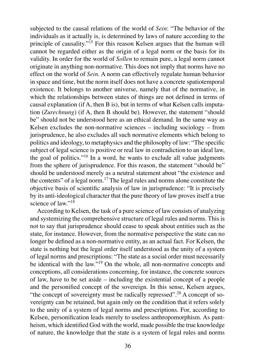subjected to the causal relations of the world of *Sein*: "The behavior of the individuals as it actually is, is determined by laws of nature according to the principle of causality."<sup>15</sup> For this reason Kelsen argues that the human will cannot be regarded either as the origin of a legal norm or the basis for its validity. In order for the world of *Sollen* to remain pure, a legal norm cannot originate in anything non-normative. This does not imply that norms have no effect on the world of *Sein*. A norm can effectively regulate human behavior in space and time, but the norm itself does not have a concrete spatiotemporal existence. It belongs to another universe, namely that of the normative, in which the relationships between states of things are not defined in terms of causal explanation (if A, then B is), but in terms of what Kelsen calls imputation (*Zurechnung*) (if A, then B should be). However, the statement "should be" should not be understood here as an ethical demand. In the same way as Kelsen excludes the non-normative sciences – including sociology – from jurisprudence, he also excludes all such normative elements which belong to politics and ideology, to metaphysics and the philosophy of law: "The specific subject of legal science is positive or real law in contradiction to an ideal law, the goal of politics."<sup>16</sup> In a word, he wants to exclude all value judgments from the sphere of jurisprudence. For this reason, the statement "should be" should be understood merely as a neutral statement about "the existence and the contents" of a legal norm.<sup>17</sup> The legal rules and norms alone constitute the objective basis of scientific analysis of law in jurisprudence: "It is precisely by its anti-ideological character that the pure theory of law proves itself a true science of law."<sup>18</sup>

According to Kelsen, the task of a pure science of law consists of analyzing and systemizing the comprehensive structure of legal rules and norms. This is not to say that jurisprudence should cease to speak about entities such as the state, for instance. However, from the normative perspective the state can no longer be defined as a non-normative entity, as an actual fact. For Kelsen, the state is nothing but the legal order itself understood as the unity of a system of legal norms and prescriptions: "The state as a social order must necessarily be identical with the law."19 On the whole, all non-normative concepts and conceptions, all considerations concerning, for instance, the concrete sources of law, have to be set aside – including the existential concept of a people and the personified concept of the sovereign. In this sense, Kelsen argues, "the concept of sovereignty must be radically repressed".<sup>20</sup> A concept of sovereignty can be retained, but again only on the condition that it refers solely to the unity of a system of legal norms and prescriptions. For, according to Kelsen, personification leads merely to useless anthropomorphism. As pantheism, which identified God with the world, made possible the true knowledge of nature, the knowledge that the state is a system of legal rules and norms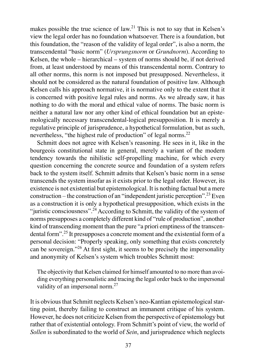makes possible the true science of law.<sup>21</sup> This is not to say that in Kelsen's view the legal order has no foundation whatsoever. There is a foundation, but this foundation, the "reason of the validity of legal order", is also a norm, the transcendental "basic norm" (*Ursprungsnorm* or *Grundnorm*). According to Kelsen, the whole – hierarchical – system of norms should be, if not derived from, at least understood by means of this transcendental norm. Contrary to all other norms, this norm is not imposed but presupposed. Nevertheless, it should not be considered as the natural foundation of positive law. Although Kelsen calls his approach normative, it is normative only to the extent that it is concerned with positive legal rules and norms. As we already saw, it has nothing to do with the moral and ethical value of norms. The basic norm is neither a natural law nor any other kind of ethical foundation but an epistemologically necessary transcendental-logical presupposition. It is merely a regulative principle of jurisprudence, a hypothetical formulation, but as such, nevertheless, "the highest rule of production" of legal norms.<sup>22</sup>

Schmitt does not agree with Kelsen's reasoning. He sees in it, like in the bourgeois constitutional state in general, merely a variant of the modern tendency towards the nihilistic self-propelling machine, for which every question concerning the concrete source and foundation of a system refers back to the system itself. Schmitt admits that Kelsen's basic norm in a sense transcends the system insofar as it exists prior to the legal order. However, its existence is not existential but epistemological. It is nothing factual but a mere construction – the construction of an "independent juristic perception".23 Even as a construction it is only a hypothetical presupposition, which exists in the "juristic consciousness".<sup>24</sup> According to Schmitt, the validity of the system of norms presupposes a completely different kind of "rule of production", another kind of transcending moment than the pure "a priori emptiness of the transcendental form".<sup>25</sup> It presupposes a concrete moment and the existential form of a personal decision: "Properly speaking, only something that exists concretely can be sovereign."<sup>26</sup> At first sight, it seems to be precisely the impersonality and anonymity of Kelsen's system which troubles Schmitt most:

The objectivity that Kelsen claimed for himself amounted to no more than avoiding everything personalistic and tracing the legal order back to the impersonal validity of an impersonal norm.<sup>27</sup>

It is obvious that Schmitt neglects Kelsen's neo-Kantian epistemological starting point, thereby failing to construct an immanent critique of his system. However, he does not criticize Kelsen from the perspective of epistemology but rather that of existential ontology. From Schmitt's point of view, the world of *Sollen* is subordinated to the world of *Sein*, and jurisprudence which neglects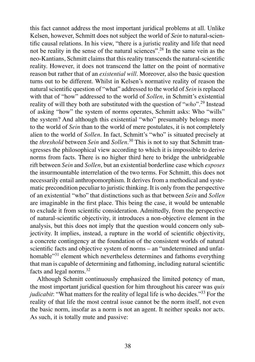this fact cannot address the most important juridical problems at all. Unlike Kelsen, however, Schmitt does not subject the world of *Sein* to natural-scientific causal relations. In his view, "there is a juristic reality and life that need not be reality in the sense of the natural sciences".28 In the same vein as the neo-Kantians, Schmitt claims that this reality transcends the natural-scientific reality. However, it does not transcend the latter on the point of normative reason but rather that of an *existential will*. Moreover, also the basic question turns out to be different. Whilst in Kelsen's normative reality of reason the natural scientific question of "what" addressed to the world of *Sein* is replaced with that of "how" addressed to the world of *Sollen*, in Schmitt's existential reality of will they both are substituted with the question of "*who*".<sup>29</sup> Instead of asking "how" the system of norms operates, Schmitt asks: Who "wills" the system? And although this existential "who" presumably belongs more to the world of *Sein* than to the world of mere postulates, it is not completely alien to the world of *Sollen*. In fact, Schmitt's "who" is situated precisely at the *threshold* between *Sein* and *Sollen*. <sup>30</sup> This is not to say that Schmitt transgresses the philosophical view according to which it is impossible to derive norms from facts. There is no higher third here to bridge the unbridgeable rift between *Sein* and *Sollen*, but an existential borderline case which *exposes* the insurmountable interrelation of the two terms. For Schmitt, this does not necessarily entail anthropomorphism. It derives from a methodical and systematic precondition peculiar to juristic thinking. It is only from the perspective of an existential "who" that distinctions such as that between *Sein* and *Sollen* are imaginable in the first place. This being the case, it would be untenable to exclude it from scientific consideration. Admittedly, from the perspective of natural-scientific objectivity, it introduces a non-objective element in the analysis, but this does not imply that the question would concern only subjectivity. It implies, instead, a rupture in the world of scientific objectivity, a concrete contingency at the foundation of the consistent worlds of natural scientific facts and objective system of norms – an "undetermined and unfathomable"<sup>31</sup> element which nevertheless determines and fathoms everything that man is capable of determining and fathoming, including natural scientific facts and legal norms.<sup>32</sup>

Although Schmitt continuously emphasized the limited potency of man, the most important juridical question for him throughout his career was *quis judicabit*: "What matters for the reality of legal life is who decides."<sup>33</sup> For the reality of that life the most central issue cannot be the norm itself, not even the basic norm, insofar as a norm is not an agent. It neither speaks nor acts. As such, it is totally mute and passive: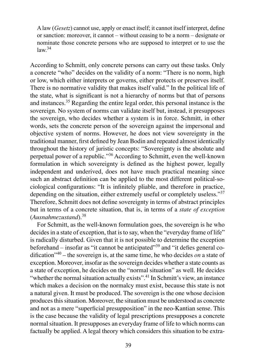A law (*Gesetz*) cannot use, apply or enact itself; it cannot itself interpret, define or sanction: moreover, it cannot – without ceasing to be a norm – designate or nominate those concrete persons who are supposed to interpret or to use the  $law<sup>34</sup>$ 

According to Schmitt, only concrete persons can carry out these tasks. Only a concrete "who" decides on the validity of a norm: "There is no norm, high or low, which either interprets or governs, either protects or preserves itself. There is no normative validity that makes itself valid." In the political life of the state, what is significant is not a hierarchy of norms but that of persons and instances.35 Regarding the entire legal order, this personal instance is the sovereign. No system of norms can validate itself but, instead, it presupposes the sovereign, who decides whether a system is in force. Schmitt, in other words, sets the concrete person of the sovereign against the impersonal and objective system of norms. However, he does not view sovereignty in the traditional manner, first defined by Jean Bodin and repeated almost identically throughout the history of juristic concepts: "Sovereignty is the absolute and perpetual power of a republic."<sup>36</sup> According to Schmitt, even the well-known formulation in which sovereignty is defined as the highest power, legally independent and underived, does not have much practical meaning since such an abstract definition can be applied to the most different political-sociological configurations: "It is infinitely pliable, and therefore in practice, depending on the situation, either extremely useful or completely useless."<sup>37</sup> Therefore, Schmitt does not define sovereignty in terms of abstract principles but in terms of a concrete situation, that is, in terms of a *state of exception* (*Ausnahmezustand*).<sup>38</sup>

For Schmitt, as the well-known formulation goes, the sovereign is he who decides in a state of exception, that is to say, when the "everyday frame of life" is radically disturbed. Given that it is not possible to determine the exception beforehand – insofar as "it cannot be anticipated" $39^9$  and "it defies general codification<sup> $n40$ </sup> – the sovereign is, at the same time, he who decides *on* a state of exception. Moreover, insofar as the sovereign decides whether a state counts as a state of exception, he decides on the "normal situation" as well. He decides "whether the normal situation actually exists".<sup>41</sup> In Schmitt's view, an instance which makes a decision on the normalcy must exist, because this state is not a natural given. It must be produced. The sovereign is the one whose decision produces this situation. Moreover, the situation must be understood as concrete and not as a mere "superficial presupposition" in the neo-Kantian sense. This is the case because the validity of legal prescriptions presupposes a concrete normal situation. It presupposes an everyday frame of life to which norms can factually be applied. A legal theory which considers this situation to be extra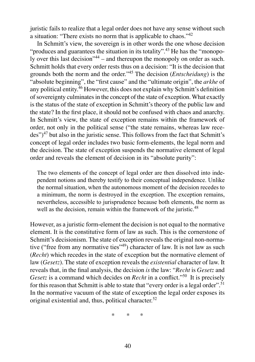juristic fails to realize that a legal order does not have any sense without such a situation: "There exists no norm that is applicable to chaos."<sup>42</sup>

In Schmitt's view, the sovereign is in other words the one whose decision "produces and guarantees the situation in its totality".<sup>43</sup> He has the "monopoly over this last decision"<sup>44</sup> – and thereupon the monopoly on order as such. Schmitt holds that every order rests thus on a decision: "It is the decision that grounds both the norm and the order."<sup>45</sup> The decision (*Entscheidung*) is the "absolute beginning", the "first cause" and the "ultimate origin", the *arkhe* of any political entity. $^{46}$  However, this does not explain why Schmitt's definition of sovereignty culminates in the concept of the state of exception. What exactly is the status of the state of exception in Schmitt's theory of the public law and the state? In the first place, it should not be confused with chaos and anarchy. In Schmitt's view, the state of exception remains within the framework of order, not only in the political sense ("the state remains, whereas law recedes")<sup>47</sup> but also in the juristic sense. This follows from the fact that Schmitt's concept of legal order includes two basic form-elements, the legal norm and the decision. The state of exception suspends the normative element of legal order and reveals the element of decision in its "absolute purity":

The two elements of the concept of legal order are then dissolved into independent notions and thereby testify to their conceptual independence. Unlike the normal situation, when the autonomous moment of the decision recedes to a minimum, the norm is destroyed in the exception. The exception remains, nevertheless, accessible to jurisprudence because both elements, the norm as well as the decision, remain within the framework of the juristic.<sup>48</sup>

However, as a juristic form-element the decision is not equal to the normative element. It is the constitutive form of law as such. This is the cornerstone of Schmitt's decisionism. The state of exception reveals the original non-normative ("free from any normative ties"<sup>49</sup>) character of law. It is not law as such (*Recht*) which recedes in the state of exception but the normative element of law (*Gesetz*). The state of exception reveals the *existential* character of law. It reveals that, in the final analysis, the decision *is* the law: "*Recht* is *Gesetz* and *Gesetz* is a command which decides on *Recht* in a conflict."<sup>50</sup> It is precisely for this reason that Schmitt is able to state that "every order is a legal order".<sup>51</sup> In the normative vacuum of the state of exception the legal order exposes its original existential and, thus, political character.<sup>52</sup>

\* \* \*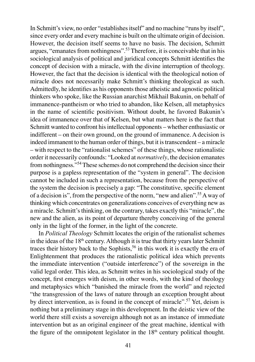In Schmitt's view, no order "establishes itself" and no machine "runs by itself", since every order and every machine is built on the ultimate origin of decision. However, the decision itself seems to have no basis. The decision, Schmitt argues, "emanates from nothingness".53 Therefore, it is conceivable that in his sociological analysis of political and juridical concepts Schmitt identifies the concept of decision with a miracle, with the divine interruption of theology. However, the fact that the decision is identical with the theological notion of miracle does not necessarily make Schmitt's thinking theological as such. Admittedly, he identifies as his opponents those atheistic and agnostic political thinkers who spoke, like the Russian anarchist Mikhail Bakunin, on behalf of immanence-pantheism or who tried to abandon, like Kelsen, all metaphysics in the name of scientific positivism. Without doubt, he favored Bakunin's idea of immanence over that of Kelsen, but what matters here is the fact that Schmitt wanted to confront his intellectual opponents – whether enthusiastic or indifferent – on their own ground, on the ground of immanence. A decision is indeed immanent to the human order of things, but it is transcendent – a miracle – with respect to the "rationalist schemes" of these things, whose rationalistic order it necessarily confounds: "Looked at *normatively*, the decision emanates from nothingness."<sup>54</sup>These schemes do not comprehend the decision since their purpose is a gapless representation of the "system in general". The decision cannot be included in such a representation, because from the perspective of the system the decision is precisely a gap: "The constitutive, specific element of a decision is", from the perspective of the norm, "new and alien".<sup>55</sup>A way of thinking which concentrates on generalizations conceives of everything new as a miracle. Schmitt's thinking, on the contrary, takes exactly this "miracle", the new and the alien, as its point of departure thereby conceiving of the general only in the light of the former, in the light of the concrete.

 In *Political Theology* Schmitt locates the origin of the rationalist schemes in the ideas of the  $18<sup>th</sup>$  century. Although it is true that thirty years later Schmitt traces their history back to the Sophists,<sup>56</sup> in this work it is exactly the era of Enlightenment that produces the rationalistic political idea which prevents the immediate intervention ("outside interference") of the sovereign in the valid legal order. This idea, as Schmitt writes in his sociological study of the concept, first emerges with deism, in other words, with the kind of theology and metaphysics which "banished the miracle from the world" and rejected "the transgression of the laws of nature through an exception brought about by direct intervention, as is found in the concept of miracle".<sup>57</sup> Yet, deism is nothing but a preliminary stage in this development. In the deistic view of the world there still exists a sovereign although not as an instance of immediate intervention but as an original engineer of the great machine, identical with the figure of the omnipotent legislator in the  $18<sup>th</sup>$  century political thought.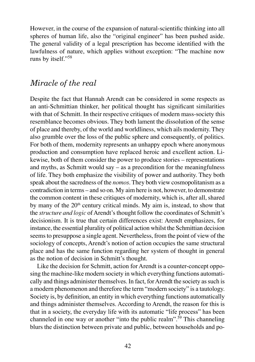However, in the course of the expansion of natural-scientific thinking into all spheres of human life, also the "original engineer" has been pushed aside. The general validity of a legal prescription has become identified with the lawfulness of nature, which applies without exception: "The machine now runs by itself."<sup>58</sup>

#### *Miracle of the real*

Despite the fact that Hannah Arendt can be considered in some respects as an anti-Schmittian thinker, her political thought has significant similarities with that of Schmitt. In their respective critiques of modern mass-society this resemblance becomes obvious. They both lament the dissolution of the sense of place and thereby, of the world and worldliness, which ails modernity. They also grumble over the loss of the public sphere and consequently, of politics. For both of them, modernity represents an unhappy epoch where anonymous production and consumption have replaced heroic and excellent action. Likewise, both of them consider the power to produce stories – representations and myths, as Schmitt would say – as a precondition for the meaningfulness of life. They both emphasize the visibility of power and authority. They both speak about the sacredness of the *nomos*. They both view cosmopolitanism as a contradiction in terms – and so on. My aim here is not, however, to demonstrate the common content in these critiques of modernity, which is, after all, shared by many of the  $20<sup>th</sup>$  century critical minds. My aim is, instead, to show that the *structure and logic* of Arendt's thought follow the coordinates of Schmitt's decisionism. It is true that certain differences exist: Arendt emphasizes, for instance, the essential plurality of political action whilst the Schmittian decision seems to presuppose a single agent. Nevertheless, from the point of view of the sociology of concepts, Arendt's notion of action occupies the same structural place and has the same function regarding her system of thought in general as the notion of decision in Schmitt's thought.

Like the decision for Schmitt, action for Arendt is a counter-concept opposing the machine-like modern society in which everything functions automatically and things administer themselves. In fact, for Arendt the society as such is a modern phenomenon and therefore the term "modern society" is a tautology. Society is, by definition, an entity in which everything functions automatically and things administer themselves. According to Arendt, the reason for this is that in a society, the everyday life with its automatic "life process" has been channeled in one way or another "into the public realm".59 This channeling blurs the distinction between private and public, between households and po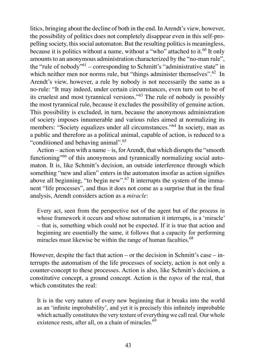litics, bringing about the decline of both in the end. In Arendt's view, however, the possibility of politics does not completely disappear even in this self-propelling society, this social automaton. But the resulting politics is meaningless, because it is politics without a name, without a "who" attached to it.<sup>60</sup> It only amounts to an anonymous administration characterized by the "no-man rule", the "rule of nobody"61 – corresponding to Schmitt's "administrative state" in which neither men nor norms rule, but "things administer themselves".<sup>62</sup> In Arendt's view, however, a rule by nobody is not necessarily the same as a no-rule: "It may indeed, under certain circumstances, even turn out to be of its cruelest and most tyrannical versions."<sup>63</sup> The rule of nobody is possibly the most tyrannical rule, because it excludes the possibility of genuine action. This possibility is excluded, in turn, because the anonymous administration of society imposes innumerable and various rules aimed at normalizing its members: "Society equalizes under all circumstances."<sup>64</sup> In society, man as a public and therefore as a political animal, capable of action, is reduced to a "conditioned and behaving animal".<sup>65</sup>

Action – action with a name – is, for Arendt, that which disrupts the "smooth functioning<sup>"66</sup> of this anonymous and tyrannically normalizing social automaton. It is, like Schmitt's decision, an outside interference through which something "new and alien" enters in the automaton insofar as action signifies above all beginning, "to begin new".<sup>67</sup> It interrupts the system of the immanent "life processes", and thus it does not come as a surprise that in the final analysis, Arendt considers action as a *miracle*:

Every act, seen from the perspective not of the agent but of the process in whose framework it occurs and whose automatism it interrupts, is a 'miracle' – that is, something which could not be expected. If it is true that action and beginning are essentially the same, it follows that a capacity for performing miracles must likewise be within the range of human faculties.<sup>68</sup>

However, despite the fact that action – or the decision in Schmitt's case – interrupts the automatism of the life processes of society, action is not only a counter-concept to these processes. Action is also, like Schmitt's decision, a constitutive concept, a ground concept. Action is the *topos* of the real, that which constitutes the real:

It is in the very nature of every new beginning that it breaks into the world as an 'infinite improbability', and yet it is precisely this infinitely improbable which actually constitutes the very texture of everything we call real. Our whole existence rests, after all, on a chain of miracles. $69$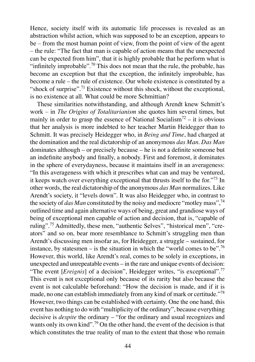Hence, society itself with its automatic life processes is revealed as an abstraction whilst action, which was supposed to be an exception, appears to be – from the most human point of view, from the point of view of the agent – the rule: "The fact that man is capable of action means that the unexpected can be expected from him", that it is highly probable that he perform what is "infinitely improbable".<sup>70</sup> This does not mean that the rule, the probable, has become an exception but that the exception, the infinitely improbable, has become a rule – the rule of existence. Our whole existence is constituted by a "shock of surprise".<sup>71</sup> Existence without this shock, without the exceptional, is no existence at all. What could be more Schmittian?

These similarities notwithstanding, and although Arendt knew Schmitt's work – in *The Origins of Totalitarianism* she quotes him several times, but mainly in order to grasp the essence of National Socialism<sup>72</sup> – it is obvious that her analysis is more indebted to her teacher Martin Heidegger than to Schmitt. It was precisely Heidegger who, in *Being and Time*, had charged at the domination and the real dictatorship of an anonymous *das Man*. *Das Man* dominates although – or precisely because – he is not a definite someone but an indefinite anybody and finally, a nobody. First and foremost, it dominates in the sphere of everydayness, because it maintains itself in an averageness: "In this averageness with which it prescribes what can and may be ventured, it keeps watch over everything exceptional that thrusts itself to the for."<sup>73</sup> In other words, the real dictatorship of the anonymous *das Man* normalizes. Like Arendt's society, it "levels down". It was also Heidegger who, in contrast to the society of *das Man* constituted by the noisy and mediocre "motley mass",<sup>74</sup> outlined time and again alternative ways of being, great and grandiose ways of being of exceptional men capable of action and decision, that is, "capable of ruling".<sup>75</sup> Admittedly, these men, "authentic Selves", "historical men", "creators" and so on, bear more resemblance to Schmitt's struggling men than Arendt's discussing men insofar as, for Heidegger, a struggle – sustained, for instance, by statesmen – is the situation in which the "world comes to be".<sup>76</sup> However, this world, like Arendt's real, comes to be solely in exceptions, in unexpected and unrepeatable events – in the rare and unique events of decision: "The event [*Ereignis*] of a decision", Heidegger writes, "is exceptional".<sup>77</sup> This event is not exceptional only because of its rarity but also because the event is not calculable beforehand: "How the decision is made, and if it is made, no one can establish immediately from any kind of mark or certitude."<sup>78</sup> However, two things can be established with certainty. One the one hand, this event has nothing to do with "multiplicity of the ordinary", because everything decisive is *despite* the ordinary – "for the ordinary and usual recognizes and wants only its own kind".<sup>79</sup> On the other hand, the event of the decision is that which constitutes the true reality of man to the extent that those who remain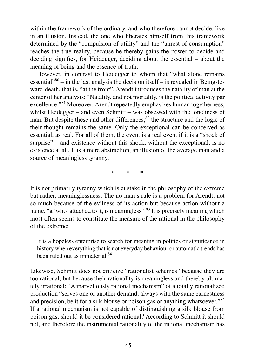within the framework of the ordinary, and who therefore cannot decide, live in an illusion. Instead, the one who liberates himself from this framework determined by the "compulsion of utility" and the "unrest of consumption" reaches the true reality, because he thereby gains the power to decide and deciding signifies, for Heidegger, deciding about the essential – about the meaning of being and the essence of truth.

However, in contrast to Heidegger to whom that "what alone remains essential<sup> $380$ </sup> – in the last analysis the decision itself – is revealed in Being-toward-death, that is, "at the front", Arendt introduces the natality of man at the center of her analysis: "Natality, and not mortality, is the political activity par excellence."<sup>81</sup> Moreover, Arendt repeatedly emphasizes human togetherness, whilst Heidegger – and even Schmitt – was obsessed with the loneliness of man. But despite these and other differences,  $82$  the structure and the logic of their thought remains the same. Only the exceptional can be conceived as essential, as real. For all of them, the event is a real event if it is a "shock of surprise" – and existence without this shock, without the exceptional, is no existence at all. It is a mere abstraction, an illusion of the average man and a source of meaningless tyranny.

\* \* \*

It is not primarily tyranny which is at stake in the philosophy of the extreme but rather, meaninglessness. The no-man's rule is a problem for Arendt, not so much because of the evilness of its action but because action without a name, "a 'who' attached to it, is meaningless".<sup>83</sup> It is precisely meaning which most often seems to constitute the measure of the rational in the philosophy of the extreme:

It is a hopeless enterprise to search for meaning in politics or significance in history when everything that is not everyday behaviour or automatic trends has been ruled out as immaterial <sup>84</sup>

Likewise, Schmitt does not criticize "rationalist schemes" because they are too rational, but because their rationality is meaningless and thereby ultimately irrational: "A marvellously rational mechanism" of a totally rationalized production "serves one or another demand, always with the same earnestness and precision, be it for a silk blouse or poison gas or anything whatsoever."<sup>85</sup> If a rational mechanism is not capable of distinguishing a silk blouse from poison gas, should it be considered rational? According to Schmitt it should not, and therefore the instrumental rationality of the rational mechanism has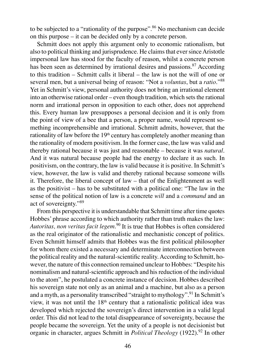to be subjected to a "rationality of the purpose".<sup>86</sup> No mechanism can decide on this purpose – it can be decided only by a concrete person.

Schmitt does not apply this argument only to economic rationalism, but also to political thinking and jurisprudence. He claims that ever since Aristotle impersonal law has stood for the faculty of reason, whilst a concrete person has been seen as determined by irrational desires and passions.<sup>87</sup> According to this tradition – Schmitt calls it liberal – the law is not the will of one or several men, but a universal being of reason: "Not a *voluntas*, but a *ratio*."<sup>88</sup> Yet in Schmitt's view, personal authority does not bring an irrational element into an otherwise rational order – even though tradition, which sets the rational norm and irrational person in opposition to each other, does not apprehend this. Every human law presupposes a personal decision and it is only from the point of view of a bee that a person, a proper name, would represent something incomprehensible and irrational. Schmitt admits, however, that the rationality of law before the 19<sup>th</sup> century has completely another meaning than the rationality of modern positivism. In the former case, the law was valid and thereby rational because it was just and reasonable – because it was *natural*. And it was natural because people had the energy to declare it as such. In positivism, on the contrary, the law is valid because it is positive. In Schmitt's view, however, the law is valid and thereby rational because someone wills it. Therefore, the liberal concept of law – that of the Enlightenment as well as the positivist – has to be substituted with a political one: "The law in the sense of the political notion of law is a concrete *will* and a *command* and an act of sovereignty."<sup>89</sup>

From this perspective it is understandable that Schmitt time after time quotes Hobbes' phrase according to which authority rather than truth makes the law: *Autoritas, non veritas facit legem*. <sup>90</sup> It is true that Hobbes is often considered as the real originator of the rationalistic and mechanistic concept of politics. Even Schmitt himself admits that Hobbes was the first political philosopher for whom there existed a necessary and determinate interconnection between the political reality and the natural-scientific reality. According to Schmitt, however, the nature of this connection remained unclear to Hobbes: "Despite his nominalism and natural-scientific approach and his reduction of the individual to the atom", he postulated a concrete instance of decision. Hobbes described his sovereign state not only as an animal and a machine, but also as a person and a myth, as a personality transcribed "straight to mythology".<sup>91</sup> In Schmitt's view, it was not until the 18<sup>th</sup> century that a rationalistic political idea was developed which rejected the sovereign's direct intervention in a valid legal order. This did not lead to the total disappearance of sovereignty, because the people became the sovereign. Yet the unity of a people is not decisionist but organic in character, argues Schmitt in *Political Theology* (1922).<sup>92</sup> In other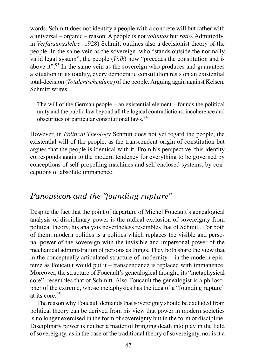words, Schmitt does not identify a people with a concrete will but rather with a universal – organic – reason. A people is not *voluntas* but *ratio*. Admittedly, in *Verfassungslehre* (1928) Schmitt outlines also a decisionist theory of the people. In the same vein as the sovereign, who "stands outside the normally valid legal system", the people (*Volk*) now "precedes the constitution and is above  $\mathrm{it}^{9}$ .<sup>93</sup> In the same vein as the sovereign who produces and guarantees a situation in its totality, every democratic constitution rests on an existential total-decision (*Totalentscheidung*) of the people. Arguing again against Kelsen, Schmitt writes:

The will of the German people – an existential element – founds the political unity and the public law beyond all the logical contradictions, incoherence and obscurities of particular constitutional laws.<sup>94</sup>

However, in *Political Theology* Schmitt does not yet regard the people, the existential will of the people, as the transcendent origin of constitution but argues that the people is identical with it. From his perspective, this identity corresponds again to the modern tendency for everything to be governed by conceptions of self-propelling machines and self-enclosed systems, by conceptions of absolute immanence.

## *Panopticon and the "founding rupture"*

Despite the fact that the point of departure of Michel Foucault's genealogical analysis of disciplinary power is the radical exclusion of sovereignty from political theory, his analysis nevertheless resembles that of Schmitt. For both of them, modern politics is a politics which replaces the visible and personal power of the sovereign with the invisible and impersonal power of the mechanical administration of persons as things. They both share the view that in the conceptually articulated structure of modernity  $-$  in the modern episteme as Foucault would put it – transcendence is replaced with immanence. Moreover, the structure of Foucault's genealogical thought, its "metaphysical core", resembles that of Schmitt. Also Foucault the genealogist is a philosopher of the extreme, whose metaphysics has the idea of a "founding rupture" at its core.<sup>95</sup>

The reason why Foucault demands that sovereignty should be excluded from political theory can be derived from his view that power in modern societies is no longer exercised in the form of sovereignty but in the form of discipline. Disciplinary power is neither a matter of bringing death into play in the field of sovereignty, as in the case of the traditional theory of sovereignty, nor is it a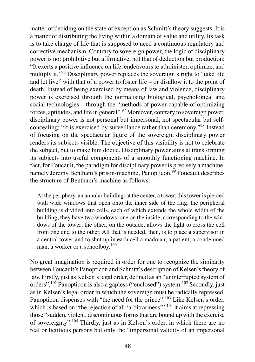matter of deciding on the state of exception as Schmitt's theory suggests. It is a matter of distributing the living within a domain of value and utility. Its task is to take charge of life that is supposed to need a continuous regulatory and corrective mechanism. Contrary to sovereign power, the logic of disciplinary power is not prohibitive but affirmative, not that of deduction but production: "It exerts a positive influence on life, endeavours to administer, optimize, and multiply it."<sup>96</sup> Disciplinary power replaces the sovereign's right to "take life and let live" with that of a power to foster life – or disallow it to the point of death. Instead of being exercised by means of law and violence, disciplinary power is exercised through the normalising biological, psychological and social technologies – through the "methods of power capable of optimizing forces, aptitudes, and life in general".<sup>97</sup> Moreover, contrary to sovereign power, disciplinary power is not personal but impersonal, not spectacular but selfconcealing: "It is exercised by surveillance rather than ceremony."98 Instead of focusing on the spectacular figure of the sovereign, disciplinary power renders its subjects visible. The objective of this visibility is not to celebrate the subject, but to make him docile. Disciplinary power aims at transforming its subjects into useful components of a smoothly functioning machine. In fact, for Foucault, the paradigm for disciplinary power is precisely a machine, namely Jeremy Bentham's prison-machine, Panopticon.<sup>99</sup> Foucault describes the structure of Bentham's machine as follows:

At the periphery, an annular building; at the center, a tower; this tower is pierced with wide windows that open onto the inner side of the ring; the peripheral building is divided into cells, each of which extends the whole width of the building; they have two windows, one on the inside, corresponding to the windows of the tower; the other, on the outside, allows the light to cross the cell from one end to the other. All that is needed, then, is to place a supervisor in a central tower and to shut up in each cell a madman, a patient, a condemned man, a worker or a schoolboy.<sup>100</sup>

No great imagination is required in order for one to recognize the similarity between Foucault's Panopticon and Schmitt's description of Kelsen's theory of law. Firstly, just as Kelsen's legal order, defined as an "uninterrupted system of orders",101 Panopticon is also a gapless ("enclosed") system.<sup>102</sup> Secondly, just as in Kelsen's legal order in which the sovereign must be radically repressed, Panopticon dispenses with "the need for the prince".<sup>103</sup> Like Kelsen's order, which is based on "the rejection of all 'arbitrariness'",  $^{104}$  it aims at repressing those "sudden, violent, discontinuous forms that are bound up with the exercise of sovereignty".<sup>105</sup> Thirdly, just as in Kelsen's order, in which there are no real or fictitious persons but only the "impersonal validity of an impersonal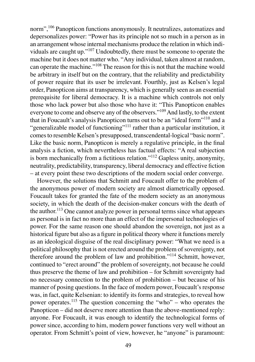norm",<sup>106</sup> Panopticon functions anonymously. It neutralizes, automatizes and depersonalizes power: "Power has its principle not so much in a person as in an arrangement whose internal mechanisms produce the relation in which individuals are caught up."<sup>107</sup> Undoubtedly, there must be someone to operate the machine but it does not matter who. "Any individual, taken almost at random, can operate the machine."<sup>108</sup> The reason for this is not that the machine would be arbitrary in itself but on the contrary, that the reliability and predictability of power require that its user be irrelevant. Fourthly, just as Kelsen's legal order, Panopticon aims at transparency, which is generally seen as an essential prerequisite for liberal democracy. It is a machine which controls not only those who lack power but also those who have it: "This Panopticon enables everyone to come and observe any of the observers."<sup>109</sup> And lastly, to the extent that in Foucault's analysis Panopticon turns out to be an "ideal form"<sup>110</sup> and a "generalizable model of functioning"<sup>111</sup> rather than a particular institution, it comes to resemble Kelsen's presupposed, transcendental-logical "basic norm". Like the basic norm, Panopticon is merely a regulative principle, in the final analysis a fiction, which nevertheless has factual effects: "A real subjection is born mechanically from a fictitious relation."<sup>112</sup> Gapless unity, anonymity, neutrality, predictability, transparency, liberal democracy and effective fiction – at every point these two descriptions of the modern social order converge.

However, the solutions that Schmitt and Foucault offer to the problem of the anonymous power of modern society are almost diametrically opposed. Foucault takes for granted the fate of the modern society as an anonymous society, in which the death of the decision-maker concurs with the death of the author.<sup>113</sup> One cannot analyze power in personal terms since what appears as personal is in fact no more than an effect of the impersonal technologies of power. For the same reason one should abandon the sovereign, not just as a historical figure but also as a figure in political theory where it functions merely as an ideological disguise of the real disciplinary power: "What we need is a political philosophy that is not erected around the problem of sovereignty, not therefore around the problem of law and prohibition."<sup>114</sup> Schmitt, however, continued to "erect around" the problem of sovereignty, not because he could thus preserve the theme of law and prohibition – for Schmitt sovereignty had no necessary connection to the problem of prohibition – but because of his manner of posing questions. In the face of modern power, Foucault's response was, in fact, quite Kelsenian: to identify its forms and strategies, to reveal how power operates.<sup>115</sup> The question concerning the "who" – who operates the Panopticon – did not deserve more attention than the above-mentioned reply: anyone. For Foucault, it was enough to identify the technological forms of power since, according to him, modern power functions very well without an operator. From Schmitt's point of view, however, he "anyone" is paramount: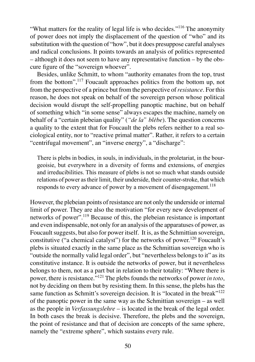"What matters for the reality of legal life is who decides."<sup>116</sup> The anonymity of power does not imply the displacement of the question of "who" and its substitution with the question of "how", but it does presuppose careful analyses and radical conclusions. It points towards an analysis of politics represented – although it does not seem to have any representative function – by the obscure figure of the "sovereign whoever".

Besides, unlike Schmitt, to whom "authority emanates from the top, trust from the bottom",<sup>117</sup> Foucault approaches politics from the bottom up, not from the perspective of a prince but from the perspective of *resistance*. For this reason, he does not speak on behalf of the sovereign person whose political decision would disrupt the self-propelling panoptic machine, but on behalf of something which "in some sense" always escapes the machine, namely on behalf of a "certain plebeian quality" (*"de la" blèbe*). The question concerns a quality to the extent that for Foucault the plebs refers neither to a real sociological entity, nor to "reactive primal matter". Rather, it refers to a certain "centrifugal movement", an "inverse energy", a "discharge":

There is plebs in bodies, in souls, in individuals, in the proletariat, in the bourgeoisie, but everywhere in a diversity of forms and extensions, of energies and irreducibilities. This measure of plebs is not so much what stands outside relations of power as their limit, their underside, their counter-stroke, that which responds to every advance of power by a movement of disengagement.<sup>118</sup>

However, the plebeian points of resistance are not only the underside or internal limit of power. They are also the motivation "for every new development of networks of power".119 Because of this, the plebeian resistance is important and even indispensable, not only for an analysis of the apparatuses of power, as Foucault suggests, but also for power itself. It is, as the Schmittian sovereign, constitutive ("a chemical catalyst") for the networks of power.<sup>120</sup> Foucault's plebs is situated exactly in the same place as the Schmittian sovereign who is "outside the normally valid legal order", but "nevertheless belongs to it" as its constitutive instance. It is outside the networks of power, but it nevertheless belongs to them, not as a part but in relation to their totality: "Where there is power, there is resistance."<sup>121</sup> The plebs founds the networks of power *in toto*, not by deciding on them but by resisting them. In this sense, the plebs has the same function as Schmitt's sovereign decision. It is "located in the break"<sup>122</sup> of the panoptic power in the same way as the Schmittian sovereign – as well as the people in *Verfassungslehre* – is located in the break of the legal order. In both cases the break is decisive. Therefore, the plebs and the sovereign, the point of resistance and that of decision are concepts of the same sphere, namely the "extreme sphere", which sustains every rule.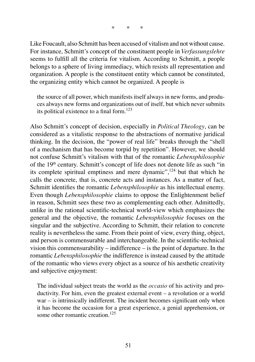Like Foucault, also Schmitt has been accused of vitalism and not without cause. For instance, Schmitt's concept of the constituent people in *Verfassungslehre*  seems to fulfill all the criteria for vitalism. According to Schmitt, a people belongs to a sphere of living immediacy, which resists all representation and organization. A people is the constituent entity which cannot be constituted, the organizing entity which cannot be organized. A people is

the source of all power, which manifests itself always in new forms, and produces always new forms and organizations out of itself, but which never submits its political existence to a final form.<sup>123</sup>

Also Schmitt's concept of decision, especially in *Political Theology*, can be considered as a vitalistic response to the abstractions of normative juridical thinking. In the decision, the "power of real life" breaks through the "shell of a mechanism that has become torpid by repetition". However, we should not confuse Schmitt's vitalism with that of the romantic *Lebensphilosophie*  of the 19<sup>th</sup> century. Schmitt's concept of life does not denote life as such "in its complete spiritual emptiness and mere dynamic",<sup>124</sup> but that which he calls the concrete, that is, concrete acts and instances. As a matter of fact, Schmitt identifies the romantic *Lebensphilosophie* as his intellectual enemy. Even though *Lebensphilosophie* claims to oppose the Enlightenment belief in reason, Schmitt sees these two as complementing each other. Admittedly, unlike in the rational scientific-technical world-view which emphasizes the general and the objective, the romantic *Lebensphilosophie* focuses on the singular and the subjective. According to Schmitt, their relation to concrete reality is nevertheless the same. From their point of view, every thing, object, and person is commensurable and interchangeable. In the scientific-technical vision this commensurability – indifference – is the point of departure. In the romantic *Lebensphilosophie* the indifference is instead caused by the attitude of the romantic who views every object as a source of his aesthetic creativity and subjective enjoyment:

The individual subject treats the world as the *occasio* of his activity and productivity. For him, even the greatest external event – a revolution or a world war – is intrinsically indifferent. The incident becomes significant only when it has become the occasion for a great experience, a genial apprehension, or some other romantic creation.<sup>125</sup>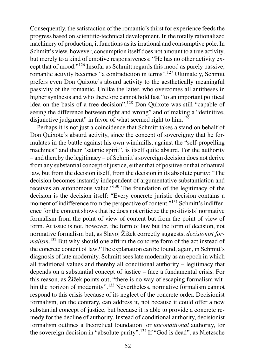Consequently, the satisfaction of the romantic's thirst for experience feeds the progress based on scientific-technical development. In the totally rationalized machinery of production, it functions as its irrational and consumptive pole. In Schmitt's view, however, consumption itself does not amount to a true activity, but merely to a kind of emotive responsiveness: "He has no other activity except that of mood."<sup>126</sup> Insofar as Schmitt regards this mood as purely passive, romantic activity becomes "a contradiction in terms".<sup>127</sup> Ultimately, Schmitt prefers even Don Quixote's absurd activity to the aesthetically meaningful passivity of the romantic. Unlike the latter, who overcomes all antitheses in higher synthesis and who therefore cannot hold fast "to an important political idea on the basis of a free decision",<sup>128</sup> Don Quixote was still "capable of seeing the difference between right and wrong" and of making a "definitive, disjunctive judgment" in favor of what seemed right to  $\lim^{129}$ 

Perhaps it is not just a coincidence that Schmitt takes a stand on behalf of Don Quixote's absurd activity, since the concept of sovereignty that he formulates in the battle against his own windmills, against the "self-propelling machines" and their "satanic spirit", is itself quite absurd. For the authority – and thereby the legitimacy – of Schmitt's sovereign decision does not derive from any substantial concept of justice, either that of positive or that of natural law, but from the decision itself, from the decision in its absolute purity: "The decision becomes instantly independent of argumentative substantiation and receives an autonomous value."130 The foundation of the legitimacy of the decision is the decision itself: "Every concrete juristic decision contains a moment of indifference from the perspective of content."<sup>131</sup> Schmitt's indifference for the content shows that he does not criticize the positivists' normative formalism from the point of view of content but from the point of view of form. At issue is not, however, the form of law but the form of decision, not normative formalism but, as Slavoj Žižek correctly suggests, *decisionist formalism*. <sup>132</sup> But why should one affirm the concrete form of the act instead of the concrete content of law? The explanation can be found, again, in Schmitt's diagnosis of late modernity. Schmitt sees late modernity as an epoch in which all traditional values and thereby all conditional authority – legitimacy that depends on a substantial concept of justice – face a fundamental crisis. For this reason, as Žižek points out, "there is no way of escaping formalism within the horizon of modernity".<sup>133</sup> Nevertheless, normative formalism cannot respond to this crisis because of its neglect of the concrete order. Decisionist formalism, on the contrary, can address it, not because it could offer a new substantial concept of justice, but because it is able to provide a concrete remedy for the decline of authority. Instead of conditional authority, decisionist formalism outlines a theoretical foundation for *unconditional* authority, for the sovereign decision in "absolute purity".<sup>134</sup> If "God is dead", as Nietzsche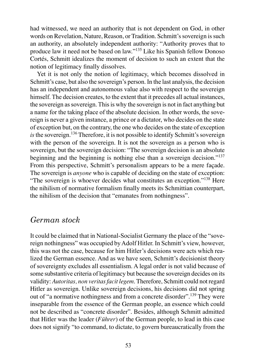had witnessed, we need an authority that is not dependent on God, in other words on Revelation, Nature, Reason, or Tradition. Schmitt's sovereign is such an authority, an absolutely independent authority: "Authority proves that to produce law it need not be based on law."<sup>135</sup> Like his Spanish fellow Donoso Cortés, Schmitt idealizes the moment of decision to such an extent that the notion of legitimacy finally dissolves.

Yet it is not only the notion of legitimacy, which becomes dissolved in Schmitt's case, but also the sovereign's person. In the last analysis, the decision has an independent and autonomous value also with respect to the sovereign himself. The decision creates, to the extent that it precedes all actual instances, the sovereign as sovereign. This is why the sovereign is not in fact anything but a name for the taking place of the absolute decision. In other words, the sovereign is never a given instance, a prince or a dictator, who decides on the state of exception but, on the contrary, the one who decides on the state of exception *is* the sovereign.<sup>136</sup> Therefore, it is not possible to identify Schmitt's sovereign with the person of the sovereign. It is not the sovereign as a person who is sovereign, but the sovereign decision: "The sovereign decision is an absolute beginning and the beginning is nothing else than a sovereign decision."<sup>137</sup> From this perspective, Schmitt's personalism appears to be a mere façade. The sovereign is *anyone* who is capable of deciding on the state of exception: "The sovereign is whoever decides what constitutes an exception."<sup>138</sup> Here the nihilism of normative formalism finally meets its Schmittian counterpart, the nihilism of the decision that "emanates from nothingness".

#### *German stock*

It could be claimed that in National-Socialist Germany the place of the "sovereign nothingness" was occupied by Adolf Hitler. In Schmitt's view, however, this was not the case, because for him Hitler's decisions were acts which realized the German essence. And as we have seen, Schmitt's decisionist theory of sovereignty excludes all essentialism. A legal order is not valid because of some substantive criteria of legitimacy but because the sovereign decides on its validity: *Autoritas, non veritas facit legem*. Therefore, Schmitt could not regard Hitler as sovereign. Unlike sovereign decisions, his decisions did not spring out of "a normative nothingness and from a concrete disorder".<sup>139</sup> They were inseparable from the essence of the German people, an essence which could not be described as "concrete disorder". Besides, although Schmitt admitted that Hitler was the leader (*Führer*) of the German people, to lead in this case does not signify "to command, to dictate, to govern bureaucratically from the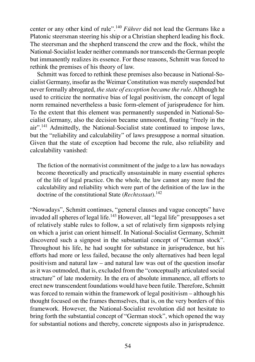center or any other kind of rule".<sup>140</sup> *Führer* did not lead the Germans like a Platonic steersman steering his ship or a Christian shepherd leading his flock. The steersman and the shepherd transcend the crew and the flock, whilst the National-Socialist leader neither commands nor transcends the German people but immanently realizes its essence. For these reasons, Schmitt was forced to rethink the premises of his theory of law.

Schmitt was forced to rethink these premises also because in National-Socialist Germany, insofar as the Weimar Constitution was merely suspended but never formally abrogated, *the state of exception became the rule*. Although he used to criticize the normative bias of legal positivism, the concept of legal norm remained nevertheless a basic form-element of jurisprudence for him. To the extent that this element was permanently suspended in National-Socialist Germany, also the decision became unmoored, floating "freely in the air".<sup>141</sup> Admittedly, the National-Socialist state continued to impose laws, but the "reliability and calculability" of laws presuppose a normal situation. Given that the state of exception had become the rule, also reliability and calculability vanished:

The fiction of the normativist commitment of the judge to a law has nowadays become theoretically and practically unsustainable in many essential spheres of the life of legal practice. On the whole, the law cannot any more find the calculability and reliability which were part of the definition of the law in the doctrine of the constitutional State (*Rechtsstaat*).<sup>142</sup>

"Nowadays", Schmitt continues, "general clauses and vague concepts" have invaded all spheres of legal life.<sup>143</sup> However, all "legal life" presupposes a set of relatively stable rules to follow, a set of relatively firm signposts relying on which a jurist can orient himself. In National-Socialist Germany, Schmitt discovered such a signpost in the substantial concept of "German stock". Throughout his life, he had sought for substance in jurisprudence, but his efforts had more or less failed, because the only alternatives had been legal positivism and natural law – and natural law was out of the question insofar as it was outmoded, that is, excluded from the "conceptually articulated social structure" of late modernity. In the era of absolute immanence, all efforts to erect new transcendent foundations would have been futile. Therefore, Schmitt was forced to remain within the framework of legal positivism – although his thought focused on the frames themselves, that is, on the very borders of this framework. However, the National-Socialist revolution did not hesitate to bring forth the substantial concept of "German stock", which opened the way for substantial notions and thereby, concrete signposts also in jurisprudence.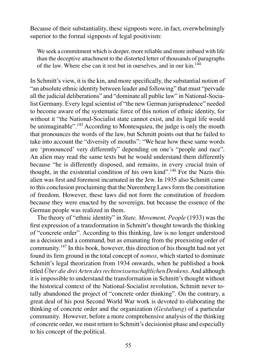Because of their substantiality, these signposts were, in fact, overwhelmingly superior to the formal signposts of legal positivism:

We seek a commitment which is deeper, more reliable and more imbued with life than the deceptive attachment to the distorted letter of thousands of paragraphs of the law. Where else can it rest but in ourselves, and in our kin.<sup>144</sup>

In Schmitt's view, it is the kin, and more specifically, the substantial notion of "an absolute ethnic identity between leader and following" that must "pervade all the judicial deliberations" and "dominate all public law" in National-Socialist Germany. Every legal scientist of "the new German jurisprudence" needed to become aware of the systematic force of this notion of ethnic identity, for without it "the National-Socialist state cannot exist, and its legal life would be unimaginable".<sup>145</sup> According to Montesquieu, the judge is only the mouth that pronounces the words of the law, but Schmitt points out that he failed to take into account the "diversity of mouths": "We hear how these same words are 'pronounced' very differently" depending on one's "people and race". An alien may read the same texts but he would understand them differently because "he is differently disposed, and remains, in every crucial train of thought, in the existential condition of his own kind".<sup>146</sup> For the Nazis this alien was first and foremost incarnated in the Jew. In 1935 also Schmitt came to this conclusion proclaiming that the Nuremberg Laws form the constitution of freedom. However, these laws did not form the constitution of freedom because they were enacted by the sovereign, but because the essence of the German people was realized in them.

The theory of "ethnic identity" in *State, Movement, People* (1933) was the first expression of a transformation in Schmitt's thought towards the thinking of "concrete order". According to this thinking, law is no longer understood as a decision and a command, but as emanating from the preexisting order of community.147 In this book, however, this direction of his thought had not yet found its firm ground in the total concept of *nomos*, which started to dominate Schmitt's legal theorization from 1934 onwards, when he published a book titled *Über die drei Arten des rechtswissenschaftlichen Denkens*. And although it is impossible to understand the transformation in Schmitt's thought without the historical context of the National-Socialist revolution, Schmitt never totally abandoned the project of "concrete order thinking". On the contrary, a great deal of his post Second World War work is devoted to elaborating the thinking of concrete order and the organization (*Gestaltung*) of a particular community. However, before a more comprehensive analysis of the thinking of concrete order, we must return to Schmitt's decisionist phase and especially to his concept of the political.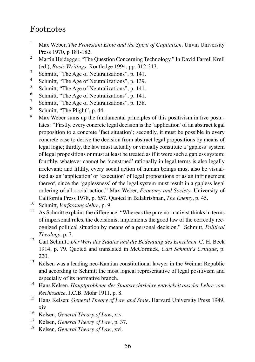### Footnotes

- 1 Max Weber, *The Protestant Ethic and the Spirit of Capitalism*. Unvin University Press 1970, p 181-182.
- 2 Martin Heidegger, "The Question Concerning Technology." In David Farrell Krell (ed.), *Basic Writings*. Routledge 1994, pp. 312-313.
- 3 Schmitt, "The Age of Neutralizations", p. 141.
- 4 Schmitt, "The Age of Neutralizations", p. 139.
- 5 Schmitt, "The Age of Neutralizations", p. 141.
- 6 Schmitt, "The Age of Neutralizations", p. 141.
- 7 Schmitt, "The Age of Neutralizations", p. 138.
- 8 Schmitt, "The Plight", p. 44.
- 9 Max Weber sums up the fundamental principles of this positivism in five postulates: "Firstly, every concrete legal decision is the 'application' of an abstract legal proposition to a concrete 'fact situation'; secondly, it must be possible in every concrete case to derive the decision from abstract legal propositions by means of legal logic; thirdly, the law must actually or virtually constitute a 'gapless' system of legal propositions or must at least be treated as if it were such a gapless system; fourthly, whatever cannot be 'construed' rationally in legal terms is also legally irrelevant; and fifthly, every social action of human beings must also be visualized as an 'application' or 'execution' of legal propositions or as an infringement thereof, since the 'gaplessness' of the legal system must result in a gapless legal ordering of all social action." Max Weber, *Economy and Society*. University of California Press 1978, p. 657. Quoted in Balakrishnan, *The Enemy*, p. 45.
- <sup>10</sup> Schmitt, *Verfassungslehre*, p. 9.
- $11$  As Schmitt explains the difference: "Whereas the pure normativist thinks in terms of impersonal rules, the decisionist implements the good law of the correctly recognized political situation by means of a personal decision." Schmitt, *Political Theology*, p. 3.
- <sup>12</sup> Carl Schmitt, *Der Wert des Staates und die Bedeutung des Einzelnen*. C. H. Beck 1914, p. 79. Quoted and translated in McCormick, *Carl Schmitt's Critique*, p. 220.
- <sup>13</sup> Kelsen was a leading neo-Kantian constitutional lawyer in the Weimar Republic and according to Schmitt the most logical representative of legal positivism and especially of its normative branch.
- <sup>14</sup> Hans Kelsen, *Hauptprobleme der Staatsrechtslehre entwickelt aus der Lehre vom Rechtssatze*. J.C.B. Mohr 1911, p. 8.
- <sup>15</sup> Hans Kelsen: *General Theory of Law and State*. Harvard University Press 1949, xiv
- <sup>16</sup> Kelsen, *General Theory of Law*, xiv.<br><sup>17</sup> Kelsen, *General Theory of Law*, p. 3
- <sup>17</sup> Kelsen, *General Theory of Law*, p. 37.
- <sup>18</sup> Kelsen, *General Theory of Law*, xvi.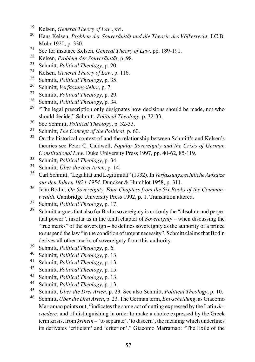- <sup>19</sup> Kelsen, *General Theory of Law*, xvi.
- <sup>20</sup> Hans Kelsen, *Problem der Souveränität und die Theorie des Völkerrecht*. J.C.B. Mohr 1920, p. 330.
- <sup>21</sup> See for instance Kelsen, *General Theory of Law*, pp. 189-191.
- <sup>22</sup> Kelsen, *Problem der Souveränität*, p. 98.
- <sup>23</sup> Schmitt, *Political Theology*, p. 20.
- <sup>24</sup> Kelsen, *General Theory of Law*, p. 116.<br><sup>25</sup> Selective *Political Theory of 25*
- <sup>25</sup> Schmitt, *Political Theology*, p. 35.<br><sup>26</sup> Schmitt, *Verfassungslehu*, p. 7.
- <sup>26</sup> Schmitt, *Verfassungslehre*, p. 7.<br><sup>27</sup> Schmitt, *Political Theology* p. 2
- <sup>27</sup> Schmitt, *Political Theology*, p. 29.
- <sup>28</sup> Schmitt, *Political Theology*, p. 34.<br><sup>29</sup> "The local prescription only doin
- "The legal prescription only designates how decisions should be made, not who should decide." Schmitt, *Political Theology*, p. 32-33.
- <sup>30</sup> See Schmitt, *Political Theology*, p. 32-33.
- <sup>31</sup> Schmitt, *The Concept of the Political*, p. 60.
- <sup>32</sup> On the historical context of and the relationship between Schmitt's and Kelsen's theories see Peter C. Caldwell, *Popular Sovereignty and the Crisis of German Constitutional Law*. Duke University Press 1997, pp. 40-62, 85-119.
- <sup>33</sup> Schmitt, *Political Theology*, p. 34.
- <sup>34</sup> Schmitt, *Über die drei Arten*, p. 14.
- <sup>35</sup> Carl Schmitt, "Legalität und Legitimität" (1932). In *Verfassungsrechtliche Aufsätze aus den Jahren 1924-1954*. Duncker & Humblot 1958, p. 311.
- <sup>36</sup> Jean Bodin, *On Sovereignty. Four Chapters from the Six Books of the Commonwealth*. Cambridge University Press 1992, p. 1. Translation altered.
- <sup>37</sup> Schmitt, *Political Theology*, p. 17.
- <sup>38</sup> Schmitt argues that also for Bodin sovereignty is not only the "absolute and perpetual power", insofar as in the tenth chapter of *Sovereignty* – when discussing the "true marks" of the sovereign – he defines sovereignty as the authority of a prince to suspend the law "in the condition of urgent necessity". Schmitt claims that Bodin derives all other marks of sovereignty from this authority.
- <sup>39</sup> Schmitt, *Political Theology*, p. 6.<br><sup>40</sup> Schmitt, *Political Theology*, p. 13
- <sup>40</sup> Schmitt, *Political Theology*, p. 13.
- <sup>41</sup> Schmitt, *Political Theology*, p. 13.<br><sup>42</sup> Schmitt, *Political Theology*, p. 15.
- <sup>42</sup> Schmitt, *Political Theology*, p. 15.<br><sup>43</sup> Schmitt, *Political Theology*, p. 13.
- <sup>43</sup> Schmitt, *Political Theology*, p. 13.
- <sup>44</sup> Schmitt, *Political Theology*, p. 13.<br><sup>45</sup> Schmitt, *Über die Drei Arten* p. 27
- <sup>45</sup> Schmitt, *Über die Drei Arten*, p. 23. See also Schmitt, *Political Theology*, p. 10.
- <sup>46</sup> Schmitt, *Über die Drei Arten*, p. 23. The German term, *Ent-scheidung*, as Giacomo Marramao points out, "indicates the same act of cutting expressed by the Latin *decaedere*, and of distinguishing in order to make a choice expressed by the Greek term krisis, from *krinein* – 'to separate', 'to discern', the meaning which underlines its derivates 'criticism' and 'criterion'." Giacomo Marramao: "The Exile of the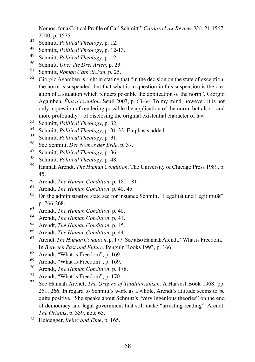Nomos: for a Critical Profile of Carl Schmitt." *Cardozo Law Review*. Vol. 21:1567, 2000, p. 1575.

- Schmitt, *Political Theology*, p. 12.
- 48 Schmitt, *Political Theology*, p. 12-13.
- Schmitt, *Political Theology*, p. 12.
- Schmitt, *Über die Drei Arten*, p. 23.
- Schmitt, *Roman Catholicism*, p. 25.
- Giorgio Agamben is right in stating that "in the decision on the state of exception, the norm is suspended, but that what is in question in this suspension is the creation of a situation which renders possible the application of the norm". Giorgio Agamben, *État d'exeption*. Seuil 2003, p. 63-64. To my mind, however, it is not only a question of rendering possible the application of the norm, but also – and more profoundly – of disclosing the original existential character of law.
- Schmitt, *Political Theology*, p. 32.
- Schmitt, *Political Theology*, p. 31-32. Emphasis added.
- Schmitt, *Political Theology*, p. 31.
- See Schmitt, *Der Nomos der Erde*, p. 37.
- Schmitt, *Political Theology*, p. 36.
- Schmitt, *Political Theology*, p. 48.
- Hannah Arendt, *The Human Condition*. The University of Chicago Press 1989, p. 45.
- 60 Arendt, *The Human Condition*, p. 180-181.
- Arendt, *The Human Condition*, p. 40, 45.
- On the administrative state see for instance Schmitt, "Legalität und Legitimität", p. 266-268.
- Arendt, *The Human Condition*, p. 40.
- Arendt, *The Human Condition*, p. 41.
- Arendt, *The Human Condition*, p. 45.
- Arendt, *The Human Condition*, p. 44.
- Arendt, *The Human Condition*, p. 177. See also Hannah Arendt, "What is Freedom." In *Between Past and Future*. Penguin Books 1993, p. 166.
- Arendt, "What is Freedom", p. 169.
- Arendt, "What is Freedom", p. 169.
- Arendt, *The Human Condition*, p. 178.
- Arendt, "What is Freedom", p. 170.
- See Hannah Arendt, *The Origins of Totalitarianism*. A Harvest Book 1968, pp. 251, 266. In regard to Schmitt's work as a whole, Arendt's attitude seems to be quite positive. She speaks about Schmitt's "very ingenious theories" on the end of democracy and legal government that still make "arresting reading". Arendt, *The Origins*, p. 339, note 65.
- Heidegger, *Being and Time*, p. 165.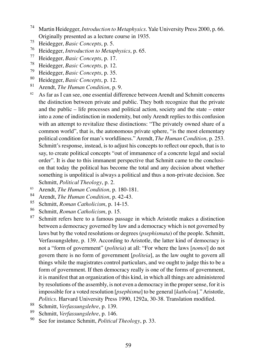- <sup>74</sup> Martin Heidegger, *Introduction to Metaphysics*. Yale University Press 2000, p. 66. Originally presented as a lecture course in 1935.
- <sup>75</sup> Heidegger, *Basic Concepts*, p. 5.
- <sup>76</sup> Heidegger, *Introduction to Metaphysics*, p. 65.
- <sup>77</sup> Heidegger, *Basic Concepts*, p. 17.
- <sup>78</sup> Heidegger, *Basic Concepts*, p. 12.
- <sup>79</sup> Heidegger, *Basic Concepts*, p. 35.
- <sup>80</sup> Heidegger, *Basic Concepts*, p. 12.
- <sup>81</sup> Arendt, *The Human Condition*, p. 9.
- 82 As far as I can see, one essential difference between Arendt and Schmitt concerns the distinction between private and public. They both recognize that the private and the public – life processes and political action, society and the state – enter into a zone of indistinction in modernity, but only Arendt replies to this confusion with an attempt to revitalize these distinctions: "The privately owned share of a common world", that is, the autonomous private sphere, "is the most elementary political condition for man's worldliness." Arendt, *The Human Condition*, p. 253. Schmitt's response, instead, is to adjust his concepts to reflect our epoch, that is to say, to create political concepts "out of immanence of a concrete legal and social order". It is due to this immanent perspective that Schmitt came to the conclusion that today the political has become the total and any decision about whether something is unpolitical is always a political and thus a non-private decision. See Schmitt, *Political Theology*, p. 2.
- 83 Arendt, *The Human Condition*, p. 180-181.<br>84 Arendt, *The Human Condition*, p. 42.43
- <sup>84</sup> Arendt, *The Human Condition*, p. 42-43.
- <sup>85</sup> Schmitt, *Roman Catholicism*, p. 14-15.
- <sup>86</sup> Schmitt, *Roman Catholicism*, p. 15.
- Schmitt refers here to a famous passage in which Aristotle makes a distinction between a democracy governed by law and a democracy which is not governed by laws but by the voted resolutions or degrees (*psephismata*) of the people. Schmitt, Verfassungslehre, p. 139. According to Aristotle, the latter kind of democracy is not a "form of government" (*politeia*) at all: "For where the laws [*nomoi*] do not govern there is no form of government [*politeia*], as the law ought to govern all things while the magistrates control particulars, and we ought to judge this to be a form of government. If then democracy really is one of the forms of government, it is manifest that an organization of this kind, in which all things are administered by resolutions of the assembly, is not even a democracy in the proper sense, for it is impossible for a voted resolution [*psephisma*] to be general [*katholou*]." Aristotle, *Politics*. Harvard University Press 1990, 1292a, 30-38. Translation modified.
- <sup>88</sup> Schmitt, *Verfassungslehre*, p. 139.
- <sup>89</sup> Schmitt, *Verfassungslehre*, p. 146.
- See for instance Schmitt, *Political Theology*, p. 33.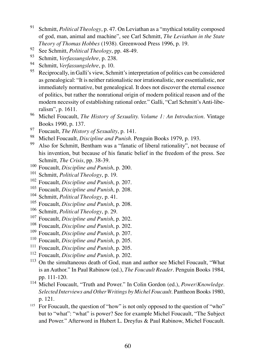- <sup>91</sup> Schmitt, *Political Theology*, p. 47. On Leviathan as a "mythical totality composed of god, man, animal and machine", see Carl Schmitt, *The Leviathan in the State Theory of Thomas Hobbes* (1938)*.* Greenwood Press 1996, p. 19.
- 92 See Schmitt, *Political Theology*, pp. 48-49.
- <sup>93</sup> Schmitt, *Verfassungslehre*, p. 238.
- <sup>94</sup> Schmitt, *Verfassungslehre*, p. 10.
- Reciprocally, in Galli's view, Schmitt's interpretation of politics can be considered as genealogical: "It is neither rationalistic nor irrationalistic, nor essentialistic, nor immediately normative, but genealogical. It does not discover the eternal essence of politics, but rather the nonrational origin of modern political reason and of the modern necessity of establishing rational order." Galli, "Carl Schmitt's Anti-liberalism", p. 1611.
- <sup>96</sup> Michel Foucault, *The History of Sexuality. Volume 1: An Introduction*. Vintage Books 1990, p. 137.
- 97 Foucault, *The History of Sexuality*, p. 141.<br>98 Michal Foucault, Discipline and Punish P
- <sup>98</sup> Michel Foucault, *Discipline and Punish*. Penguin Books 1979, p. 193.
- <sup>99</sup> Also for Schmitt, Bentham was a "fanatic of liberal rationality", not because of his invention, but because of his fanatic belief in the freedom of the press. See Schmitt, *The Crisis*, pp. 38-39.
- <sup>100</sup> Foucault, *Discipline and Punish*, p. 200.
- <sup>101</sup> Schmitt, *Political Theology*, p. 19.
- <sup>102</sup> Foucault, *Discipline and Punish*, p. 207.
- <sup>103</sup> Foucault, *Discipline and Punish*, p. 208.
- <sup>104</sup> Schmitt, *Political Theology*, p. 41.
- <sup>105</sup> Foucault, *Discipline and Punish*, p. 208.
- <sup>106</sup> Schmitt, *Political Theology*, p. 29.
- <sup>107</sup> Foucault, *Discipline and Punish*, p. 202.
- <sup>108</sup> Foucault, *Discipline and Punish*, p. 202.
- <sup>109</sup> Foucault, *Discipline and Punish*, p. 207.
- <sup>110</sup> Foucault, *Discipline and Punish*, p. 205.
- <sup>111</sup> Foucault, *Discipline and Punish*, p. 205.
- <sup>112</sup> Foucault, *Discipline and Punish*, p. 202.
- <sup>113</sup> On the simultaneous death of God, man and author see Michel Foucault, "What is an Author." In Paul Rabinow (ed.), *The Foucault Reader*. Penguin Books 1984, pp. 111-120.
- <sup>114</sup> Michel Foucault, "Truth and Power." In Colin Gordon (ed.), *Power/Knowledge. Selected Interviews and Other Writings by Michel Foucault*. Pantheon Books 1980, p. 121.
- $115$  For Foucault, the question of "how" is not only opposed to the question of "who" but to "what": "what" is power? See for example Michel Foucault, "The Subject and Power." Afterword in Hubert L. Dreyfus & Paul Rabinow, Michel Foucault.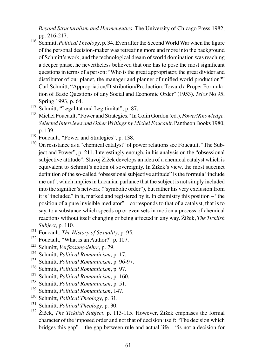*Beyond Structuralism and Hermeneutics*. The University of Chicago Press 1982, pp. 216-217.

- <sup>116</sup> Schmitt, *Political Theology*, p. 34. Even after the Second World War when the figure of the personal decision-maker was retreating more and more into the background of Schmitt's work, and the technological dream of world domination was reaching a deeper phase, he nevertheless believed that one has to pose the most significant questions in terms of a person: "Who is the great appropriator, the great divider and distributor of our planet, the manager and planner of unified world production?" Carl Schmitt, "Appropriation/Distribution/Production: Toward a Proper Formulation of Basic Questions of any Social and Economic Order" (1953). *Telos* No 95, Spring 1993, p. 64.
- <sup>117</sup> Schmitt, "Legalität und Legitimität", p. 87.
- <sup>118</sup> Michel Foucault, "Power and Strategies." In Colin Gordon (ed.), *Power/Knowledge*. *Selected Interviews and Other Writings by Michel Foucault*. Pantheon Books 1980, p. 139.
- <sup>119</sup> Foucault. "Power and Strategies", p. 138.
- <sup>120</sup> On resistance as a "chemical catalyst" of power relations see Foucault, "The Subject and Power", p. 211. Interestingly enough, in his analysis on the "obsessional subjective attitude", Slavoj Žižek develops an idea of a chemical catalyst which is equivalent to Schmitt's notion of sovereignty. In Žižek's view, the most succinct definition of the so-called "obsessional subjective attitude" is the formula "include me out", which implies in Lacanian parlance that the subject is not simply included into the signifier's network ("symbolic order"), but rather his very exclusion from it is "included" in it, marked and registered by it. In chemistry this position – "the position of a pure invisible mediator" – corresponds to that of a catalyst, that is to say, to a substance which speeds up or even sets in motion a process of chemical reactions without itself changing or being affected in any way. Žižek, *The Ticklish Subject*, p. 110.
- <sup>121</sup> Foucault, *The History of Sexuality*, p. 95.
- <sup>122</sup> Foucault, "What is an Author?" p. 107.
- <sup>123</sup> Schmitt, *Verfassungslehre*, p. 79.
- <sup>124</sup> Schmitt, *Political Romanticism*, p. 17.
- <sup>125</sup> Schmitt, *Political Romanticism*, p. 96-97.
- <sup>126</sup> Schmitt, *Political Romanticism*, p. 97.
- <sup>127</sup> Schmitt, *Political Romanticism*, p. 160.
- <sup>128</sup> Schmitt, *Political Romanticism*, p. 51.
- <sup>129</sup> Schmitt, *Political Romanticism*, 147.
- <sup>130</sup> Schmitt, *Political Theology*, p. 31.
- <sup>131</sup> Schmitt, *Political Theology*, p. 30.
- <sup>132</sup> Žižek, *The Ticklish Subject*, p. 113-115. However, Žižek emphases the formal character of the imposed order and not that of decision itself: "The decision which bridges this gap" – the gap between rule and actual life – "is not a decision for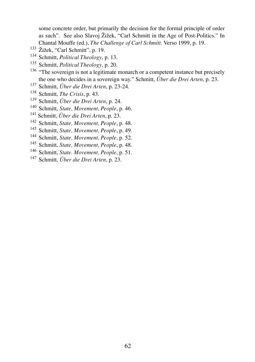some concrete order, but primarily the decision for the formal principle of order as such". See also Slavoj Žižek, "Carl Schmitt in the Age of Post-Politics." In Chantal Mouffe (ed.), *The Challenge of Carl Schmitt*. Verso 1999, p. 19.

- Žižek, "Carl Schmitt", p. 19.
- Schmitt, *Political Theology*, p. 13.
- Schmitt, *Political Theology*, p. 20.
- <sup>136</sup> "The sovereign is not a legitimate monarch or a competent instance but precisely the one who decides in a sovereign way." Schmitt, *Über die Drei Arten*, p. 23.
- Schmitt, *Über die Drei Arten*, p. 23-24.
- Schmitt, *The Crisis*, p. 43.
- Schmitt, *Über die Drei Arten*, p. 24.
- Schmitt, *State, Movement, People*, p. 46.
- Schmitt, *Über die Drei Arten*, p. 23.
- Schmitt, *State, Movement, People*, p. 48.
- Schmitt, *State, Movement, People*, p. 49.
- Schmitt, *State, Movement, People*, p. 52.
- Schmitt, *State, Movement, People*, p. 48.
- Schmitt, *State. Movement, People*, p. 51.
- Schmitt, *Über die Drei Arten*, p. 23.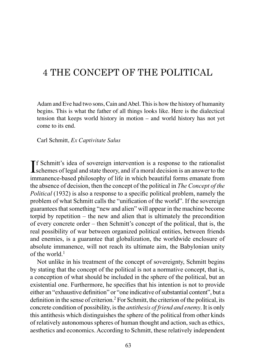# 4 THE CONCEPT OF THE POLITICAL

Adam and Eve had two sons, Cain and Abel. This is how the history of humanity begins. This is what the father of all things looks like. Here is the dialectical tension that keeps world history in motion – and world history has not yet come to its end.

Carl Schmitt, *Ex Captivitate Salus*

If Schmitt's idea of sovereign intervention is a response to the rationalist<br>schemes of legal and state theory, and if a moral decision is an answer to the **T**f Schmitt's idea of sovereign intervention is a response to the rationalist immanence-based philosophy of life in which beautiful forms emanate from the absence of decision, then the concept of the political in *The Concept of the Political* (1932) is also a response to a specific political problem, namely the problem of what Schmitt calls the "unification of the world". If the sovereign guarantees that something "new and alien" will appear in the machine become torpid by repetition – the new and alien that is ultimately the precondition of every concrete order – then Schmitt's concept of the political, that is, the real possibility of war between organized political entities, between friends and enemies, is a guarantee that globalization, the worldwide enclosure of absolute immanence, will not reach its ultimate aim, the Babylonian unity of the world  $<sup>1</sup>$ </sup>

Not unlike in his treatment of the concept of sovereignty, Schmitt begins by stating that the concept of the political is not a normative concept, that is, a conception of what should be included in the sphere of the political, but an existential one. Furthermore, he specifies that his intention is not to provide either an "exhaustive definition" or "one indicative of substantial content", but a definition in the sense of criterion.<sup>2</sup> For Schmitt, the criterion of the political, its concrete condition of possibility, is the *antithesis of friend and enemy*. It is only this antithesis which distinguishes the sphere of the political from other kinds of relatively autonomous spheres of human thought and action, such as ethics, aesthetics and economics. According to Schmitt, these relatively independent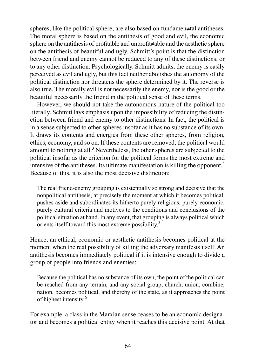spheres, like the political sphere, are also based on fundamen≠tal antitheses. The moral sphere is based on the antithesis of good and evil, the economic sphere on the antithesis of profitable and unprofit≠able and the aesthetic sphere on the antithesis of beautiful and ugly. Schmitt's point is that the distinction between friend and enemy cannot be reduced to any of these distinctions, or to any other distinction. Psychologically, Schmitt admits, the enemy is easily perceived as evil and ugly, but this fact neither abolishes the autonomy of the political distinction nor threatens the sphere determined by it. The reverse is also true. The morally evil is not necessarily the enemy, nor is the good or the beautiful necessarily the friend in the political sense of these terms.

However, we should not take the autonomous nature of the political too literally. Schmitt lays emphasis upon the impossibility of reducing the distinction between friend and enemy to other distinctions. In fact, the political is in a sense subjected to other spheres insofar as it has no substance of its own. It draws its contents and energies from these other spheres, from religion, ethics, economy, and so on. If these contents are removed, the political would amount to nothing at all.<sup>3</sup> Nevertheless, the other spheres are subjected to the political insofar as the criterion for the political forms the most extreme and intensive of the antitheses. Its ultimate manifestation is killing the opponent.<sup>4</sup> Because of this, it is also the most decisive distinction.

The real friend-enemy grouping is existentially so strong and decisive that the nonpolitical antithesis, at precisely the moment at which it becomes political, pushes aside and subordinates its hitherto purely religious, purely economic, purely cultural criteria and motives to the conditions and conclusions of the political situation at hand. In any event, that grouping is always political which orients itself toward this most extreme possibility.5

Hence, an ethical, economic or aesthetic antithesis becomes political at the moment when the real possibility of killing the adversary manifests itself. An antithesis becomes immediately political if it is intensive enough to divide a group of people into friends and enemies:

Because the political has no substance of its own, the point of the political can be reached from any terrain, and any social group, church, union, combine, nation, becomes political, and thereby of the state, as it approaches the point of highest intensity.6

For example, a class in the Marxian sense ceases to be an economic designator and becomes a political entity when it reaches this decisive point. At that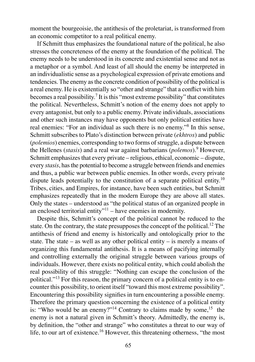moment the bourgeoisie, the antithesis of the proletariat, is transformed from an economic competitor to a real political enemy.

If Schmitt thus emphasizes the foundational nature of the political, he also stresses the concreteness of the enemy at the foundation of the political. The enemy needs to be understood in its concrete and existential sense and not as a metaphor or a symbol. And least of all should the enemy be interpreted in an individualistic sense as a psychological expression of private emotions and tendencies. The enemy as the concrete condition of possibility of the political is a real enemy. He is existentially so "other and strange" that a conflict with him becomes a real possibility.<sup>7</sup> It is this "most extreme possibility" that constitutes the political. Nevertheless, Schmitt's notion of the enemy does not apply to every antagonist, but only to a public enemy. Private individuals, associations and other such instances may have opponents but only political entities have real enemies: "For an individual as such there is no enemy."<sup>8</sup> In this sense, Schmitt subscribes to Plato's distinction between private (*ekhtros*) and public (*polemios*) enemies, corresponding to two forms of struggle, a dispute between the Hellenes (*stasis*) and a real war against barbarians (*polemos*).<sup>9</sup> However, Schmitt emphasizes that every private – religious, ethical, economic – dispute, every *stasis*, has the potential to become a struggle between friends and enemies and thus, a public war between public enemies. In other words, every private dispute leads potentially to the constitution of a separate political entity.<sup>10</sup> Tribes, cities, and Empires, for instance, have been such entities, but Schmitt emphasizes repeatedly that in the modern Europe they are above all states. Only the states – understood as "the political status of an organized people in an enclosed territorial entity"<sup>11</sup> – have enemies in modernity.

Despite this, Schmitt's concept of the political cannot be reduced to the state. On the contrary, the state presupposes the concept of the political.<sup>12</sup> The antithesis of friend and enemy is historically and ontologically prior to the state. The state – as well as any other political entity – is merely a means of organizing this fundamental antithesis. It is a means of pacifying internally and controlling externally the original struggle between various groups of individuals. However, there exists no political entity, which could abolish the real possibility of this struggle: "Nothing can escape the conclusion of the political."<sup>13</sup> For this reason, the primary concern of a political entity is to encounter this possibility, to orient itself "toward this most extreme possibility". Encountering this possibility signifies in turn encountering a possible enemy. Therefore the primary question concerning the existence of a political entity is: "Who would be an enemy?"<sup>14</sup> Contrary to claims made by some,<sup>15</sup> the enemy is not a natural given in Schmitt's theory. Admittedly, the enemy is, by definition, the "other and strange" who constitutes a threat to our way of life, to our art of existence.<sup>16</sup> However, this threatening otherness, "the most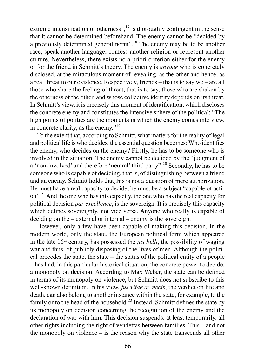extreme intensification of otherness", $17$  is thoroughly contingent in the sense that it cannot be determined beforehand. The enemy cannot be "decided by a previously determined general norm".<sup>18</sup> The enemy may be to be another race, speak another language, confess another religion or represent another culture. Nevertheless, there exists no a priori criterion either for the enemy or for the friend in Schmitt's theory. The enemy is *anyone* who is concretely disclosed, at the miraculous moment of revealing, as the other and hence, as a real threat to our existence. Respectively, friends – that is to say we – are all those who share the feeling of threat, that is to say, those who are shaken by the otherness of the other, and whose collective identity depends on its threat. In Schmitt's view, it is precisely this moment of identification, which discloses the concrete enemy and constitutes the intensive sphere of the political: "The high points of politics are the moments in which the enemy comes into view, in concrete clarity, as the enemy."<sup>19</sup>

To the extent that, according to Schmitt, what matters for the reality of legal and political life is who decides, the essential question becomes: Who identifies the enemy, who decides on the enemy? Firstly, he has to be someone who is involved in the situation. The enemy cannot be decided by the "judgment of a 'non-involved' and therefore 'neutral' third party".20 Secondly, he has to be someone who is capable of deciding, that is, of distinguishing between a friend and an enemy. Schmitt holds that this is not a question of mere authorization. He must have a real capacity to decide, he must be a subject "capable of action".<sup>21</sup>And the one who has this capacity, the one who has the real capacity for political decision *par excellence*, is the sovereign. It is precisely this capacity which defines sovereignty, not vice versa. Anyone who really is capable of deciding on the – external or internal – enemy is the sovereign.

However, only a few have been capable of making this decision. In the modern world, only the state, the European political form which appeared in the late  $16<sup>th</sup>$  century, has possessed the *jus belli*, the possibility of waging war and thus, of publicly disposing of the lives of men. Although the political precedes the state, the state – the status of the political entity of a people – has had, in this particular historical situation, the concrete power to decide: a monopoly on decision. According to Max Weber, the state can be defined in terms of its monopoly on violence, but Schmitt does not subscribe to this well-known definition. In his view, *jus vitae ac necis*, the verdict on life and death, can also belong to another instance within the state, for example, to the family or to the head of the household.<sup>22</sup> Instead, Schmitt defines the state by its monopoly on decision concerning the recognition of the enemy and the declaration of war with him. This decision suspends, at least temporarily, all other rights including the right of vendettas between families. This – and not the monopoly on violence – is the reason why the state transcends all other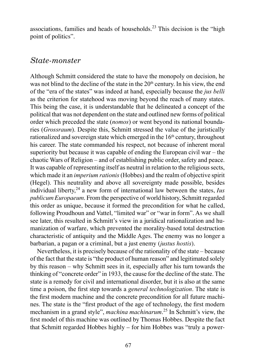associations, families and heads of households.<sup>23</sup> This decision is the "high point of politics".

#### *State-monster*

Although Schmitt considered the state to have the monopoly on decision, he was not blind to the decline of the state in the  $20<sup>th</sup>$  century. In his view, the end of the "era of the states" was indeed at hand, especially because the *jus belli* as the criterion for statehood was moving beyond the reach of many states. This being the case, it is understandable that he delineated a concept of the political that was not dependent on the state and outlined new forms of political order which preceded the state (*nomos*) or went beyond its national boundaries (*Grossraum*). Despite this, Schmitt stressed the value of the juristically rationalized and sovereign state which emerged in the  $16<sup>th</sup>$  century, throughout his career. The state commanded his respect, not because of inherent moral superiority but because it was capable of ending the European civil war – the chaotic Wars of Religion – and of establishing public order, safety and peace. It was capable of representing itself as neutral in relation to the religious sects, which made it an *imperium rationis*(Hobbes) and the realm of objective spirit (Hegel). This neutrality and above all sovereignty made possible, besides individual liberty,<sup>24</sup> a new form of international law between the states, *Ius publicum Europaeum*. From the perspective of world history, Schmitt regarded this order as unique, because it formed the precondition for what he called, following Proudhoun and Vattel, "limited war" or "war in form". As we shall see later, this resulted in Schmitt's view in a juridical rationalization and humanization of warfare, which prevented the morality-based total destruction characteristic of antiquity and the Middle Ages. The enemy was no longer a barbarian, a pagan or a criminal, but a just enemy (*justus hostis*).

Nevertheless, it is precisely because of the rationality of the state – because of the fact that the state is "the product of human reason" and legitimated solely by this reason – why Schmitt sees in it, especially after his turn towards the thinking of "concrete order" in 1933, the cause for the decline of the state. The state is a remedy for civil and international disorder, but it is also at the same time a poison, the first step towards a *general technologization*. The state is the first modern machine and the concrete precondition for all future machines. The state is the "first product of the age of technology, the first modern mechanism in a grand style", *machina machinarum*. <sup>25</sup> In Schmitt's view, the first model of this machine was outlined by Thomas Hobbes. Despite the fact that Schmitt regarded Hobbes highly – for him Hobbes was "truly a power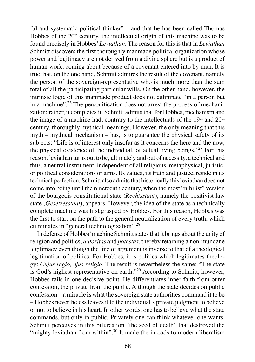ful and systematic political thinker" – and that he has been called Thomas Hobbes of the  $20<sup>th</sup>$  century, the intellectual origin of this machine was to be found precisely in Hobbes' *Leviathan*. The reason for this is that in *Leviathan* Schmitt discovers the first thoroughly manmade political organization whose power and legitimacy are not derived from a divine sphere but is a product of human work, coming about because of a covenant entered into by man. It is true that, on the one hand, Schmitt admires the result of the covenant, namely the person of the sovereign-representative who is much more than the sum total of all the participating particular wills. On the other hand, however, the intrinsic logic of this manmade product does not culminate "in a person but in a machine".<sup>26</sup> The personification does not arrest the process of mechanization; rather, it completes it. Schmitt admits that for Hobbes, mechanism and the image of a machine had, contrary to the intellectuals of the  $19<sup>th</sup>$  and  $20<sup>th</sup>$ century, thoroughly mythical meanings. However, the only meaning that this myth – mythical mechanism – has, is to guarantee the physical safety of its subjects: "Life is of interest only insofar as it concerns the here and the now, the physical existence of the individual, of actual living beings."<sup>27</sup> For this reason, leviathan turns out to be, ultimately and out of necessity, a technical and thus, a neutral instrument, independent of all religious, metaphysical, juristic, or political considerations or aims. Its values, its truth and justice, reside in its technical perfection. Schmitt also admits that historically this leviathan does not come into being until the nineteenth century, when the most "nihilist" version of the bourgeois constitutional state (*Rechtsstaat*), namely the positivist law state (*Gesetzesstaat*), appears. However, the idea of the state as a technically complete machine was first grasped by Hobbes. For this reason, Hobbes was the first to start on the path to the general neutralization of every truth, which culminates in "general technologization".<sup>28</sup>

In defense of Hobbes' machine Schmitt states that it brings about the unity of religion and politics, *autoritas* and *potestas*, thereby retaining a non-mundane legitimacy even though the line of argument is inverse to that of a theological legitimation of politics. For Hobbes, it is politics which legitimates theology: *Cujus regio, ejus religio*. The result is nevertheless the same: "The state is God's highest representative on earth."29 According to Schmitt, however, Hobbes fails in one decisive point. He differentiates inner faith from outer confession, the private from the public. Although the state decides on public confession – a miracle is what the sovereign state authorities command it to be – Hobbes nevertheless leaves it to the individual's private judgment to believe or not to believe in his heart. In other words, one has to believe what the state commands, but only in public. Privately one can think whatever one wants. Schmitt perceives in this bifurcation "the seed of death" that destroyed the "mighty leviathan from within".<sup>30</sup> It made the inroads to modern liberalism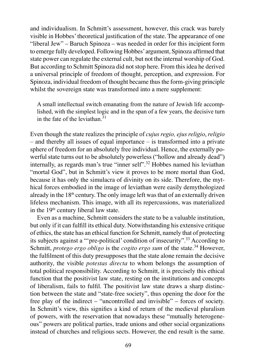and individualism. In Schmitt's assessment, however, this crack was barely visible in Hobbes' theoretical justification of the state. The appearance of one "liberal Jew" – Baruch Spinoza – was needed in order for this incipient form to emerge fully developed. Following Hobbes' argument, Spinoza affirmed that state power can regulate the external cult, but not the internal worship of God. But according to Schmitt Spinoza did not stop here. From this idea he derived a universal principle of freedom of thought, perception, and expression. For Spinoza, individual freedom of thought became thus the form-giving principle whilst the sovereign state was transformed into a mere supplement:

A small intellectual switch emanating from the nature of Jewish life accomplished, with the simplest logic and in the span of a few years, the decisive turn in the fate of the leviathan  $31$ 

Even though the state realizes the principle of *cujus regio, ejus religio*, *religio* – and thereby all issues of equal importance – is transformed into a private sphere of freedom for an absolutely free individual. Hence, the externally powerful state turns out to be absolutely powerless ("hollow and already dead") internally, as regards man's true "inner self".<sup>32</sup> Hobbes named his leviathan "mortal God", but in Schmitt's view it proves to be more mortal than God, because it has only the simulacra of divinity on its side. Therefore, the mythical forces embodied in the image of leviathan were easily demythologized already in the  $18<sup>th</sup>$  century. The only image left was that of an externally driven lifeless mechanism. This image, with all its repercussions, was materialized in the 19<sup>th</sup> century liberal law state.

Even as a machine, Schmitt considers the state to be a valuable institution, but only if it can fulfill its ethical duty. Notwithstanding his extensive critique of ethics, the state has an ethical function for Schmitt, namely that of protecting its subjects against a "'pre-political' condition of insecurity".33 According to Schmitt, *protego ergo obligo* is the *cogito ergo sum* of the state.<sup>34</sup> However, the fulfilment of this duty presupposes that the state alone remain the decisive authority, the visible *potestas directa* to whom belongs the assumption of total political responsibility. According to Schmitt, it is precisely this ethical function that the positivist law state, resting on the institutions and concepts of liberalism, fails to fulfil. The positivist law state draws a sharp distinction between the state and "state-free society", thus opening the door for the free play of the indirect – "uncontrolled and invisible" – forces of society. In Schmitt's view, this signifies a kind of return of the medieval pluralism of powers, with the reservation that nowadays these "mutually heterogeneous" powers are political parties, trade unions and other social organizations instead of churches and religious sects. However, the end result is the same.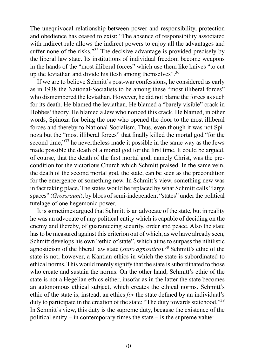The unequivocal relationship between power and responsibility, protection and obedience has ceased to exist: "The absence of responsibility associated with indirect rule allows the indirect powers to enjoy all the advantages and suffer none of the risks."<sup>35</sup> The decisive advantage is provided precisely by the liberal law state. Its institutions of individual freedom become weapons in the hands of the "most illiberal forces" which use them like knives "to cut up the leviathan and divide his flesh among themselves".  $36$ 

If we are to believe Schmitt's post-war confessions, he considered as early as in 1938 the National-Socialists to be among these "most illiberal forces" who dismembered the leviathan. However, he did not blame the forces as such for its death. He blamed the leviathan. He blamed a "barely visible" crack in Hobbes' theory. He blamed a Jew who noticed this crack. He blamed, in other words, Spinoza for being the one who opened the door to the most illiberal forces and thereby to National Socialism. Thus, even though it was not Spinoza but the "most illiberal forces" that finally killed the mortal god "for the second time,"<sup>37</sup> he nevertheless made it possible in the same way as the Jews made possible the death of a mortal god for the first time. It could be argued, of course, that the death of the first mortal god, namely Christ, was the precondition for the victorious Church which Schmitt praised. In the same vein, the death of the second mortal god, the state, can be seen as the precondition for the emergence of something new. In Schmitt's view, something new was in fact taking place. The states would be replaced by what Schmitt calls "large spaces" (*Grossraum*), by blocs of semi-independent "states" under the political tutelage of one hegemonic power.

It is sometimes argued that Schmitt is an advocate of the state, but in reality he was an advocate of any political entity which is capable of deciding on the enemy and thereby, of guaranteeing security, order and peace. Also the state has to be measured against this criterion out of which, as we have already seen, Schmitt develops his own "ethic of state", which aims to surpass the nihilistic agnosticism of the liberal law state (*stato agnostico*).38 Schmitt's ethic of the state is not, however, a Kantian ethics in which the state is subordinated to ethical norms. This would merely signify that the state is subordinated to those who create and sustain the norms. On the other hand, Schmitt's ethic of the state is not a Hegelian ethics either, insofar as in the latter the state becomes an autonomous ethical subject, which creates the ethical norms. Schmitt's ethic of the state is, instead, an ethics *for* the state defined by an individual's duty to participate in the creation of the state: "The duty towards statehood."<sup>39</sup> In Schmitt's view, this duty is the supreme duty, because the existence of the political entity – in contemporary times the state – is the supreme value: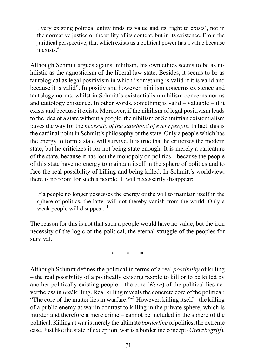Every existing political entity finds its value and its 'right to exists', not in the normative justice or the utility of its content, but in its existence. From the juridical perspective, that which exists as a political power has a value because it exists  $40$ 

Although Schmitt argues against nihilism, his own ethics seems to be as nihilistic as the agnosticism of the liberal law state. Besides, it seems to be as tautological as legal positivism in which "something is valid if it is valid and because it is valid". In positivism, however, nihilism concerns existence and tautology norms, whilst in Schmitt's existentialism nihilism concerns norms and tautology existence. In other words, something is valid – valuable – if it exists and because it exists. Moreover, if the nihilism of legal positivism leads to the idea of a state without a people, the nihilism of Schmittian existentialism paves the way for the *necessity of the statehood of every people*. In fact, this is the cardinal point in Schmitt's philosophy of the state. Only a people which has the energy to form a state will survive. It is true that he criticizes the modern state, but he criticizes it for not being state enough. It is merely a caricature of the state, because it has lost the monopoly on politics – because the people of this state have no energy to maintain itself in the sphere of politics and to face the real possibility of killing and being killed. In Schmitt's worldview, there is no room for such a people. It will necessarily disappear:

If a people no longer possesses the energy or the will to maintain itself in the sphere of politics, the latter will not thereby vanish from the world. Only a weak people will disappear.<sup>41</sup>

The reason for this is not that such a people would have no value, but the iron necessity of the logic of the political, the eternal struggle of the peoples for survival.

\* \* \*

Although Schmitt defines the political in terms of a real *possibility* of killing – the real possibility of a politically existing people to kill or to be killed by another politically existing people – the core (*Kern*) of the political lies nevertheless in *real* killing. Real killing reveals the concrete core of the political: "The core of the matter lies in warfare."<sup>42</sup> However, killing itself – the killing of a public enemy at war in contrast to killing in the private sphere, which is murder and therefore a mere crime – cannot be included in the sphere of the political. Killing at war is merely the ultimate *borderline* of politics, the extreme case. Just like the state of exception, war is a borderline concept (*Grenzbegriff*),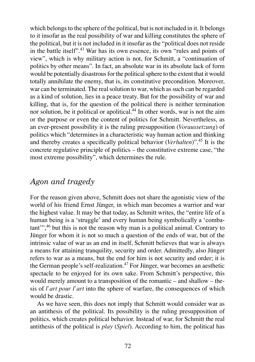which belongs to the sphere of the political, but is not included in it. It belongs to it insofar as the real possibility of war and killing constitutes the sphere of the political, but it is not included in it insofar as the "political does not reside in the battle itself".43 War has its own essence, its own "rules and points of view", which is why military action is not, for Schmitt, a "continuation of politics by other means". In fact, an absolute war in its absolute lack of form would be potentially disastrous for the political sphere to the extent that it would totally annihilate the enemy, that is, its constitutive precondition. Moreover, war can be terminated. The real solution to war, which as such can be regarded as a kind of solution, lies in a peace treaty. But for the possibility of war and killing, that is, for the question of the political there is neither termination nor solution, be it political or apolitical.<sup>44</sup> In other words, war is not the aim or the purpose or even the content of politics for Schmitt. Nevertheless, as an ever-present possibility it is the ruling presupposition (*Voraussetzung*) of politics which "determines in a characteristic way human action and thinking and thereby creates a specifically political behavior (*Verhalten*)".<sup>45</sup> It is the concrete regulative principle of politics – the constitutive extreme case, "the most extreme possibility", which determines the rule.

#### *Agon and tragedy*

For the reason given above, Schmitt does not share the agonistic view of the world of his friend Ernst Jünger, in which man becomes a warrior and war the highest value. It may be that today, as Schmitt writes, the "entire life of a human being is a 'struggle' and every human being symbolically a 'combatant'",46 but this is not the reason why man is a political animal. Contrary to Jünger for whom it is not so much a question of the ends of war, but of the intrinsic value of war as an end in itself, Schmitt believes that war is always a means for attaining tranquility, security and order. Admittedly, also Jünger refers to war as a means, but the end for him is not security and order; it is the German people's self-realization.<sup>47</sup> For Jünger, war becomes an aesthetic spectacle to be enjoyed for its own sake. From Schmitt's perspective, this would merely amount to a transposition of the romantic – and shallow – thesis of *l'art pour l'art* into the sphere of warfare, the consequences of which would be drastic.

As we have seen, this does not imply that Schmitt would consider war as an antithesis of the political. Its possibility is the ruling presupposition of politics, which creates political behavior. Instead of war, for Schmitt the real antithesis of the political is *play* (*Spiel*). According to him, the political has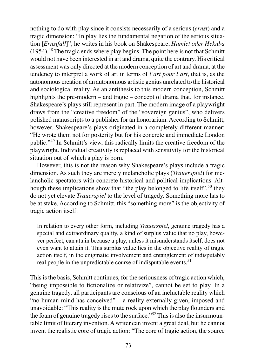nothing to do with play since it consists necessarily of a serious (*ernst*) and a tragic dimension: "In play lies the fundamental negation of the serious situation [*Ernstfall*]", he writes in his book on Shakespeare, *Hamlet oder Hekuba* (1954).<sup>48</sup> The tragic ends where play begins. The point here is not that Schmitt would not have been interested in art and drama, quite the contrary. His critical assessment was only directed at the modern conception of art and drama, at the tendency to interpret a work of art in terms of *l'art pour l'art*, that is, as the autonomous creation of an autonomous artistic genius unrelated to the historical and sociological reality. As an antithesis to this modern conception, Schmitt highlights the pre-modern – and tragic – concept of drama that, for instance, Shakespeare's plays still represent in part. The modern image of a playwright draws from the "creative freedom" of the "sovereign genius", who delivers polished manuscripts to a publisher for an honorarium. According to Schmitt, however, Shakespeare's plays originated in a completely different manner: "He wrote them not for posterity but for his concrete and immediate London public."<sup>49</sup> In Schmitt's view, this radically limits the creative freedom of the playwright. Individual creativity is replaced with sensitivity for the historical situation out of which a play is born.

However, this is not the reason why Shakespeare's plays include a tragic dimension. As such they are merely melancholic plays (*Trauerspiel*) for melancholic spectators with concrete historical and political implications. Although these implications show that "the play belonged to life itself",  $50$  they do not yet elevate *Trauerspiel* to the level of tragedy. Something more has to be at stake. According to Schmitt, this "something more" is the objectivity of tragic action itself:

In relation to every other form, including *Trauerspiel*, genuine tragedy has a special and extraordinary quality, a kind of surplus value that no play, however perfect, can attain because a play, unless it misunderstands itself, does not even want to attain it. This surplus value lies in the objective reality of tragic action itself, in the enigmatic involvement and entanglement of indisputably real people in the unpredictable course of indisputable events.<sup>51</sup>

This is the basis, Schmitt continues, for the seriousness of tragic action which, "being impossible to fictionalize or relativize", cannot be set to play. In a genuine tragedy, all participants are conscious of an ineluctable reality which "no human mind has conceived" – a reality externally given, imposed and unavoidable: "This reality is the mute rock upon which the play flounders and the foam of genuine tragedy rises to the surface."52 This is also the insurmountable limit of literary invention. A writer can invent a great deal, but he cannot invent the realistic core of tragic action: "The core of tragic action, the source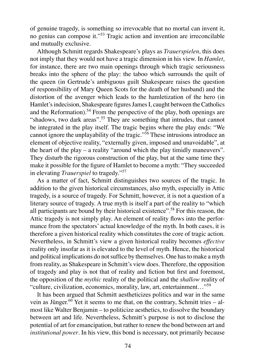of genuine tragedy, is something so irrevocable that no mortal can invent it, no genius can compose it."<sup>53</sup> Tragic action and invention are irreconcilable and mutually exclusive.

Although Schmitt regards Shakespeare's plays as *Trauerspielen*, this does not imply that they would not have a tragic dimension in his view. In *Hamlet*, for instance, there are two main openings through which tragic seriousness breaks into the sphere of the play: the taboo which surrounds the quilt of the queen (in Gertrude's ambiguous guilt Shakespeare raises the question of responsibility of Mary Queen Scots for the death of her husband) and the distortion of the avenger which leads to the hamletization of the hero (in Hamlet's indecision, Shakespeare figures James I, caught between the Catholics and the Reformation).<sup>54</sup> From the perspective of the play, both openings are "shadows, two dark areas".<sup>55</sup> They are something that intrudes, that cannot be integrated in the play itself. The tragic begins where the play ends: "We cannot ignore the unplayability of the tragic."<sup>56</sup> These intrusions introduce an element of objective reality, "externally given, imposed and unavoidable", at the heart of the play – a reality "around which the play timidly maneuvers". They disturb the rigorous construction of the play, but at the same time they make it possible for the figure of Hamlet to become a myth: "They succeeded in elevating *Trauerspiel* to tragedy."<sup>57</sup>

As a matter of fact, Schmitt distinguishes two sources of the tragic. In addition to the given historical circumstances, also myth, especially in Attic tragedy, is a source of tragedy. For Schmitt, however, it is not a question of a literary source of tragedy. A true myth is itself a part of the reality to "which all participants are bound by their historical existence".58 For this reason, the Attic tragedy is not simply play. An element of reality flows into the performance from the spectators' actual knowledge of the myth. In both cases, it is therefore a given historical reality which constitutes the core of tragic action. Nevertheless, in Schmitt's view a given historical reality becomes *effective* reality only insofar as it is elevated to the level of myth. Hence, the historical and political implications do not suffice by themselves. One has to make a myth from reality, as Shakespeare in Schmitt's view does. Therefore, the opposition of tragedy and play is not that of reality and fiction but first and foremost, the opposition of the *mythic* reality of the political and the *shallow* reality of "culture, civilization, economics, morality, law, art, entertainment…"<sup>59</sup>

It has been argued that Schmitt aestheticizes politics and war in the same vein as Jünger.<sup>60</sup> Yet it seems to me that, on the contrary, Schmitt tries – almost like Walter Benjamin – to politicize aesthetics, to dissolve the boundary between art and life. Nevertheless, Schmitt's purpose is not to disclose the potential of art for emancipation, but rather to renew the bond between art and *institutional power*. In his view, this bond is necessary, not primarily because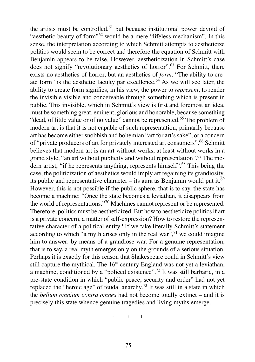the artists must be controlled, $61$  but because institutional power devoid of "aesthetic beauty of form"<sup>62</sup> would be a mere "lifeless mechanism". In this sense, the interpretation according to which Schmitt attempts to aestheticize politics would seem to be correct and therefore the equation of Schmitt with Benjamin appears to be false. However, aestheticization in Schmitt's case does not signify "revolutionary aesthetics of horror".<sup>63</sup> For Schmitt, there exists no aesthetics of horror, but an aesthetics of *form*. "The ability to create form" is the aesthetic faculty par excellence.<sup>64</sup> As we will see later, the ability to create form signifies, in his view, the power to *represent*, to render the invisible visible and conceivable through something which is present in public. This invisible, which in Schmitt's view is first and foremost an idea, must be something great, eminent, glorious and honorable, because something "dead, of little value or of no value" cannot be represented.<sup>65</sup> The problem of modern art is that it is not capable of such representation, primarily because art has become either snobbish and bohemian "art for art's sake", or a concern of "private producers of art for privately interested art consumers".<sup>66</sup> Schmitt believes that modern art is an art without works, at least without works in a grand style, "an art without publicity and without representation".<sup>67</sup> The modern artist, "if he represents anything, represents himself".<sup>68</sup> This being the case, the politicization of aesthetics would imply art regaining its grandiosity, its public and representative character – its aura as Benjamin would put it.<sup>69</sup> However, this is not possible if the public sphere, that is to say, the state has become a machine: "Once the state becomes a leviathan, it disappears from the world of representations."70 Machines cannot represent or be represented. Therefore, politics must be aestheticized. But how to aestheticize politics if art is a private concern, a matter of self-expression? How to restore the representative character of a political entity? If we take literally Schmitt's statement according to which "a myth arises only in the real war",  $7<sup>1</sup>$  we could imagine him to answer: by means of a grandiose war. For a genuine representation, that is to say, a real myth emerges only on the grounds of a serious situation. Perhaps it is exactly for this reason that Shakespeare could in Schmitt's view still capture the mythical. The 16<sup>th</sup> century England was not yet a leviathan, a machine, conditioned by a "policed existence".<sup>72</sup> It was still barbaric, in a pre-state condition in which "public peace, security and order" had not yet replaced the "heroic age" of feudal anarchy.<sup>73</sup> It was still in a state in which the *bellum omnium contra omnes* had not become totally extinct – and it is precisely this state whence genuine tragedies and living myths emerge.

\* \* \*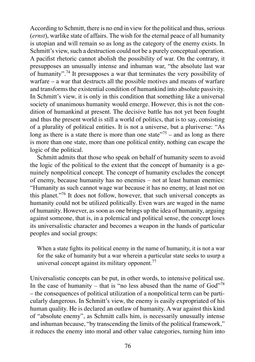According to Schmitt, there is no end in view for the political and thus, serious (*ernst*), warlike state of affairs. The wish for the eternal peace of all humanity is utopian and will remain so as long as the category of the enemy exists. In Schmitt's view, such a destruction could not be a purely conceptual operation. A pacifist rhetoric cannot abolish the possibility of war. On the contrary, it presupposes an unusually intense and inhuman war, "the absolute last war of humanity".74 It presupposes a war that terminates the very possibility of warfare – a war that destructs all the possible motives and means of warfare and transforms the existential condition of humankind into absolute passivity. In Schmitt's view, it is only in this condition that something like a universal society of unanimous humanity would emerge. However, this is not the condition of humankind at present. The decisive battle has not yet been fought and thus the present world is still a world of politics, that is to say, consisting of a plurality of political entities. It is not a universe, but a pluriverse: "As long as there is a state there is more than one state  $175$  – and as long as there is more than one state, more than one political entity, nothing can escape the logic of the political.

Schmitt admits that those who speak on behalf of humanity seem to avoid the logic of the political to the extent that the concept of humanity is a genuinely nonpolitical concept. The concept of humanity excludes the concept of enemy, because humanity has no enemies – not at least human enemies: "Humanity as such cannot wage war because it has no enemy, at least not on this planet."76 It does not follow, however, that such universal concepts as humanity could not be utilized politically. Even wars are waged in the name of humanity. However, as soon as one brings up the idea of humanity, arguing against someone, that is, in a polemical and political sense, the concept loses its universalistic character and becomes a weapon in the hands of particular peoples and social groups:

When a state fights its political enemy in the name of humanity, it is not a war for the sake of humanity but a war wherein a particular state seeks to usurp a universal concept against its military opponent.<sup>77</sup>

Universalistic concepts can be put, in other words, to intensive political use. In the case of humanity – that is "no less abused than the name of  $God^{\prime 78}$ – the consequences of political utilization of a nonpolitical term can be particularly dangerous. In Schmitt's view, the enemy is easily expropriated of his human quality. He is declared an outlaw of humanity. A war against this kind of "absolute enemy", as Schmitt calls him, is necessarily unusually intense and inhuman because, "by transcending the limits of the political framework," it reduces the enemy into moral and other value categories, turning him into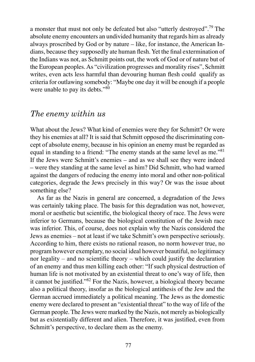a monster that must not only be defeated but also "utterly destroyed".<sup>79</sup> The absolute enemy encounters an undivided humanity that regards him as already always proscribed by God or by nature – like, for instance, the American Indians, because they supposedly ate human flesh. Yet the final extermination of the Indians was not, as Schmitt points out, the work of God or of nature but of the European peoples. As "civilization progresses and morality rises", Schmitt writes, even acts less harmful than devouring human flesh could qualify as criteria for outlawing somebody: "Maybe one day it will be enough if a people were unable to pay its debts."<sup>80</sup>

#### *The enemy within us*

What about the Jews? What kind of enemies were they for Schmitt? Or were they his enemies at all? It is said that Schmitt opposed the discriminating concept of absolute enemy, because in his opinion an enemy must be regarded as equal in standing to a friend: "The enemy stands at the same level as me."81 If the Jews were Schmitt's enemies – and as we shall see they were indeed – were they standing at the same level as him? Did Schmitt, who had warned against the dangers of reducing the enemy into moral and other non-political categories, degrade the Jews precisely in this way? Or was the issue about something else?

As far as the Nazis in general are concerned, a degradation of the Jews was certainly taking place. The basis for this degradation was not, however, moral or aesthetic but scientific, the biological theory of race. The Jews were inferior to Germans, because the biological constitution of the Jewish race was inferior. This, of course, does not explain why the Nazis considered the Jews as enemies – not at least if we take Schmitt's own perspective seriously. According to him, there exists no rational reason, no norm however true, no program however exemplary, no social ideal however beautiful, no legitimacy nor legality – and no scientific theory – which could justify the declaration of an enemy and thus men killing each other: "If such physical destruction of human life is not motivated by an existential threat to one's way of life, then it cannot be justified." $82$  For the Nazis, however, a biological theory became also a political theory, insofar as the biological antithesis of the Jew and the German accrued immediately a political meaning. The Jews as the domestic enemy were declared to present an "existential threat" to the way of life of the German people. The Jews were marked by the Nazis, not merely as biologically but as existentially different and alien. Therefore, it was justified, even from Schmitt's perspective, to declare them as the enemy.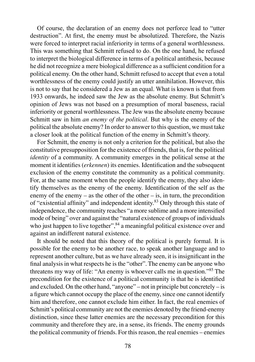Of course, the declaration of an enemy does not perforce lead to "utter destruction". At first, the enemy must be absolutized. Therefore, the Nazis were forced to interpret racial inferiority in terms of a general worthlessness. This was something that Schmitt refused to do. On the one hand, he refused to interpret the biological difference in terms of a political antithesis, because he did not recognize a mere biological difference as a sufficient condition for a political enemy. On the other hand, Schmitt refused to accept that even a total worthlessness of the enemy could justify an utter annihilation. However, this is not to say that he considered a Jew as an equal. What is known is that from 1933 onwards, he indeed saw the Jew as the absolute enemy. But Schmitt's opinion of Jews was not based on a presumption of moral baseness, racial inferiority or general worthlessness. The Jew was the absolute enemy because Schmitt saw in him *an enemy of the political*. But why is the enemy of the political the absolute enemy? In order to answer to this question, we must take a closer look at the political function of the enemy in Schmitt's theory.

For Schmitt, the enemy is not only a criterion for the political, but also the constitutive presupposition for the existence of friends, that is, for the political *identity* of a community. A community emerges in the political sense at the moment it identifies *(erkennen)* its enemies. Identification and the subsequent exclusion of the enemy constitute the community as a political community. For, at the same moment when the people identify the enemy, they also identify themselves as the enemy of the enemy. Identification of the self as the enemy of the enemy – as the other of the other – is, in turn, the precondition of "existential affinity" and independent identity.<sup>83</sup> Only through this state of independence, the community reaches "a more sublime and a more intensified mode of being" over and against the "natural existence of groups of individuals who just happen to live together",  $84$  a meaningful political existence over and against an indifferent natural existence.

It should be noted that this theory of the political is purely formal. It is possible for the enemy to be another race, to speak another language and to represent another culture, but as we have already seen, it is insignificant in the final analysis in what respects he is the "other". The enemy can be anyone who threatens my way of life: "An enemy is whoever calls me in question."<sup>85</sup> The precondition for the existence of a political community is that he is identified and excluded. On the other hand, "anyone" – not in principle but concretely – is a figure which cannot occupy the place of the enemy, since one cannot identify him and therefore, one cannot exclude him either. In fact, the real enemies of Schmitt's political community are not the enemies denoted by the friend-enemy distinction, since these latter enemies are the necessary precondition for this community and therefore they are, in a sense, its friends. The enemy grounds the political community of friends. For this reason, the real enemies – enemies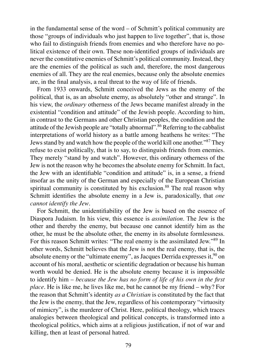in the fundamental sense of the word – of Schmitt's political community are those "groups of individuals who just happen to live together", that is, those who fail to distinguish friends from enemies and who therefore have no political existence of their own. These non-identified groups of individuals are never the constitutive enemies of Schmitt's political community. Instead, they are the enemies of the political as such and, therefore, the most dangerous enemies of all. They are the real enemies, because only the absolute enemies are, in the final analysis, a real threat to the way of life of friends.

From 1933 onwards, Schmitt conceived the Jews as the enemy of the political, that is, as an absolute enemy, as absolutely "other and strange". In his view, the *ordinary* otherness of the Jews became manifest already in the existential "condition and attitude" of the Jewish people. According to him, in contrast to the Germans and other Christian peoples, the condition and the attitude of the Jewish people are "totally abnormal".<sup>86</sup> Referring to the cabbalist interpretations of world history as a battle among heathens he writes: "The Jews stand by and watch how the people of the world kill one another."87 They refuse to exist politically, that is to say, to distinguish friends from enemies. They merely "stand by and watch". However, this ordinary otherness of the Jew is not the reason why he becomes the absolute enemy for Schmitt. In fact, the Jew with an identifiable "condition and attitude" is, in a sense, a friend insofar as the unity of the German and especially of the European Christian spiritual community is constituted by his exclusion.<sup>88</sup> The real reason why Schmitt identifies the absolute enemy in a Jew is, paradoxically, that *one cannot identify the Jew*.

For Schmitt, the unidentifiability of the Jew is based on the essence of Diaspora Judaism. In his view, this essence is *assimilation*. The Jew is the other and thereby the enemy, but because one cannot identify him as the other, he must be the absolute other, the enemy in its absolute formlessness. For this reason Schmitt writes: "The real enemy is the assimilated Jew."<sup>89</sup> In other words, Schmitt believes that the Jew is not the real enemy, that is, the absolute enemy or the "ultimate enemy", as Jacques Derrida expresses it,  $90$  on account of his moral, aesthetic or scientific degradation or because his human worth would be denied. He is the absolute enemy because it is impossible to identify him – *because the Jew has no form of life of his own in the first place*. He is like me, he lives like me, but he cannot be my friend – why? For the reason that Schmitt's identity *as a Christian* is constituted by the fact that the Jew is the enemy, that the Jew, regardless of his contemporary "virtuosity of mimicry", is the murderer of Christ. Here, political theology, which traces analogies between theological and political concepts, is transformed into a theological politics, which aims at a religious justification, if not of war and killing, then at least of personal hatred.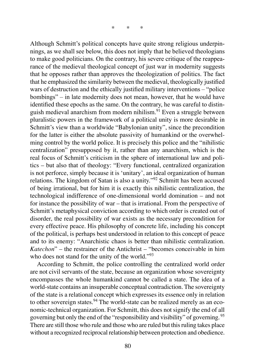\* \* \*

Although Schmitt's political concepts have quite strong religious underpinnings, as we shall see below, this does not imply that he believed theologians to make good politicians. On the contrary, his severe critique of the reappearance of the medieval theological concept of just war in modernity suggests that he opposes rather than approves the theologization of politics. The fact that he emphasized the similarity between the medieval, theologically justified wars of destruction and the ethically justified military interventions – "police bombings" – in late modernity does not mean, however, that he would have identified these epochs as the same. On the contrary, he was careful to distinguish medieval anarchism from modern nihilism.91 Even a struggle between pluralistic powers in the framework of a political unity is more desirable in Schmitt's view than a worldwide "Babylonian unity", since the precondition for the latter is either the absolute passivity of humankind or the overwhelming control by the world police. It is precisely this police and the "nihilistic centralization" presupposed by it, rather than any anarchism, which is the real focus of Schmitt's criticism in the sphere of international law and politics – but also that of theology: "Every functional, centralized organization is not perforce, simply because it is 'unitary', an ideal organization of human relations. The kingdom of Satan is also a unity."<sup>92</sup> Schmitt has been accused of being irrational, but for him it is exactly this nihilistic centralization, the technological indifference of one-dimensional world domination – and not for instance the possibility of war – that is irrational. From the perspective of Schmitt's metaphysical conviction according to which order is created out of disorder, the real possibility of war exists as the necessary precondition for every effective peace. His philosophy of concrete life, including his concept of the political, is perhaps best understood in relation to this concept of peace and to its enemy: "Anarchistic chaos is better than nihilistic centralization. *Katechon*" – the restrainer of the Antichrist – "becomes conceivable in him who does not stand for the unity of the world."<sup>93</sup>

According to Schmitt, the police controlling the centralized world order are not civil servants of the state, because an organization whose sovereignty encompasses the whole humankind cannot be called a state. The idea of a world-state contains an insuperable conceptual contradiction. The sovereignty of the state is a relational concept which expresses its essence only in relation to other sovereign states.<sup>94</sup> The world-state can be realized merely as an economic-technical organization. For Schmitt, this does not signify the end of all governing but only the end of the "responsibility and visibility" of governing. <sup>95</sup> There are still those who rule and those who are ruled but this ruling takes place without a recognized reciprocal relationship between protection and obedience.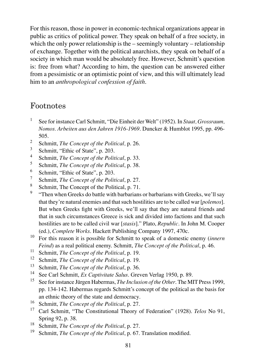For this reason, those in power in economic-technical organizations appear in public as critics of political power. They speak on behalf of a free society, in which the only power relationship is the – seemingly voluntary – relationship of exchange. Together with the political anarchists, they speak on behalf of a society in which man would be absolutely free. However, Schmitt's question is: free from what? According to him, the question can be answered either from a pessimistic or an optimistic point of view, and this will ultimately lead him to an *anthropological confession of faith*.

### Footnotes

- 1 See for instance Carl Schmitt, "Die Einheit der Welt" (1952). In *Staat, Grossraum, Nomos. Arbeiten aus den Jahren 1916-1969*. Duncker & Humblot 1995, pp. 496- 505.
- 2 Schmitt, *The Concept of the Political,* p. 26.
- 3 Schmitt, "Ethic of State", p. 203.
- 4 Schmitt, *The Concept of the Political*, p. 33.
- 5 Schmitt, *The Concept of the Political*, p. 38.
- 6 Schmitt, "Ethic of State", p. 203.
- 7 Schmitt, *The Concept of the Political*, p. 27.
- 8 Schmitt, The Concept of the Political, p. 71.
- 9 "Then when Greeks do battle with barbarians or barbarians with Greeks, we'll say that they're natural enemies and that such hostilities are to be called war [*polemos*]. But when Greeks fight with Greeks, we'll say that they are natural friends and that in such circumstances Greece is sick and divided into factions and that such hostilities are to be called civil war [*stasis*]." Plato, *Republic*. In John M. Cooper (ed.), *Complete Works*. Hackett Publishing Company 1997, 470c.
- <sup>10</sup> For this reason it is possible for Schmitt to speak of a domestic enemy (*innern Feind*) as a real political enemy. Schmitt, *The Concept of the Political*, p. 46.
- <sup>11</sup> Schmitt, *The Concept of the Political*, p. 19.
- <sup>12</sup> Schmitt, *The Concept of the Political*, p. 19.
- <sup>13</sup> Schmitt, *The Concept of the Political*, p. 36.
- <sup>14</sup> See Carl Schmitt, *Ex Captivitate Salus*. Greven Verlag 1950, p. 89.
- <sup>15</sup> See for instance Jürgen Habermas, *The Inclusion of the Other*. The MIT Press 1999, pp. 134-142. Habermas regards Schmitt's concept of the political as the basis for an ethnic theory of the state and democracy.
- <sup>16</sup> Schmitt, *The Concept of the Political*, p. 27.
- <sup>17</sup> Carl Schmitt, "The Constitutional Theory of Federation" (1928). *Telos* No 91, Spring 92, p. 38.
- <sup>18</sup> Schmitt, *The Concept of the Political*, p. 27.
- Schmitt, *The Concept of the Political*, p. 67. Translation modified.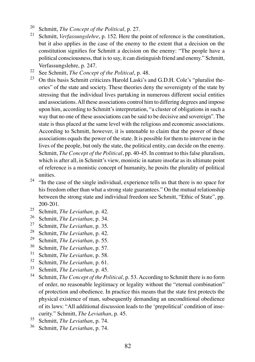- <sup>20</sup> Schmitt, *The Concept of the Political*, p. 27.
- <sup>21</sup> Schmitt, *Verfassungslehre*, p. 152. Here the point of reference is the constitution, but it also applies in the case of the enemy to the extent that a decision on the constitution signifies for Schmitt a decision on the enemy: "The people have a political consciousness, that is to say, it can distinguish friend and enemy." Schmitt, Verfassungslehre, p. 247.
- <sup>22</sup> See Schmitt, *The Concept of the Political*, p. 48.
- <sup>23</sup> On this basis Schmitt criticizes Harold Laski's and G.D.H. Cole's "pluralist theories" of the state and society. These theories deny the sovereignty of the state by stressing that the individual lives partaking in numerous different social entities and associations. All these associations control him to differing degrees and impose upon him, according to Schmitt's interpretation, "a cluster of obligations in such a way that no one of these associations can be said to be decisive and sovereign". The state is thus placed at the same level with the religious and economic associations. According to Schmitt, however, it is untenable to claim that the power of these associations equals the power of the state. It is possible for them to intervene in the lives of the people, but only the state, the political entity, can decide on the enemy. Schmitt, *The Concept of the Political*, pp. 40-45. In contrast to this false pluralism, which is after all, in Schmitt's view, monistic in nature insofar as its ultimate point of reference is a monistic concept of humanity, he posits the plurality of political unities.
- $24$  "In the case of the single individual, experience tells us that there is no space for his freedom other than what a strong state guarantees." On the mutual relationship between the strong state and individual freedom see Schmitt, "Ethic of State", pp. 200-201.
- <sup>25</sup> Schmitt, *The Leviathan*, p. 42.<br><sup>26</sup> Schmitt, *The Leviathan*, p. 34.
- <sup>26</sup> Schmitt, *The Leviathan*, p. 34.<br><sup>27</sup> Schmitt, *The Leviathan*, p. 35.
- <sup>27</sup> Schmitt, *The Leviathan*, p. 35.<br><sup>28</sup> Schmitt, *The Leviathan*, p. 42.
- <sup>28</sup> Schmitt, *The Leviathan*, p. 42.<br><sup>29</sup> Schmitt, *The Leviathan*, p. 55.
- <sup>29</sup> Schmitt, *The Leviathan*, p. 55.<br><sup>30</sup> Schwitt, *The Leviathan* n 57.
- $^{30}$  Schmitt, *The Leviathan*, p. 57.
- $\frac{31}{32}$  Schmitt, *The Leviathan*, p. 58.
- $\frac{32}{33}$  Schmitt, *The Leviathan*, p. 61.
- $^{33}$  Schmitt, *The Leviathan*, p. 45.<br> $^{34}$  Schmitt, *The Congent of the Po*
- Schmitt, *The Concept of the Political*, p. 53. According to Schmitt there is no form of order, no reasonable legitimacy or legality without the "eternal combination" of protection and obedience. In practice this means that the state first protects the physical existence of man, subsequently demanding an unconditional obedience of its laws: "All additional discussion leads to the 'prepolitical' condition of insecurity." Schmitt, *The Leviathan*, p. 45.
- <sup>35</sup> Schmitt, *The Leviathan*, p. 74.<br><sup>36</sup> Schmitt, *The Leviathan*, p. 74.
- <sup>36</sup> Schmitt, *The Leviathan*, p. 74.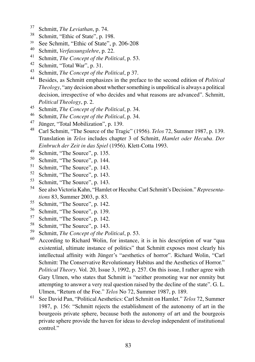- <sup>37</sup> Schmitt, *The Leviathan*, p. 74.
- <sup>38</sup> Schmitt, "Ethic of State", p. 198.
- $39$  See Schmitt, "Ethic of State", p. 206-208
- <sup>40</sup> Schmitt, *Verfassungslehre*, p. 22.
- <sup>41</sup> Schmitt, *The Concept of the Political*, p. 53.
- <sup>42</sup> Schmitt, "Total War", p. 31.
- <sup>43</sup> Schmitt, *The Concept of the Political*, p 37.
- <sup>44</sup> Besides, as Schmitt emphasizes in the preface to the second edition of *Political Theology*, "any decision about whether something is unpolitical is always a political decision, irrespective of who decides and what reasons are advanced". Schmitt, *Political Theology*, p. 2.
- 45 Schmitt, *The Concept of the Political*, p. 34.<br>46 Schmitt, *The Concept of the Political*, p. 34.
- 46 Schmitt, *The Concept of the Political*, p. 34.<br><sup>47</sup> Finance: "Total Mobilization" p. 139.
- Jünger, "Total Mobilization", p. 139.
- <sup>48</sup> Carl Schmitt, "The Source of the Tragic" (1956). *Telos* 72, Summer 1987, p. 139. Translation in *Telos* includes chapter 3 of Schmitt, *Hamlet oder Hecuba. Der Einbruch der Zeit in das Spiel* (1956). Klett-Cotta 1993.
- <sup>49</sup> Schmitt, "The Source", p. 135.
- $^{50}$  Schmitt, "The Source", p. 144.<br> $^{51}$  Schmitt, "The Source", p. 143
- Schmitt, "The Source", p. 143.
- <sup>52</sup> Schmitt, "The Source", p. 143.<br> $53$  Schmitt, "The Source", p. 143.
- Schmitt, "The Source", p. 143.
- <sup>54</sup> See also Victoria Kahn, "Hamlet or Hecuba: Carl Schmitt's Decision." *Representations* 83, Summer 2003, p. 83.
- $^{55}$  Schmitt, "The Source", p. 142.<br> $^{56}$  Schmitt, "The Source", p. 139.
- Schmitt, "The Source", p. 139.
- $^{57}$  Schmitt, "The Source", p. 142.<br> $^{58}$  Schmitt, "The Source", p. 143
- Schmitt, "The Source", p. 143.
- <sup>59</sup> Schmitt, *The Concept of the Political*, p. 53.
- <sup>60</sup> According to Richard Wolin, for instance, it is in his description of war "qua existential, ultimate instance of politics" that Schmitt exposes most clearly his intellectual affinity with Jünger's "aesthetics of horror". Richard Wolin, "Carl Schmitt: The Conservative Revolutionary Habitus and the Aesthetics of Horror." *Political Theory*. Vol. 20, Issue 3, 1992, p. 257. On this issue, I rather agree with Gary Ulmen, who states that Schmitt is "neither promoting war nor enmity but attempting to answer a very real question raised by the decline of the state". G. L. Ulmen, "Return of the Foe." *Telos* No 72, Summer 1987, p. 189.
- <sup>61</sup> See David Pan, "Political Aesthetics: Carl Schmitt on Hamlet." *Telos* 72, Summer 1987, p. 156: "Schmitt rejects the establishment of the autonomy of art in the bourgeois private sphere, because both the autonomy of art and the bourgeois private sphere provide the haven for ideas to develop independent of institutional control."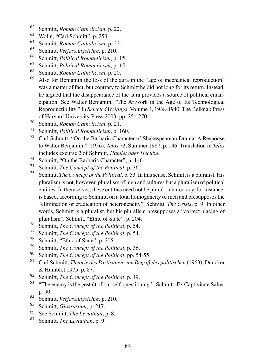- <sup>62</sup> Schmitt, *Roman Catholicism*, p. 22.
- $^{63}$  Wolin, "Carl Schmitt", p. 253.
- <sup>64</sup> Schmitt, *Roman Catholicism*, p. 22.
- <sup>65</sup> Schmitt, *Verfassungslehre*, p. 210.
- <sup>66</sup> Schmitt, *Political Romanticism*, p. 15.
- <sup>67</sup> Schmitt, *Political Romanticism*, p. 15.
- <sup>68</sup> Schmitt, *Roman Catholicism*, p. 20.
- Also for Benjamin the loss of the aura in the "age of mechanical reproduction" was a matter of fact, but contrary to Schmitt he did not long for its return. Instead, he argued that the disappearance of the aura provides a source of political emancipation. See Walter Benjamin, "The Artwork in the Age of Its Technological Reproductibility." In *Selected Writings*. Volume 4, 1938-1940. The Belknap Press of Harvard University Press 2003, pp. 251-270.
- <sup>70</sup> Schmitt, *Roman Catholicism*, p. 21.
- <sup>71</sup> Schmitt, *Political Romanticism*, p. 160.
- <sup>72</sup> Carl Schmitt, "On the Barbaric Character of Shakespearean Drama: A Response to Walter Benjamin." (1956). *Telos* 72, Summer 1987, p. 146. Translation in *Telos* includes excurse 2 of Schmitt, *Hamlet oder Hecuba.*
- <sup>73</sup> Schmitt, "On the Barbaric Character", p. 146.
- <sup>74</sup> Schmitt, *The Concept of the Political*, p. 36.
- <sup>75</sup> Schmitt, *The Concept of the Political*, p. 53. In this sense, Schmitt is a pluralist. His pluralism is not, however, pluralism of men and cultures but a pluralism of political entities. In themselves, these entities need not be plural – democracy, for instance, is based, according to Schmitt, on a total homogeneity of men and presupposes the "elimination or eradication of heterogeneity". Schmitt, *The Crisis*, p. 9. In other words, Schmitt is a pluralist, but his pluralism presupposes a "correct placing of pluralism". Schmitt, "Ethic of State", p. 204.
- <sup>76</sup> Schmitt, *The Concept of the Political*, p. 54.
- <sup>77</sup> Schmitt, *The Concept of the Political*, p. 54.<br><sup>78</sup> Schmitt, "Ethio of State", p. 205
- <sup>78</sup> Schmitt, "Ethic of State", p. 205.<br><sup>79</sup> Schmitt, The Concent of the Polit
- <sup>79</sup> Schmitt, *The Concept of the Political*, p. 36.
- <sup>80</sup> Schmitt, *The Concept of the Political*, pp. 54-55.
- <sup>81</sup> Carl Schmitt, *Theorie des Partisanen zum Begriff des politischen* (1963). Duncker & Humblot 1975, p. 87.
- <sup>82</sup> Schmitt, *The Concept of the Political*, p. 49.<br><sup>83</sup> "The anamy is the gostalt of our self-question
- <sup>83</sup> "The enemy is the gestalt of our self-questioning." Schmitt, Ex Captivitate Salus, p. 90.
- <sup>84</sup> Schmitt, *Verfassungslehre*, p. 210.<br><sup>85</sup> Schmitt, *Glossarium*, p. 217.
- <sup>85</sup> Schmitt, *Glossarium*, p. 217.
- <sup>86</sup> See Schmitt, *The Leviathan*, p. 8.<br><sup>87</sup> Schmitt, *The Leviathan*, p. 0.
- Schmitt, *The Leviathan*, p. 9.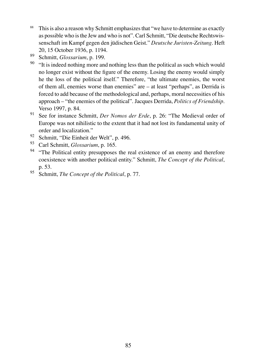- <sup>88</sup> This is also a reason why Schmitt emphasizes that "we have to determine as exactly as possible who is the Jew and who is not". Carl Schmitt, "Die deutsche Rechtswissenschaft im Kampf gegen den jüdischen Geist." *Deutsche Juristen-Zeitung*. Heft 20, 15 October 1936, p. 1194.
- <sup>89</sup> Schmitt, *Glossarium*, p. 199.
- <sup>90</sup> "It is indeed nothing more and nothing less than the political as such which would no longer exist without the figure of the enemy. Losing the enemy would simply he the loss of the political itself." Therefore, "the ultimate enemies, the worst of them all, enemies worse than enemies" are – at least "perhaps", as Derrida is forced to add because of the methodological and, perhaps, moral necessities of his approach – "the enemies of the political". Jacques Derrida, *Politics of Friendship*. Verso 1997, p. 84.
- <sup>91</sup> See for instance Schmitt, *Der Nomos der Erde*, p. 26: "The Medieval order of Europe was not nihilistic to the extent that it had not lost its fundamental unity of order and localization."
- <sup>92</sup> Schmitt, "Die Einheit der Welt", p. 496.
- <sup>93</sup> Carl Schmitt, *Glossarium*, p. 165.
- <sup>94</sup> "The Political entity presupposes the real existence of an enemy and therefore coexistence with another political entity." Schmitt, *The Concept of the Political*, p. 53.
- <sup>95</sup> Schmitt, *The Concept of the Political*, p. 77.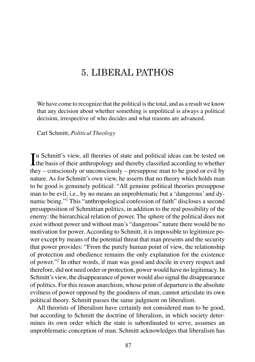# 5. LIBERAL PATHOS

We have come to recognize that the political is the total, and as a result we know that any decision about whether something is unpolitical is always a political decision, irrespective of who decides and what reasons are advanced.

Carl Schmitt, *Political Theology*

In Schmitt's view, all theories of state and political ideas can be tested on the basis of their anthropology and thereby classified according to whether n Schmitt's view, all theories of state and political ideas can be tested on they – consciously or unconsciously – presuppose man to be good or evil by nature. As for Schmitt's own view, he asserts that no theory which holds man to be good is genuinely political: "All genuine political theories presuppose man to be evil, i.e., by no means an unproblematic but a 'dangerous' and dynamic being."<sup>1</sup> This "anthropological confession of faith" discloses a second presupposition of Schmittian politics, in addition to the real possibility of the enemy: the hierarchical relation of power. The sphere of the political does not exist without power and without man's "dangerous" nature there would be no motivation for power. According to Schmitt, it is impossible to legitimize power except by means of the potential threat that man presents and the security that power provides: "From the purely human point of view, the relationship of protection and obedience remains the only explanation for the existence of power."<sup>2</sup> In other words, if man was good and docile in every respect and therefore, did not need order or protection, power would have no legitimacy. In Schmitt's view, the disappearance of power would also signal the disappearance of politics. For this reason anarchism, whose point of departure is the absolute evilness of power opposed by the goodness of man, cannot articulate its own political theory. Schmitt passes the same judgment on liberalism.

All theorists of liberalism have certainly not considered man to be good, but according to Schmitt the doctrine of liberalism, in which society determines its own order which the state is subordinated to serve, assumes an unproblematic conception of man. Schmitt acknowledges that liberalism has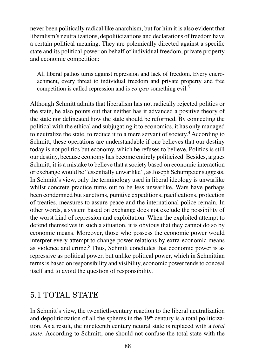never been politically radical like anarchism, but for him it is also evident that liberalism's neutralizations, depoliticizations and declarations of freedom have a certain political meaning. They are polemically directed against a specific state and its political power on behalf of individual freedom, private property and economic competition:

All liberal pathos turns against repression and lack of freedom. Every encroachment, every threat to individual freedom and private property and free competition is called repression and is *eo ipso* something evil.<sup>3</sup>

Although Schmitt admits that liberalism has not radically rejected politics or the state, he also points out that neither has it advanced a positive theory of the state nor delineated how the state should be reformed. By connecting the political with the ethical and subjugating it to economics, it has only managed to neutralize the state, to reduce it to a mere servant of society.<sup>4</sup> According to Schmitt, these operations are understandable if one believes that our destiny today is not politics but economy, which he refuses to believe. Politics is still our destiny, because economy has become entirely politicized. Besides, argues Schmitt, it is a mistake to believe that a society based on economic interaction or exchange would be "essentially unwarlike", as Joseph Schumpeter suggests. In Schmitt's view, only the terminology used in liberal ideology is unwarlike whilst concrete practice turns out to be less unwarlike. Wars have perhaps been condemned but sanctions, punitive expeditions, pacifications, protection of treaties, measures to assure peace and the international police remain. In other words, a system based on exchange does not exclude the possibility of the worst kind of repression and exploitation. When the exploited attempt to defend themselves in such a situation, it is obvious that they cannot do so by economic means. Moreover, those who possess the economic power would interpret every attempt to change power relations by extra-economic means as violence and crime.<sup>5</sup> Thus, Schmitt concludes that economic power is as repressive as political power, but unlike political power, which in Schmittian terms is based on responsibility and visibility, economic power tends to conceal itself and to avoid the question of responsibility.

# 5.1 TOTAL STATE

In Schmitt's view, the twentieth-century reaction to the liberal neutralization and depoliticization of all the spheres in the  $19<sup>th</sup>$  century is a total politicization. As a result, the nineteenth century neutral state is replaced with a *total state*. According to Schmitt, one should not confuse the total state with the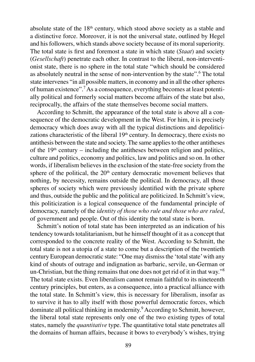absolute state of the  $18<sup>th</sup>$  century, which stood above society as a stable and a distinctive force. Moreover, it is not the universal state, outlined by Hegel and his followers, which stands above society because of its moral superiority. The total state is first and foremost a state in which state (*Staat*) and society (*Gesellschaft*) penetrate each other. In contrast to the liberal, non-interventionist state, there is no sphere in the total state "which should be considered as absolutely neutral in the sense of non-intervention by the state".<sup>6</sup> The total state intervenes "in all possible matters, in economy and in all the other spheres of human existence".<sup>7</sup>As a consequence, everything becomes at least potentially political and formerly social matters become affairs of the state but also, reciprocally, the affairs of the state themselves become social matters.

According to Schmitt, the appearance of the total state is above all a consequence of the democratic development in the West. For him, it is precisely democracy which does away with all the typical distinctions and depoliticizations characteristic of the liberal  $19<sup>th</sup>$  century. In democracy, there exists no antithesis between the state and society. The same applies to the other antitheses of the  $19<sup>th</sup>$  century – including the antitheses between religion and politics, culture and politics, economy and politics, law and politics and so on. In other words, if liberalism believes in the exclusion of the state-free society from the sphere of the political, the  $20<sup>th</sup>$  century democratic movement believes that nothing, by necessity, remains outside the political. In democracy, all those spheres of society which were previously identified with the private sphere and thus, outside the public and the political are politicized. In Schmitt's view, this politicization is a logical consequence of the fundamental principle of democracy, namely of the *identity of those who rule and those who are ruled*, of government and people. Out of this identity the total state is born.

Schmitt's notion of total state has been interpreted as an indication of his tendency towards totalitarianism, but he himself thought of it as a concept that corresponded to the concrete reality of the West. According to Schmitt, the total state is not a utopia of a state to come but a description of the twentieth century European democratic state: "One may dismiss the 'total state' with any kind of shouts of outrage and indignation as barbaric, servile, un-German or un-Christian, but the thing remains that one does not get rid of it in that way."<sup>8</sup> The total state exists. Even liberalism cannot remain faithful to its nineteenth century principles, but enters, as a consequence, into a practical alliance with the total state. In Schmitt's view, this is necessary for liberalism, insofar as to survive it has to ally itself with those powerful democratic forces, which dominate all political thinking in modernity.<sup>9</sup> According to Schmitt, however, the liberal total state represents only one of the two existing types of total states, namely the *quantitative* type. The quantitative total state penetrates all the domains of human affairs, because it bows to everybody's wishes, trying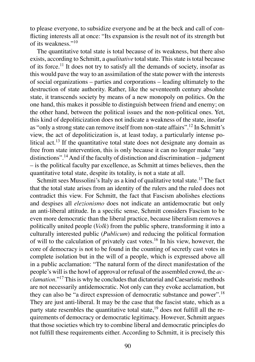to please everyone, to subsidize everyone and be at the beck and call of conflicting interests all at once: "Its expansion is the result not of its strength but of its weakness."<sup>10</sup>

The quantitative total state is total because of its weakness, but there also exists, according to Schmitt, a *qualitative* total state. This state is total because of its force.<sup>11</sup> It does not try to satisfy all the demands of society, insofar as this would pave the way to an assimilation of the state power with the interests of social organizations – parties and corporations – leading ultimately to the destruction of state authority. Rather, like the seventeenth century absolute state, it transcends society by means of a new monopoly on politics. On the one hand, this makes it possible to distinguish between friend and enemy; on the other hand, between the political issues and the non-political ones. Yet, this kind of depoliticization does not indicate a weakness of the state, insofar as "only a strong state can remove itself from non-state affairs".<sup>12</sup> In Schmitt's view, the act of depoliticization is, at least today, a particularly intense political act.<sup>13</sup> If the quantitative total state does not designate any domain as free from state intervention, this is only because it can no longer make "any distinctions".<sup>14</sup>And if the faculty of distinction and discrimination – judgment – is the political faculty par excellence, as Schmitt at times believes, then the quantitative total state, despite its totality, is not a state at all.

Schmitt sees Mussolini's Italy as a kind of qualitative total state.<sup>15</sup> The fact that the total state arises from an identity of the rulers and the ruled does not contradict this view. For Schmitt, the fact that Fascism abolishes elections and despises all *elezionismo* does not indicate an antidemocratic but only an anti-liberal attitude. In a specific sense, Schmitt considers Fascism to be even more democratic than the liberal practice, because liberalism removes a politically united people (*Volk*) from the public sphere, transforming it into a culturally interested public (*Publicum*) and reducing the political formation of will to the calculation of privately cast votes.<sup>16</sup> In his view, however, the core of democracy is not to be found in the counting of secretly cast votes in complete isolation but in the will of a people, which is expressed above all in a public acclamation: "The natural form of the direct manifestation of the people's will is the howl of approval or refusal of the assembled crowd, the *acclamation*."<sup>17</sup> This is why he concludes that dictatorial and Caesaristic methods are not necessarily antidemocratic. Not only can they evoke acclamation, but they can also be "a direct expression of democratic substance and power".<sup>18</sup> They are just anti-liberal. It may be the case that the fascist state, which as a party state resembles the quantitative total state, $19$  does not fulfill all the requirements of democracy or democratic legitimacy. However, Schmitt argues that those societies which try to combine liberal and democratic principles do not fulfill these requirements either. According to Schmitt, it is precisely this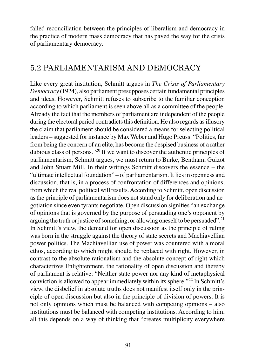failed reconciliation between the principles of liberalism and democracy in the practice of modern mass democracy that has paved the way for the crisis of parliamentary democracy.

# 5.2 PARLIAMENTARISM AND DEMOCRACY

Like every great institution, Schmitt argues in *The Crisis of Parliamentary Democracy* (1924), also parliament presupposes certain fundamental principles and ideas. However, Schmitt refuses to subscribe to the familiar conception according to which parliament is seen above all as a committee of the people. Already the fact that the members of parliament are independent of the people during the electoral period contradicts this definition. He also regards as illusory the claim that parliament should be considered a means for selecting political leaders – suggested for instance by Max Weber and Hugo Preuss: "Politics, far from being the concern of an elite, has become the despised business of a rather dubious class of persons."<sup>20</sup> If we want to discover the authentic principles of parliamentarism, Schmitt argues, we must return to Burke, Bentham, Guizot and John Stuart Mill. In their writings Schmitt discovers the essence – the "ultimate intellectual foundation" – of parliamentarism. It lies in openness and discussion, that is, in a process of confrontation of differences and opinions, from which the real political will results. According to Schmitt, open discussion as the principle of parliamentarism does not stand only for deliberation and negotiation since even tyrants negotiate. Open discussion signifies "an exchange of opinions that is governed by the purpose of persuading one's opponent by arguing the truth or justice of something, or allowing oneself to be persuaded".<sup>21</sup> In Schmitt's view, the demand for open discussion as the principle of ruling was born in the struggle against the theory of state secrets and Machiavellian power politics. The Machiavellian use of power was countered with a moral ethos, according to which might should be replaced with right. However, in contrast to the absolute rationalism and the absolute concept of right which characterizes Enlightenment, the rationality of open discussion and thereby of parliament is relative: "Neither state power nor any kind of metaphysical conviction is allowed to appear immediately within its sphere."<sup>22</sup> In Schmitt's view, the disbelief in absolute truths does not manifest itself only in the principle of open discussion but also in the principle of division of powers. It is not only opinions which must be balanced with competing opinions – also institutions must be balanced with competing institutions. According to him, all this depends on a way of thinking that "creates multiplicity everywhere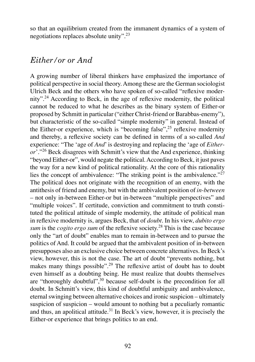so that an equilibrium created from the immanent dynamics of a system of negotiations replaces absolute unity".<sup>23</sup>

#### *Either/or or And*

A growing number of liberal thinkers have emphasized the importance of political perspective in social theory. Among these are the German sociologist Ulrich Beck and the others who have spoken of so-called "reflexive modernity".<sup>24</sup> According to Beck, in the age of reflexive modernity, the political cannot be reduced to what he describes as the binary system of Either-or proposed by Schmitt in particular ("either Christ-friend or Barabbas-enemy"), but characteristic of the so-called "simple modernity" in general. Instead of the Either-or experience, which is "becoming false",<sup>25</sup> reflexive modernity and thereby, a reflexive society can be defined in terms of a so-called *And*  experience: "The 'age of *And*' is destroying and replacing the 'age of *Eitheror*'."<sup>26</sup> Beck disagrees with Schmitt's view that the And experience, thinking "beyond Either-or", would negate the political. According to Beck, it just paves the way for a new kind of political rationality. At the core of this rationality lies the concept of ambivalence: "The striking point is the ambivalence."<sup>27</sup> The political does not originate with the recognition of an enemy, with the antithesis of friend and enemy, but with the ambivalent position of *in-between* – not only in-between Either-or but in-between "multiple perspectives" and "multiple voices". If certitude, conviction and commitment to truth constituted the political attitude of simple modernity, the attitude of political man in reflexive modernity is, argues Beck, that of *doubt*. In his view, *dubito ergo sum* is the *cogito ergo sum* of the reflexive society.<sup>28</sup> This is the case because only the "art of doubt" enables man to remain in-between and to pursue the politics of And. It could be argued that the ambivalent position of in-between presupposes also an exclusive choice between concrete alternatives. In Beck's view, however, this is not the case. The art of doubt "prevents nothing, but makes many things possible".<sup>29</sup> The reflexive artist of doubt has to doubt even himself as a doubting being. He must realize that doubts themselves are "thoroughly doubtful", $30$  because self-doubt is the precondition for all doubt. In Schmitt's view, this kind of doubtful ambiguity and ambivalence, eternal swinging between alternative choices and ironic suspicion – ultimately suspicion of suspicion – would amount to nothing but a peculiarly romantic and thus, an apolitical attitude.<sup>31</sup> In Beck's view, however, it is precisely the Either-or experience that brings politics to an end.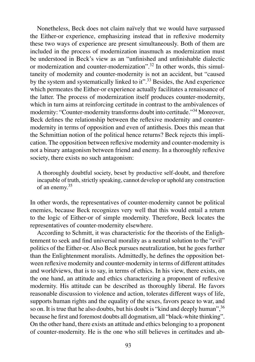Nonetheless, Beck does not claim naïvely that we would have surpassed the Either-or experience, emphasizing instead that in reflexive modernity these two ways of experience are present simultaneously. Both of them are included in the process of modernization inasmuch as modernization must be understood in Beck's view as an "unfinished and unfinishable dialectic or modernization and counter-modernization".<sup>32</sup> In other words, this simultaneity of modernity and counter-modernity is not an accident, but "caused by the system and systematically linked to it".<sup>33</sup> Besides, the And experience which permeates the Either-or experience actually facilitates a renaissance of the latter. The process of modernization itself produces counter-modernity, which in turn aims at reinforcing certitude in contrast to the ambivalences of modernity: "Counter-modernity transforms doubt into certitude."<sup>34</sup> Moreover, Beck defines the relationship between the reflexive modernity and countermodernity in terms of opposition and even of antithesis. Does this mean that the Schmittian notion of the political hence returns? Beck rejects this implication. The opposition between reflexive modernity and counter-modernity is not a binary antagonism between friend and enemy. In a thoroughly reflexive society, there exists no such antagonism:

A thoroughly doubtful society, beset by productive self-doubt, and therefore incapable of truth, strictly speaking, cannot develop or uphold any construction of an enemy.<sup>35</sup>

In other words, the representatives of counter-modernity cannot be political enemies, because Beck recognizes very well that this would entail a return to the logic of Either-or of simple modernity. Therefore, Beck locates the representatives of counter-modernity elsewhere.

According to Schmitt, it was characteristic for the theorists of the Enlightenment to seek and find universal morality as a neutral solution to the "evil" politics of the Either-or. Also Beck pursues neutralization, but he goes further than the Enlightenment moralists. Admittedly, he defines the opposition between reflexive modernity and counter-modernity in terms of different attitudes and worldviews, that is to say, in terms of ethics. In his view, there exists, on the one hand, an attitude and ethics characterizing a proponent of reflexive modernity. His attitude can be described as thoroughly liberal. He favors reasonable discussion to violence and action, tolerates different ways of life, supports human rights and the equality of the sexes, favors peace to war, and so on. It is true that he also doubts, but his doubt is "kind and deeply human", <sup>36</sup> because he first and foremost doubts all dogmatism, all "black-white thinking". On the other hand, there exists an attitude and ethics belonging to a proponent of counter-modernity. He is the one who still believes in certitudes and ab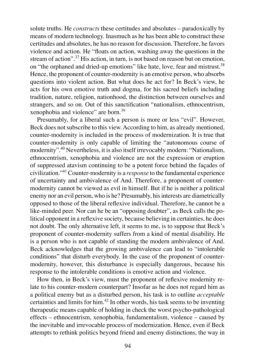solute truths. He *constructs* these certitudes and absolutes – paradoxically by means of modern technology. Inasmuch as he has been able to construct these certitudes and absolutes, he has no reason for discussion. Therefore, he favors violence and action. He "floats on action, washing away the questions in the stream of action".<sup>37</sup> His action, in turn, is not based on reason but on emotion, on "the orphaned and dried-up emotions" like hate, love, fear and mistrust.<sup>38</sup> Hence, the proponent of counter-modernity is an emotive person, who absorbs questions into violent action. But what does he act for? In Beck's view, he acts for his own emotive truth and dogma, for his sacred beliefs including tradition, nature, religion, nationhood, the distinction between ourselves and strangers, and so on. Out of this sanctification "nationalism, ethnocentrism, xenophobia and violence" are born.<sup>39</sup>

Presumably, for a liberal such a person is more or less "evil". However, Beck does not subscribe to this view. According to him, as already mentioned, counter-modernity is included in the process of modernization. It is true that counter-modernity is only capable of limiting the "autonomous course of modernity".<sup>40</sup> Nevertheless, it is also itself irrevocably modern: "Nationalism, ethnocentrism, xenophobia and violence are not the expression or eruption of suppressed atavism continuing to be a potent force behind the façades of civilization."<sup>41</sup> Counter-modernity is a *response* to the fundamental experience of uncertainty and ambivalence of And. Therefore, a proponent of countermodernity cannot be viewed as evil in himself. But if he is neither a political enemy nor an evil person, who is he? Presumably, his interests are diametrically opposed to those of the liberal reflexive individual. Therefore, he cannot be a like-minded peer. Nor can he be an "opposing doubter", as Beck calls the political opponent in a reflexive society, because believing in certainties, he does not doubt. The only alternative left, it seems to me, is to suppose that Beck's proponent of counter-modernity suffers from a kind of mental disability. He is a person who is not capable of standing the modern ambivalence of And. Beck acknowledges that the growing ambivalence can lead to "intolerable conditions" that disturb everybody. In the case of the proponent of countermodernity, however, this disturbance is especially dangerous, because his response to the intolerable conditions is emotive action and violence.

How then, in Beck's view, must the proponent of reflexive modernity relate to his counter-modern counterpart? Insofar as he does not regard him as a political enemy but as a disturbed person, his task is to outline *acceptable*  certainties and limits for him.<sup>42</sup> In other words, his task seems to be inventing therapeutic means capable of holding in check the worst psycho-pathological effects – ethnocentrism, xenophobia, fundamentalism, violence – caused by the inevitable and irrevocable process of modernization. Hence, even if Beck attempts to rethink politics beyond friend and enemy distinctions, the way in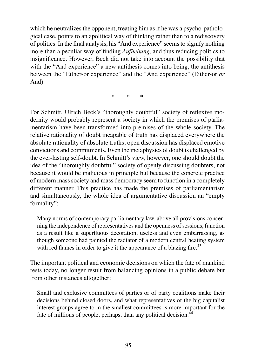which he neutralizes the opponent, treating him as if he was a psycho-pathological case, points to an apolitical way of thinking rather than to a rediscovery of politics. In the final analysis, his "And experience" seems to signify nothing more than a peculiar way of finding *Aufhebung*, and thus reducing politics to insignificance. However, Beck did not take into account the possibility that with the "And experience" a new antithesis comes into being, the antithesis between the "Either-or experience" and the "And experience" (Either-or *or*  And).

\* \* \*

For Schmitt, Ulrich Beck's "thoroughly doubtful" society of reflexive modernity would probably represent a society in which the premises of parliamentarism have been transformed into premises of the whole society. The relative rationality of doubt incapable of truth has displaced everywhere the absolute rationality of absolute truths; open discussion has displaced emotive convictions and commitments. Even the metaphysics of doubt is challenged by the ever-lasting self-doubt. In Schmitt's view, however, one should doubt the idea of the "thoroughly doubtful" society of openly discussing doubters, not because it would be malicious in principle but because the concrete practice of modern mass society and mass democracy seem to function in a completely different manner. This practice has made the premises of parliamentarism and simultaneously, the whole idea of argumentative discussion an "empty formality":

Many norms of contemporary parliamentary law, above all provisions concerning the independence of representatives and the openness of sessions, function as a result like a superfluous decoration, useless and even embarrassing, as though someone had painted the radiator of a modern central heating system with red flames in order to give it the appearance of a blazing fire.<sup>43</sup>

The important political and economic decisions on which the fate of mankind rests today, no longer result from balancing opinions in a public debate but from other instances altogether:

Small and exclusive committees of parties or of party coalitions make their decisions behind closed doors, and what representatives of the big capitalist interest groups agree to in the smallest committees is more important for the fate of millions of people, perhaps, than any political decision.<sup>44</sup>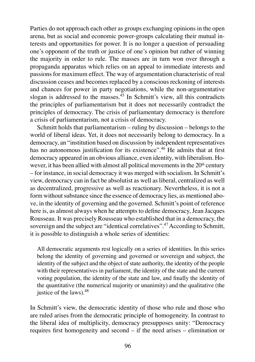Parties do not approach each other as groups exchanging opinions in the open arena, but as social and economic power-groups calculating their mutual interests and opportunities for power. It is no longer a question of persuading one's opponent of the truth or justice of one's opinion but rather of winning the majority in order to rule. The masses are in turn won over through a propaganda apparatus which relies on an appeal to immediate interests and passions for maximum effect. The way of argumentation characteristic of real discussion ceases and becomes replaced by a conscious reckoning of interests and chances for power in party negotiations, while the non-argumentative slogan is addressed to the masses. $45$  In Schmitt's view, all this contradicts the principles of parliamentarism but it does not necessarily contradict the principles of democracy. The crisis of parliamentary democracy is therefore a crisis of parliamentarism, not a crisis of democracy.

Schmitt holds that parliamentarism – ruling by discussion – belongs to the world of liberal ideas. Yet, it does not necessarily belong to democracy. In a democracy, an "institution based on discussion by independent representatives has no autonomous justification for its existence".<sup>46</sup> He admits that at first democracy appeared in an obvious alliance, even identity, with liberalism. However, it has been allied with almost all political movements in the  $20<sup>th</sup>$  century – for instance, in social democracy it was merged with socialism. In Schmitt's view, democracy can in fact be absolutist as well as liberal, centralized as well as decentralized, progressive as well as reactionary. Nevertheless, it is not a form without substance since the essence of democracy lies, as mentioned above, in the identity of governing and the governed. Schmitt's point of reference here is, as almost always when he attempts to define democracy, Jean Jacques Rousseau. It was precisely Rousseau who established that in a democracy, the sovereign and the subject are "identical correlatives".<sup>47</sup> According to Schmitt, it is possible to distinguish a whole series of identities:

All democratic arguments rest logically on a series of identities. In this series belong the identity of governing and governed or sovereign and subject, the identity of the subject and the object of state authority, the identity of the people with their representatives in parliament, the identity of the state and the current voting population, the identity of the state and law, and finally the identity of the quantitative (the numerical majority or unanimity) and the qualitative (the justice of the laws).  $48$ 

In Schmitt's view, the democratic identity of those who rule and those who are ruled arises from the democratic principle of homogeneity. In contrast to the liberal idea of multiplicity, democracy presupposes unity: "Democracy requires first homogeneity and second – if the need arises – elimination or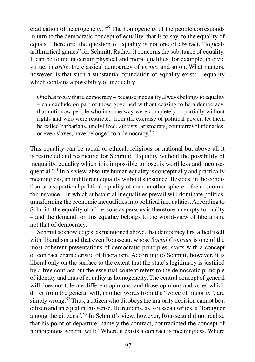eradication of heterogeneity."<sup>49</sup> The homogeneity of the people corresponds in turn to the democratic concept of equality, that is to say, to the equality of equals. Therefore, the question of equality is not one of abstract, "logicalarithmetical games" for Schmitt. Rather, it concerns the substance of equality. It can be found in certain physical and moral qualities, for example, in civic virtue, in *arête*, the classical democracy of *vertus*, and so on. What matters, however, is that such a substantial foundation of equality exists – equality which contains a possibility of inequality:

One has to say that a democracy – because inequality always belongs to equality – can exclude on part of those governed without ceasing to be a democracy, that until now people who in some way were completely or partially without rights and who were restricted from the exercise of political power, let them be called barbarians, uncivilized, atheists, aristocrats, counterrevolutionaries, or even slaves, have belonged to a democracy.<sup>50</sup>

This equality can be racial or ethical, religious or national but above all it is restricted and restrictive for Schmitt: "Equality without the possibility of inequality, equality which it is impossible to lose, is worthless and inconsequential."<sup>51</sup> In his view, absolute human equality is conceptually and practically meaningless, an indifferent equality without substance. Besides, in the condition of a superficial political equality of man, another sphere – the economic for instance – in which substantial inequalities prevail will dominate politics, transforming the economic inequalities into political inequalities. According to Schmitt, the equality of all persons as persons is therefore an empty formality – and the demand for this equality belongs to the world-view of liberalism, not that of democracy.

Schmitt acknowledges, as mentioned above, that democracy first allied itself with liberalism and that even Rousseau, whose *Social Contract* is one of the most coherent presentations of democratic principles, starts with a concept of contract characteristic of liberalism. According to Schmitt, however, it is liberal only on the surface to the extent that the state's legitimacy is justified by a free contract but the essential content refers to the democratic principle of identity and thus of equality as homogeneity. The central concept of general will does not tolerate different opinions, and those opinions and votes which differ from the general will, in other words from the "voice of majority", are simply wrong.<sup>52</sup> Thus, a citizen who disobeys the majority decision cannot be a citizen and an equal in this sense. He remains, as Rousseau writes, a "foreigner among the citizens".<sup>53</sup> In Schmitt's view, however, Rousseau did not realize that his point of departure, namely the contract, contradicted the concept of homogenous general will: "Where it exists a contract is meaningless. Where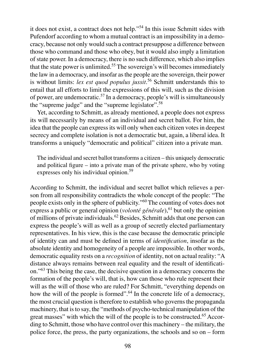it does not exist, a contract does not help."<sup>54</sup> In this issue Schmitt sides with Pufendorf according to whom a mutual contract is an impossibility in a democracy, because not only would such a contract presuppose a difference between those who command and those who obey, but it would also imply a limitation of state power. In a democracy, there is no such difference, which also implies that the state power is unlimited.<sup>55</sup> The sovereign's will becomes immediately the law in a democracy, and insofar as the people are the sovereign, their power is without limits: *lex est quod populus jussit*. <sup>56</sup> Schmitt understands this to entail that all efforts to limit the expressions of this will, such as the division of power, are undemocratic.<sup>57</sup> In a democracy, people's will is simultaneously the "supreme judge" and the "supreme legislator".<sup>58</sup>

Yet, according to Schmitt, as already mentioned, a people does not express its will necessarily by means of an individual and secret ballot. For him, the idea that the people can express its will only when each citizen votes in deepest secrecy and complete isolation is not a democratic but, again, a liberal idea. It transforms a uniquely "democratic and political" citizen into a private man.

The individual and secret ballot transforms a citizen – this uniquely democratic and political figure – into a private man of the private sphere, who by voting expresses only his individual opinion.<sup>59</sup>

According to Schmitt, the individual and secret ballot which relieves a person from all responsibility contradicts the whole concept of the people: "The people exists only in the sphere of publicity."<sup>60</sup> The counting of votes does not express a public or general opinion (*volonté générale*),<sup>61</sup> but only the opinion of millions of private individuals.<sup>62</sup> Besides, Schmitt adds that one person can express the people's will as well as a group of secretly elected parliamentary representatives. In his view, this is the case because the democratic principle of identity can and must be defined in terms of *identifi cation*, insofar as the absolute identity and homogeneity of a people are impossible. In other words, democratic equality rests on a *recognition* of identity, not on actual reality: "A distance always remains between real equality and the result of identification."<sup>63</sup> This being the case, the decisive question in a democracy concerns the formation of the people's will, that is, how can those who rule represent their will as the will of those who are ruled? For Schmitt, "everything depends on how the will of the people is formed".<sup>64</sup> In the concrete life of a democracy, the most crucial question is therefore to establish who governs the propaganda machinery, that is to say, the "methods of psycho-technical manipulation of the great masses" with which the will of the people is to be constructed.<sup>65</sup> According to Schmitt, those who have control over this machinery – the military, the police force, the press, the party organizations, the schools and so on – form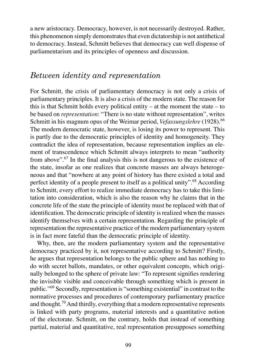a new aristocracy. Democracy, however, is not necessarily destroyed. Rather, this phenomenon simply demonstrates that even dictatorship is not antithetical to democracy. Instead, Schmitt believes that democracy can well dispense of parliamentarism and its principles of openness and discussion.

## *Between identity and representation*

For Schmitt, the crisis of parliamentary democracy is not only a crisis of parliamentary principles. It is also a crisis of the modern state. The reason for this is that Schmitt holds every political entity – at the moment the state – to be based on *representation*: "There is no state without representation", writes Schmitt in his magnum opus of the Weimar period, *Vefassungslehre* (1928).<sup>66</sup> The modern democratic state, however, is losing its power to represent. This is partly due to the democratic principles of identity and homogeneity. They contradict the idea of representation, because representation implies an element of transcendence which Schmitt always interprets to mean "authority from above".<sup>67</sup> In the final analysis this is not dangerous to the existence of the state, insofar as one realizes that concrete masses are always heterogeneous and that "nowhere at any point of history has there existed a total and perfect identity of a people present to itself as a political unity".<sup>68</sup> According to Schmitt, every effort to realize immediate democracy has to take this limitation into consideration, which is also the reason why he claims that in the concrete life of the state the principle of identity must be replaced with that of identification. The democratic principle of identity is realized when the masses identify themselves with a certain representation. Regarding the principle of representation the representative practice of the modern parliamentary system is in fact more fateful than the democratic principle of identity.

Why, then, are the modern parliamentary system and the representative democracy practiced by it, not representative according to Schmitt? Firstly, he argues that representation belongs to the public sphere and has nothing to do with secret ballots, mandates, or other equivalent concepts, which originally belonged to the sphere of private law: "To represent signifies rendering the invisible visible and conceivable through something which is present in public."<sup>69</sup> Secondly, representation is "something existential" in contrast to the normative processes and procedures of contemporary parliamentary practice and thought.<sup>70</sup> And thirdly, everything that a modern representative represents is linked with party programs, material interests and a quantitative notion of the electorate. Schmitt, on the contrary, holds that instead of something partial, material and quantitative, real representation presupposes something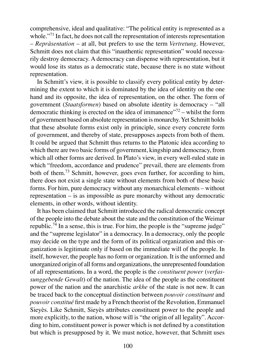comprehensive, ideal and qualitative: "The political entity is represented as a whole."<sup>71</sup> In fact, he does not call the representation of interests representation – *Repräsentation* – at all, but prefers to use the term *Vertretung*. However, Schmitt does not claim that this "inauthentic representation" would necessarily destroy democracy. A democracy can dispense with representation, but it would lose its status as a democratic state, because there is no state without representation.

In Schmitt's view, it is possible to classify every political entity by determining the extent to which it is dominated by the idea of identity on the one hand and its opposite, the idea of representation, on the other. The form of government (*Staatsformen*) based on absolute identity is democracy – "all democratic thinking is erected on the idea of immanence"<sup>72</sup> – whilst the form of government based on absolute representation is monarchy. Yet Schmitt holds that these absolute forms exist only in principle, since every concrete form of government, and thereby of state, presupposes aspects from both of them. It could be argued that Schmitt thus returns to the Platonic idea according to which there are two basic forms of government, kingship and democracy, from which all other forms are derived. In Plato's view, in every well-ruled state in which "freedom, accordance and prudence" prevail, there are elements from both of them.<sup>73</sup> Schmitt, however, goes even further, for according to him, there does not exist a single state without elements from both of these basic forms. For him, pure democracy without any monarchical elements – without representation – is as impossible as pure monarchy without any democratic elements, in other words, without identity.

It has been claimed that Schmitt introduced the radical democratic concept of the people into the debate about the state and the constitution of the Weimar republic.<sup>74</sup> In a sense, this is true. For him, the people is the "supreme judge" and the "supreme legislator" in a democracy. In a democracy, only the people may decide on the type and the form of its political organization and this organization is legitimate only if based on the immediate will of the people. In itself, however, the people has no form or organization. It is the unformed and unorganized origin of all forms and organizations, the unrepresented foundation of all representations. In a word, the people is the *constituent power* (*verfassunggebende Gewalt*) of the nation. The idea of the people as the constituent power of the nation and the anarchistic *arkhe* of the state is not new. It can be traced back to the conceptual distinction between *pouvoir constituant* and *pouvoir constitué* first made by a French theorist of the Revolution, Emmanuel Sieyès. Like Schmitt, Sieyès attributes constituent power to the people and more explicitly, to the nation, whose will is "the origin of all legality". According to him, constituent power is power which is not defined by a constitution but which is presupposed by it. We must notice, however, that Schmitt uses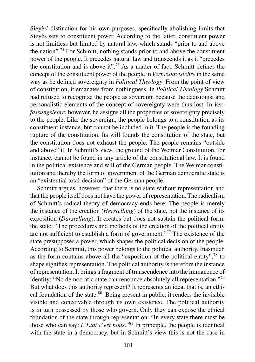Sieyès' distinction for his own purposes, specifically abolishing limits that Sieyès sets to constituent power. According to the latter, constituent power is not limitless but limited by natural law, which stands "prior to and above the nation".<sup>75</sup> For Schmitt, nothing stands prior to and above the constituent power of the people. It precedes natural law and transcends it as it "precedes the constitution and is above it".<sup>76</sup> As a matter of fact, Schmitt defines the concept of the constituent power of the people in *Verfassungslehre* in the same way as he defined sovereignty in *Political Theology*. From the point of view of constitution, it emanates from nothingness. In *Political Theology* Schmitt had refused to recognize the people as sovereign because the decisionist and personalistic elements of the concept of sovereignty were thus lost. In *Verfassungslehre*, however, he assigns all the properties of sovereignty precisely to the people. Like the sovereign, the people belongs to a constitution as its constituent instance, but cannot be included in it. The people is the founding rupture of the constitution. Its will founds the constitution of the state, but the constitution does not exhaust the people. The people remains "outside and above" it. In Schmitt's view, the ground of the Weimar Constitution, for instance, cannot be found in any article of the constitutional law. It is found in the political existence and will of the German people. The Weimar constitution and thereby the form of government of the German democratic state is an "existential total-decision" of the German people.

Schmitt argues, however, that there is no state without representation and that the people itself does not have the power of representation. The radicalism of Schmitt's radical theory of democracy ends here: The people is merely the instance of the creation (*Herstellung*) of the state, not the instance of its exposition (*Darstellung*). It creates but does not sustain the political form, the state: "The procedures and methods of the creation of the political entity are not sufficient to establish a form of government."<sup>77</sup> The existence of the state presupposes a power, which shapes the political decision of the people. According to Schmitt, this power belongs to the political authority. Inasmuch as the form contains above all the "exposition of the political entity", $^{78}$  to shape signifies representation. The political authority is therefore the instance of representation. It brings a fragment of transcendence into the immanence of identity: "No democratic state can renounce absolutely all representation."<sup>79</sup> But what does this authority represent? It represents an idea, that is, an ethical foundation of the state. $80$  Being present in public, it renders the invisible visible and conceivable through its own existence. The political authority is in turn possessed by those who govern. Only they can expose the ethical foundation of the state through representation: "In every state there must be those who can say: *L'Etat c'est nous*."<sup>81</sup> In principle, the people is identical with the state in a democracy, but in Schmitt's view this is not the case in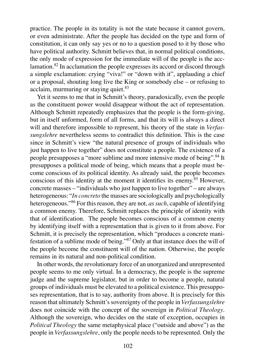practice. The people in its totality is not the state because it cannot govern, or even administrate. After the people has decided on the type and form of constitution, it can only say yes or no to a question posed to it by those who have political authority. Schmitt believes that, in normal political conditions, the only mode of expression for the immediate will of the people is the acclamation.<sup>82</sup> In acclamation the people expresses its accord or discord through a simple exclamation: crying "viva!" or "down with it", applauding a chief or a proposal, shouting long live the King or somebody else – or refusing to acclaim, murmuring or staying quiet. $83$ 

Yet it seems to me that in Schmitt's theory, paradoxically, even the people as the constituent power would disappear without the act of representation. Although Schmitt repeatedly emphasizes that the people is the form-giving, but in itself unformed, form of all forms, and that its will is always a direct will and therefore impossible to represent, his theory of the state in *Verfassungslehre* nevertheless seems to contradict this definition. This is the case since in Schmitt's view "the natural presence of groups of individuals who just happen to live together" does not constitute a people. The existence of a people presupposes a "more sublime and more intensive mode of being".<sup>84</sup> It presupposes a political mode of being, which means that a people must become conscious of its political identity. As already said, the people becomes conscious of this identity at the moment it identifies its enemy.<sup>85</sup> However, concrete masses – "individuals who just happen to live together" – are always heterogeneous: "*In concreto* the masses are sociologically and psychologically heterogeneous."<sup>86</sup> For this reason, they are not, *as such*, capable of identifying a common enemy. Therefore, Schmitt replaces the principle of identity with that of identification. The people becomes conscious of a common enemy by identifying itself with a representation that is given to it from above. For Schmitt, it is precisely the representation, which "produces a concrete manifestation of a sublime mode of being."<sup>87</sup> Only at that instance does the will of the people become the constituent will of the nation. Otherwise, the people remains in its natural and non-political condition.

In other words, the revolutionary force of an unorganized and unrepresented people seems to me only virtual. In a democracy, the people is the supreme judge and the supreme legislator, but in order to become a people, natural groups of individuals must be elevated to a political existence. This presupposes representation, that is to say, authority from above. It is precisely for this reason that ultimately Schmitt's sovereignty of the people in *Verfassungslehre*  does not coincide with the concept of the sovereign in *Political Theology*. Although the sovereign, who decides on the state of exception, occupies in *Political Theology* the same metaphysical place ("outside and above") as the people in *Verfassungslehre*, only the people needs to be represented. Only the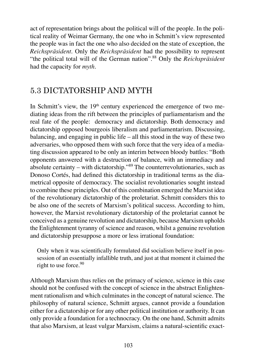act of representation brings about the political will of the people. In the political reality of Weimar Germany, the one who in Schmitt's view represented the people was in fact the one who also decided on the state of exception, the *Reichspräsident*. Only the *Reichspräsident* had the possibility to represent "the political total will of the German nation".<sup>88</sup> Only the *Reichspräsident*  had the capacity for *myth*.

# 5.3 DICTATORSHIP AND MYTH

In Schmitt's view, the  $19<sup>th</sup>$  century experienced the emergence of two mediating ideas from the rift between the principles of parliamentarism and the real fate of the people: democracy and dictatorship. Both democracy and dictatorship opposed bourgeois liberalism and parliamentarism. Discussing, balancing, and engaging in public life – all this stood in the way of these two adversaries, who opposed them with such force that the very idea of a mediating discussion appeared to be only an interim between bloody battles: "Both opponents answered with a destruction of balance, with an immediacy and absolute certainty – with dictatorship."<sup>89</sup> The counterrevolutionaries, such as Donoso Cortés, had defined this dictatorship in traditional terms as the diametrical opposite of democracy. The socialist revolutionaries sought instead to combine these principles. Out of this combination emerged the Marxist idea of the revolutionary dictatorship of the proletariat. Schmitt considers this to be also one of the secrets of Marxism's political success. According to him, however, the Marxist revolutionary dictatorship of the proletariat cannot be conceived as a genuine revolution and dictatorship, because Marxism upholds the Enlightenment tyranny of science and reason, whilst a genuine revolution and dictatorship presuppose a more or less irrational foundation:

Only when it was scientifically formulated did socialism believe itself in possession of an essentially infallible truth, and just at that moment it claimed the right to use force.<sup>90</sup>

Although Marxism thus relies on the primacy of science, science in this case should not be confused with the concept of science in the abstract Enlightenment rationalism and which culminates in the concept of natural science. The philosophy of natural science, Schmitt argues, cannot provide a foundation either for a dictatorship or for any other political institution or authority. It can only provide a foundation for a technocracy. On the one hand, Schmitt admits that also Marxism, at least vulgar Marxism, claims a natural-scientific exact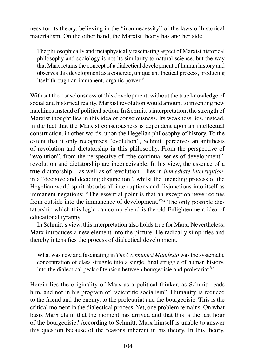ness for its theory, believing in the "iron necessity" of the laws of historical materialism. On the other hand, the Marxist theory has another side:

The philosophically and metaphysically fascinating aspect of Marxist historical philosophy and sociology is not its similarity to natural science, but the way that Marx retains the concept of a dialectical development of human history and observes this development as a concrete, unique antithetical process, producing itself through an immanent, organic power. $91$ 

Without the consciousness of this development, without the true knowledge of social and historical reality, Marxist revolution would amount to inventing new machines instead of political action. In Schmitt's interpretation, the strength of Marxist thought lies in this idea of consciousness. Its weakness lies, instead, in the fact that the Marxist consciousness is dependent upon an intellectual construction, in other words, upon the Hegelian philosophy of history. To the extent that it only recognizes "evolution", Schmitt perceives an antithesis of revolution and dictatorship in this philosophy. From the perspective of "evolution", from the perspective of "the continual series of development", revolution and dictatorship are inconceivable. In his view, the essence of a true dictatorship – as well as of revolution – lies in *immediate interruption*, in a "decisive and deciding disjunction", whilst the unending process of the Hegelian world spirit absorbs all interruptions and disjunctions into itself as immanent negations: "The essential point is that an exception never comes from outside into the immanence of development."<sup>92</sup> The only possible dictatorship which this logic can comprehend is the old Enlightenment idea of educational tyranny.

In Schmitt's view, this interpretation also holds true for Marx. Nevertheless, Marx introduces a new element into the picture. He radically simplifies and thereby intensifies the process of dialectical development.

What was new and fascinating in *The Communist Manifesto* was the systematic concentration of class struggle into a single, final struggle of human history, into the dialectical peak of tension between bourgeoisie and proletariat.<sup>93</sup>

Herein lies the originality of Marx as a political thinker, as Schmitt reads him, and not in his program of "scientific socialism". Humanity is reduced to the friend and the enemy, to the proletariat and the bourgeoisie. This is the critical moment in the dialectical process. Yet, one problem remains. On what basis Marx claim that the moment has arrived and that this is the last hour of the bourgeoisie? According to Schmitt, Marx himself is unable to answer this question because of the reasons inherent in his theory. In this theory,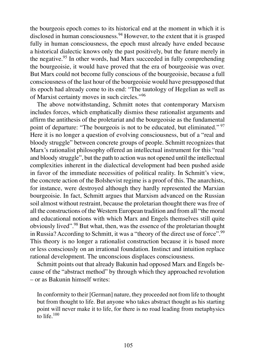the bourgeois epoch comes to its historical end at the moment in which it is disclosed in human consciousness.<sup>94</sup> However, to the extent that it is grasped fully in human consciousness, the epoch must already have ended because a historical dialectic knows only the past positively, but the future merely in the negative.<sup>95</sup> In other words, had Marx succeeded in fully comprehending the bourgeoisie, it would have proved that the era of bourgeoisie was over. But Marx could not become fully conscious of the bourgeoisie, because a full consciousness of the last hour of the bourgeoisie would have presupposed that its epoch had already come to its end: "The tautology of Hegelian as well as of Marxist certainty moves in such circles."<sup>96</sup>

The above notwithstanding, Schmitt notes that contemporary Marxism includes forces, which emphatically dismiss these rationalist arguments and affirm the antithesis of the proletariat and the bourgeoisie as the fundamental point of departure: "The bourgeois is not to be educated, but eliminated."<sup>97</sup> Here it is no longer a question of evolving consciousness, but of a "real and bloody struggle" between concrete groups of people. Schmitt recognizes that Marx's rationalist philosophy offered an intellectual instrument for this "real and bloody struggle", but the path to action was not opened until the intellectual complexities inherent in the dialectical development had been pushed aside in favor of the immediate necessities of political reality. In Schmitt's view, the concrete action of the Bolshevist regime is a proof of this. The anarchists, for instance, were destroyed although they hardly represented the Marxian bourgeoisie. In fact, Schmitt argues that Marxism advanced on the Russian soil almost without restraint, because the proletarian thought there was free of all the constructions of the Western European tradition and from all "the moral and educational notions with which Marx and Engels themselves still quite obviously lived".<sup>98</sup> But what, then, was the essence of the proletarian thought in Russia? According to Schmitt, it was a "theory of the direct use of force".<sup>99</sup> This theory is no longer a rationalist construction because it is based more or less consciously on an irrational foundation. Instinct and intuition replace rational development. The unconscious displaces consciousness.

Schmitt points out that already Bakunin had opposed Marx and Engels because of the "abstract method" by through which they approached revolution – or as Bakunin himself writes:

In conformity to their [German] nature, they proceeded not from life to thought but from thought to life. But anyone who takes abstract thought as his starting point will never make it to life, for there is no road leading from metaphysics to life. $100$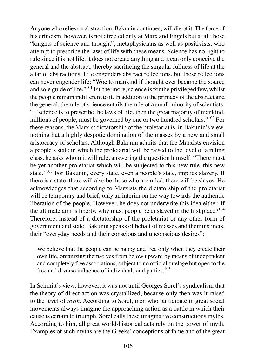Anyone who relies on abstraction, Bakunin continues, will die of it. The force of his criticism, however, is not directed only at Marx and Engels but at all those "knights of science and thought", metaphysicians as well as positivists, who attempt to prescribe the laws of life with these means. Science has no right to rule since it is not life, it does not create anything and it can only conceive the general and the abstract, thereby sacrificing the singular fullness of life at the altar of abstractions. Life engenders abstract reflections, but these reflections can never engender life: "Woe to mankind if thought ever became the source and sole guide of life."<sup>101</sup> Furthermore, science is for the privileged few, whilst the people remain indifferent to it. In addition to the primacy of the abstract and the general, the rule of science entails the rule of a small minority of scientists: "If science is to prescribe the laws of life, then the great majority of mankind, millions of people, must be governed by one or two hundred scholars."<sup>102</sup> For these reasons, the Marxist dictatorship of the proletariat is, in Bakunin's view, nothing but a highly despotic domination of the masses by a new and small aristocracy of scholars. Although Bakunin admits that the Marxists envision a people's state in which the proletariat will be raised to the level of a ruling class, he asks whom it will rule, answering the question himself: "There must be yet another proletariat which will be subjected to this new rule, this new state."<sup>103</sup> For Bakunin, every state, even a people's state, implies slavery. If there is a state, there will also be those who are ruled, there will be slaves. He acknowledges that according to Marxists the dictatorship of the proletariat will be temporary and brief, only an interim on the way towards the authentic liberation of the people. However, he does not underwrite this idea either. If the ultimate aim is liberty, why must people be enslaved in the first place?<sup>104</sup> Therefore, instead of a dictatorship of the proletariat or any other form of government and state, Bakunin speaks of behalf of masses and their instincts, their "everyday needs and their conscious and unconscious desires":

We believe that the people can be happy and free only when they create their own life, organizing themselves from below upward by means of independent and completely free associations, subject to no official tutelage but open to the free and diverse influence of individuals and parties.<sup>105</sup>

In Schmitt's view, however, it was not until Georges Sorel's syndicalism that the theory of direct action was crystallized, because only then was it raised to the level of *myth*. According to Sorel, men who participate in great social movements always imagine the approaching action as a battle in which their cause is certain to triumph. Sorel calls these imaginative constructions myths. According to him, all great world-historical acts rely on the power of myth. Examples of such myths are the Greeks' conceptions of fame and of the great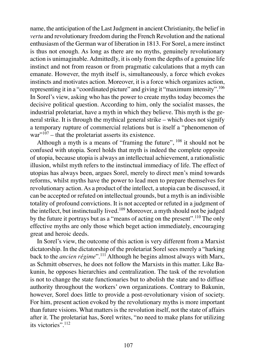name, the anticipation of the Last Judgment in ancient Christianity, the belief in *vertu* and revolutionary freedom during the French Revolution and the national enthusiasm of the German war of liberation in 1813. For Sorel, a mere instinct is thus not enough. As long as there are no myths, genuinely revolutionary action is unimaginable. Admittedly, it is only from the depths of a genuine life instinct and not from reason or from pragmatic calculations that a myth can emanate. However, the myth itself is, simultaneously, a force which evokes instincts and motivates action. Moreover, it is a force which organizes action, representing it in a "coordinated picture" and giving it "maximum intensity".<sup>106</sup> In Sorel's view, asking who has the power to create myths today becomes the decisive political question. According to him, only the socialist masses, the industrial proletariat, have a myth in which they believe. This myth is the general strike. It is through the mythical general strike – which does not signify a temporary rupture of commercial relations but is itself a "phenomenon of  $\text{war}^{\cdot 107}$  – that the proletariat asserts its existence.

Although a myth is a means of "framing the future",  $108$  it should not be confused with utopia. Sorel holds that myth is indeed the complete opposite of utopia, because utopia is always an intellectual achievement, a rationalistic illusion, whilst myth refers to the instinctual immediacy of life. The effect of utopias has always been, argues Sorel, merely to direct men's mind towards reforms, whilst myths have the power to lead men to prepare themselves for revolutionary action. As a product of the intellect, a utopia can be discussed, it can be accepted or refuted on intellectual grounds, but a myth is an indivisible totality of profound convictions. It is not accepted or refuted in a judgment of the intellect, but instinctually lived.<sup>109</sup> Moreover, a myth should not be judged by the future it portrays but as a "means of acting on the present".<sup>110</sup> The only effective myths are only those which beget action immediately, encouraging great and heroic deeds.

In Sorel's view, the outcome of this action is very different from a Marxist dictatorship. In the dictatorship of the proletariat Sorel sees merely a "harking back to the *ancien régime*".<sup>111</sup> Although he begins almost always with Marx, as Schmitt observes, he does not follow the Marxists in this matter. Like Bakunin, he opposes hierarchies and centralization. The task of the revolution is not to change the state functionaries but to abolish the state and to diffuse authority throughout the workers' own organizations. Contrary to Bakunin, however, Sorel does little to provide a post-revolutionary vision of society. For him, present action evoked by the revolutionary myths is more important than future visions. What matters is the revolution itself, not the state of affairs after it. The proletariat has, Sorel writes, "no need to make plans for utilizing its victories". 112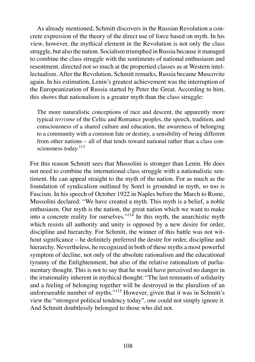As already mentioned, Schmitt discovers in the Russian Revolution a concrete expression of the theory of the direct use of force based on myth. In his view, however, the mythical element in the Revolution is not only the class struggle, but also the nation. Socialism triumphed in Russia because it managed to combine the class struggle with the sentiments of national enthusiasm and resentment, directed not so much at the propertied classes as at Western intellectualism. After the Revolution, Schmitt remarks, Russia became Muscovite again. In his estimation, Lenin's greatest achievement was the interruption of the Europeanization of Russia started by Peter the Great. According to him, this shows that nationalism is a greater myth than the class struggle:

The more naturalistic conceptions of race and descent, the apparently more typical *terrisme* of the Celtic and Romance peoples, the speech, tradition, and consciousness of a shared culture and education, the awareness of belonging to a community with a common fate or destiny, a sensibility of being different from other nations – all of that tends toward national rather than a class consciousness today.<sup>113</sup>

For this reason Schmitt sees that Mussolini is stronger than Lenin. He does not need to combine the international class struggle with a nationalistic sentiment. He can appeal straight to the myth of the nation. For as much as the foundation of syndicalism outlined by Sorel is grounded in myth, so too is Fascism. In his speech of October 1922 in Naples before the March to Rome, Mussolini declared: "We have created a myth. This myth is a belief, a noble enthusiasm. Our myth is the nation, the great nation which we want to make into a concrete reality for ourselves."<sup>114</sup> In this myth, the anarchistic myth which resists all authority and unity is opposed by a new desire for order, discipline and hierarchy. For Schmitt, the winner of this battle was not without significance – he definitely preferred the desire for order, discipline and hierarchy. Nevertheless, he recognized in both of these myths a most powerful symptom of decline, not only of the absolute rationalism and the educational tyranny of the Enlightenment, but also of the relative rationalism of parliamentary thought. This is not to say that he would have perceived no danger in the irrationality inherent in mythical thought: "The last remnants of solidarity and a feeling of belonging together will be destroyed in the pluralism of an unforeseeable number of myths."<sup>115</sup> However, given that it was in Schmitt's view the "strongest political tendency today", one could not simply ignore it. And Schmitt doubtlessly belonged to those who did not.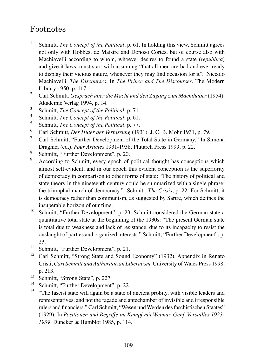## Footnotes

- 1 Schmitt, *The Concept of the Political*, p. 61. In holding this view, Schmitt agrees not only with Hobbes, de Maistre and Donoso Cortés, but of course also with Machiavelli according to whom, whoever desires to found a state (*republica*) and give it laws, must start with assuming "that all men are bad and ever ready to display their vicious nature, whenever they may find occasion for it". Niccolo Machiavelli, *The Discourses*. In *The Prince and The Discourses*. The Modern Library 1950, p. 117.
- 2 Carl Schmitt, *Gespräch über die Macht und den Zugang zum Machthaber* (1954). Akademie Verlag 1994, p. 14.
- 3 Schmitt, *The Concept of the Political*, p. 71.
- 4 Schmitt, *The Concept of the Political*, p. 61.
- 5 Schmitt, *The Concept of the Political*, p. 77.
- 6 Carl Schmitt, *Der Hüter der Verfassung* (1931). J. C. B. Mohr 1931, p. 79.
- 7 Carl Schmitt, "Further Development of the Total State in Germany." In Simona Draghici (ed.), *Four Articles* 1931-1938. Plutarch Press 1999, p. 22.
- 8 Schmitt, "Further Development", p. 20.
- 9 According to Schmitt, every epoch of political thought has conceptions which almost self-evident, and in our epoch this evident conception is the superiority of democracy in comparison to other forms of state: "The history of political and state theory in the nineteenth century could be summarized with a single phrase: the triumphal march of democracy." Schmitt, *The Crisis*, p. 22. For Schmitt, it is democracy rather than communism, as suggested by Sartre, which defines the insuperable horizon of our time.
- <sup>10</sup> Schmitt, "Further Development", p. 23. Schmitt considered the German state a quantitative total state at the beginning of the 1930s: "The present German state is total due to weakness and lack of resistance, due to its incapacity to resist the onslaught of parties and organized interests." Schmitt, "Further Development", p. 23.
- <sup>11</sup> Schmitt, "Further Development", p. 21.
- <sup>12</sup> Carl Schmitt. "Strong State and Sound Economy" (1932). Appendix in Renato Cristi, *Carl Schmitt and Authoritarian Liberalism*. University of Wales Press 1998, p. 213.
- $\frac{13}{14}$  Schmitt, "Strong State", p. 227.
- Schmitt, "Further Development", p. 22.
- <sup>15</sup> "The fascist state will again be a state of ancient probity, with visible leaders and representatives, and not the façade and antechamber of invisible and irresponsible rulers and financiers." Carl Schmitt, "Wesen und Werden des faschistischen Staates" (1929). In *Positionen und Begriffe im Kampf mit Weimar, Genf, Versailles 1923- 1939*. Duncker & Humblot 1985, p. 114.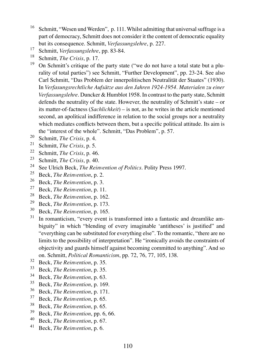- <sup>16</sup> Schmitt, "Wesen und Werden", p. 111. Whilst admitting that universal suffrage is a part of democracy, Schmitt does not consider it the content of democratic equality but its consequence. Schmitt, *Verfassungslehre*, p. 227.
- 17 Schmitt, *Verfassungslehre*, pp. 83-84.
- <sup>18</sup> Schmitt, *The Crisis*, p. 17.
- <sup>19</sup> On Schmitt's critique of the party state ("we do not have a total state but a plurality of total parties") see Schmitt, "Further Development", pp. 23-24. See also Carl Schmitt, "Das Problem der innerpolitischen Neutralität der Staates" (1930). In *Verfasungsrechtliche Aufsätze aus den Jahren 1924-1954. Materialen zu einer Verfassungslehre*. Duncker & Humblot 1958. In contrast to the party state, Schmitt defends the neutrality of the state. However, the neutrality of Schmitt's state – or its matter-of-factness (*Sachlichkeit*) – is not, as he writes in the article mentioned second, an apolitical indifference in relation to the social groups nor a neutrality which mediates conflicts between them, but a specific political attitude. Its aim is the "interest of the whole". Schmitt, "Das Problem", p. 57.
- <sup>20</sup> Schmitt, *The Crisis*, p. 4.
- <sup>21</sup> Schmitt, *The Crisis*, p. 5.
- <sup>22</sup> Schmitt, *The Crisis*, p. 46.<br><sup>23</sup> Schmitt, *The Crisis*, p. 40.
- <sup>23</sup> Schmitt, *The Crisis*, p. 40.
- <sup>24</sup> See Ulrich Beck, *The Reinvention of Politics*. Polity Press 1997.
- <sup>25</sup> Beck, *The Reinvention*, p. 2.<br><sup>26</sup> Beck, *The Beimantian*, p. <sup>2</sup>.
- <sup>26</sup> Beck, *The Reinvention*, p. 3.<br><sup>27</sup> Beck, *The Beimantion*, p. 11
- <sup>27</sup> Beck, *The Reinvention*, p. 11.<br><sup>28</sup> Pook, *The Reinvention*, p. 162
- <sup>28</sup> Beck, *The Reinvention*, p. 162.<br><sup>29</sup> Peck, *The Reinvention*, p. 173.
- <sup>29</sup> Beck, *The Reinvention*, p. 173.<br><sup>30</sup> Beck, *The Beimantion*, p. 165.
- <sup>30</sup> Beck, *The Reinvention*, p. 165.<br><sup>31</sup> In romanticism "every event is
- In romanticism, "every event is transformed into a fantastic and dreamlike ambiguity" in which "blending of every imaginable 'antitheses' is justified" and "everything can be substituted for everything else". To the romantic, "there are no limits to the possibility of interpretation". He "ironically avoids the constraints of objectivity and guards himself against becoming committed to anything". And so on. Schmitt, *Political Romanticism*, pp. 72, 76, 77, 105, 138.
- <sup>32</sup> Beck, *The Reinvention*, p. 35.<br><sup>33</sup> Book, *The Beimantion*, p. 35.
- $33$  Beck, *The Reinvention*, p. 35.<br> $34$  Beck, *The Beimention*, p. 63.
- <sup>34</sup> Beck, *The Reinvention*, p. 63.
- <sup>35</sup> Beck, *The Reinvention*, p. 169.<br><sup>36</sup> Beck, *The Beimantion*, p. 171.
- <sup>36</sup> Beck, *The Reinvention*, p. 171.
- <sup>37</sup> Beck, *The Reinvention*, p. 65.<br><sup>38</sup> Beck, *The Beimantion*, p. 65.
- <sup>38</sup> Beck, *The Reinvention*, p. 65.<br><sup>39</sup> Book, *The Brimantion*, p. 6.
- <sup>39</sup> Beck, *The Reinvention*, pp. 6, 66.<br><sup>40</sup> Beck, *The Beimantion* p. 67.
- <sup>40</sup> Beck, *The Reinvention*, p. 67.
- <sup>41</sup> Beck, *The Reinvention*, p. 6.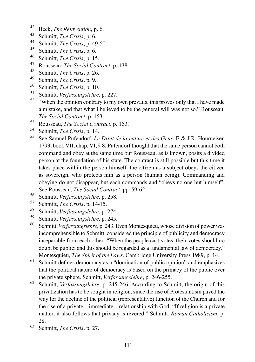- <sup>42</sup> Beck, *The Reinvention*, p. 6.
- <sup>43</sup> Schmitt, *The Crisis*, p. 6.
- <sup>44</sup> Schmitt, *The Crisis*, p. 49-50.
- <sup>45</sup> Schmitt, *The Crisis*, p. 6.
- <sup>46</sup> Schmitt, *The Crisis*, p. 15.
- <sup>47</sup> Rousseau, *The Social Contract*, p. 138.
- <sup>48</sup> Schmitt, *The Crisis*, p. 26.
- <sup>49</sup> Schmitt, *The Crisis*, p. 9.
- <sup>50</sup> Schmitt, *The Crisis*, p. 10.
- <sup>51</sup> Schmitt, *Verfassungslehre*, p. 227.
- <sup>52</sup> "When the opinion contrary to my own prevails, this proves only that I have made a mistake, and that what I believed to be the general will was not so." Rousseau, *The Social Contract*, p. 153.
- <sup>53</sup> Rousseau, *The Social Contract*, p. 153.
- <sup>54</sup> Schmitt, *The Crisis*, p. 14.
- <sup>55</sup> See Samuel Pufendorf, *Le Droit de la nature et des Gens*. E & J.R. Hourneisen 1793, book VII, chap. VI, § 8. Pufendorf thought that the same person cannot both command and obey at the same time but Rousseau, as is known, posits a divided person at the foundation of his state. The contract is still possible but this time it takes place within the person himself: the citizen as a subject obeys the citizen as sovereign, who protects him as a person (human being). Commanding and obeying do not disappear, but each commands and "obeys no one but himself". See Rousseau, *The Social Contract*, pp. 59-62
- 56 Schmitt, *Verfassungslehre*, p. 258.<br>57 Schmitt, *The Crisis* n. 14-15
- <sup>57</sup> Schmitt, *The Crisis*, p. 14-15.
- <sup>58</sup> Schmitt, *Verfassungslehre*, p. 274.
- <sup>59</sup> Schmitt, *Verfassungslehre*, p. 245.
- <sup>60</sup> Schmitt, *Verfassungslehre*, p. 243. Even Montesquieu, whose division of power was incomprehensible to Schmitt, considered the principle of publicity and democracy inseparable from each other: "When the people cast votes, their votes should no doubt be public; and this should be regarded as a fundamental law of democracy." Montesquieu, *The Spirit of the Laws*. Cambridge University Press 1989, p. 14.
- <sup>61</sup> Schmitt defines democracy as a "domination of public opinion" and emphasizes that the political nature of democracy is based on the primacy of the public over the private sphere. Schmitt, *Verfassungslehre*, p. 246-255.
- <sup>62</sup> Schmitt, *Verfassungslehre*, p. 245-246. According to Schmitt, the origin of this privatization has to be sought in religion, since the rise of Protestantism paved the way for the decline of the political (representative) function of the Church and for the rise of a private – immediate – relationship with God: "If religion is a private matter, it also follows that privacy is revered." Schmitt, *Roman Catholicism*, p. 28.
- <sup>63</sup> Schmitt, *The Crisis*, p. 27.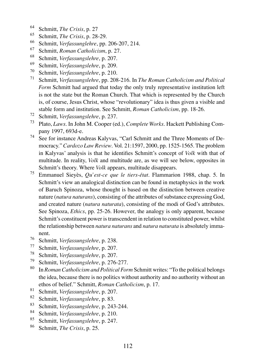- <sup>64</sup> Schmitt, *The Crisis*, p. 27
- <sup>65</sup> Schmitt, *The Crisis*, p. 28-29.
- <sup>66</sup> Schmitt, *Verfassunglehre*, pp. 206-207, 214.
- <sup>67</sup> Schmitt, *Roman Catholicism*, p. 27.
- <sup>68</sup> Schmitt, *Verfassungslehre*, p. 207.
- <sup>69</sup> Schmitt, *Verfassungslehre*, p. 209.
- <sup>70</sup> Schmitt, *Verfassungslehre*, p. 210.
- <sup>71</sup> Schmitt, *Verfassungslehre*, pp. 208-216. In *The Roman Catholicism and Political Form* Schmitt had argued that today the only truly representative institution left is not the state but the Roman Church. That which is represented by the Church is, of course, Jesus Christ, whose "revolutionary" idea is thus given a visible and stable form and institution. See Schmitt, *Roman Catholicism*, pp. 18-26.
- <sup>72</sup> Schmitt, *Verfassungslehre*, p. 237.
- <sup>73</sup> Plato, *Laws*. In John M. Cooper (ed.), *Complete Works*. Hackett Publishing Company 1997, 693d-e.
- <sup>74</sup> See for instance Andreas Kalyvas, "Carl Schmitt and the Three Moments of Democracy." *Cardozo Law Review*. Vol. 21:1597, 2000, pp. 1525-1565. The problem in Kalyvas' analysis is that he identifies Schmitt's concept of *Volk* with that of multitude. In reality, *Volk* and multitude are, as we will see below, opposites in Schmitt's theory. Where *Volk* appears, multitude disappears.
- <sup>75</sup> Emmanuel Sieyès, *Qu'est-ce que le tiers-état*. Flammarion 1988, chap. 5. In Schmitt's view an analogical distinction can be found in metaphysics in the work of Baruch Spinoza, whose thought is based on the distinction between creative nature (*natura naturans*), consisting of the attributes of substance expressing God, and created nature (*natura naturata*), consisting of the modi of God's attributes. See Spinoza, *Ethics*, pp. 25-26. However, the analogy is only apparent, because Schmitt's constituent power is transcendent in relation to constituted power, whilst the relationship between *natura naturans* and *natura naturata* is absolutely immanent.
- <sup>76</sup> Schmitt, *Verfassungslehre*, p. 238.
- <sup>77</sup> Schmitt, *Verfassungslehre*, p. 207.
- <sup>78</sup> Schmitt, *Verfassungslehre*, p. 207.
- <sup>79</sup> Schmitt, *Verfassungslehre*, p. 276-277.
- <sup>80</sup> In *Roman Catholicism and Political Form* Schmitt writes: "To the political belongs the idea, because there is no politics without authority and no authority without an ethos of belief." Schmitt, *Roman Catholicism*, p. 17.
- <sup>81</sup> Schmitt, *Verfassungslehre*, p. 207.
- <sup>82</sup> Schmitt, *Verfassungslehre*, p. 83.
- <sup>83</sup> Schmitt, *Verfassungslehre*, p. 243-244.
- <sup>84</sup> Schmitt, *Verfassungslehre*, p. 210.<br><sup>85</sup> Schmitt, *Verfassungslehre*, p. 247.
- <sup>85</sup> Schmitt, *Verfassungslehre*, p. 247.<br><sup>86</sup> Schmitt, *The Crisis* p. 25.
- <sup>86</sup> Schmitt, *The Crisis*, p. 25.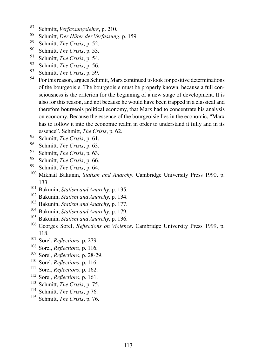- <sup>87</sup> Schmitt, *Verfassungslehre*, p. 210.
- <sup>88</sup> Schmitt, *Der Hüter der Verfassung*, p. 159.
- <sup>89</sup> Schmitt, *The Crisis*, p. 52.
- <sup>90</sup> Schmitt, *The Crisis*, p. 53.
- <sup>91</sup> Schmitt, *The Crisis*, p. 54.
- <sup>92</sup> Schmitt, *The Crisis*, p. 56.
- <sup>93</sup> Schmitt, *The Crisis*, p. 59.
- <sup>94</sup> For this reason, argues Schmitt, Marx continued to look for positive determinations of the bourgeoisie. The bourgeoisie must be properly known, because a full consciousness is the criterion for the beginning of a new stage of development. It is also for this reason, and not because he would have been trapped in a classical and therefore bourgeois political economy, that Marx had to concentrate his analysis on economy. Because the essence of the bourgeoisie lies in the economic, "Marx has to follow it into the economic realm in order to understand it fully and in its essence". Schmitt, *The Crisis*, p. 62.
- <sup>95</sup> Schmitt, *The Crisis*, p. 61.
- <sup>96</sup> Schmitt, *The Crisis*, p. 63.
- Schmitt, *The Crisis*, p. 63.
- 98 Schmitt, *The Crisis*, p. 66.<br>99 Schmitt, *The Crisis* p. 64.
- Schmitt, *The Crisis*, p. 64.
- <sup>100</sup> Mikhail Bakunin, *Statism and Anarchy*. Cambridge University Press 1990, p. 133.
- <sup>101</sup> Bakunin, *Statism and Anarchy*, p. 135.
- <sup>102</sup> Bakunin, *Statism and Anarchy*, p. 134.
- <sup>103</sup> Bakunin, *Statism and Anarchy*, p. 177.
- <sup>104</sup> Bakunin, *Statism and Anarchy*, p. 179.
- <sup>105</sup> Bakunin, *Statism and Anarchy*, p. 136.
- <sup>106</sup> Georges Sorel, *Reflections on Violence*. Cambridge University Press 1999, p. 118.
- <sup>107</sup> Sorel, *Reflections*, p. 279.
- <sup>108</sup> Sorel, *Reflections*, p. 116.
- <sup>109</sup> Sorel, *Reflections*, p. 28-29.
- <sup>110</sup> Sorel, *Reflections*, p. 116.
- <sup>111</sup> Sorel, *Reflections*, p. 162.
- <sup>112</sup> Sorel, *Reflections*, p. 161.
- <sup>113</sup> Schmitt, *The Crisis*, p. 75.
- <sup>114</sup> Schmitt, *The Crisis*, p 76.
- <sup>115</sup> Schmitt, *The Crisis*, p. 76.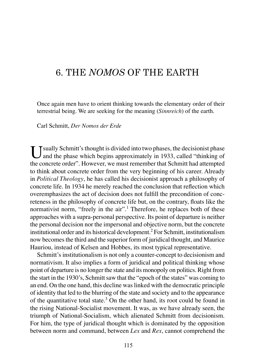# 6. THE *NOMOS* OF THE EARTH

Once again men have to orient thinking towards the elementary order of their terrestrial being. We are seeking for the meaning (*Sinnreich*) of the earth.

Carl Schmitt, *Der Nomos der Erde*

 $\prod_{n=1}^{\infty}$  J sually Schmitt's thought is divided into two phases, the decisionist phase and the phase which begins approximately in 1933, called "thinking of the concrete order". However, we must remember that Schmitt had attempted to think about concrete order from the very beginning of his career. Already in *Political Theology*, he has called his decisionist approach a philosophy of concrete life. In 1934 he merely reached the conclusion that reflection which overemphasizes the act of decision does not fulfill the precondition of concreteness in the philosophy of concrete life but, on the contrary, floats like the normativist norm, "freely in the air".<sup>1</sup> Therefore, he replaces both of these approaches with a supra-personal perspective. Its point of departure is neither the personal decision nor the impersonal and objective norm, but the concrete institutional order and its historical development.<sup>2</sup> For Schmitt, institutionalism now becomes the third and the superior form of juridical thought, and Maurice Hauriou, instead of Kelsen and Hobbes, its most typical representative.

Schmitt's institutionalism is not only a counter-concept to decisionism and normativism. It also implies a form of juridical and political thinking whose point of departure is no longer the state and its monopoly on politics. Right from the start in the 1930's, Schmitt saw that the "epoch of the states" was coming to an end. On the one hand, this decline was linked with the democratic principle of identity that led to the blurring of the state and society and to the appearance of the quantitative total state.<sup>3</sup> On the other hand, its root could be found in the rising National-Socialist movement. It was, as we have already seen, the triumph of National-Socialism, which alienated Schmitt from decisionism. For him, the type of juridical thought which is dominated by the opposition between norm and command, between *Lex* and *Rex*, cannot comprehend the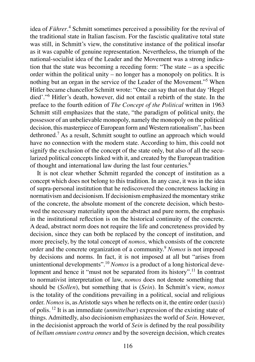idea of Führer.<sup>4</sup> Schmitt sometimes perceived a possibility for the revival of the traditional state in Italian fascism. For the fascistic qualitative total state was still, in Schmitt's view, the constitutive instance of the political insofar as it was capable of genuine representation. Nevertheless, the triumph of the national-socialist idea of the Leader and the Movement was a strong indication that the state was becoming a receding form: "The state  $-$  as a specific order within the political unity – no longer has a monopoly on politics. It is nothing but an organ in the service of the Leader of the Movement."<sup>5</sup> When Hitler became chancellor Schmitt wrote: "One can say that on that day 'Hegel died'."<sup>6</sup> Hitler's death, however, did not entail a rebirth of the state. In the preface to the fourth edition of *The Concept of the Political* written in 1963 Schmitt still emphasizes that the state, "the paradigm of political unity, the possessor of an unbelievable monopoly, namely the monopoly on the political decision, this masterpiece of European form and Western rationalism", has been dethroned.<sup>7</sup> As a result, Schmitt sought to outline an approach which would have no connection with the modern state. According to him, this could not signify the exclusion of the concept of the state only, but also of all the secularized political concepts linked with it, and created by the European tradition of thought and international law during the last four centuries.<sup>8</sup>

It is not clear whether Schmitt regarded the concept of institution as a concept which does not belong to this tradition. In any case, it was in the idea of supra-personal institution that he rediscovered the concreteness lacking in normativism and decisionism. If decisionism emphasized the momentary strike of the concrete, the absolute moment of the concrete decision, which bestowed the necessary materiality upon the abstract and pure norm, the emphasis in the institutional reflection is on the historical continuity of the concrete. A dead, abstract norm does not require the life and concreteness provided by decision, since they can both be replaced by the concept of institution, and more precisely, by the total concept of *nomos*, which consists of the concrete order and the concrete organization of a community.<sup>9</sup> *Nomos* is not imposed by decisions and norms. In fact, it is not imposed at all but "arises from unintentional developments".<sup>10</sup> *Nomos* is a product of a long historical development and hence it "must not be separated from its history".<sup>11</sup> In contrast to normativist interpretation of law, *nomos* does not denote something that should be (*Sollen*), but something that is (*Sein*). In Schmitt's view, *nomos*  is the totality of the conditions prevailing in a political, social and religious order. *Nomos* is, as Aristotle says when he reflects on it, the entire order (*taxis*) of polis. <sup>12</sup> It is an immediate (*unmittelbar*) expression of the existing state of things. Admittedly, also decisionism emphasizes the world of *Sein*. However, in the decisionist approach the world of *Sein* is defined by the real possibility of *bellum omnium contra omnes* and by the sovereign decision, which creates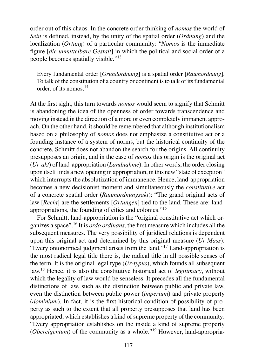order out of this chaos. In the concrete order thinking of *nomos* the world of *Sein* is defined, instead, by the unity of the spatial order (*Ordnung*) and the localization (*Ortung*) of a particular community: "*Nomos* is the immediate figure [*die unmittelbare Gestalt*] in which the political and social order of a people becomes spatially visible."<sup>13</sup>

Every fundamental order [*Grundordnung*] is a spatial order [*Raumordnung*]. To talk of the constitution of a country or continent is to talk of its fundamental order, of its nomos.<sup>14</sup>

At the first sight, this turn towards *nomos* would seem to signify that Schmitt is abandoning the idea of the openness of order towards transcendence and moving instead in the direction of a more or even completely immanent approach. On the other hand, it should be remembered that although institutionalism based on a philosophy of *nomos* does not emphasize a constitutive act or a founding instance of a system of norms, but the historical continuity of the concrete, Schmitt does not abandon the search for the origins. All continuity presupposes an origin, and in the case of *nomos* this origin is the original act (*Ur-akt*) of land-appropriation (*Landnahme*). In other words, the order closing upon itself finds a new opening in appropriation, in this new "state of exception" which interrupts the absolutization of immanence. Hence, land-appropriation becomes a new decisionist moment and simultaneously the *constitutive* act of a concrete spatial order (*Raumordnungsakt*): "The grand original acts of law [*Recht*] are the settlements [*Ortungen*] tied to the land. These are: landappropriations, the founding of cities and colonies."<sup>15</sup>

For Schmitt, land-appropriation is the "original constitutive act which organizes a space".<sup>16</sup> It is *ordo ordinans*, the first measure which includes all the subsequent measures. The very possibility of juridical relations is dependent upon this original act and determined by this original measure (*Ur-Mass*): "Every ontonomical judgment arises from the land."<sup>17</sup> Land-appropriation is the most radical legal title there is, the radical title in all possible senses of the term. It is the original legal type (*Ur-typus*), which founds all subsequent law.<sup>18</sup> Hence, it is also the constitutive historical act of *legitimacy*, without which the legality of law would be senseless. It precedes all the fundamental distinctions of law, such as the distinction between public and private law, even the distinction between public power (*imperium*) and private property (*dominium*). In fact, it is the first historical condition of possibility of property as such to the extent that all property presupposes that land has been appropriated, which establishes a kind of supreme property of the community: "Every appropriation establishes on the inside a kind of supreme property (*Obereigentum*) of the community as a whole."<sup>19</sup> However, land-appropria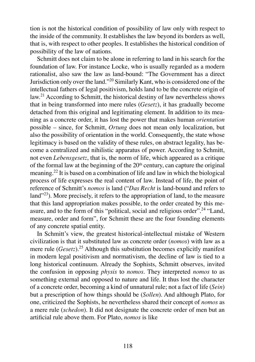tion is not the historical condition of possibility of law only with respect to the inside of the community. It establishes the law beyond its borders as well, that is, with respect to other peoples. It establishes the historical condition of possibility of the law of nations.

Schmitt does not claim to be alone in referring to land in his search for the foundation of law. For instance Locke, who is usually regarded as a modern rationalist, also saw the law as land-bound: "The Government has a direct Jurisdiction only over the land."<sup>20</sup> Similarly Kant, who is considered one of the intellectual fathers of legal positivism, holds land to be the concrete origin of law.<sup>21</sup> According to Schmitt, the historical destiny of law nevertheless shows that in being transformed into mere rules (*Gesetz*), it has gradually become detached from this original and legitimating element. In addition to its meaning as a concrete order, it has lost the power that makes human *orientation*  possible – since, for Schmitt, *Ortung* does not mean only localization, but also the possibility of orientation in the world. Consequently, the state whose legitimacy is based on the validity of these rules, on abstract legality, has become a centralized and nihilistic apparatus of power. According to Schmitt, not even *Lebensgesetz*, that is, the norm of life, which appeared as a critique of the formal law at the beginning of the  $20<sup>th</sup>$  century, can capture the original meaning.<sup>22</sup> It is based on a combination of life and law in which the biological process of life expresses the real content of law. Instead of life, the point of reference of Schmitt's *nomos* is land ("*Das Recht* is land-bound and refers to land<sup>"23</sup>). More precisely, it refers to the appropriation of land, to the measure that this land appropriation makes possible, to the order created by this measure, and to the form of this "political, social and religious order".<sup>24</sup> "Land, measure, order and form", for Schmitt these are the four founding elements of any concrete spatial entity.

In Schmitt's view, the greatest historical-intellectual mistake of Western civilization is that it substituted law as concrete order (*nomos*) with law as a mere rule (*Gesetz*).<sup>25</sup> Although this substitution becomes explicitly manifest in modern legal positivism and normativism, the decline of law is tied to a long historical continuum. Already the Sophists, Schmitt observes, invited the confusion in opposing *physis* to *nomos*. They interpreted *nomos* to as something external and opposed to nature and life. It thus lost the character of a concrete order, becoming a kind of unnatural rule; not a fact of life (*Sein*) but a prescription of how things should be (*Sollen*). And although Plato, for one, criticized the Sophists, he nevertheless shared their concept of *nomos* as a mere rule (*schedon*). It did not designate the concrete order of men but an artificial rule above them. For Plato, *nomos* is like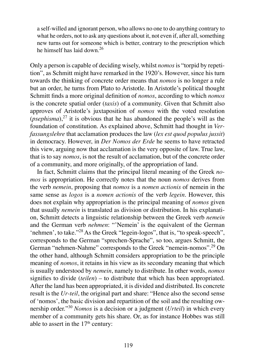a self-willed and ignorant person, who allows no one to do anything contrary to what he orders, not to ask any questions about it, not even if, after all, something new turns out for someone which is better, contrary to the prescription which he himself has laid down.<sup>26</sup>

Only a person is capable of deciding wisely, whilst *nomos* is "torpid by repetition", as Schmitt might have remarked in the 1920's. However, since his turn towards the thinking of concrete order means that *nomos* is no longer a rule but an order, he turns from Plato to Aristotle. In Aristotle's political thought Schmitt finds a more original definition of *nomos*, according to which *nomos*  is the concrete spatial order (*taxis*) of a community. Given that Schmitt also approves of Aristotle's juxtaposition of *nomos* with the voted resolution  $(psephisma)$ ,<sup>27</sup> it is obvious that he has abandoned the people's will as the foundation of constitution. As explained above, Schmitt had thought in *Verfassungslehre* that acclamation produces the law (*lex est quod populus jussit*) in democracy. However, in *Der Nomos der Erde* he seems to have retracted this view, arguing now that acclamation is the very opposite of law. True law, that is to say *nomos*, is not the result of acclamation, but of the concrete order of a community, and more originally, of the appropriation of land.

In fact, Schmitt claims that the principal literal meaning of the Greek *nomos* is appropriation. He correctly notes that the noun *nomos* derives from the verb *nemein*, proposing that *nomos* is a *nomen actionis* of nemein in the same sense as *logos* is a *nomen actionis* of the verb *legein*. However, this does not explain why appropriation is the principal meaning of *nomos* given that usually *nemein* is translated as division or distribution. In his explanation, Schmitt detects a linguistic relationship between the Greek verb *nemein*  and the German verb *nehmen*: "'Nemein' is the equivalent of the German 'nehmen', to take."<sup>28</sup> As the Greek "legein-logos", that is, "to speak-speech". corresponds to the German "sprechen-Sprache", so too, argues Schmitt, the German "nehmen-Nahme" corresponds to the Greek "nemein-nomos".<sup>29</sup> On the other hand, although Schmitt considers appropriation to be the principle meaning of *nomos*, it retains in his view as its secondary meaning that which is usually understood by *nemein*, namely to distribute. In other words, *nomos*  signifies to divide (*teilen*) – to distribute that which has been appropriated. After the land has been appropriated, it is divided and distributed. Its concrete result is the *Ur-teil*, the original part and share: "Hence also the second sense of 'nomos', the basic division and repartition of the soil and the resulting ownership order."<sup>30</sup> *Nomos* is a decision or a judgment (*Urteil*) in which every member of a community gets his share. Or, as for instance Hobbes was still able to assert in the  $17<sup>th</sup>$  century: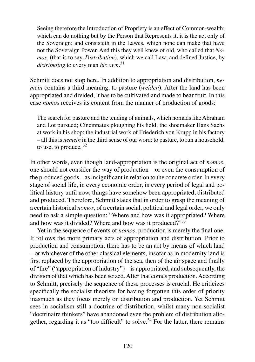Seeing therefore the Introduction of Propriety is an effect of Common-wealth; which can do nothing but by the Person that Represents it, it is the act only of the Soveraign; and consisteth in the Lawes, which none can make that have not the Soveraign Power. And this they well knew of old, who called that *Nomos*, (that is to say, *Distribution*), which we call Law; and defined Justice, by *distributing* to every man *his own*. 31

Schmitt does not stop here. In addition to appropriation and distribution, *nemein* contains a third meaning, to pasture (*weiden*). After the land has been appropriated and divided, it has to be cultivated and made to bear fruit. In this case *nomos* receives its content from the manner of production of goods:

The search for pasture and the tending of animals, which nomads like Abraham and Lot pursued; Cincinnatus ploughing his field; the shoemaker Hans Sachs at work in his shop; the industrial work of Friederich von Krupp in his factory – all this is *nemein* in the third sense of our word: to pasture, to run a household, to use, to produce,  $32$ 

In other words, even though land-appropriation is the original act of *nomos*, one should not consider the way of production – or even the consumption of the produced goods – as insignificant in relation to the concrete order. In every stage of social life, in every economic order, in every period of legal and political history until now, things have somehow been appropriated, distributed and produced. Therefore, Schmitt states that in order to grasp the meaning of a certain historical *nomos*, of a certain social, political and legal order, we only need to ask a simple question: "Where and how was it appropriated? Where and how was it divided? Where and how was it produced?"<sup>33</sup>

Yet in the sequence of events of *nomos*, production is merely the final one. It follows the more primary acts of appropriation and distribution. Prior to production and consumption, there has to be an act by means of which land – or whichever of the other classical elements, insofar as in modernity land is first replaced by the appropriation of the sea, then of the air space and finally of "fire" ("appropriation of industry") – is appropriated, and subsequently, the division of that which has been seized. After that comes production. According to Schmitt, precisely the sequence of these processes is crucial. He criticizes specifically the socialist theorists for having forgotten this order of priority inasmuch as they focus merely on distribution and production. Yet Schmitt sees in socialism still a doctrine of distribution, whilst many non-socialist "doctrinaire thinkers" have abandoned even the problem of distribution altogether, regarding it as "too difficult" to solve.<sup>34</sup> For the latter, there remains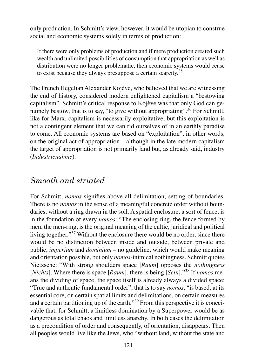only production. In Schmitt's view, however, it would be utopian to construe social and economic systems solely in terms of production:

If there were only problems of production and if mere production created such wealth and unlimited possibilities of consumption that appropriation as well as distribution were no longer problematic, then economic systems would cease to exist because they always presuppose a certain scarcity.<sup>35</sup>

The French Hegelian Alexander Kojève, who believed that we are witnessing the end of history, considered modern enlightened capitalism a "bestowing capitalism". Schmitt's critical response to Kojève was that only God can genuinely bestow, that is to say, "to give without appropriating".<sup>36</sup> For Schmitt, like for Marx, capitalism is necessarily exploitative, but this exploitation is not a contingent element that we can rid ourselves of in an earthly paradise to come. All economic systems are based on "exploitation", in other words, on the original act of appropriation – although in the late modern capitalism the target of appropriation is not primarily land but, as already said, industry (*Industrienahme*).

### *Smooth and striated*

For Schmitt, *nomos* signifies above all delimitation, setting of boundaries. There is no *nomos* in the sense of a meaningful concrete order without boundaries, without a ring drawn in the soil. A spatial enclosure, a sort of fence, is in the foundation of every *nomos*: "The enclosing ring, the fence formed by men, the men-ring, is the original meaning of the cultic, juridical and political living together." $37$  Without the enclosure there would be no order, since there would be no distinction between inside and outside, between private and public, *imperium* and *dominium* – no guideline, which would make meaning and orientation possible, but only *nomos*-inimical nothingness. Schmitt quotes Nietzsche: "With strong shoulders space [*Raum*] opposes the *nothingness*  [*Nichts*]. Where there is space [*Raum*], there is being [*Sein*]."<sup>38</sup> If *nomos* means the dividing of space, the space itself is already always a divided space: "True and authentic fundamental order", that is to say *nomos*, "is based, at its essential core, on certain spatial limits and delimitations, on certain measures and a certain partitioning up of the earth."<sup>39</sup> From this perspective it is conceivable that, for Schmitt, a limitless domination by a Superpower would be as dangerous as total chaos and limitless anarchy. In both cases the delimitation as a precondition of order and consequently, of orientation, disappears. Then all peoples would live like the Jews, who "without land, without the state and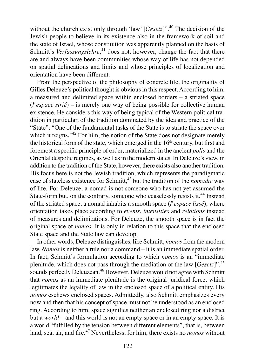without the church exist only through 'law' [*Gesetz*]".<sup>40</sup> The decision of the Jewish people to believe in its existence also in the framework of soil and the state of Israel, whose constitution was apparently planned on the basis of Schmitt's *Verfassungslehre*,<sup>41</sup> does not, however, change the fact that there are and always have been communities whose way of life has not depended on spatial delineations and limits and whose principles of localization and orientation have been different.

From the perspective of the philosophy of concrete life, the originality of Gilles Deleuze's political thought is obvious in this respect. According to him, a measured and delimited space within enclosed borders – a striated space (*l'espace strié*) – is merely one way of being possible for collective human existence. He considers this way of being typical of the Western political tradition in particular, of the tradition dominated by the idea and practice of the "State": "One of the fundamental tasks of the State is to striate the space over which it reigns."<sup>42</sup> For him, the notion of the State does not designate merely the historical form of the state, which emerged in the  $16<sup>th</sup>$  century, but first and foremost a specific principle of order, materialized in the ancient *polis* and the Oriental despotic regimes, as well as in the modern states. In Deleuze's view, in addition to the tradition of the State, however, there exists also another tradition. His focus here is not the Jewish tradition, which represents the paradigmatic case of stateless existence for Schmitt,<sup>43</sup> but the tradition of the *nomadic* way of life. For Deleuze, a nomad is not someone who has not yet assumed the State-form but, on the contrary, someone who ceaselessly resists it.<sup>44</sup> Instead of the striated space, a nomad inhabits a smooth space (*l'espace lissé*), where orientation takes place according to *events*, *intensities* and *relations* instead of measures and delimitations. For Deleuze, the smooth space is in fact the original space of *nomos*. It is only in relation to this space that the enclosed State space and the State law can develop.

In other words, Deleuze distinguishes, like Schmitt, *nomos* from the modern law. *Nomos* is neither a rule nor a command – it is an immediate spatial order. In fact, Schmitt's formulation according to which *nomos* is an "immediate plenitude, which does not pass through the mediation of the law [*Gesetz*]",<sup>45</sup> sounds perfectly Deleuzean.<sup>46</sup> However, Deleuze would not agree with Schmitt that *nomos* as an immediate plenitude is the original juridical force, which legitimates the legality of law in the enclosed space of a political entity. His *nomos* eschews enclosed spaces. Admittedly, also Schmitt emphasizes every now and then that his concept of space must not be understood as an enclosed ring. According to him, space signifies neither an enclosed ring nor a district but a *world* – and this world is not an empty space or in an empty space. It is a world "fulfilled by the tension between different elements", that is, between land, sea, air, and fire.<sup>47</sup> Nevertheless, for him, there exists no *nomos* without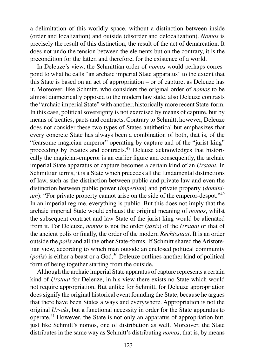a delimitation of this worldly space, without a distinction between inside (order and localization) and outside (disorder and delocalization). *Nomos* is precisely the result of this distinction, the result of the act of demarcation. It does not undo the tension between the elements but on the contrary, it is the precondition for the latter, and therefore, for the existence of a world.

In Deleuze's view, the Schmittian order of *nomos* would perhaps correspond to what he calls "an archaic imperial State apparatus" to the extent that this State is based on an act of appropriation – or of capture, as Deleuze has it. Moreover, like Schmitt, who considers the original order of *nomos* to be almost diametrically opposed to the modern law state, also Deleuze contrasts the "archaic imperial State" with another, historically more recent State-form. In this case, political sovereignty is not exercised by means of capture, but by means of treaties, pacts and contracts. Contrary to Schmitt, however, Deleuze does not consider these two types of States antithetical but emphasizes that every concrete State has always been a combination of both, that is, of the "fearsome magician-emperor" operating by capture and of the "jurist-king" proceeding by treaties and contracts.<sup>48</sup> Deleuze acknowledges that historically the magician-emperor is an earlier figure and consequently, the archaic imperial State apparatus of capture becomes a certain kind of an *Urstaat*. In Schmittian terms, it is a State which precedes all the fundamental distinctions of law, such as the distinction between public and private law and even the distinction between public power (*imperium*) and private property (*dominium*): "For private property cannot arise on the side of the emperor-despot."<sup>49</sup> In an imperial regime, everything is public. But this does not imply that the archaic imperial State would exhaust the original meaning of *nomos*, whilst the subsequent contract-and-law State of the jurist-king would be alienated from it. For Deleuze, *nomos* is not the order (*taxis*) of the *Urstaat* or that of the ancient polis or finally, the order of the modern *Rechtsstaat*. It is an order outside the *polis* and all the other State-forms. If Schmitt shared the Aristotelian view, according to which man outside an enclosed political community  $(polis)$  is either a beast or a God,<sup>50</sup> Deleuze outlines another kind of political form of being together starting from the outside.

Although the archaic imperial State apparatus of capture represents a certain kind of *Urstaat* for Deleuze, in his view there exists no State which would not require appropriation. But unlike for Schmitt, for Deleuze appropriation does signify the original historical event founding the State, because he argues that there have been States always and everywhere. Appropriation is not the original *Ur-akt*, but a functional necessity in order for the State apparatus to operate.<sup>51</sup> However, the State is not only an apparatus of appropriation but, just like Schmitt's nomos, one of distribution as well. Moreover, the State distributes in the same way as Schmitt's distributing *nomos*, that is, by means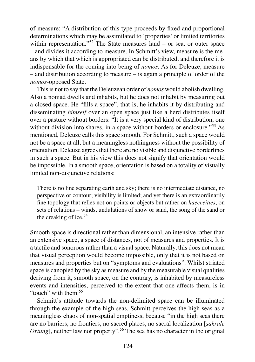of measure: "A distribution of this type proceeds by fixed and proportional determinations which may be assimilated to 'properties' or limited territories within representation."<sup>52</sup> The State measures land – or sea, or outer space – and divides it according to measure. In Schmitt's view, measure is the means by which that which is appropriated can be distributed, and therefore it is indispensable for the coming into being of *nomos*. As for Deleuze, measure – and distribution according to measure – is again a principle of order of the *nomos*-opposed State.

This is not to say that the Deleuzean order of *nomos* would abolish dwelling. Also a nomad dwells and inhabits, but he does not inhabit by measuring out a closed space. He "fills a space", that is, he inhabits it by distributing and disseminating *himself* over an open space just like a herd distributes itself over a pasture without borders: "It is a very special kind of distribution, one without division into shares, in a space without borders or enclosure."<sup>53</sup> As mentioned, Deleuze calls this space smooth. For Schmitt, such a space would not be a space at all, but a meaningless nothingness without the possibility of orientation. Deleuze agrees that there are no visible and disjunctive borderlines in such a space. But in his view this does not signify that orientation would be impossible. In a smooth space, orientation is based on a totality of visually limited non-disjunctive relations:

There is no line separating earth and sky; there is no intermediate distance, no perspective or contour; visibility is limited; and yet there is an extraordinarily fine topology that relies not on points or objects but rather on *haecceities*, on sets of relations – winds, undulations of snow or sand, the song of the sand or the creaking of ice.<sup>54</sup>

Smooth space is directional rather than dimensional, an intensive rather than an extensive space, a space of distances, not of measures and properties. It is a tactile and sonorous rather than a visual space. Naturally, this does not mean that visual perception would become impossible, only that it is not based on measures and properties but on "symptoms and evaluations". Whilst striated space is canopied by the sky as measure and by the measurable visual qualities deriving from it, smooth space, on the contrary, is inhabited by measureless events and intensities, perceived to the extent that one affects them, is in "touch" with them <sup>55</sup>

Schmitt's attitude towards the non-delimited space can be illuminated through the example of the high seas. Schmitt perceives the high seas as a meaningless chaos of non-spatial emptiness, because "in the high seas there are no barriers, no frontiers, no sacred places, no sacral localization [*sakrale Ortung*], neither law nor property".<sup>56</sup> The sea has no character in the original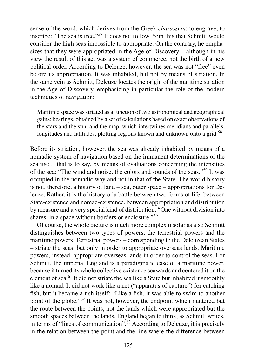sense of the word, which derives from the Greek *charassein*: to engrave, to inscribe: "The sea is free."<sup>57</sup> It does not follow from this that Schmitt would consider the high seas impossible to appropriate. On the contrary, he emphasizes that they were appropriated in the Age of Discovery – although in his view the result of this act was a system of commerce, not the birth of a new political order. According to Deleuze, however, the sea was not "free" even before its appropriation. It was inhabited, but not by means of striation. In the same vein as Schmitt, Deleuze locates the origin of the maritime striation in the Age of Discovery, emphasizing in particular the role of the modern techniques of navigation:

Maritime space was striated as a function of two astronomical and geographical gains: bearings, obtained by a set of calculations based on exact observations of the stars and the sun; and the map, which intertwines meridians and parallels, longitudes and latitudes, plotting regions known and unknown onto a grid.<sup>58</sup>

Before its striation, however, the sea was already inhabited by means of a nomadic system of navigation based on the immanent determinations of the sea itself, that is to say, by means of evaluations concerning the intensities of the sea: "The wind and noise, the colors and sounds of the seas."<sup>59</sup> It was occupied in the nomadic way and not in that of the State. The world history is not, therefore, a history of land – sea, outer space – appropriations for Deleuze. Rather, it is the history of a battle between two forms of life, between State-existence and nomad-existence, between appropriation and distribution by measure and a very special kind of distribution: "One without division into shares, in a space without borders or enclosure."<sup>60</sup>

Of course, the whole picture is much more complex insofar as also Schmitt distinguishes between two types of powers, the terrestrial powers and the maritime powers. Terrestrial powers – corresponding to the Deleuzean States – striate the seas, but only in order to appropriate overseas lands. Maritime powers, instead, appropriate overseas lands in order to control the seas. For Schmitt, the imperial England is a paradigmatic case of a maritime power, because it turned its whole collective existence seawards and centered it on the element of sea.<sup>61</sup> It did not striate the sea like a State but inhabited it smoothly like a nomad. It did not work like a net ("apparatus of capture") for catching fish, but it became a fish itself: "Like a fish, it was able to swim to another point of the globe."<sup>62</sup> It was not, however, the endpoint which mattered but the route between the points, not the lands which were appropriated but the smooth spaces between the lands. England began to think, as Schmitt writes, in terms of "lines of communication".<sup>63</sup> According to Deleuze, it is precisely in the relation between the point and the line where the difference between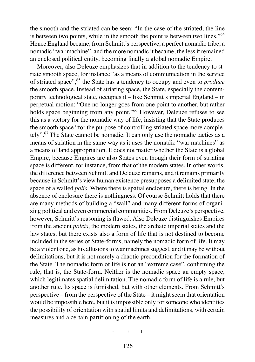the smooth and the striated can be seen: "In the case of the striated, the line is between two points, while in the smooth the point is between two lines."<sup>64</sup> Hence England became, from Schmitt's perspective, a perfect nomadic tribe, a nomadic "war machine", and the more nomadic it became, the less it remained an enclosed political entity, becoming finally a global nomadic Empire.

Moreover, also Deleuze emphasizes that in addition to the tendency to striate smooth space, for instance "as a means of communication in the service of striated space",<sup>65</sup> the State has a tendency to occupy and even to *produce*  the smooth space. Instead of striating space, the State, especially the contemporary technological state, occupies it – like Schmitt's imperial England – in perpetual motion: "One no longer goes from one point to another, but rather holds space beginning from any point."<sup>66</sup> However, Deleuze refuses to see this as a victory for the nomadic way of life, insisting that the State produces the smooth space "for the purpose of controlling striated space more completely".<sup>67</sup> The State cannot be nomadic. It can only use the nomadic tactics as a means of striation in the same way as it uses the nomadic "war machines" as a means of land appropriation. It does not matter whether the State is a global Empire, because Empires are also States even though their form of striating space is different, for instance, from that of the modern states. In other words, the difference between Schmitt and Deleuze remains, and it remains primarily because in Schmitt's view human existence presupposes a delimited state, the space of a walled *polis*. Where there is spatial enclosure, there is being. In the absence of enclosure there is nothingness. Of course Schmitt holds that there are many methods of building a "wall" and many different forms of organizing political and even commercial communities. From Deleuze's perspective, however, Schmitt's reasoning is flawed. Also Deleuze distinguishes Empires from the ancient *poleis*, the modern states, the archaic imperial states and the law states, but there exists also a form of life that is not destined to become included in the series of State-forms, namely the nomadic form of life. It may be a violent one, as his allusions to war machines suggest, and it may be without delimitations, but it is not merely a chaotic precondition for the formation of the State. The nomadic form of life is not an "extreme case", confirming the rule, that is, the State-form. Neither is the nomadic space an empty space, which legitimates spatial delimitation. The nomadic form of life is a rule, but another rule. Its space is furnished, but with other elements. From Schmitt's perspective – from the perspective of the State – it might seem that orientation would be impossible here, but it is impossible only for someone who identifies the possibility of orientation with spatial limits and delimitations, with certain measures and a certain partitioning of the earth.

\* \* \*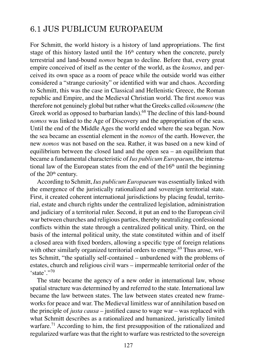# 6.1 JUS PUBLICUM EUROPAEUM

For Schmitt, the world history is a history of land appropriations. The first stage of this history lasted until the  $16<sup>th</sup>$  century when the concrete, purely terrestrial and land-bound *nomos* began to decline. Before that, every great empire conceived of itself as the center of the world, as the *kosmos*, and perceived its own space as a room of peace while the outside world was either considered a "strange curiosity" or identified with war and chaos. According to Schmitt, this was the case in Classical and Hellenistic Greece, the Roman republic and Empire, and the Medieval Christian world. The first *nomos* was therefore not genuinely global but rather what the Greeks called *oikoumene* (the Greek world as opposed to barbarian lands).<sup>68</sup> The decline of this land-bound *nomos* was linked to the Age of Discovery and the appropriation of the seas. Until the end of the Middle Ages the world ended where the sea began. Now the sea became an essential element in the *nomos* of the earth. However, the new *nomos* was not based on the sea. Rather, it was based on a new kind of equilibrium between the closed land and the open sea – an equilibrium that became a fundamental characteristic of *Ius publicum Europaeum*, the international law of the European states from the end of the  $16<sup>th</sup>$  until the beginning of the 20<sup>th</sup> century.

According to Schmitt, *Ius publicum Europaeum* was essentially linked with the emergence of the juristically rationalized and sovereign territorial state. First, it created coherent international jurisdictions by placing feudal, territorial, estate and church rights under the centralized legislation, administration and judiciary of a territorial ruler. Second, it put an end to the European civil war between churches and religious parties, thereby neutralizing confessional conflicts within the state through a centralized political unity. Third, on the basis of the internal political unity, the state constituted within and of itself a closed area with fixed borders, allowing a specific type of foreign relations with other similarly organized territorial orders to emerge.<sup>69</sup> Thus arose, writes Schmitt, "the spatially self-contained – unburdened with the problems of estates, church and religious civil wars – impermeable territorial order of the 'state'."<sup>70</sup>

The state became the agency of a new order in international law, whose spatial structure was determined by and referred to the state. International law became the law between states. The law between states created new frameworks for peace and war. The Medieval limitless war of annihilation based on the principle of *justa causa* – justified cause to wage war – was replaced with what Schmitt describes as a rationalized and humanized, juristically limited warfare.<sup>71</sup> According to him, the first presupposition of the rationalized and regularized warfare was that the right to warfare was restricted to the sovereign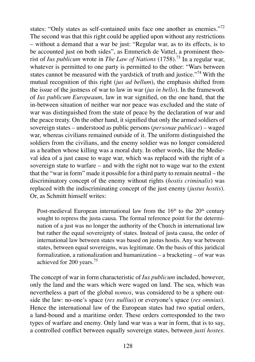states: "Only states as self-contained units face one another as enemies."<sup>72</sup> The second was that this right could be applied upon without any restrictions – without a demand that a war be just: "Regular war, as to its effects, is to be accounted just on both sides", as Emmerich de Vattel, a prominent theorist of *Ius publicum* wrote in *The Law of Nations* (1758).<sup>73</sup> In a regular war, whatever is permitted to one party is permitted to the other: "Wars between states cannot be measured with the yardstick of truth and justice."<sup>74</sup> With the mutual recognition of this right (*jus ad bellum*), the emphasis shifted from the issue of the justness of war to law in war (*jus in bello*). In the framework of *Ius publicum Europeaum*, law in war signified, on the one hand, that the in-between situation of neither war nor peace was excluded and the state of war was distinguished from the state of peace by the declaration of war and the peace treaty. On the other hand, it signified that only the armed soldiers of sovereign states – understood as public persons (*personae publicae*) – waged war, whereas civilians remained outside of it. The uniform distinguished the soldiers from the civilians, and the enemy soldier was no longer considered as a heathen whose killing was a moral duty. In other words, like the Medieval idea of a just cause to wage war, which was replaced with the right of a sovereign state to warfare – and with the right not to wage war to the extent that the "war in form" made it possible for a third party to remain neutral – the discriminatory concept of the enemy without rights (*hostis criminalis*) was replaced with the indiscriminating concept of the just enemy (*justus hostis*). Or, as Schmitt himself writes:

Post-medieval European international law from the  $16<sup>th</sup>$  to the  $20<sup>th</sup>$  century sought to repress the justa causa. The formal reference point for the determination of a just was no longer the authority of the Church in international law but rather the equal sovereignty of states. Instead of justa causa, the order of international law between states was based on justus hostis. Any war between states, between equal sovereigns, was legitimate. On the basis of this juridical formalization, a rationalization and humanization – a bracketing – of war was achieved for 200 years.<sup>75</sup>

The concept of war in form characteristic of *Ius publicum* included, however, only the land and the wars which were waged on land. The sea, which was nevertheless a part of the global *nomos*, was considered to be a sphere outside the law: no-one's space (*res nullius*) or everyone's space (*res omnius*). Hence the international law of the European states had two spatial orders, a land-bound and a maritime order. These orders corresponded to the two types of warfare and enemy. Only land war was a war in form, that is to say, a controlled conflict between equally sovereign states, between *justi hostes*.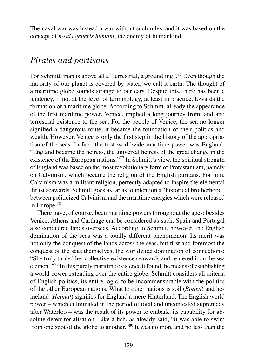The naval war was instead a war without such rules, and it was based on the concept of *hostis generis humani*, the enemy of humankind.

#### *Pirates and partisans*

For Schmitt, man is above all a "terrestrial, a groundling".<sup>76</sup> Even though the majority of our planet is covered by water, we call it earth. The thought of a maritime globe sounds strange to our ears. Despite this, there has been a tendency, if not at the level of terminology, at least in practice, towards the formation of a maritime globe. According to Schmitt, already the appearance of the first maritime power, Venice, implied a long journey from land and terrestrial existence to the sea. For the people of Venice, the sea no longer signified a dangerous route; it became the foundation of their politics and wealth. However, Venice is only the first step in the history of the appropriation of the seas. In fact, the first worldwide maritime power was England: "England became the heiress, the universal heiress of the great change in the existence of the European nations."<sup>77</sup> In Schmitt's view, the spiritual strength of England was based on the most revolutionary form of Protestantism, namely on Calvinism, which became the religion of the English puritans. For him, Calvinism was a militant religion, perfectly adapted to inspire the elemental thrust seawards. Schmitt goes as far as to intention a "historical brotherhood" between politicized Calvinism and the maritime energies which were released in Europe.<sup>78</sup>

There have, of course, been maritime powers throughout the ages: besides Venice, Athens and Carthage can be considered as such. Spain and Portugal also conquered lands overseas. According to Schmitt, however, the English domination of the seas was a totally different phenomenon. Its merit was not only the conquest of the lands across the seas, but first and foremost the conquest of the seas themselves, the worldwide domination of connections: "She truly turned her collective existence seawards and centered it on the sea element."<sup>79</sup> In this purely maritime existence it found the means of establishing a world power extending over the entire globe. Schmitt considers all criteria of English politics, its entire logic, to be incommensurable with the politics of the other European nations. What to other nations is soil (*Boden*) and homeland (*Heimat*) signifies for England a mere Hinterland. The English world power – which culminated in the period of total and uncontested supremacy after Waterloo – was the result of its power to embark, its capability for absolute deterritorialisation. Like a fish, as already said, "it was able to swim from one spot of the globe to another."<sup>80</sup> It was no more and no less than the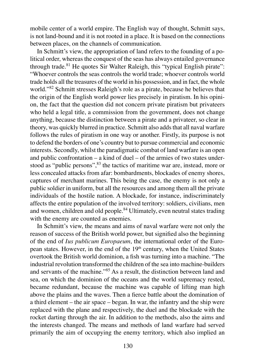mobile center of a world empire. The English way of thought, Schmitt says, is not land-bound and it is not rooted in a place. It is based on the connections between places, on the channels of communication.

In Schmitt's view, the appropriation of land refers to the founding of a political order, whereas the conquest of the seas has always entailed governance through trade.<sup>81</sup> He quotes Sir Walter Raleigh, this "typical English pirate": "Whoever controls the seas controls the world trade; whoever controls world trade holds all the treasures of the world in his possession, and in fact, the whole world."<sup>82</sup> Schmitt stresses Raleigh's role as a pirate, because he believes that the origin of the English world power lies precisely in piratism. In his opinion, the fact that the question did not concern private piratism but privateers who held a legal title, a commission from the government, does not change anything, because the distinction between a pirate and a privateer, so clear in theory, was quickly blurred in practice. Schmitt also adds that all naval warfare follows the rules of piratism in one way or another. Firstly, its purpose is not to defend the borders of one's country but to pursue commercial and economic interests. Secondly, whilst the paradigmatic combat of land warfare is an open and public confrontation – a kind of duel – of the armies of two states understood as "public persons",  $83$  the tactics of maritime war are, instead, more or less concealed attacks from afar: bombardments, blockades of enemy shores, captures of merchant marines. This being the case, the enemy is not only a public soldier in uniform, but all the resources and among them all the private individuals of the hostile nation. A blockade, for instance, indiscriminately affects the entire population of the involved territory: soldiers, civilians, men and women, children and old people.<sup>84</sup> Ultimately, even neutral states trading with the enemy are counted as enemies.

In Schmitt's view, the means and aims of naval warfare were not only the reason of success of the British world power, but signified also the beginning of the end of *Ius publicum Europaeum*, the international order of the European states. However, in the end of the 19<sup>th</sup> century, when the United States overtook the British world dominion, a fish was turning into a machine. "The industrial revolution transformed the children of the sea into machine-builders and servants of the machine."<sup>85</sup> As a result, the distinction between land and sea, on which the dominion of the oceans and the world supremacy rested, became redundant, because the machine was capable of lifting man high above the plains and the waves. Then a fierce battle about the domination of a third element – the air space – began. In war, the infantry and the ship were replaced with the plane and respectively, the duel and the blockade with the rocket darting through the air. In addition to the methods, also the aims and the interests changed. The means and methods of land warfare had served primarily the aim of occupying the enemy territory, which also implied an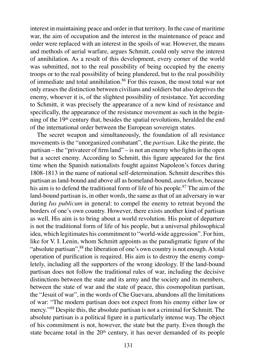interest in maintaining peace and order in that territory. In the case of maritime war, the aim of occupation and the interest in the maintenance of peace and order were replaced with an interest in the spoils of war. However, the means and methods of aerial warfare, argues Schmitt, could only serve the interest of annihilation. As a result of this development, every corner of the world was submitted, not to the real possibility of being occupied by the enemy troops or to the real possibility of being plundered, but to the real possibility of immediate and total annihilation.<sup>86</sup> For this reason, the most total war not only erases the distinction between civilians and soldiers but also deprives the enemy, whoever it is, of the slightest possibility of resistance. Yet according to Schmitt, it was precisely the appearance of a new kind of resistance and specifically, the appearance of the resistance movement as such in the beginning of the 19th century that, besides the spatial revolutions, heralded the end of the international order between the European sovereign states.

The secret weapon and simultaneously, the foundation of all resistance movements is the "unorganized combatant", the *partisan*. Like the pirate, the partisan – the "privateer of firm land" – is not an enemy who fights in the open but a secret enemy. According to Schmitt, this figure appeared for the first time when the Spanish nationalists fought against Napoleon's forces during 1808-1813 in the name of national self-determination. Schmitt describes this partisan as land-bound and above all as homeland-bound, *autochthon*, because his aim is to defend the traditional form of life of his people.<sup>87</sup> The aim of the land-bound partisan is, in other words, the same as that of an adversary in war during *Ius publicum* in general: to compel the enemy to retreat beyond the borders of one's own country. However, there exists another kind of partisan as well. His aim is to bring about a world revolution. His point of departure is not the traditional form of life of his people, but a universal philosophical idea, which legitimates his commitment to "world-wide aggression". For him, like for V. I. Lenin, whom Schmitt appoints as the paradigmatic figure of the "absolute partisan",<sup>88</sup> the liberation of one's own country is not enough. A total operation of purification is required. His aim is to destroy the enemy completely, including all the supporters of the wrong ideology. If the land-bound partisan does not follow the traditional rules of war, including the decisive distinctions between the state and its army and the society and its members, between the state of war and the state of peace, this cosmopolitan partisan, the "Jesuit of war", in the words of Che Guevara, abandons all the limitations of war: "The modern partisan does not expect from his enemy either law or mercy."<sup>89</sup> Despite this, the absolute partisan is not a criminal for Schmitt. The absolute partisan is a political figure in a particularly intense way. The object of his commitment is not, however, the state but the party. Even though the state became total in the 20<sup>th</sup> century, it has never demanded of its people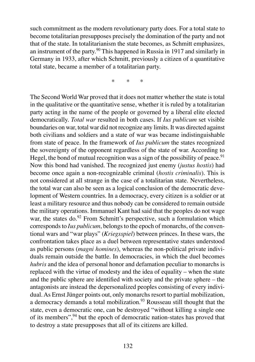such commitment as the modern revolutionary party does. For a total state to become totalitarian presupposes precisely the domination of the party and not that of the state. In totalitarianism the state becomes, as Schmitt emphasizes, an instrument of the party.<sup>90</sup> This happened in Russia in 1917 and similarly in Germany in 1933, after which Schmitt, previously a citizen of a quantitative total state, became a member of a totalitarian party.

\* \* \*

The Second World War proved that it does not matter whether the state is total in the qualitative or the quantitative sense, whether it is ruled by a totalitarian party acting in the name of the people or governed by a liberal elite elected democratically. *Total war* resulted in both cases. If *Ius publicum* set visible boundaries on war, total war did not recognize any limits. It was directed against both civilians and soldiers and a state of war was became indistinguishable from state of peace. In the framework of *Ius publicum* the states recognized the sovereignty of the opponent regardless of the state of war. According to Hegel, the bond of mutual recognition was a sign of the possibility of peace.<sup>91</sup> Now this bond had vanished. The recognized just enemy (*justus hostis*) had become once again a non-recognizable criminal (*hostis criminalis*). This is not considered at all strange in the case of a totalitarian state. Nevertheless, the total war can also be seen as a logical conclusion of the democratic development of Western countries. In a democracy, every citizen is a soldier or at least a military resource and thus nobody can be considered to remain outside the military operations. Immanuel Kant had said that the peoples do not wage war, the states do.<sup>92</sup> From Schmitt's perspective, such a formulation which corresponds to *Ius publicum*, belongs to the epoch of monarchs, of the conventional wars and "war plays" (*Kriegsspiel*) between princes. In these wars, the confrontation takes place as a duel between representative states understood as public persons (*magni homines*), whereas the non-political private individuals remain outside the battle. In democracies, in which the duel becomes *hubris* and the idea of personal honor and defamation peculiar to monarchs is replaced with the virtue of modesty and the idea of equality – when the state and the public sphere are identified with society and the private sphere – the antagonists are instead the depersonalized peoples consisting of every individual. As Ernst Jünger points out, only monarchs resort to partial mobilization, a democracy demands a total mobilization.<sup>93</sup> Rousseau still thought that the state, even a democratic one, can be destroyed "without killing a single one of its members",<sup>94</sup> but the epoch of democratic nation-states has proved that to destroy a state presupposes that all of its citizens are killed.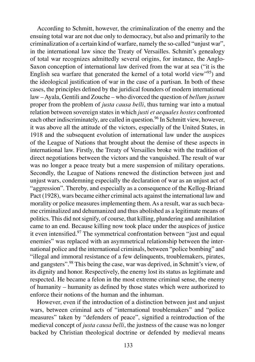According to Schmitt, however, the criminalization of the enemy and the ensuing total war are not due only to democracy, but also and primarily to the criminalization of a certain kind of warfare, namely the so-called "unjust war", in the international law since the Treaty of Versailles. Schmitt's genealogy of total war recognizes admittedly several origins, for instance, the Anglo-Saxon conception of international law derived from the war at sea ("it is the English sea warfare that generated the kernel of a total world view"<sup>95</sup>) and the ideological justification of war in the case of a partisan. In both of these cases, the principles defined by the juridical founders of modern international law – Ayala, Gentili and Zouche – who divorced the question of *bellum justum* proper from the problem of *justa causa belli*, thus turning war into a mutual relation between sovereign states in which *justi et aequales hostes* confronted each other indiscriminately, are called in question.<sup>96</sup> In Schmitt view, however, it was above all the attitude of the victors, especially of the United States, in 1918 and the subsequent evolution of international law under the auspices of the League of Nations that brought about the demise of these aspects in international law. Firstly, the Treaty of Versailles broke with the tradition of direct negotiations between the victors and the vanquished. The result of war was no longer a peace treaty but a mere suspension of military operations. Secondly, the League of Nations renewed the distinction between just and unjust wars, condemning especially the declaration of war as an unjust act of "aggression". Thereby, and especially as a consequence of the Kellog-Briand Pact (1928), wars became either criminal acts against the international law and morality or police measures implementing them. As a result, war as such became criminalized and dehumanized and thus abolished as a legitimate means of politics. This did not signify, of course, that killing, plundering and annihilation came to an end. Because killing now took place under the auspices of justice it even intensified.<sup>97</sup> The symmetrical confrontation between "just and equal enemies" was replaced with an asymmetrical relationship between the international police and the international criminals, between "police bombing" and "illegal and immoral resistance of a few delinquents, troublemakers, pirates, and gangsters".<sup>98</sup> This being the case, war was deprived, in Schmitt's view, of its dignity and honor. Respectively, the enemy lost its status as legitimate and respected. He became a felon in the most extreme criminal sense, the enemy of humanity – humanity as defined by those states which were authorized to enforce their notions of the human and the inhuman.

However, even if the introduction of a distinction between just and unjust wars, between criminal acts of "international troublemakers" and "police measures" taken by "defenders of peace", signified a reintroduction of the medieval concept of *justa causa belli*, the justness of the cause was no longer backed by Christian theological doctrine or defended by medieval means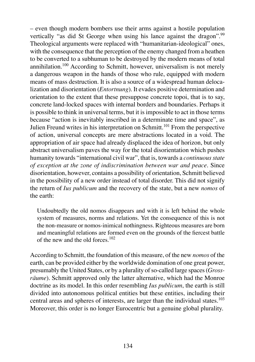– even though modern bombers use their arms against a hostile population vertically "as did St George when using his lance against the dragon".<sup>99</sup> Theological arguments were replaced with "humanitarian-ideological" ones, with the consequence that the perception of the enemy changed from a heathen to be converted to a subhuman to be destroyed by the modern means of total annihilation.<sup>100</sup> According to Schmitt, however, universalism is not merely a dangerous weapon in the hands of those who rule, equipped with modern means of mass destruction. It is also a source of a widespread human delocalization and disorientation (*Entortnung*). It evades positive determination and orientation to the extent that these presuppose concrete topoi, that is to say, concrete land-locked spaces with internal borders and boundaries. Perhaps it is possible to think in universal terms, but it is impossible to act in those terms because "action is inevitably inscribed in a determinate time and space", as Julien Freund writes in his interpretation on Schmitt.<sup>101</sup> From the perspective of action, universal concepts are mere abstractions located in a void. The appropriation of air space had already displaced the idea of horizon, but only abstract universalism paves the way for the total disorientation which pushes humanity towards "international civil war", that is, towards a *continuous state of exception at the zone of indiscrimination between war and peace*. Since disorientation, however, contains a possibility of orientation, Schmitt believed in the possibility of a new order instead of total disorder. This did not signify the return of *Ius publicum* and the recovery of the state, but a new *nomos* of the earth:

Undoubtedly the old nomos disappears and with it is left behind the whole system of measures, norms and relations. Yet the consequence of this is not the non-measure or nomos-inimical nothingness. Righteous measures are born and meaningful relations are formed even on the grounds of the fiercest battle of the new and the old forces. $102$ 

According to Schmitt, the foundation of this measure, of the new *nomos* of the earth, can be provided either by the worldwide domination of one great power, presumably the United States, or by a plurality of so-called large spaces (*Grossräume*). Schmitt approved only the latter alternative, which had the Monroe doctrine as its model. In this order resembling *Ius publicum*, the earth is still divided into autonomous political entities but these entities, including their central areas and spheres of interests, are larger than the individual states.<sup>103</sup> Moreover, this order is no longer Eurocentric but a genuine global plurality.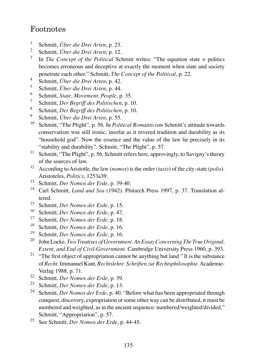## Footnotes

- 1 Schmitt, *Über die Drei Arten*, p. 23.
- 2 Schmitt, *Über die Drei Arten*, p. 12.
- 3 In *The Concept of the Political* Schmitt writes: "The equation state = politics becomes erroneous and deceptive at exactly the moment when state and society penetrate each other." Schmitt, *The Concept of the Political*, p. 22.
- 4 Schmitt, *Über die Drei Arten*, p. 42.
- 5 Schmitt, *Über die Drei Arten*, p. 44.
- 6 Schmitt, *State, Movement, People*, p. 35.
- 7 Schmitt, *Der Begriff des Politischen*, p. 10.
- 8 Schmitt, *Der Begriff des Politischen*, p. 10.
- 9 <sup>9</sup> Schmitt, *Über die Drei Arten*, p. 55.<br><sup>10</sup> Sehmitt, "The Plickt", p. 56. In Palit
- <sup>10</sup> Schmitt, "The Plight", p. 56. In *Political Romanticism* Schmitt's attitude towards conservatism was still ironic, insofar as it revered tradition and durability as its "household god". Now the essence and the value of the law lie precisely in its "stability and durability". Schmitt, "The Plight", p. 57.
- <sup>11</sup> Schmitt, "The Plight", p. 56. Schmitt refers here, approvingly, to Savigny's theory of the sources of law.
- <sup>12</sup> According to Aristotle, the law (*nomos*) is the order (*taxis*) of the city-state (*polis*). Aristoteles, *Politics*, 1253a39.
- <sup>13</sup> Schmitt, *Der Nomos der Erde*, p. 39-40.
- <sup>14</sup> Carl Schmitt, *Land and Sea* (1942). Plutarch Press 1997, p. 37. Translation altered.
- <sup>15</sup> Schmitt, *Der Nomos der Erde*, p. 15.
- <sup>16</sup> Schmitt, *Der Nomos der Erde*, p. 47.
- <sup>17</sup> Schmitt, *Der Nomos der Erde*, p. 18.<br><sup>18</sup> Schmitt, *Der Nomos der Erde*, p. 16.
- <sup>18</sup> Schmitt, *Der Nomos der Erde*, p. 16.
- <sup>19</sup> Schmitt, *Der Nomos der Erde*, p. 16.
- <sup>20</sup> John Locke, *Two Treatises of Government. An Essay Concerning The True Original, Extent, and End of Civil-Government*. Cambridge University Press 1960, p. 393.
- <sup>21</sup> "The first object of appropriation cannot be anything but land." It is the substance of *Recht*. Immanuel Kant, *Rechtslehre. Schriften zur Rechtsphilosophie*. Academie-Verlag 1988, p. 71.
- <sup>22</sup> Schmitt, *Der Nomos der Erde*, p. 39.
- <sup>23</sup> Schmitt, *Der Nomos der Erde*, p. 13.
- <sup>24</sup> Schmitt, *Der Nomos der Erde*, p. 40. "Before what has been appropriated through conquest, discovery, expropriation or some other way can be distributed, it must be numbered and weighted, as in the ancient sequence: numbered/weighted/divided." Schmitt, "Appropriation", p. 57.
- <sup>25</sup> See Schmitt, *Der Nomos der Erde*, p. 44-45.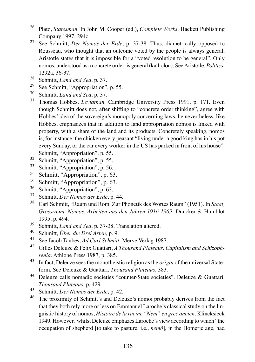- <sup>26</sup> Plato, *Statesman*. In John M. Cooper (ed.), *Complete Works*. Hackett Publishing Company 1997, 294c.
- <sup>27</sup> See Schmitt, *Der Nomos der Erde*, p. 37-38. Thus, diametrically opposed to Rousseau, who thought that an outcome voted by the people is always general, Aristotle states that it is impossible for a "voted resolution to be general". Only nomos, understood as a concrete order, is general (katholou). See Aristotle, *Politics*, 1292a, 36-37.
- <sup>28</sup> Schmitt, *Land and Sea*, p. 37.<br><sup>29</sup> See Schmitt, "Appropriation"
- <sup>29</sup> See Schmitt, "Appropriation", p. 55.<br><sup>30</sup> Schmitt, *Land and Sea*, p. 37.
- Schmitt, *Land and Sea*, p. 37.
- <sup>31</sup> Thomas Hobbes, *Leviathan*. Cambridge University Press 1991, p. 171. Even though Schmitt does not, after shifting to "concrete order thinking", agree with Hobbes' idea of the sovereign's monopoly concerning laws, he nevertheless, like Hobbes, emphasizes that in addition to land appropriation nomos is linked with property, with a share of the land and its products. Concretely speaking, nomos is, for instance, the chicken every peasant "living under a good king has in his pot every Sunday, or the car every worker in the US has parked in front of his house". Schmitt, "Appropriation", p. 55.
- $rac{32}{33}$  Schmitt, "Appropriation", p. 55.<br> $rac{33}{32}$  Schmitt, "Appropriation", p. 56.
- $^{33}$  Schmitt, "Appropriation", p. 56.<br> $^{34}$  Schmitt, "Appropriation", p. 6
- <sup>34</sup> Schmitt, "Appropriation", p. 63.<br> $S_{\text{chmidt}}$  "Appropriation", p. 63.
- Schmitt, "Appropriation", p. 63.
- $36$  Schmitt, "Appropriation", p. 63.<br> $37$  Schmitt, Der Nomes der Erde, p.
- <sup>37</sup> Schmitt, *Der Nomos der Erde*, p. 44.
- <sup>38</sup> Carl Schmitt, "Raum und Rom. Zur Phonetik des Wortes Raum" (1951). In *Staat, Grossraum, Nomos. Arbeiten aus den Jahren 1916-1969*. Duncker & Humblot 1995, p. 494.
- <sup>39</sup> Schmitt, *Land and Sea*, p. 37-38. Translation altered.
- <sup>40</sup> Schmitt, *Über die Drei Arten*, p. 9.
- See Jacob Taubes, *Ad Carl Schmitt*. Merve Verlag 1987.
- <sup>42</sup> Gilles Deleuze & Felix Guattari, *A Thousand Plateaus*. *Capitalism and Schizophrenia*. Athlone Press 1987, p. 385.
- <sup>43</sup> In fact, Deleuze sees the monotheistic religion as the *origin* of the universal Stateform. See Deleuze & Guattari, *Thousand Plateaus*, 383.
- <sup>44</sup> Deleuze calls nomadic societies "counter-State societies". Deleuze & Guattari, *Thousand Plateaus*, p. 429.
- <sup>45</sup> Schmitt, *Der Nomos der Erde*, p. 42.<br><sup>46</sup> The proximity of Schmitt's and Dele
- The proximity of Schmitt's and Deleuze's nomoi probably derives from the fact that they both rely more or less on Emmanuel Laroche's classical study on the linguistic history of nomos, *Histoire de la racine "Nem" en grec ancien*. Klincksieck 1949. However, whilst Deleuze emphazes Laroche's view according to which "the occupation of shepherd [to take to pasture, i.e., *nemô*], in the Homeric age, had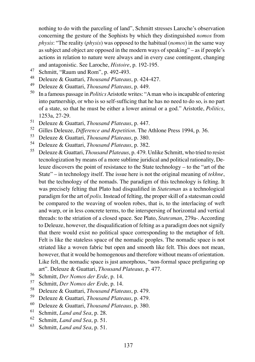nothing to do with the parceling of land", Schmitt stresses Laroche's observation concerning the gesture of the Sophists by which they distinguished *nomos* from *physis*: "The reality (*physis*) was opposed to the habitual (*nomos*) in the same way as subject and object are opposed in the modern ways of speaking" – as if people's actions in relation to nature were always and in every case contingent, changing and antagonistic. See Laroche, *Histoire*, p. 192-195.

- 47 Schmitt, "Raum und Rom", p. 492-493.
- <sup>48</sup> Deleuze & Guattari, *Thousand Plateaus*, p. 424-427.
- <sup>49</sup> Deleuze & Guattari, *Thousand Plateaus*, p. 449.
- <sup>50</sup> In a famous passage in *Politics*Aristotle writes: "A man who is incapable of entering into partnership, or who is so self-sufficing that he has no need to do so, is no part of a state, so that he must be either a lower animal or a god." Aristotle, *Politics*, 1253a, 27-29.
- <sup>51</sup> Deleuze & Guattari, *Thousand Plateaus*, p. 447.
- <sup>52</sup> Gilles Deleuze, *Difference and Repetition*. The Athlone Press 1994, p. 36.<br><sup>53</sup> Deleuze, *& Custteri, Thouand Plateaus*, p. 280.
- <sup>53</sup> Deleuze & Guattari, *Thousand Plateaus*, p. 380.
- <sup>54</sup> Deleuze & Guattari, *Thousand Plateaus*, p. 382.
- <sup>55</sup> Deleuze & Guattari, *Thousand Plateaus*, p. 479. Unlike Schmitt, who tried to resist tecnologization by means of a more sublime juridical and political rationality, Deleuze discovers the point of resistance to the State technology – to the "art of the State" – in technology itself. The issue here is not the original meaning of *tekhne*, but the technology of the nomads. The paradigm of this technology is felting. It was precisely felting that Plato had disqualified in *Statesman* as a technological paradigm for the art of *polis*. Instead of felting, the proper skill of a statesman could be compared to the weaving of woolen robes, that is, to the interlacing of weft and warp, or in less concrete terms, to the interspersing of horizontal and vertical threads: to the striation of a closed space. See Plato, *Statesman*, 279a-. According to Deleuze, however, the disqualification of felting as a paradigm does not signify that there would exist no political space corresponding to the metaphor of felt. Felt is like the stateless space of the nomadic peoples. The nomadic space is not striated like a woven fabric but open and smooth like felt. This does not mean, however, that it would be homogenous and therefore without means of orientation. Like felt, the nomadic space is just amorphous, "non-formal space prefiguring op art". Deleuze & Guattari, *Thousand Plateaus*, p. 477.
- <sup>56</sup> Schmitt, *Der Nomos der Erde*, p. 14.
- <sup>57</sup> Schmitt, *Der Nomos der Erd*e, p. 14.
- <sup>58</sup> Deleuze & Guattari, *Thousand Plateaus*, p. 479.
- <sup>59</sup> Deleuze & Guattari, *Thousand Plateaus*, p. 479.
- <sup>60</sup> Deleuze & Guattari, *Thousand Plateaus*, p. 380.
- <sup>61</sup> Schmitt, *Land and Sea*, p. 28.
- <sup>62</sup> Schmitt, *Land and Sea*, p. 51.
- <sup>63</sup> Schmitt, *Land and Sea*, p. 51.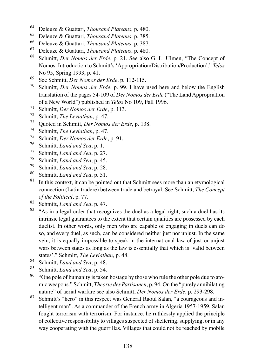- <sup>64</sup> Deleuze & Guattari, *Thousand Plateaus*, p. 480.
- <sup>65</sup> Deleuze & Guattari, *Thousand Plateaus*, p. 385.
- <sup>66</sup> Deleuze & Guattari, *Thousand Plateaus*, p. 387.
- <sup>67</sup> Deleuze & Guattari, *Thousand Plateaus*, p. 480.
- <sup>68</sup> Schmitt, *Der Nomos der Erde*, p. 21. See also G. L. Ulmen, "The Concept of Nomos: Introduction to Schmitt's 'Appropriation/Distribution/Production'." *Telos* No 95, Spring 1993, p. 41.
- 69 See Schmitt, *Der Nomos der Erde*, p. 112-115.<br><sup>70</sup> Schmitt, *Der Nomos der Erde*, p. 99 J have
- Schmitt, *Der Nomos der Erde*, p. 99. I have used here and below the English translation of the pages 54-109 of *Der Nomos der Erde* ("The Land Appropriation of a New World") published in *Telos* No 109, Fall 1996.
- <sup>71</sup> Schmitt, *Der Nomos der Erde*, p. 113.<br><sup>72</sup> Schmitt, *The Levisther*, p. 47
- <sup>72</sup> Schmitt, *The Leviathan*, p. 47.<br><sup>73</sup> Oueted in Schmitt, *Der Nomos*
- <sup>73</sup> Quoted in Schmitt, *Der Nomos der Erde*, p. 138.
- <sup>74</sup> Schmitt, *The Leviathan*, p. 47.<br><sup>75</sup> Schmitt, *Der Nomos der Erde*
- <sup>75</sup> Schmitt, *Der Nomos der Erde*, p. 91.
- <sup>76</sup> Schmitt, *Land and Sea*, p. 1.<br><sup>77</sup> Schmitt, *Land and Sea*, p. 27
- <sup>77</sup> Schmitt, *Land and Sea*, p. 27.
- <sup>78</sup> Schmitt, *Land and Sea*, p. 45.<br><sup>79</sup> Schmitt, *Land and Sea*, p. 28.
- Schmitt, *Land and Sea*, p. 28.
- <sup>80</sup> Schmitt, *Land and Sea*, p. 51.
- In this context, it can be pointed out that Schmitt sees more than an etymological connection (Latin tradere) between trade and betrayal. See Schmitt, *The Concept of the Political*, p. 77.
- <sup>82</sup> Schmitt, *Land and Sea*, p. 47.
- <sup>83</sup> "As in a legal order that recognizes the duel as a legal right, such a duel has its intrinsic legal guarantees to the extent that certain qualities are possessed by each duelist. In other words, only men who are capable of engaging in duels can do so, and every duel, as such, can be considered neither just nor unjust. In the same vein, it is equally impossible to speak in the international law of just or unjust wars between states as long as the law is essentially that which is 'valid between states'." Schmitt, *The Leviathan*, p. 48.
- 84 Schmitt, *Land and Sea*, p. 48.<br>85 Schmitt, *Land and Sea*, p. 54.
- <sup>85</sup> Schmitt, *Land and Sea*, p. 54.
- <sup>86</sup> "One pole of humanity is taken hostage by those who rule the other pole due to atomic weapons." Schmitt, *Theorie des Partisanen*, p. 94. On the "purely annihilating nature" of aerial warfare see also Schmitt, *Der Nomos der Erde*, p. 293-298.
- <sup>87</sup> Schmitt's "hero" in this respect was General Raoul Salan, "a courageous and intelligent man". As a commander of the French army in Algeria 1957-1959, Salan fought terrorism with terrorism. For instance, he ruthlessly applied the principle of collective responsibility to villages suspected of sheltering, supplying, or in any way cooperating with the guerrillas. Villages that could not be reached by mobile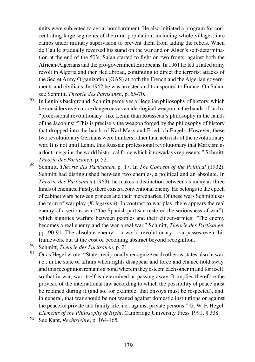units were subjected to aerial bombardment. He also initiated a program for concentrating large segments of the rural population, including whole villages, into camps under military supervision to prevent them from aiding the rebels. When de Gaulle gradually reversed his stand on the war and on Alger's self-determination at the end of the 50's, Salan started to fight on two fronts, against both the African-Algerians and the pro-government Europeans. In 1961 he led a failed army revolt in Algeria and then fled abroad, continuing to direct the terrorist attacks of the Secret Army Organization (OAS) at both the French and the Algerian governments and civilians. In 1962 he was arrested and transported to France. On Salan, see Schmitt, *Theorie des Partisanen*, p. 65-70.

- <sup>88</sup> In Lenin's background, Schmitt perceives a Hegelian philosophy of history, which he considers even more dangerous as an ideological weapon in the hands of such a "professional revolutionary" like Lenin than Rousseau's philosophy in the hands of the Jacobins: "This is precisely the weapon forged by the philosophy of history that dropped into the hands of Karl Marx and Friedrich Engels. However, these two revolutionary Germans were thinkers rather than activists of the revolutionary war. It is not until Lenin, this Russian professional revolutionary that Marxism as a doctrine gains the world historical force which it nowadays represents." Schmitt, *Theorie des Partisanen*, p. 52.
- <sup>89</sup> Schmitt, *Theorie des Partisanen*, p. 17. In *The Concept of the Political* (1932), Schmitt had distinguished between two enemies, a political and an absolute. In *Theorie des Partisanen* (1963), he makes a distinction between as many as three kinds of enemies. Firstly, there exists a conventional enemy. He belongs to the epoch of cabinet wars between princes and their mercenaries. Of these wars Schmitt uses the term of war play (*Kriegsspiel*). In contrast to war play, there appears the real enemy of a serious war ("the Spanish partisan restored the seriousness of war"), which signifies warfare between peoples and their citizen-armies: "The enemy becomes a real enemy and the war a real war." Schmitt, *Theorie des Partisanen*, pp. 90-91. The absolute enemy – a world revolutionary – surpasses even this framework but at the cost of becoming abstract beyond recognition.
- 90 Schmitt, *Theorie des Partisanen*, p. 21.<br>91 Or es Horal wrote: "States reciprocally
- Or as Hegel wrote: "States reciprocally recognize each other as states also in war, i.e., in the state of affairs when rights disappear and force and chance hold sway, and this recognition remains a bond wherein they esteem each other in and for itself, so that in war, war itself is determined as passing away. It implies therefore the provisio of the international law according to which the possibility of peace must be retained during it (and so, for example, that envoys must be respected), and, in general, that war should be not waged against domestic institutions or against the peaceful private and family life, i.e., against private persons." G. W. F. Hegel, *Elements of the Philosophy of Right*. Cambridge University Press 1991, § 338.
- <sup>92</sup> See Kant, *Rechtslehre*, p. 164-165.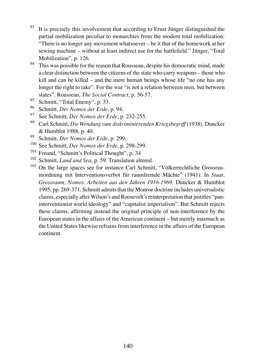- $93$  It is precisely this involvement that according to Ernst Jünger distinguished the partial mobilization peculiar to monarchies from the modern total mobilization: "There is no longer any movement whatsoever – be it that of the homework at her sewing machine – without at least indirect use for the battlefield." Jünger, "Total Mobilization", p. 126.
- <sup>94</sup> This was possible for the reason that Rousseau, despite his democratic mind, made a clear distinction between the citizens of the state who carry weapons – those who kill and can be killed – and the mere human beings whose life "no one has any longer the right to take". For the war "is not a relation between men, but between states". Rousseau, *The Social Contract*, p. 56-57.
- <sup>95</sup> Schmitt, "Total Enemy", p. 33.<br><sup>96</sup> Schmitt, Der Nomas der Erde
- <sup>96</sup> Schmitt, *Der Nomos der Erde*, p. 94.
- <sup>97</sup> See Schmitt, *Der Nomos der Erde*, p. 232-255.
- <sup>98</sup> Carl Schmitt, *Die Wendung zum diskriminierenden Kriegsbegriff* (1938). Duncker & Humblot 1988, p. 40.
- <sup>99</sup> Schmitt, *Der Nomos der Erde*, p. 299.
- <sup>100</sup> See Schmitt, *Der Nomos der Erde*, p. 298-299.<br><sup>101</sup> Freund "Schmitt's Political Thought" p. 34
- <sup>101</sup> Freund, "Schmitt's Political Thought", p. 34<br><sup>102</sup> Schmitt, *Land and Sea* n. 59. Translation alt
- <sup>102</sup> Schmitt, *Land and Sea*, p. 59. Translation altered.<br><sup>103</sup> On the large spaces see for instance Carl Schmit.
- <sup>103</sup> On the large spaces see for instance Carl Schmitt, "Völkerrechtliche Grossraumordnung mit Interventionsverbot für raumfremde Mächte" (1941). In *Staat, Grossraum, Nomos. Arbeiten aus den Jahren 1916-1969*. Duncker & Humblot 1995, pp. 269-371. Schmitt admits that the Monroe doctrine includes universalistic claims, especially after Wilson's and Roosevelt's reinterpretation that justifies "paninterventionist world ideology" and "capitalist imperialism". But Schmitt rejects these claims, affirming instead the original principle of non-interference by the European states in the affairs of the American continent – but merely inasmuch as the United States likewise refrains from interference in the affairs of the European continent.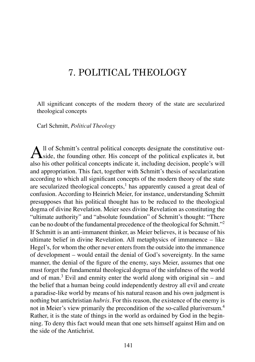# 7. POLITICAL THEOLOGY

All significant concepts of the modern theory of the state are secularized theological concepts

Carl Schmitt, *Political Theology*

All of Schmitt's central political concepts designate the constitutive out-<br>side, the founding other. His concept of the political explicates it, but also his other political concepts indicate it, including decision, people's will and appropriation. This fact, together with Schmitt's thesis of secularization according to which all significant concepts of the modern theory of the state are secularized theological concepts, $<sup>1</sup>$  has apparently caused a great deal of</sup> confusion. According to Heinrich Meier, for instance, understanding Schmitt presupposes that his political thought has to be reduced to the theological dogma of divine Revelation. Meier sees divine Revelation as constituting the "ultimate authority" and "absolute foundation" of Schmitt's thought: "There can be no doubt of the fundamental precedence of the theological for Schmitt."<sup>2</sup> If Schmitt is an anti-immanent thinker, as Meier believes, it is because of his ultimate belief in divine Revelation. All metaphysics of immanence – like Hegel's, for whom the other never enters from the outside into the immanence of development – would entail the denial of God's sovereignty. In the same manner, the denial of the figure of the enemy, says Meier, assumes that one must forget the fundamental theological dogma of the sinfulness of the world and of man. $3$  Evil and enmity enter the world along with original sin – and the belief that a human being could independently destroy all evil and create a paradise-like world by means of his natural reason and his own judgment is nothing but antichristian *hubris*. For this reason, the existence of the enemy is not in Meier's view primarily the precondition of the so-called pluriversum.<sup>4</sup> Rather, it is the state of things in the world as ordained by God in the beginning. To deny this fact would mean that one sets himself against Him and on the side of the Antichrist.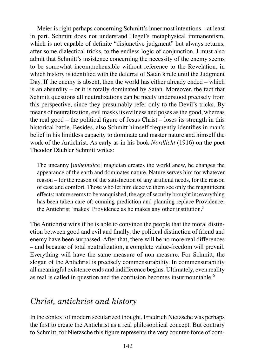Meier is right perhaps concerning Schmitt's innermost intentions – at least in part. Schmitt does not understand Hegel's metaphysical immanentism, which is not capable of definite "disjunctive judgment" but always returns, after some dialectical tricks, to the endless logic of conjunction. I must also admit that Schmitt's insistence concerning the necessity of the enemy seems to be somewhat incomprehensible without reference to the Revelation, in which history is identified with the deferral of Satan's rule until the Judgment Day. If the enemy is absent, then the world has either already ended – which is an absurdity – or it is totally dominated by Satan. Moreover, the fact that Schmitt questions all neutralizations can be nicely understood precisely from this perspective, since they presumably refer only to the Devil's tricks. By means of neutralization, evil masks its evilness and poses as the good, whereas the real good – the political figure of Jesus Christ – loses its strength in this historical battle. Besides, also Schmitt himself frequently identifies in man's belief in his limitless capacity to dominate and master nature and himself the work of the Antichrist. As early as in his book *Nordlicht* (1916) on the poet Theodor Däubler Schmitt writes:

The uncanny [*unheimlich*] magician creates the world anew, he changes the appearance of the earth and dominates nature. Nature serves him for whatever reason – for the reason of the satisfaction of any artificial needs, for the reason of ease and comfort. Those who let him deceive them see only the magnificent effects; nature seems to be vanquished, the age of security brought in; everything has been taken care of; cunning prediction and planning replace Providence; the Antichrist 'makes' Providence as he makes any other institution.<sup>5</sup>

The Antichrist wins if he is able to convince the people that the moral distinction between good and evil and finally, the political distinction of friend and enemy have been surpassed. After that, there will be no more real differences – and because of total neutralization, a complete value-freedom will prevail. Everything will have the same measure of non-measure. For Schmitt, the slogan of the Antichrist is precisely commensurability. In commensurability all meaningful existence ends and indifference begins. Ultimately, even reality as real is called in question and the confusion becomes insurmountable.<sup>6</sup>

### *Christ, antichrist and history*

In the context of modern secularized thought, Friedrich Nietzsche was perhaps the first to create the Antichrist as a real philosophical concept. But contrary to Schmitt, for Nietzsche this figure represents the very counter-force of com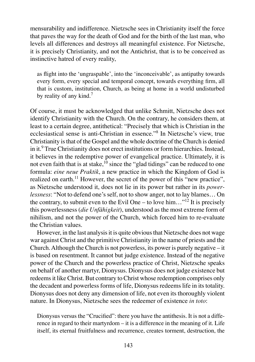mensurability and indifference. Nietzsche sees in Christianity itself the force that paves the way for the death of God and for the birth of the last man, who levels all differences and destroys all meaningful existence. For Nietzsche, it is precisely Christianity, and not the Antichrist, that is to be conceived as instinctive hatred of every reality,

as flight into the 'ungraspable', into the 'inconceivable', as antipathy towards every form, every special and temporal concept, towards everything firm, all that is custom, institution, Church, as being at home in a world undisturbed by reality of any kind.<sup>7</sup>

Of course, it must be acknowledged that unlike Schmitt, Nietzsche does not identify Christianity with the Church. On the contrary, he considers them, at least to a certain degree, antithetical: "Precisely that which is Christian in the ecclesiastical sense is anti-Christian in essence."<sup>8</sup> In Nietzsche's view, true Christianity is that of the Gospel and the whole doctrine of the Church is denied in it.<sup>9</sup> True Christianity does not erect institutions or form hierarchies. Instead, it believes in the redemptive power of evangelical practice. Ultimately, it is not even faith that is at stake, $10$  since the "glad tidings" can be reduced to one formula: *eine neue Praktik*, a new practice in which the Kingdom of God is realized on earth.<sup>11</sup> However, the secret of the power of this "new practice", as Nietzsche understood it, does not lie in its power but rather in its *powerlessness*: "Not to defend one's self, not to show anger, not to lay blames… On the contrary, to submit even to the Evil One – to love him..."<sup>12</sup> It is precisely this powerlessness (*die Unfähigkeit*), understood as the most extreme form of nihilism, and not the power of the Church, which forced him to re-evaluate the Christian values.

However, in the last analysis it is quite obvious that Nietzsche does not wage war against Christ and the primitive Christianity in the name of priests and the Church. Although the Church is not powerless, its power is purely negative – it is based on resentment. It cannot but judge existence. Instead of the negative power of the Church and the powerless practice of Christ, Nietzsche speaks on behalf of another martyr, Dionysus. Dionysus does not judge existence but redeems it like Christ. But contrary to Christ whose redemption comprises only the decadent and powerless forms of life, Dionysus redeems life in its totality. Dionysus does not deny any dimension of life, not even its thoroughly violent nature. In Dionysus, Nietzsche sees the redeemer of existence *in toto*:

Dionysus versus the "Crucified": there you have the antithesis. It is not a difference in regard to their martyrdom – it is a difference in the meaning of it. Life itself, its eternal fruitfulness and recurrence, creates torment, destruction, the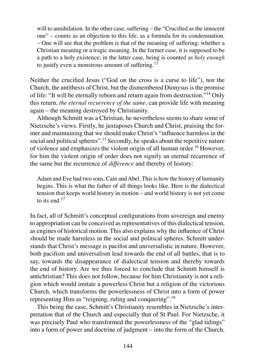will to annihilation. In the other case, suffering – the "Crucified as the innocent one" – counts as an objection to this life, as a formula for its condemnation. – One will see that the problem is that of the meaning of suffering: whether a Christian meaning or a tragic meaning. In the former case, it is supposed to be a path to a holy existence; in the latter case, being is counted as *holy enough* to justify even a monstrous amount of suffering. $^{13}$ 

Neither the crucified Jesus ("God on the cross is a curse to life"), nor the Church, the antithesis of Christ, but the dismembered Dionysus is the promise of life: "It will be eternally reborn and return again from destruction."<sup>14</sup> Only this return, *the eternal recurrence of the same*, can provide life with meaning again – the meaning destroyed by Christianity.

Although Schmitt was a Christian, he nevertheless seems to share some of Nietzsche's views. Firstly, he juxtaposes Church and Christ, praising the former and maintaining that we should make Christ's "influence harmless in the social and political spheres".<sup>15</sup> Secondly, he speaks about the repetitive nature of violence and emphasizes the violent origin of all human order.<sup>16</sup> However, for him the violent origin of order does not signify an eternal recurrence of the same but the recurrence of *difference* and thereby of history:

Adam and Eve had two sons, Cain and Abel. This is how the history of humanity begins. This is what the father of all things looks like. Here is the dialectical tension that keeps world history in motion – and world history is not yet come to its end  $17$ 

In fact, all of Schmitt's conceptual configurations from sovereign and enemy to appropriation can be conceived as representatives of this dialectical tension, as engines of historical motion. This also explains why the influence of Christ should be made harmless in the social and political spheres. Schmitt understands that Christ's message is pacifist and universalistic in nature. However, both pacifism and universalism lead towards the end of all battles, that is to say, towards the disappearance of dialectical tension and thereby towards the end of history. Are we thus forced to conclude that Schmitt himself is antichristian? This does not follow, because for him Christianity is not a religion which would imitate a powerless Christ but a religion of the victorious Church, which transforms the powerlessness of Christ into a form of power representing Him as "reigning, ruling and conquering".<sup>18</sup>

This being the case, Schmitt's Christianity resembles in Nietzsche's interpretation that of the Church and especially that of St Paul. For Nietzsche, it was precisely Paul who transformed the powerlessness of the "glad tidings" into a form of power and doctrine of judgment – into the form of the Church.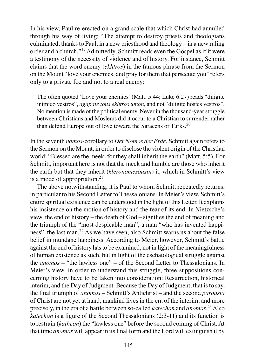In his view, Paul re-erected on a grand scale that which Christ had annulled through his way of living: "The attempt to destroy priests and theologians culminated, thanks to Paul, in a new priesthood and theology – in a new ruling order and a church."<sup>19</sup> Admittedly, Schmitt reads even the Gospel as if it were a testimony of the necessity of violence and of history. For instance, Schmitt claims that the word enemy (*ekhtros*) in the famous phrase from the Sermon on the Mount "love your enemies, and pray for them that persecute you" refers only to a private foe and not to a real enemy:

The often quoted 'Love your enemies' (Matt. 5:44; Luke 6:27) reads "diligite inimico vestros", *agapate tous ekhtros umon*, and not "diligite hostes vestros". No mention is made of the political enemy. Never in the thousand-year struggle between Christians and Moslems did it occur to a Christian to surrender rather than defend Europe out of love toward the Saracens or Turks.<sup>20</sup>

In the seventh *nomos*-corollary to *Der Nomos der Erde*, Schmitt again refers to the Sermon on the Mount, in order to disclose the violent origin of the Christian world: "Blessed are the meek: for they shall inherit the earth" (Matt. 5:5). For Schmitt, important here is not that the meek and humble are those who inherit the earth but that they inherit (*kleronomesousin*) it, which in Schmitt's view is a mode of appropriation. $21$ 

The above notwithstanding, it is Paul to whom Schmitt repeatedly returns, in particular to his Second Letter to Thessalonians. In Meier's view, Schmitt's entire spiritual existence can be understood in the light of this Letter. It explains his insistence on the motion of history and the fear of its end. In Nietzsche's view, the end of history – the death of God – signifies the end of meaning and the triumph of the "most despicable man", a man "who has invented happiness", the last man.<sup>22</sup> As we have seen, also Schmitt warns us about the false belief in mundane happiness. According to Meier, however, Schmitt's battle against the end of history has to be examined, not in light of the meaningfulness of human existence as such, but in light of the eschatological struggle against the *anomos* – "the lawless one" – of the Second Letter to Thessalonians. In Meier's view, in order to understand this struggle, three suppositions concerning history have to be taken into consideration: Resurrection, historical interim, and the Day of Judgment. Because the Day of Judgment, that is to say, the final triumph of *anomos* – Schmitt's Antichrist – and the second *parousia*  of Christ are not yet at hand, mankind lives in the era of the interim, and more precisely, in the era of a battle between so-called *katechon* and *anomos*.<sup>23</sup> Also *katechon* is a figure of the Second Thessalonians (2:3-11) and its function is to restrain (*katheon*) the "lawless one" before the second coming of Christ. At that time *anomos* will appear in its final form and the Lord will extinguish it by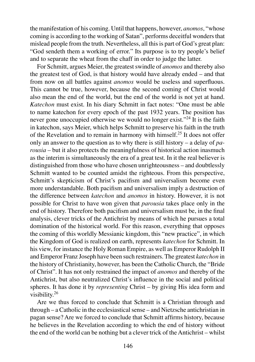the manifestation of his coming. Until that happens, however, *anomos*, "whose coming is according to the working of Satan", performs deceitful wonders that mislead people from the truth. Nevertheless, all this is part of God's great plan: "God sendeth them a working of error." Its purpose is to try people's belief and to separate the wheat from the chaff in order to judge the latter.

For Schmitt, argues Meier, the greatest swindle of *anomos* and thereby also the greatest test of God, is that history would have already ended – and that from now on all battles against *anomos* would be useless and superfluous. This cannot be true, however, because the second coming of Christ would also mean the end of the world, but the end of the world is not yet at hand. *Katechon* must exist. In his diary Schmitt in fact notes: "One must be able to name katechon for every epoch of the past 1932 years. The position has never gone unoccupied otherwise we would no longer exist."<sup>24</sup> It is the faith in katechon, says Meier, which helps Schmitt to preserve his faith in the truth of the Revelation and to remain in harmony with himself.<sup>25</sup> It does not offer only an answer to the question as to why there is still history – a delay of *parousia* – but it also protects the meaningfulness of historical action inasmuch as the interim is simultaneously the era of a great test. In it the real believer is distinguished from those who have chosen unrighteousness – and doubtlessly Schmitt wanted to be counted amidst the righteous. From this perspective, Schmitt's skepticism of Christ's pacifism and universalism become even more understandable. Both pacifism and universalism imply a destruction of the difference between *katechon* and *anomos* in history. However, it is not possible for Christ to have won given that *parousia* takes place only in the end of history. Therefore both pacifism and universalism must be, in the final analysis, clever tricks of the Antichrist by means of which he pursues a total domination of the historical world. For this reason, everything that opposes the coming of this worldly Messianic kingdom, this "new practice", in which the Kingdom of God is realized on earth, represents *katechon* for Schmitt. In his view, for instance the Holy Roman Empire, as well as Emperor Rudolph II and Emperor Franz Joseph have been such restrainers. The greatest *katechon* in the history of Christianity, however, has been the Catholic Church, the "Bride of Christ". It has not only restrained the impact of *anomos* and thereby of the Antichrist, but also neutralized Christ's influence in the social and political spheres. It has done it by *representing* Christ – by giving His idea form and visibility.<sup>26</sup>

Are we thus forced to conclude that Schmitt is a Christian through and through – a Catholic in the ecclesiastical sense – and Nietzsche antichristian in pagan sense? Are we forced to conclude that Schmitt affirms history, because he believes in the Revelation according to which the end of history without the end of the world can be nothing but a clever trick of the Antichrist – whilst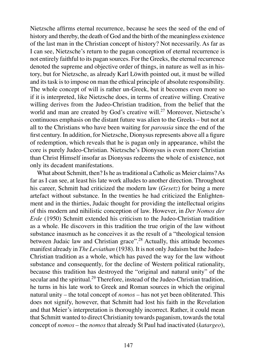Nietzsche affirms eternal recurrence, because he sees the seed of the end of history and thereby, the death of God and the birth of the meaningless existence of the last man in the Christian concept of history? Not necessarily. As far as I can see, Nietzsche's return to the pagan conception of eternal recurrence is not entirely faithful to its pagan sources. For the Greeks, the eternal recurrence denoted the supreme and objective order of things, in nature as well as in history, but for Nietzsche, as already Karl Löwith pointed out, it must be willed and its task is to impose on man the ethical principle of absolute responsibility. The whole concept of will is rather un-Greek, but it becomes even more so if it is interpreted, like Nietzsche does, in terms of creative willing. Creative willing derives from the Judeo-Christian tradition, from the belief that the world and man are created by God's creative will.<sup>27</sup> Moreover, Nietzsche's continuous emphasis on the distant future was alien to the Greeks – but not at all to the Christians who have been waiting for *parousia* since the end of the first century. In addition, for Nietzsche, Dionysus represents above all a figure of redemption, which reveals that he is pagan only in appearance, whilst the core is purely Judeo-Christian. Nietzsche's Dionysus is even more Christian than Christ Himself insofar as Dionysus redeems the whole of existence, not only its decadent manifestations.

What about Schmitt, then? Is he as traditional a Catholic as Meier claims? As far as I can see, at least his late work alludes to another direction. Throughout his career, Schmitt had criticized the modern law (*Gesetz*) for being a mere artefact without substance. In the twenties he had criticized the Enlightenment and in the thirties, Judaic thought for providing the intellectual origins of this modern and nihilistic conception of law. However, in *Der Nomos der Erde* (1950) Schmitt extended his criticism to the Judeo-Christian tradition as a whole. He discovers in this tradition the true origin of the law without substance inasmuch as he conceives it as the result of a "theological tension between Judaic law and Christian grace".<sup>28</sup> Actually, this attitude becomes manifest already in *The Leviathan* (1938). It is not only Judaism but the Judeo-Christian tradition as a whole, which has paved the way for the law without substance and consequently, for the decline of Western political rationality, because this tradition has destroyed the "original and natural unity" of the secular and the spiritual.<sup>29</sup> Therefore, instead of the Judeo-Christian tradition, he turns in his late work to Greek and Roman sources in which the original natural unity – the total concept of *nomos* – has not yet been obliterated. This does not signify, however, that Schmitt had lost his faith in the Revelation and that Meier's interpretation is thoroughly incorrect. Rather, it could mean that Schmitt wanted to direct Christianity towards paganism, towards the total concept of *nomos* – the *nomos* that already St Paul had inactivated (*katargeo*),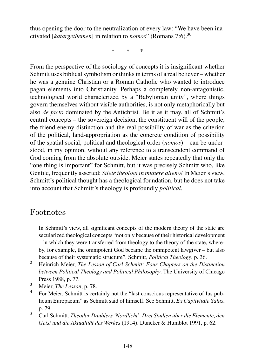thus opening the door to the neutralization of every law: "We have been inactivated [*katargethemen*] in relation to *nomos*" (Romans 7:6).<sup>30</sup>

\* \* \*

From the perspective of the sociology of concepts it is insignificant whether Schmitt uses biblical symbolism or thinks in terms of a real believer – whether he was a genuine Christian or a Roman Catholic who wanted to introduce pagan elements into Christianity. Perhaps a completely non-antagonistic, technological world characterized by a "Babylonian unity", where things govern themselves without visible authorities, is not only metaphorically but also *de facto* dominated by the Antichrist. Be it as it may, all of Schmitt's central concepts – the sovereign decision, the constituent will of the people, the friend-enemy distinction and the real possibility of war as the criterion of the political, land-appropriation as the concrete condition of possibility of the spatial social, political and theological order (*nomos*) – can be understood, in my opinion, without any reference to a transcendent command of God coming from the absolute outside. Meier states repeatedly that only the "one thing is important" for Schmitt, but it was precisely Schmitt who, like Gentile, frequently asserted: *Silete theologi in munere alieno!* In Meier's view, Schmitt's political thought has a theological foundation, but he does not take into account that Schmitt's theology is profoundly *political*.

## Footnotes

- 1 In Schmitt's view, all significant concepts of the modern theory of the state are secularized theological concepts "not only because of their historical development – in which they were transferred from theology to the theory of the state, whereby, for example, the omnipotent God became the omnipotent lawgiver – but also because of their systematic structure". Schmitt, *Political Theology*, p. 36.
- 2 Heinrich Meier, *The Lesson of Carl Schmitt: Four Chapters on the Distinction between Political Theology and Political Philosophy*. The University of Chicago Press 1988, p. 77.
- 3 Meier, *The Lesson*, p. 78.
- 4 For Meier, Schmitt is certainly not the "last conscious representative of Ius publicum Europaeum" as Schmitt said of himself. See Schmitt, *Ex Captivitate Salus*, p. 79.
- 5 Carl Schmitt, *Theodor Däublers 'Nordlicht'. Drei Studien über die Elemente, den Geist und die Aktualität des Werkes* (1914). Duncker & Humblot 1991, p. 62.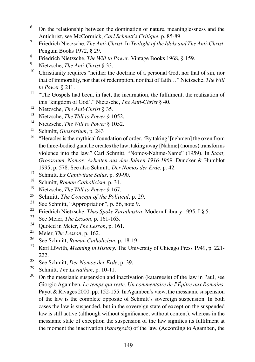- 6 On the relationship between the domination of nature, meaninglessness and the Antichrist, see McCormick, *Carl Schmitt's Critique*, p. 85-89.
- 7 Friedrich Nietzsche, *The Anti-Christ*. In *Twilight of the Idols and The Anti-Christ*. Penguin Books 1972, § 29.
- 8 Friedrich Nietzsche, *The Will to Power*. Vintage Books 1968, § 159.
- 9 Nietzsche, *The Anti-Christ* § 33.
- $10$  Christianity requires "neither the doctrine of a personal God, nor that of sin, nor that of immorality, nor that of redemption, nor that of faith…" Nietzsche, *The Will to Power* § 211.
- <sup>11</sup> "The Gospels had been, in fact, the incarnation, the fulfilment, the realization of this 'kingdom of God'." Nietzsche, *The Anti-Christ* § 40.
- <sup>12</sup> Nietzsche, *The Anti-Christ* § 35.
- <sup>13</sup> Nietzsche, *The Will to Power* § 1052.
- <sup>14</sup> Nietzsche, *The Will to Power* § 1052.
- <sup>15</sup> Schmitt, *Glossarium*, p. 243
- <sup>16</sup> "Heracles is the mythical foundation of order. 'By taking' [nehmen] the oxen from the three-bodied giant he creates the law; taking away [Nahme] (nomos) transforms violence into the law." Carl Schmitt, "Nomos-Nahme-Name" (1959). In *Staat, Grossraum, Nomos: Arbeiten aus den Jahren 1916-1969*. Duncker & Humblot 1995, p. 578. See also Schmitt, *Der Nomos der Erde*, p. 42.
- <sup>17</sup> Schmitt, *Ex Captivitate Salus*, p. 89-90.
- <sup>18</sup> Schmitt, *Roman Catholicism*, p. 31.
- <sup>19</sup> Nietzsche, *The Will to Power* § 167.
- <sup>20</sup> Schmitt, *The Concept of the Political*, p. 29.<br><sup>21</sup> See Schmitt, "Appropriation", p. 56, note 9.<br><sup>22</sup> Friedrich Nietzsche *Thus Spake Zarathustra*.
- 
- <sup>22</sup> Friedrich Nietzsche, *Thus Spoke Zarathustra*. Modern Library 1995, I § 5.<br><sup>23</sup> See Maier *The Lesson* n 161 163
- <sup>23</sup> See Meier, *The Lesson*, p. 161-163.<br><sup>24</sup> Oughed in Meier, *The Lesson* p. 16
- <sup>24</sup> Quoted in Meier, *The Lesson*, p. 161.<br><sup>25</sup> Maier, *The Lesson*, p. 162
- <sup>25</sup> Meier, *The Lesson*, p. 162.<br><sup>26</sup> See Schmitt, *Roman Catho*
- <sup>26</sup> See Schmitt, *Roman Catholicism*, p. 18-19.<br><sup>27</sup> Karl Löwith *Meaning in History*, The Univ
- <sup>27</sup> Karl Löwith, *Meaning in History*. The University of Chicago Press 1949, p. 221- 222.
- <sup>28</sup> See Schmitt, *Der Nomos der Erde*, p. 39.<br><sup>29</sup> Schmitt, *The Levisthan*, p. 10, 11.
- Schmitt, *The Leviathan*, p. 10-11.
- <sup>30</sup> On the messianic suspension and inactivation (katargesis) of the law in Paul, see Giorgio Agamben, *Le temps qui reste. Un commentaire de l'Épitre aux Romains*. Payot & Rivages 2000. pp. 152-155. In Agamben's view, the messianic suspension of the law is the complete opposite of Schmitt's sovereign suspension. In both cases the law is suspended, but in the sovereign state of exception the suspended law is still active (although without significance, without content), whereas in the messianic state of exception the suspension of the law signifies its fulfilment at the moment the inactivation (*katargesis*) of the law. (According to Agamben, the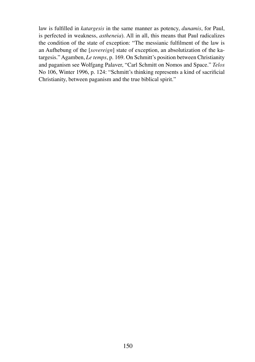law is fulfilled in *katargesis* in the same manner as potency, *dunamis*, for Paul, is perfected in weakness, *astheneia*). All in all, this means that Paul radicalizes the condition of the state of exception: "The messianic fulfilment of the law is an Aufhebung of the [*sovereign*] state of exception, an absolutization of the katargesis." Agamben, *Le temps*, p. 169. On Schmitt's position between Christianity and paganism see Wolfgang Palaver, "Carl Schmitt on Nomos and Space." *Telos*  No 106, Winter 1996, p. 124: "Schmitt's thinking represents a kind of sacrificial Christianity, between paganism and the true biblical spirit."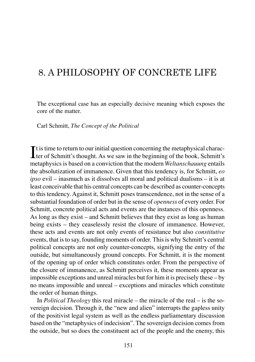## 8. A PHILOSOPHY OF CONCRETE LIFE

The exceptional case has an especially decisive meaning which exposes the core of the matter.

Carl Schmitt, *The Concept of the Political*

It is time to return to our initial question concerning the metaphysical character of Schmitt's thought. As we saw in the beginning of the book, Schmitt's  $\mathbf T$ t is time to return to our initial question concerning the metaphysical characmetaphysics is based on a conviction that the modern *Weltanschauung* entails the absolutization of immanence. Given that this tendency is, for Schmitt, *eo ipso* evil – inasmuch as it dissolves all moral and political dualisms – it is at least conceivable that his central concepts can be described as counter-concepts to this tendency. Against it, Schmitt poses transcendence, not in the sense of a substantial foundation of order but in the sense of *openness* of every order. For Schmitt, concrete political acts and events are the instances of this openness. As long as they exist – and Schmitt believes that they exist as long as human being exists – they ceaselessly resist the closure of immanence. However, these acts and events are not only events of resistance but also *constitutive*  events, that is to say, founding moments of order. This is why Schmitt's central political concepts are not only counter-concepts, signifying the entry of the outside, but simultaneously ground concepts. For Schmitt, it is the moment of the opening up of order which constitutes order. From the perspective of the closure of immanence, as Schmitt perceives it, these moments appear as impossible exceptions and unreal miracles but for him it is precisely these – by no means impossible and unreal – exceptions and miracles which constitute the order of human things.

In *Political Theology* this real miracle – the miracle of the real – is the sovereign decision. Through it, the "new and alien" interrupts the gapless unity of the positivist legal system as well as the endless parliamentary discussion based on the "metaphysics of indecision". The sovereign decision comes from the outside, but so does the constituent act of the people and the enemy, this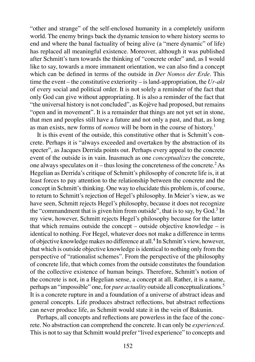"other and strange" of the self-enclosed humanity in a completely uniform world. The enemy brings back the dynamic tension to where history seems to end and where the banal factuality of being alive (a "mere dynamic" of life) has replaced all meaningful existence. Moreover, although it was published after Schmitt's turn towards the thinking of "concrete order" and, as I would like to say, towards a more immanent orientation, we can also find a concept which can be defined in terms of the outside in *Der Nomos der Erde*. This time the event – the constitutive exteriority – is land-appropriation, the *Ur-akt* of every social and political order. It is not solely a reminder of the fact that only God can give without appropriating. It is also a reminder of the fact that "the universal history is not concluded", as Kojève had proposed, but remains "open and in movement". It is a remainder that things are not yet set in stone, that men and peoples still have a future and not only a past, and that, as long as man exists, new forms of *nomos* will be born in the course of history.<sup>1</sup>

It is this event of the outside, this constitutive other that is Schmitt's concrete. Perhaps it is "always exceeded and overtaken by the abstraction of its specter", as Jacques Derrida points out. Perhaps every appeal to the concrete event of the outside is in vain. Inasmuch as one *conceptualizes* the concrete, one always speculates on it – thus losing the concreteness of the concrete.<sup>2</sup> As Hegelian as Derrida's critique of Schmitt's philosophy of concrete life is, it at least forces to pay attention to the relationship between the concrete and the concept in Schmitt's thinking. One way to elucidate this problem is, of course, to return to Schmitt's rejection of Hegel's philosophy. In Meier's view, as we have seen, Schmitt rejects Hegel's philosophy, because it does not recognize the "commandment that is given him from outside", that is to say, by  $God.^3$  In my view, however, Schmitt rejects Hegel's philosophy because for the latter that which remains outside the concept – outside objective knowledge – is identical to nothing. For Hegel, whatever does not make a difference in terms of objective knowledge makes no difference at all.<sup>4</sup> In Schmitt's view, however, that which is outside objective knowledge is identical to nothing only from the perspective of "rationalist schemes". From the perspective of the philosophy of concrete life, that which comes from the outside constitutes the foundation of the collective existence of human beings. Therefore, Schmitt's notion of the concrete is not, in a Hegelian sense, a concept at all. Rather, it is a name, perhaps an "impossible" one, for *pure actuality* outside all conceptualizations.<sup>5</sup> It is a concrete rupture in and a foundation of a universe of abstract ideas and general concepts. Life produces abstract reflections, but abstract reflections can never produce life, as Schmitt would state it in the vein of Bakunin.

Perhaps, all concepts and reflections are powerless in the face of the concrete. No abstraction can comprehend the concrete. It can only be *experienced*. This is not to say that Schmitt would prefer "lived experience" to concepts and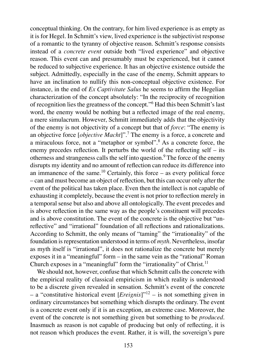conceptual thinking. On the contrary, for him lived experience is as empty as it is for Hegel. In Schmitt's view, lived experience is the subjectivist response of a romantic to the tyranny of objective reason. Schmitt's response consists instead of a *concrete event* outside both "lived experience" and objective reason. This event can and presumably must be experienced, but it cannot be reduced to subjective experience. It has an objective existence outside the subject. Admittedly, especially in the case of the enemy, Schmitt appears to have an inclination to nullify this non-conceptual objective existence. For instance, in the end of *Ex Captivitate Salus* he seems to affirm the Hegelian characterization of the concept absolutely: "In the reciprocity of recognition of recognition lies the greatness of the concept."<sup>6</sup> Had this been Schmitt's last word, the enemy would be nothing but a reflected image of the real enemy, a mere simulacrum. However, Schmitt immediately adds that the objectivity of the enemy is not objectivity of a concept but that of *force*: "The enemy is an objective force [*objective Macht*]".<sup>7</sup> The enemy is a force, a concrete and a miraculous force, not a "metaphor or symbol".<sup>8</sup> As a concrete force, the enemy precedes reflection. It perturbs the world of the reflecting self – its otherness and strangeness calls the self into question.<sup>9</sup> The force of the enemy disrupts my identity and no amount of reflection can reduce its difference into an immanence of the same.<sup>10</sup> Certainly, this force – as every political force – can and must become an object of reflection, but this can occur only after the event of the political has taken place. Even then the intellect is not capable of exhausting it completely, because the event is not prior to reflection merely in a temporal sense but also and above all ontologically. The event precedes and is above reflection in the same way as the people's constituent will precedes and is above constitution. The event of the concrete is the objective but "unreflective" and "irrational" foundation of all reflections and rationalizations. According to Schmitt, the only means of "taming" the "irrationality" of the foundation is representation understood in terms of *myth*. Nevertheless, insofar as myth itself is "irrational", it does not rationalize the concrete but merely exposes it in a "meaningful" form – in the same vein as the "rational" Roman Church exposes in a "meaningful" form the "irrationality" of Christ.<sup>11</sup>

We should not, however, confuse that which Schmitt calls the concrete with the empirical reality of classical empiricism in which reality is understood to be a discrete given revealed in sensation. Schmitt's event of the concrete – a "constitutive historical event [*Ereignis*]"<sup>12</sup> – is not something given in ordinary circumstances but something which disrupts the ordinary. The event is a concrete event only if it is an exception, an extreme case. Moreover, the event of the concrete is not something given but something to be *produced*. Inasmuch as reason is not capable of producing but only of reflecting, it is not reason which produces the event. Rather, it is will, the sovereign's pure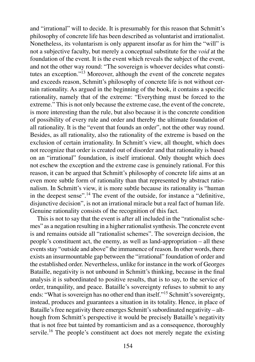and "irrational" will to decide. It is presumably for this reason that Schmitt's philosophy of concrete life has been described as voluntarist and irrationalist. Nonetheless, its voluntarism is only apparent insofar as for him the "will" is not a subjective faculty, but merely a conceptual substitute for the *void* at the foundation of the event. It is the event which reveals the subject of the event, and not the other way round: "The sovereign is whoever decides what constitutes an exception."<sup>13</sup> Moreover, although the event of the concrete negates and exceeds reason, Schmitt's philosophy of concrete life is not without certain rationality. As argued in the beginning of the book, it contains a specific rationality, namely that of the extreme: "Everything must be forced to the extreme." This is not only because the extreme case, the event of the concrete, is more interesting than the rule, but also because it is the concrete condition of possibility of every rule and order and thereby the ultimate foundation of all rationality. It is the "event that founds an order", not the other way round. Besides, as all rationality, also the rationality of the extreme is based on the exclusion of certain irrationality. In Schmitt's view, all thought, which does not recognize that order is created out of disorder and that rationality is based on an "irrational" foundation, is itself irrational. Only thought which does not eschew the exception and the extreme case is genuinely rational. For this reason, it can be argued that Schmitt's philosophy of concrete life aims at an even more subtle form of rationality than that represented by abstract rationalism. In Schmitt's view, it is more subtle because its rationality is "human in the deepest sense".<sup>14</sup> The event of the outside, for instance a "definitive, disjunctive decision", is not an irrational miracle but a real fact of human life. Genuine rationality consists of the recognition of this fact.

This is not to say that the event is after all included in the "rationalist schemes" as a negation resulting in a higher rationalist synthesis. The concrete event is and remains outside all "rationalist schemes". The sovereign decision, the people's constituent act, the enemy, as well as land-appropriation – all these events stay "outside and above" the immanence of reason. In other words, there exists an insurmountable gap between the "irrational" foundation of order and the established order. Nevertheless, unlike for instance in the work of Georges Bataille, negativity is not unbound in Schmitt's thinking, because in the final analysis it is subordinated to positive results, that is to say, to the service of order, tranquility, and peace. Bataille's sovereignty refuses to submit to any ends: "What is sovereign has no other end than itself."<sup>15</sup> Schmitt's sovereignty, instead, produces and guarantees a situation in its totality. Hence, in place of Bataille's free negativity there emerges Schmitt's subordinated negativity – although from Schmitt's perspective it would be precisely Bataille's negativity that is not free but tainted by romanticism and as a consequence, thoroughly servile.<sup>16</sup> The people's constituent act does not merely negate the existing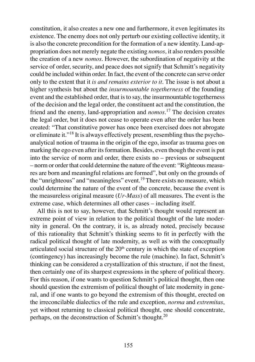constitution, it also creates a new one and furthermore, it even legitimates its existence. The enemy does not only perturb our existing collective identity, it is also the concrete precondition for the formation of a new identity. Land-appropriation does not merely negate the existing *nomos*, it also renders possible the creation of a new *nomos*. However, the subordination of negativity at the service of order, security, and peace does not signify that Schmitt's negativity could be included within order. In fact, the event of the concrete can serve order only to the extent that it *is and remains exterior to it*. The issue is not about a higher synthesis but about the *insurmountable togetherness* of the founding event and the established order, that is to say, the insurmountable togetherness of the decision and the legal order, the constituent act and the constitution, the friend and the enemy, land-appropriation and *nomos*. <sup>17</sup> The decision creates the legal order, but it does not cease to operate even after the order has been created: "That constitutive power has once been exercised does not abrogate or eliminate it."<sup>18</sup> It is always effectively present, resembling thus the psychoanalytical notion of trauma in the origin of the ego, insofar as trauma goes on marking the ego even after its formation. Besides, even though the event is put into the service of norm and order, there exists no – previous or subsequent – norm or order that could determine the nature of the event: "Righteous measures are born and meaningful relations are formed", but only on the grounds of the "unrighteous" and "meaningless" event.<sup>19</sup> There exists no measure, which could determine the nature of the event of the concrete, because the event is the measureless original measure (*Ur-Mass*) of all measures. The event is the extreme case, which determines all other cases – including itself.

All this is not to say, however, that Schmitt's thought would represent an extreme point of view in relation to the political thought of the late modernity in general. On the contrary, it is, as already noted, precisely because of this rationality that Schmitt's thinking seems to fit in perfectly with the radical political thought of late modernity, as well as with the conceptually articulated social structure of the  $20<sup>th</sup>$  century in which the state of exception (contingency) has increasingly become the rule (machine). In fact, Schmitt's thinking can be considered a crystallization of this structure, if not the finest, then certainly one of its sharpest expressions in the sphere of political theory. For this reason, if one wants to question Schmitt's political thought, then one should question the extremism of political thought of late modernity in general, and if one wants to go beyond the extremism of this thought, erected on the irreconcilable dialectics of the rule and exception, *norma* and *extremitas*, yet without returning to classical political thought, one should concentrate, perhaps, on the deconstruction of Schmitt's thought.<sup>20</sup>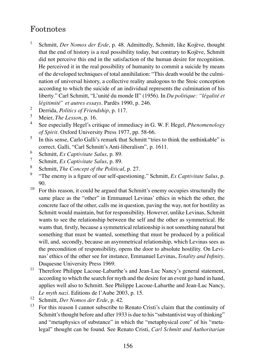## Footnotes

- 1 Schmitt, *Der Nomos der Erde*, p. 48. Admittedly, Schmitt, like Kojève, thought that the end of history is a real possibility today, but contrary to Kojève, Schmitt did not perceive this end in the satisfaction of the human desire for recognition. He perceived it in the real possibility of humanity to commit a suicide by means of the developed techniques of total annihilation: "This death would be the culmination of universal history, a collective reality analogous to the Stoic conception according to which the suicide of an individual represents the culmination of his liberty." Carl Schmitt, "L'unité du monde II" (1956). In *Du politique: "légalité et légitimité" et autres essays*. Pardès 1990, p. 246.
- 2 Derrida, *Politics of Friendship*, p. 117.
- 3 Meier, *The Lesson*, p. 16.
- 4 See especially Hegel's critique of immediacy in G. W. F. Hegel, *Phenomenology of Spirit*. Oxford University Press 1977, pp. 58-66.
- 5 In this sense, Carlo Galli's remark that Schmitt "tries to think the unthinkable" is correct. Galli, "Carl Schmitt's Anti-liberalism", p. 1611.
- 6 Schmitt, *Ex Captivitate Salus*, p. 89.
- 7 Schmitt, *Ex Captivitate Salus*, p. 89.
- 8 Schmitt, *The Concept of the Political*, p. 27.
- 9 "The enemy is a figure of our self-questioning." Schmitt, *Ex Captivitate Salus*, p. 90.
- $10$  For this reason, it could be argued that Schmitt's enemy occupies structurally the same place as the "other" in Emmanuel Levinas' ethics in which the other, the concrete face of the other, calls me in question, paving the way, not for hostility as Schmitt would maintain, but for responsibility. However, unlike Levinas, Schmitt wants to see the relationship between the self and the other as symmetrical. He wants that, firstly, because a symmetrical relationship is not something natural but something that must be wanted, something that must be produced by a political will, and, secondly, because an asymmetrical relationship, which Levinas sees as the precondition of responsibility, opens the door to absolute hostility. On Levinas' ethics of the other see for instance, Emmanuel Levinas, *Totality and Infinity*. Duquesne University Press 1969.
- <sup>11</sup> Therefore Philippe Lacoue-Labarthe's and Jean-Luc Nancy's general statement, according to which the search for myth and the desire for an event go hand in hand, applies well also to Schmitt. See Philippe Lacoue-Labarthe and Jean-Luc Nancy, *Le myth nazi*. Editions de l'Aube 2003, p. 15.
- <sup>12</sup> Schmitt, *Der Nomos der Erde*, p. 42.
- <sup>13</sup> For this reason I cannot subscribe to Renato Cristi's claim that the continuity of Schmitt's thought before and after 1933 is due to his "substantivist way of thinking" and "metaphysics of substance" in which the "metaphysical core" of his "metalegal" thought can be found. See Renato Cristi, *Carl Schmitt and Authoritarian*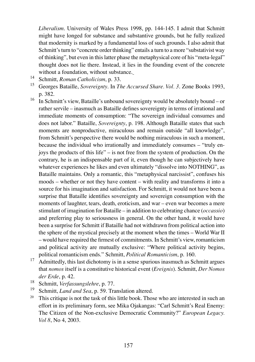*Liberalism*. University of Wales Press 1998, pp. 144-145. I admit that Schmitt might have longed for substance and substantive grounds, but he fully realized that modernity is marked by a fundamental loss of such grounds. I also admit that Schmitt's turn to "concrete order thinking" entails a turn to a more "substativist way of thinking", but even in this latter phase the metaphysical core of his "meta-legal" thought does not lie there. Instead, it lies in the founding event of the concrete without a foundation, without substance.

- <sup>14</sup> Schmitt, *Roman Catholicism*, p. 33.
- <sup>15</sup> Georges Bataille, *Sovereignty*. In *The Accursed Share. Vol. 3*. Zone Books 1993, p. 382.
- $16$  In Schmitt's view, Bataille's unbound sovereignty would be absolutely bound or rather servile – inasmuch as Bataille defines sovereignty in terms of irrational and immediate moments of consumption: "The sovereign individual consumes and does not labor." Bataille, *Sovereignty*, p. 198. Although Bataille states that such moments are nonproductive, miraculous and remain outside "all knowledge", from Schmitt's perspective there would be nothing miraculous in such a moment, because the individual who irrationally and immediately consumes – "truly enjoys the products of this life" – is not free from the system of production. On the contrary, he is an indispensable part of it, even though he can subjectively have whatever experiences he likes and even ultimately "dissolve into NOTHING", as Bataille maintains. Only a romantic, this "metaphysical narcissist", confuses his moods – whether or not they have content – with reality and transforms it into a source for his imagination and satisfaction. For Schmitt, it would not have been a surprise that Bataille identifies sovereignty and sovereign consumption with the moments of laughter, tears, death, eroticism, and war – even war becomes a mere stimulant of imagination for Bataille – in addition to celebrating chance (*occassio*) and preferring play to seriousness in general. On the other hand, it would have been a surprise for Schmitt if Bataille had not withdrawn from political action into the sphere of the mystical precisely at the moment when the times – World War II – would have required the firmest of commitments. In Schmitt's view, romanticism and political activity are mutually exclusive: "Where political activity begins, political romanticism ends." Schmitt, *Political Romanticism*, p. 160.
- <sup>17</sup> Admittedly, this last dichotomy is in a sense spurious inasmuch as Schmitt argues that *nomos* itself is a constitutive historical event (*Ereignis*). Schmitt, *Der Nomos der Erde*, p. 42.
- <sup>18</sup> Schmitt, *Verfassungslehre*, p. 77.
- <sup>19</sup> Schmitt, *Land and Sea*, p. 59. Translation altered.
- <sup>20</sup> This critique is not the task of this little book. Those who are interested in such an effort in its preliminary form, see Mika Ojakangas: "Carl Schmitt's Real Enemy: The Citizen of the Non-exclusive Democratic Community?" *European Legacy. Vol 8*, No 4, 2003.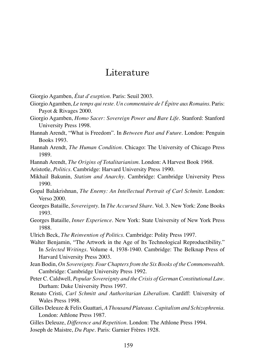## Literature

Giorgio Agamben, *État d'exeption*. Paris: Seuil 2003.

- Giorgio Agamben, *Le temps qui reste. Un commentaire de l'Épitre aux Romains*. Paris: Payot & Rivages 2000.
- Giorgio Agamben, *Homo Sacer: Sovereign Power and Bare Life*. Stanford: Stanford University Press 1998.
- Hannah Arendt, "What is Freedom". In *Between Past and Future*. London: Penguin Books 1993.
- Hannah Arendt, *The Human Condition*. Chicago: The University of Chicago Press 1989.
- Hannah Arendt, *The Origins of Totalitarianism*. London: A Harvest Book 1968.
- Aristotle, *Politics*. Cambridge: Harvard University Press 1990.
- Mikhail Bakunin, *Statism and Anarchy*. Cambridge: Cambridge University Press 1990.
- Gopal Balakrishnan, *The Enemy: An Intellectual Portrait of Carl Schmitt*. London: Verso 2000.
- Georges Bataille, *Sovereignty*. In *The Accursed Share*. Vol. 3. New York: Zone Books 1993.
- Georges Bataille, *Inner Experience*. New York: State University of New York Press 1988.
- Ulrich Beck, *The Reinvention of Politics*. Cambridge: Polity Press 1997.

Walter Benjamin, "The Artwork in the Age of Its Technological Reproductibility." In *Selected Writings*. Volume 4, 1938-1940. Cambridge: The Belknap Press of Harvard University Press 2003.

- Jean Bodin, *On Sovereignty. Four Chapters from the Six Books of the Commonwealth*. Cambridge: Cambridge University Press 1992.
- Peter C. Caldwell, *Popular Sovereignty and the Crisis of German Constitutional Law*. Durham: Duke University Press 1997.
- Renato Cristi, *Carl Schmitt and Authoritarian Liberalism*. Cardiff: University of Wales Press 1998.
- Gilles Deleuze & Felix Guattari, *A Thousand Plateaus. Capitalism and Schizophrenia*. London: Athlone Press 1987.
- Gilles Deleuze, *Difference and Repetition*. London: The Athlone Press 1994. Joseph de Maistre, *Du Pape*. Paris: Garnier Frères 1928.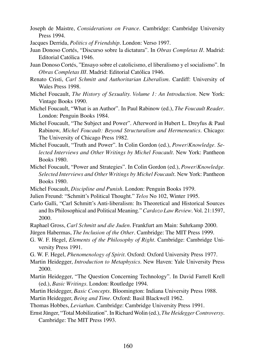- Joseph de Maistre, *Considerations on France*. Cambridge: Cambridge University Press 1994.
- Jacques Derrida, *Politics of Friendship*. London: Verso 1997.
- Juan Donoso Cortés, "Discurso sobre la dictatura". In *Obras Completas II*. Madrid: Editorial Católica 1946.
- Juan Donoso Cortés, "Ensayo sobre el catolicismo, el liberalismo y el socialismo". In *Obras Completas III*. Madrid: Editorial Católica 1946.
- Renato Cristi, *Carl Schmitt and Authoritarian Liberalism*. Cardiff: University of Wales Press 1998.
- Michel Foucault, *The History of Sexuality. Volume 1: An Introduction*. New York: Vintage Books 1990.
- Michel Foucault, "What is an Author". In Paul Rabinow (ed.), *The Foucault Reader*. London: Penguin Books 1984.
- Michel Foucault, "The Subject and Power". Afterword in Hubert L. Dreyfus & Paul Rabinow, *Michel Foucault: Beyond Structuralism and Hermeneutics*. Chicago: The University of Chicago Press 1982.
- Michel Foucault, "Truth and Power". In Colin Gordon (ed.), *Power/Knowledge. Selected Interviews and Other Writings by Michel Foucault*. New York: Pantheon Books 1980.
- Michel Foucault, "Power and Strategies". In Colin Gordon (ed.), *Power/Knowledge. Selected Interviews and Other Writings by Michel Foucault*. New York: Pantheon Books 1980.
- Michel Foucault, *Discipline and Punish*. London: Penguin Books 1979.
- Julien Freund: "Schmitt's Political Thought." *Telos* No 102, Winter 1995.
- Carlo Galli, "Carl Schmitt's Anti-liberalism: Its Theoretical and Historical Sources and Its Philosophical and Political Meaning." *Cardozo Law Review*. Vol. 21:1597, 2000.
- Raphael Gross, *Carl Schmitt und die Juden*. Frankfurt am Main: Suhrkamp 2000. Jürgen Habermas, *The Inclusion of the Other*. Cambridge: The MIT Press 1999.
- G. W. F. Hegel, *Elements of the Philosophy of Right*. Cambridge: Cambridge University Press 1991.
- G. W. F. Hegel, *Phenomenology of Spirit*. Oxford: Oxford University Press 1977.
- Martin Heidegger, *Introduction to Metaphysics*. New Haven: Yale University Press 2000.
- Martin Heidegger, "The Question Concerning Technology". In David Farrell Krell (ed.), *Basic Writings*. London: Routledge 1994.
- Martin Heidegger, *Basic Concepts*. Bloomington: Indiana University Press 1988.
- Martin Heidegger, *Being and Time*. Oxford: Basil Blackwell 1962.
- Thomas Hobbes, *Leviathan*. Cambridge: Cambridge University Press 1991.
- Ernst Jünger, "Total Mobilization". In Richard Wolin (ed.), *The Heidegger Controversy*. Cambridge: The MIT Press 1993.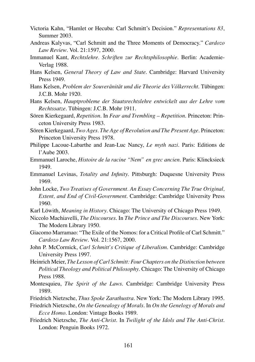- Victoria Kahn, "Hamlet or Hecuba: Carl Schmitt's Decision." *Representations 83*, Summer 2003.
- Andreas Kalyvas, "Carl Schmitt and the Three Moments of Democracy." *Cardozo Law Review*. Vol. 21:1597, 2000.
- Immanuel Kant, *Rechtslehre. Schriften zur Rechtsphilosophie*. Berlin: Academie-Verlag 1988.
- Hans Kelsen, *General Theory of Law and State*. Cambridge: Harvard University Press 1949.
- Hans Kelsen, *Problem der Souveränität und die Theorie des Völkerrecht*. Tübingen: J.C.B. Mohr 1920.
- Hans Kelsen, *Hauptprobleme der Staatsrechtslehre entwickelt aus der Lehre vom Rechtssatze*. Tübingen: J.C.B. Mohr 1911.
- Sören Kierkegaard, *Repetition*. In *Fear and Trembling Repetition*. Princeton: Princeton University Press 1983.
- Sören Kierkegaard, *Two Ages. The Age of Revolution and The Present Age*. Princeton: Princeton University Press 1978.
- Philippe Lacoue-Labarthe and Jean-Luc Nancy, *Le myth nazi*. Paris: Editions de l'Aube 2003.
- Emmanuel Laroche, *Histoire de la racine "Nem" en grec ancien*. Paris: Klincksieck 1949.
- Emmanuel Levinas, *Totality and Infinity*. Pittsburgh: Duquesne University Press 1969.
- John Locke, *Two Treatises of Government. An Essay Concerning The True Original, Extent, and End of Civil-Government*. Cambridge: Cambridge University Press 1960.
- Karl Löwith, *Meaning in History*. Chicago: The University of Chicago Press 1949.
- Niccolo Machiavelli, *The Discourses*. In *The Prince and The Discourses*. New York: The Modern Library 1950.
- Giacomo Marramao: "The Exile of the Nomos: for a Critical Profile of Carl Schmitt." *Cardozo Law Review*. Vol. 21:1567, 2000.
- John P. McCormick, *Carl Schmitt's Critique of Liberalism*. Cambridge: Cambridge University Press 1997.
- Heinrich Meier, *The Lesson of Carl Schmitt: Four Chapters on the Distinction between Political Theology and Political Philosophy*. Chicago: The University of Chicago Press 1988.
- Montesquieu, *The Spirit of the Laws*. Cambridge: Cambridge University Press 1989.
- Friedrich Nietzsche, *Thus Spoke Zarathustra*. New York: The Modern Library 1995.
- Friedrich Nietzsche, *On the Genealogy of Morals*. In *On the Genelogy of Morals and Ecce Homo*. London: Vintage Books 1989.
- Friedrich Nietzsche, *The Anti-Christ*. In *Twilight of the Idols and The Anti-Christ*. London: Penguin Books 1972.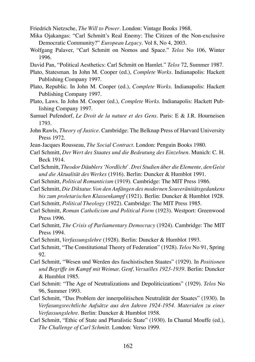Friedrich Nietzsche, *The Will to Power*. London: Vintage Books 1968.

- Mika Ojakangas: "Carl Schmitt's Real Enemy: The Citizen of the Non-exclusive Democratic Community?" *European Legacy*. Vol 8, No 4, 2003.
- Wolfgang Palaver, "Carl Schmitt on Nomos and Space." *Telos* No 106, Winter 1996.
- David Pan, "Political Aesthetics: Carl Schmitt on Hamlet." *Telos* 72, Summer 1987.
- Plato, Statesman. In John M. Cooper (ed.), *Complete Works*. Indianapolis: Hackett Publishing Company 1997.
- Plato, Republic. In John M. Cooper (ed.), *Complete Works*. Indianapolis: Hackett Publishing Company 1997.
- Plato, Laws. In John M. Cooper (ed.), *Complete Works*. Indianapolis: Hackett Publishing Company 1997.
- Samuel Pufendorf, *Le Droit de la nature et des Gens*. Paris: E & J.R. Hourneisen 1793.
- John Rawls, *Theory of Justice*. Cambridge: The Belknap Press of Harvard University Press 1972.
- Jean-Jacques Rousseau, *The Social Contract*. London: Penguin Books 1980.
- Carl Schmitt, *Der Wert des Staates und die Bedeutung des Einzelnen*. Munich: C. H. Beck 1914.
- Carl Schmitt, *Theodor Däublers 'Nordlicht'. Drei Studien über die Elemente, den Geist und die Aktualität des Werkes* (1916). Berlin: Duncker & Humblot 1991.
- Carl Schmitt, *Political Romanticism* (1919). Cambridge: The MIT Press 1986.
- Carl Schmitt, *Die Diktatur. Von den Anfängen des modernen Souveränitätsgedankens bis zum proletarischen Klassenkampf* (1921). Berlin: Duncker & Humblot 1928.
- Carl Schmitt, *Political Theology* (1922). Cambridge: The MIT Press 1985.
- Carl Schmitt, *Roman Catholicism and Political Form* (1923). Westport: Greenwood Press 1996.
- Carl Schmitt, *The Crisis of Parliamentary Democracy* (1924). Cambridge: The MIT Press 1994.
- Carl Schmitt, *Verfassungslehre* (1928). Berlin: Duncker & Humblot 1993.
- Carl Schmitt, "The Constitutional Theory of Federation" (1928). *Telos* No 91, Spring 92.
- Carl Schmitt, "Wesen und Werden des faschistischen Staates" (1929). In *Positionen und Begriffe im Kampf mit Weimar, Genf, Versailles 1923-1939*. Berlin: Duncker & Humblot 1985.
- Carl Schmitt: "The Age of Neutralizations and Depoliticizations" (1929). *Telos* No 96, Summer 1993.
- Carl Schmitt, "Das Problem der innerpolitischen Neutralität der Staates" (1930). In *Verfasungsrechtliche Aufsätze aus den Jahren 1924-1954. Materialen zu einer Verfassungslehre*. Berlin: Duncker & Humblot 1958.
- Carl Schmitt, "Ethic of State and Pluralistic State" (1930). In Chantal Mouffe (ed.), *The Challenge of Carl Schmitt*. London: Verso 1999.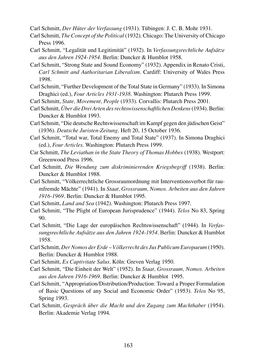Carl Schmitt, *Der Hüter der Verfassung* (1931). Tübingen: J. C. B. Mohr 1931.

- Carl Schmitt, *The Concept of the Political* (1932). Chicago: The University of Chicago Press 1996.
- Carl Schmitt, "Legalität und Legitimität" (1932). In *Verfassungsrechtliche Aufsätze aus den Jahren 1924-1954*. Berlin: Duncker & Humblot 1958.
- Carl Schmitt, "Strong State and Sound Economy" (1932). Appendix in Renato Cristi, *Carl Schmitt and Authoritarian Liberalism*. Cardiff: University of Wales Press 1998.
- Carl Schmitt, "Further Development of the Total State in Germany" (1933). In Simona Draghici (ed.), *Four Articles 1931-1938*. Washington: Plutarch Press 1999.
- Carl Schmitt, *State, Movement, People* (1933). Corvallis: Plutarch Press 2001.
- Carl Schmitt, *Über die Drei Arten des rechtswissenschaftlichen Denkens*(1934). Berlin: Duncker & Humblot 1993.
- Carl Schmitt, "Die deutsche Rechtswissenschaft im Kampf gegen den jüdischen Geist" (1936). *Deutsche Juristen-Zeitung*. Heft 20, 15 October 1936.
- Carl Schmitt, "Total war, Total Enemy and Total State" (1937). In Simona Draghici (ed.), *Four Articles*. Washington: Plutarch Press 1999.
- Car Schmitt, *The Leviathan in the State Theory of Thomas Hobbes* (1938). Westport: Greenwood Press 1996.
- Carl Schmitt, *Die Wendung zum diskriminierenden Kriegsbegriff* (1938). Berlin: Duncker & Humblot 1988.
- Carl Schmitt, "Völkerrechtliche Grossraumordnung mit Interventionsverbot für raumfremde Mächte" (1941). In *Staat, Grossraum, Nomos. Arbeiten aus den Jahren 1916-1969*. Berlin: Duncker & Humblot 1995.
- Carl Schmitt, *Land and Sea* (1942). Washington: Plutarch Press 1997.
- Carl Schmitt, "The Plight of European Jurisprudence" (1944). *Telos* No 83, Spring  $90^{\circ}$
- Carl Schmitt, "Die Lage der europäischen Rechtswissenschaft" (1944). In *Verfassungsrechtliche Aufsätze aus den Jahren 1924-1954*. Berlin: Duncker & Humblot 1958.
- Carl Schmitt, *Der Nomos der Erde Völkerrecht des Jus Publicum Europaeum* (1950). Berlin: Duncker & Humblot 1988.
- Carl Schmitt, *Ex Captivitate Salus*. Köln: Greven Verlag 1950.
- Carl Schmitt, "Die Einheit der Welt" (1952). In *Staat, Grossraum, Nomos. Arbeiten aus den Jahren 1916-1969*. Berlin: Duncker & Humblot 1995.
- Carl Schmitt, "Appropriation/Distribution/Production: Toward a Proper Formulation of Basic Questions of any Social and Economic Order" (1953). *Telos* No 95, Spring 1993.
- Carl Schmitt, *Gespräch über die Macht und den Zugang zum Machthaber* (1954). Berlin: Akademie Verlag 1994.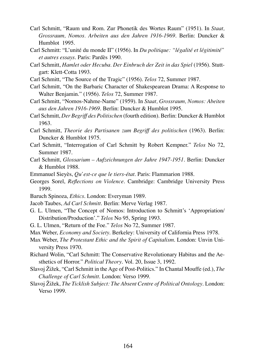- Carl Schmitt, "Raum und Rom. Zur Phonetik des Wortes Raum" (1951). In *Staat, Grossraum, Nomos. Arbeiten aus den Jahren 1916-1969*. Berlin: Duncker & Humblot 1995.
- Carl Schmitt: "L'unité du monde II" (1956). In *Du politique: "légalité et légitimité" et autres essays*. Paris: Pardès 1990.
- Carl Schmitt, *Hamlet oder Hecuba. Der Einbruch der Zeit in das Spiel* (1956). Stuttgart: Klett-Cotta 1993.
- Carl Schmitt, "The Source of the Tragic" (1956). *Telos* 72, Summer 1987.
- Carl Schmitt, "On the Barbaric Character of Shakespearean Drama: A Response to Walter Benjamin." (1956). *Telos* 72, Summer 1987.
- Carl Schmitt, "Nomos-Nahme-Name" (1959). In *Staat, Grossraum, Nomos: Abeiten aus den Jahren 1916-1969*. Berlin: Duncker & Humblot 1995.
- Carl Schmitt, *Der Begriff des Politischen* (fourth edition). Berlin: Duncker & Humblot 1963.
- Carl Schmitt, *Theorie des Partisanen zum Begriff des politischen* (1963). Berlin: Duncker & Humblot 1975.
- Carl Schmitt, "Interrogation of Carl Schmitt by Robert Kempner." *Telos* No 72, Summer 1987.
- Carl Schmitt, *Glossarium Aufzeichnungen der Jahre 1947-1951*. Berlin: Duncker & Humblot 1988.
- Emmanuel Sieyès, *Qu'est-ce que le tiers-état*. Paris: Flammarion 1988.
- Georges Sorel, *Reflections on Violence*. Cambridge: Cambridge University Press 1999.
- Baruch Spinoza, *Ethics*. London: Everyman 1989.
- Jacob Taubes, *Ad Carl Schmitt*. Berlin: Merve Verlag 1987.
- G. L. Ulmen, "The Concept of Nomos: Introduction to Schmitt's 'Appropriation/ Distribution/Production'." *Telos* No 95, Spring 1993.
- G. L. Ulmen, "Return of the Foe." *Telos* No 72, Summer 1987.
- Max Weber, *Economy and Society*. Berkeley: University of California Press 1978.
- Max Weber, *The Protestant Ethic and the Spirit of Capitalism*. London: Unvin University Press 1970.
- Richard Wolin, "Carl Schmitt: The Conservative Revolutionary Habitus and the Aesthetics of Horror." *Political Theory*. Vol. 20, Issue 3, 1992.
- Slavoj Žižek, "Carl Schmitt in the Age of Post-Politics." In Chantal Mouffe (ed.), *The Challenge of Carl Schmitt*. London: Verso 1999.
- Slavoj Žižek, *The Ticklish Subject: The Absent Centre of Political Ontology*. London: Verso 1999.